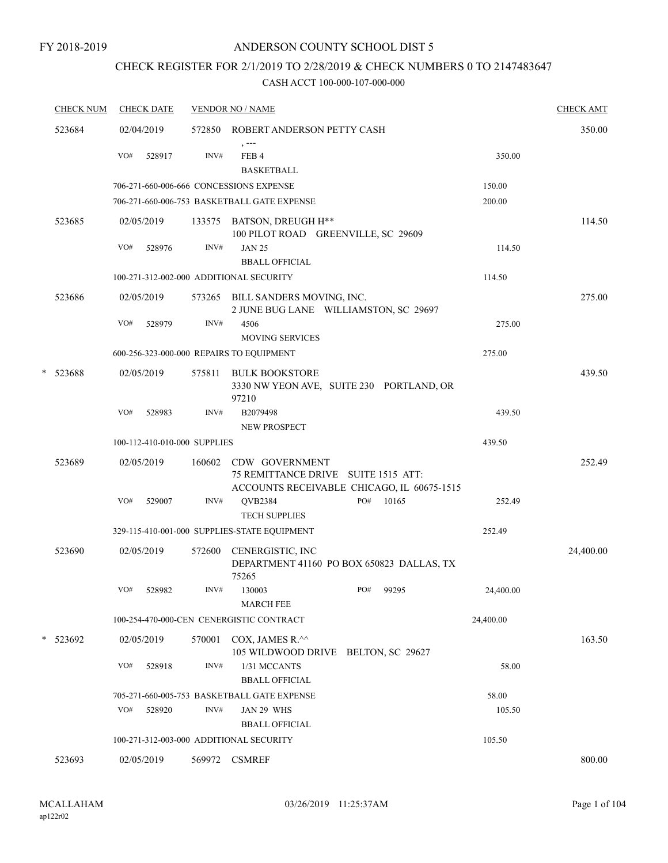#### FY 2018-2019

### ANDERSON COUNTY SCHOOL DIST 5

# CHECK REGISTER FOR 2/1/2019 TO 2/28/2019 & CHECK NUMBERS 0 TO 2147483647

| <b>CHECK NUM</b> |     | <b>CHECK DATE</b>            |        | <b>VENDOR NO / NAME</b>                                                                             |     |       |           | <b>CHECK AMT</b> |
|------------------|-----|------------------------------|--------|-----------------------------------------------------------------------------------------------------|-----|-------|-----------|------------------|
| 523684           |     | 02/04/2019                   | 572850 | ROBERT ANDERSON PETTY CASH                                                                          |     |       |           | 350.00           |
|                  | VO# | 528917                       | INV#   | , ---<br>FEB <sub>4</sub><br><b>BASKETBALL</b>                                                      |     |       | 350.00    |                  |
|                  |     |                              |        | 706-271-660-006-666 CONCESSIONS EXPENSE                                                             |     |       | 150.00    |                  |
|                  |     |                              |        | 706-271-660-006-753 BASKETBALL GATE EXPENSE                                                         |     |       | 200.00    |                  |
| 523685           |     | 02/05/2019                   |        | 133575 BATSON, DREUGH H**<br>100 PILOT ROAD GREENVILLE, SC 29609                                    |     |       |           | 114.50           |
|                  | VO# | 528976                       | INV#   | <b>JAN 25</b><br><b>BBALL OFFICIAL</b>                                                              |     |       | 114.50    |                  |
|                  |     |                              |        | 100-271-312-002-000 ADDITIONAL SECURITY                                                             |     |       | 114.50    |                  |
| 523686           |     | 02/05/2019                   |        | 573265 BILL SANDERS MOVING, INC.<br>2 JUNE BUG LANE WILLIAMSTON, SC 29697                           |     |       |           | 275.00           |
|                  | VO# | 528979                       | INV#   | 4506<br><b>MOVING SERVICES</b>                                                                      |     |       | 275.00    |                  |
|                  |     |                              |        | 600-256-323-000-000 REPAIRS TO EQUIPMENT                                                            |     |       | 275.00    |                  |
| * 523688         |     | 02/05/2019                   | 575811 | <b>BULK BOOKSTORE</b><br>3330 NW YEON AVE, SUITE 230 PORTLAND, OR<br>97210                          |     |       |           | 439.50           |
|                  | VO# | 528983                       | INV#   | B2079498<br>NEW PROSPECT                                                                            |     |       | 439.50    |                  |
|                  |     | 100-112-410-010-000 SUPPLIES |        |                                                                                                     |     |       | 439.50    |                  |
| 523689           |     | 02/05/2019                   | 160602 | CDW GOVERNMENT<br>75 REMITTANCE DRIVE SUITE 1515 ATT:<br>ACCOUNTS RECEIVABLE CHICAGO, IL 60675-1515 |     |       |           | 252.49           |
|                  | VO# | 529007                       | INV#   | QVB2384<br><b>TECH SUPPLIES</b>                                                                     | PO# | 10165 | 252.49    |                  |
|                  |     |                              |        | 329-115-410-001-000 SUPPLIES-STATE EQUIPMENT                                                        |     |       | 252.49    |                  |
| 523690           |     | 02/05/2019                   | 572600 | CENERGISTIC, INC<br>DEPARTMENT 41160 PO BOX 650823 DALLAS, TX<br>75265                              |     |       |           | 24,400.00        |
|                  | VO# | 528982                       | INV#   | 130003<br><b>MARCH FEE</b>                                                                          | PO# | 99295 | 24,400.00 |                  |
|                  |     |                              |        | 100-254-470-000-CEN CENERGISTIC CONTRACT                                                            |     |       | 24,400.00 |                  |
| * 523692         |     | 02/05/2019                   | 570001 | COX, JAMES R.^^<br>105 WILDWOOD DRIVE BELTON, SC 29627                                              |     |       |           | 163.50           |
|                  | VO# | 528918                       | INV#   | 1/31 MCCANTS<br><b>BBALL OFFICIAL</b>                                                               |     |       | 58.00     |                  |
|                  |     |                              |        | 705-271-660-005-753 BASKETBALL GATE EXPENSE                                                         |     |       | 58.00     |                  |
|                  | VO# | 528920                       | INV#   | JAN 29 WHS<br><b>BBALL OFFICIAL</b>                                                                 |     |       | 105.50    |                  |
|                  |     |                              |        | 100-271-312-003-000 ADDITIONAL SECURITY                                                             |     |       | 105.50    |                  |
| 523693           |     | 02/05/2019                   |        | 569972 CSMREF                                                                                       |     |       |           | 800.00           |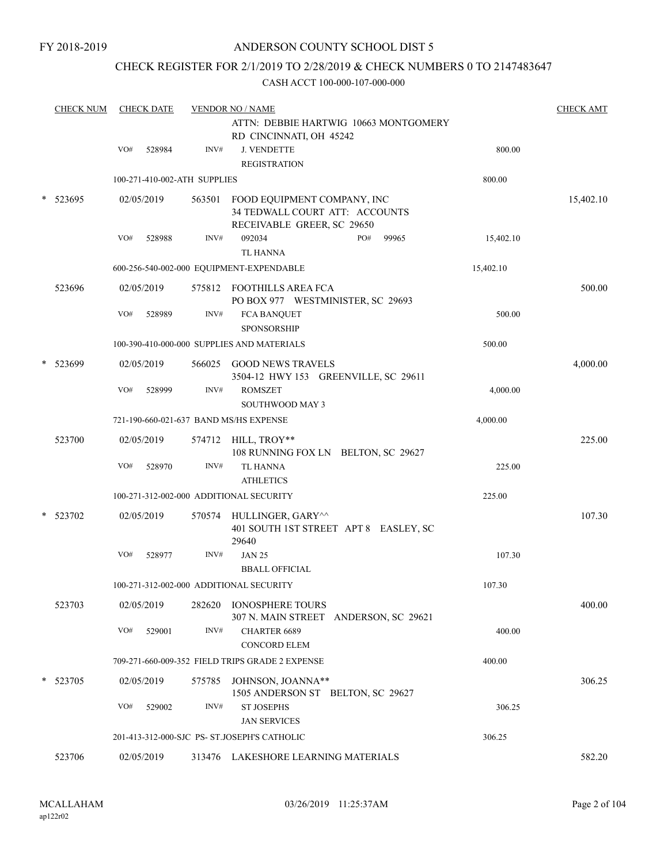### CHECK REGISTER FOR 2/1/2019 TO 2/28/2019 & CHECK NUMBERS 0 TO 2147483647

| <b>CHECK NUM</b> | <b>CHECK DATE</b> |        |                              | <b>VENDOR NO / NAME</b>                                                                     |           | <b>CHECK AMT</b> |
|------------------|-------------------|--------|------------------------------|---------------------------------------------------------------------------------------------|-----------|------------------|
|                  |                   |        |                              | ATTN: DEBBIE HARTWIG 10663 MONTGOMERY<br>RD CINCINNATI, OH 45242                            |           |                  |
|                  | VO#               | 528984 | INV#                         | <b>J. VENDETTE</b><br><b>REGISTRATION</b>                                                   | 800.00    |                  |
|                  |                   |        | 100-271-410-002-ATH SUPPLIES |                                                                                             | 800.00    |                  |
| 523695           | 02/05/2019        |        | 563501                       | FOOD EQUIPMENT COMPANY, INC<br>34 TEDWALL COURT ATT: ACCOUNTS<br>RECEIVABLE GREER, SC 29650 |           | 15,402.10        |
|                  | VO#               | 528988 | INV#                         | 092034<br>PO#<br>99965<br><b>TL HANNA</b>                                                   | 15,402.10 |                  |
|                  |                   |        |                              | 600-256-540-002-000 EQUIPMENT-EXPENDABLE                                                    | 15,402.10 |                  |
| 523696           | 02/05/2019        |        | 575812                       | FOOTHILLS AREA FCA<br>PO BOX 977 WESTMINISTER, SC 29693                                     |           | 500.00           |
|                  | VO#               | 528989 | INV#                         | <b>FCA BANQUET</b><br><b>SPONSORSHIP</b>                                                    | 500.00    |                  |
|                  |                   |        |                              | 100-390-410-000-000 SUPPLIES AND MATERIALS                                                  | 500.00    |                  |
| 523699           | 02/05/2019        |        |                              | 566025 GOOD NEWS TRAVELS<br>3504-12 HWY 153 GREENVILLE, SC 29611                            |           | 4,000.00         |
|                  | VO#               | 528999 | INV#                         | <b>ROMSZET</b><br><b>SOUTHWOOD MAY 3</b>                                                    | 4,000.00  |                  |
|                  |                   |        |                              | 721-190-660-021-637 BAND MS/HS EXPENSE                                                      | 4,000.00  |                  |
| 523700           | 02/05/2019        |        |                              | 574712 HILL, TROY**<br>108 RUNNING FOX LN BELTON, SC 29627                                  |           | 225.00           |
|                  | VO#               | 528970 | INV#                         | <b>TL HANNA</b><br><b>ATHLETICS</b>                                                         | 225.00    |                  |
|                  |                   |        |                              | 100-271-312-002-000 ADDITIONAL SECURITY                                                     | 225.00    |                  |
| 523702           | 02/05/2019        |        |                              | 570574 HULLINGER, GARY^^<br>401 SOUTH 1ST STREET APT 8 EASLEY, SC<br>29640                  |           | 107.30           |
|                  | VO#               | 528977 | INV#                         | <b>JAN 25</b><br><b>BBALL OFFICIAL</b>                                                      | 107.30    |                  |
|                  |                   |        |                              | 100-271-312-002-000 ADDITIONAL SECURITY                                                     | 107.30    |                  |
| 523703           | 02/05/2019        |        | 282620                       | <b>IONOSPHERE TOURS</b><br>307 N. MAIN STREET ANDERSON, SC 29621                            |           | 400.00           |
|                  | VO#               | 529001 | INV#                         | <b>CHARTER 6689</b><br><b>CONCORD ELEM</b>                                                  | 400.00    |                  |
|                  |                   |        |                              | 709-271-660-009-352 FIELD TRIPS GRADE 2 EXPENSE                                             | 400.00    |                  |
| 523705           | 02/05/2019        |        | 575785                       | JOHNSON, JOANNA**<br>1505 ANDERSON ST BELTON, SC 29627                                      |           | 306.25           |
|                  | VO#               | 529002 | INV#                         | <b>ST JOSEPHS</b><br><b>JAN SERVICES</b>                                                    | 306.25    |                  |
|                  |                   |        |                              | 201-413-312-000-SJC PS- ST.JOSEPH'S CATHOLIC                                                | 306.25    |                  |
| 523706           | 02/05/2019        |        |                              | 313476 LAKESHORE LEARNING MATERIALS                                                         |           | 582.20           |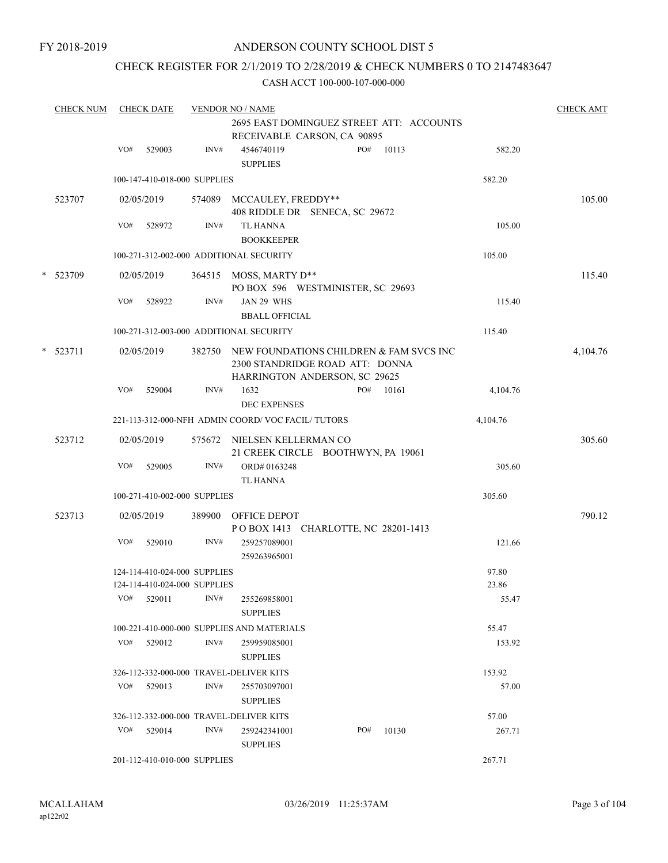### CHECK REGISTER FOR 2/1/2019 TO 2/28/2019 & CHECK NUMBERS 0 TO 2147483647

|        | <b>CHECK NUM</b> |     | <b>CHECK DATE</b>                                            |        | <b>VENDOR NO / NAME</b>                                                                                            | <b>CHECK AMT</b> |
|--------|------------------|-----|--------------------------------------------------------------|--------|--------------------------------------------------------------------------------------------------------------------|------------------|
|        |                  |     |                                                              |        | 2695 EAST DOMINGUEZ STREET ATT: ACCOUNTS<br>RECEIVABLE CARSON, CA 90895                                            |                  |
|        |                  | VO# | 529003                                                       | INV#   | 10113<br>4546740119<br>PO#<br>582.20<br><b>SUPPLIES</b>                                                            |                  |
|        |                  |     | 100-147-410-018-000 SUPPLIES                                 |        | 582.20                                                                                                             |                  |
|        | 523707           |     | 02/05/2019                                                   |        | 574089 MCCAULEY, FREDDY**<br>408 RIDDLE DR SENECA, SC 29672                                                        | 105.00           |
|        |                  | VO# | 528972                                                       | INV#   | TL HANNA<br>105.00<br><b>BOOKKEEPER</b>                                                                            |                  |
|        |                  |     |                                                              |        | 100-271-312-002-000 ADDITIONAL SECURITY<br>105.00                                                                  |                  |
| $\ast$ | 523709           |     | 02/05/2019                                                   |        | 364515 MOSS, MARTY D**<br>PO BOX 596 WESTMINISTER, SC 29693                                                        | 115.40           |
|        |                  | VO# | 528922                                                       | INV#   | JAN 29 WHS<br>115.40<br><b>BBALL OFFICIAL</b>                                                                      |                  |
|        |                  |     |                                                              |        | 100-271-312-003-000 ADDITIONAL SECURITY<br>115.40                                                                  |                  |
|        | $*$ 523711       |     | 02/05/2019                                                   |        | 382750 NEW FOUNDATIONS CHILDREN & FAM SVCS INC<br>2300 STANDRIDGE ROAD ATT: DONNA<br>HARRINGTON ANDERSON, SC 29625 | 4,104.76         |
|        |                  | VO# | 529004                                                       | INV#   | PO#<br>10161<br>1632<br>4,104.76<br><b>DEC EXPENSES</b>                                                            |                  |
|        |                  |     |                                                              |        | 221-113-312-000-NFH ADMIN COORD/VOC FACIL/TUTORS<br>4,104.76                                                       |                  |
|        | 523712           |     | 02/05/2019                                                   |        | 575672 NIELSEN KELLERMAN CO<br>21 CREEK CIRCLE BOOTHWYN, PA 19061                                                  | 305.60           |
|        |                  | VO# | 529005                                                       | INV#   | ORD#0163248<br>305.60<br><b>TL HANNA</b>                                                                           |                  |
|        |                  |     | 100-271-410-002-000 SUPPLIES                                 |        | 305.60                                                                                                             |                  |
|        | 523713           |     | 02/05/2019                                                   | 389900 | OFFICE DEPOT<br>POBOX 1413 CHARLOTTE, NC 28201-1413                                                                | 790.12           |
|        |                  | VO# | 529010                                                       | INV#   | 259257089001<br>121.66<br>259263965001                                                                             |                  |
|        |                  |     | 124-114-410-024-000 SUPPLIES<br>124-114-410-024-000 SUPPLIES |        | 97.80<br>23.86                                                                                                     |                  |
|        |                  | VO# | 529011                                                       | INV#   | 55.47<br>255269858001<br><b>SUPPLIES</b>                                                                           |                  |
|        |                  |     |                                                              |        | 100-221-410-000-000 SUPPLIES AND MATERIALS<br>55.47                                                                |                  |
|        |                  | VO# | 529012                                                       | INV#   | 259959085001<br>153.92<br><b>SUPPLIES</b>                                                                          |                  |
|        |                  |     |                                                              |        | 326-112-332-000-000 TRAVEL-DELIVER KITS<br>153.92                                                                  |                  |
|        |                  | VO# | 529013                                                       | INV#   | 255703097001<br>57.00<br><b>SUPPLIES</b>                                                                           |                  |
|        |                  |     |                                                              |        | 326-112-332-000-000 TRAVEL-DELIVER KITS<br>57.00                                                                   |                  |
|        |                  |     | $VO#$ 529014                                                 | INV#   | PO#<br>10130<br>259242341001<br>267.71<br><b>SUPPLIES</b>                                                          |                  |
|        |                  |     | 201-112-410-010-000 SUPPLIES                                 |        | 267.71                                                                                                             |                  |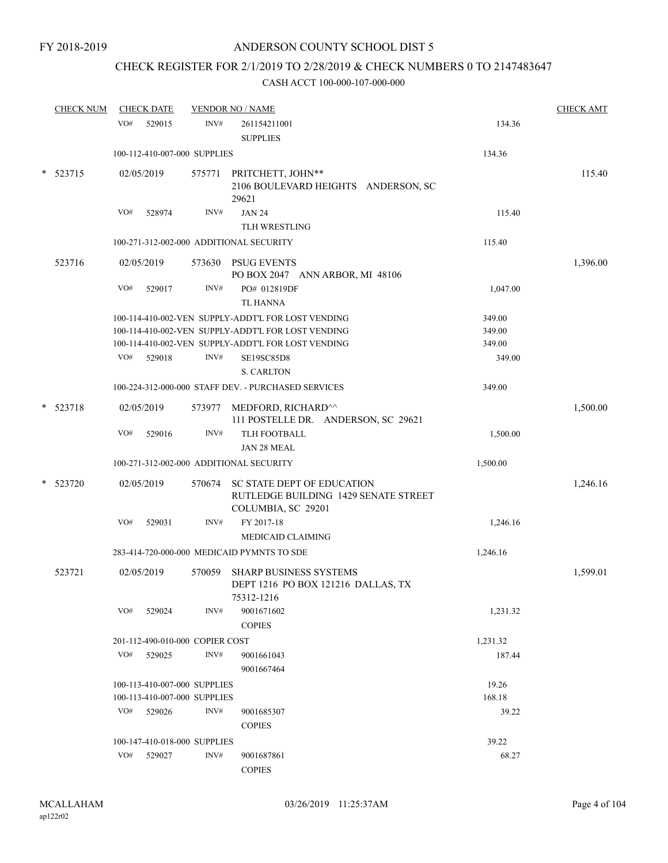# CHECK REGISTER FOR 2/1/2019 TO 2/28/2019 & CHECK NUMBERS 0 TO 2147483647

|        | <b>CHECK NUM</b> |     | <b>CHECK DATE</b>               |        | <b>VENDOR NO / NAME</b>                                                                         |          | <b>CHECK AMT</b> |
|--------|------------------|-----|---------------------------------|--------|-------------------------------------------------------------------------------------------------|----------|------------------|
|        |                  | VO# | 529015                          | INV#   | 261154211001<br><b>SUPPLIES</b>                                                                 | 134.36   |                  |
|        |                  |     | 100-112-410-007-000 SUPPLIES    |        |                                                                                                 | 134.36   |                  |
| $\ast$ | 523715           |     | 02/05/2019                      | 575771 | PRITCHETT, JOHN**<br>2106 BOULEVARD HEIGHTS ANDERSON, SC<br>29621                               |          | 115.40           |
|        |                  | VO# | 528974                          | INV#   | <b>JAN 24</b>                                                                                   | 115.40   |                  |
|        |                  |     |                                 |        | TLH WRESTLING                                                                                   |          |                  |
|        |                  |     |                                 |        | 100-271-312-002-000 ADDITIONAL SECURITY                                                         | 115.40   |                  |
|        | 523716           |     | 02/05/2019                      | 573630 | <b>PSUG EVENTS</b><br>PO BOX 2047 ANN ARBOR, MI 48106                                           |          | 1,396.00         |
|        |                  | VO# | 529017                          | INV#   | PO# 012819DF<br><b>TL HANNA</b>                                                                 | 1,047.00 |                  |
|        |                  |     |                                 |        | 100-114-410-002-VEN SUPPLY-ADDT'L FOR LOST VENDING                                              | 349.00   |                  |
|        |                  |     |                                 |        | 100-114-410-002-VEN SUPPLY-ADDT'L FOR LOST VENDING                                              | 349.00   |                  |
|        |                  |     |                                 |        | 100-114-410-002-VEN SUPPLY-ADDT'L FOR LOST VENDING                                              | 349.00   |                  |
|        |                  | VO# | 529018                          | INV#   | SE19SC85D8<br><b>S. CARLTON</b>                                                                 | 349.00   |                  |
|        |                  |     |                                 |        | 100-224-312-000-000 STAFF DEV. - PURCHASED SERVICES                                             | 349.00   |                  |
|        | $*$ 523718       |     | 02/05/2019                      | 573977 | MEDFORD, RICHARD^^<br>111 POSTELLE DR. ANDERSON, SC 29621                                       |          | 1,500.00         |
|        |                  | VO# | 529016                          | INV#   | TLH FOOTBALL<br>JAN 28 MEAL                                                                     | 1,500.00 |                  |
|        |                  |     |                                 |        | 100-271-312-002-000 ADDITIONAL SECURITY                                                         | 1,500.00 |                  |
|        | * 523720         |     | 02/05/2019                      | 570674 | <b>SC STATE DEPT OF EDUCATION</b><br>RUTLEDGE BUILDING 1429 SENATE STREET<br>COLUMBIA, SC 29201 |          | 1,246.16         |
|        |                  | VO# | 529031                          | INV#   | FY 2017-18                                                                                      | 1,246.16 |                  |
|        |                  |     |                                 |        | <b>MEDICAID CLAIMING</b>                                                                        |          |                  |
|        |                  |     |                                 |        | 283-414-720-000-000 MEDICAID PYMNTS TO SDE                                                      | 1,246.16 |                  |
|        | 523721           |     | 02/05/2019                      | 570059 | <b>SHARP BUSINESS SYSTEMS</b><br>DEPT 1216 PO BOX 121216 DALLAS, TX<br>75312-1216               |          | 1,599.01         |
|        |                  | VO# | 529024                          | INV#   | 9001671602<br><b>COPIES</b>                                                                     | 1,231.32 |                  |
|        |                  |     | 201-112-490-010-000 COPIER COST |        |                                                                                                 | 1,231.32 |                  |
|        |                  | VO# | 529025                          | INV#   | 9001661043<br>9001667464                                                                        | 187.44   |                  |
|        |                  |     | 100-113-410-007-000 SUPPLIES    |        |                                                                                                 | 19.26    |                  |
|        |                  |     | 100-113-410-007-000 SUPPLIES    |        |                                                                                                 | 168.18   |                  |
|        |                  | VO# | 529026                          | INV#   | 9001685307<br><b>COPIES</b>                                                                     | 39.22    |                  |
|        |                  |     | 100-147-410-018-000 SUPPLIES    |        |                                                                                                 | 39.22    |                  |
|        |                  | VO# | 529027                          | INV#   | 9001687861                                                                                      | 68.27    |                  |
|        |                  |     |                                 |        | <b>COPIES</b>                                                                                   |          |                  |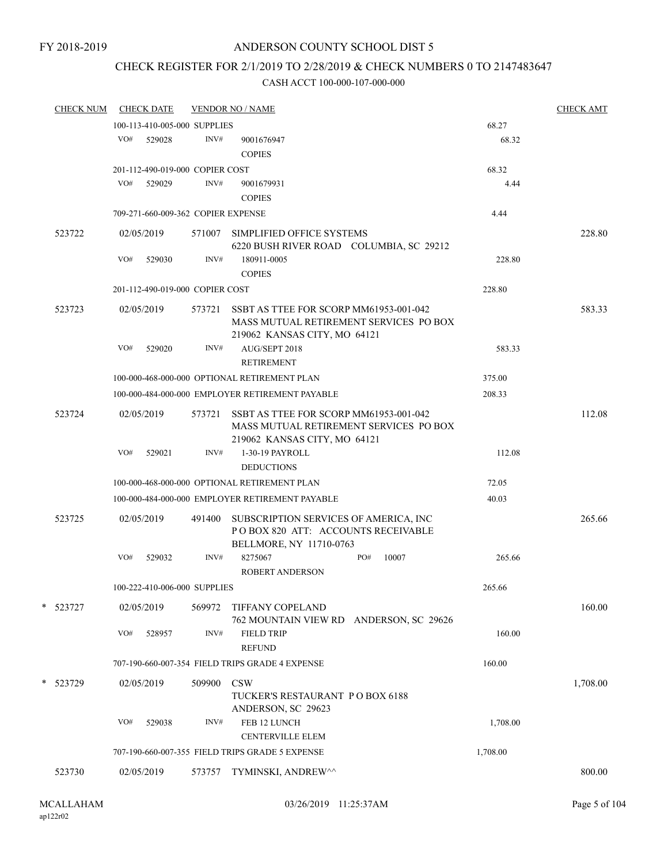## CHECK REGISTER FOR 2/1/2019 TO 2/28/2019 & CHECK NUMBERS 0 TO 2147483647

| <b>CHECK NUM</b> |     | <b>CHECK DATE</b>                  |        | <b>VENDOR NO / NAME</b>                                                                                          |     |       |          | <b>CHECK AMT</b> |
|------------------|-----|------------------------------------|--------|------------------------------------------------------------------------------------------------------------------|-----|-------|----------|------------------|
|                  |     | 100-113-410-005-000 SUPPLIES       |        |                                                                                                                  |     |       | 68.27    |                  |
|                  | VO# | 529028                             | INV#   | 9001676947<br><b>COPIES</b>                                                                                      |     |       | 68.32    |                  |
|                  |     | 201-112-490-019-000 COPIER COST    |        |                                                                                                                  |     |       | 68.32    |                  |
|                  | VO# | 529029                             | INV#   | 9001679931                                                                                                       |     |       | 4.44     |                  |
|                  |     |                                    |        | <b>COPIES</b>                                                                                                    |     |       |          |                  |
|                  |     | 709-271-660-009-362 COPIER EXPENSE |        |                                                                                                                  |     |       | 4.44     |                  |
| 523722           |     | 02/05/2019                         | 571007 | SIMPLIFIED OFFICE SYSTEMS<br>6220 BUSH RIVER ROAD COLUMBIA, SC 29212                                             |     |       |          | 228.80           |
|                  | VO# | 529030                             | INV#   | 180911-0005                                                                                                      |     |       | 228.80   |                  |
|                  |     |                                    |        | <b>COPIES</b>                                                                                                    |     |       |          |                  |
|                  |     | 201-112-490-019-000 COPIER COST    |        |                                                                                                                  |     |       | 228.80   |                  |
| 523723           |     | 02/05/2019                         | 573721 | SSBT AS TTEE FOR SCORP MM61953-001-042<br>MASS MUTUAL RETIREMENT SERVICES PO BOX<br>219062 KANSAS CITY, MO 64121 |     |       |          | 583.33           |
|                  | VO# | 529020                             | INV#   | AUG/SEPT 2018<br><b>RETIREMENT</b>                                                                               |     |       | 583.33   |                  |
|                  |     |                                    |        | 100-000-468-000-000 OPTIONAL RETIREMENT PLAN                                                                     |     |       | 375.00   |                  |
|                  |     |                                    |        | 100-000-484-000-000 EMPLOYER RETIREMENT PAYABLE                                                                  |     |       | 208.33   |                  |
| 523724           |     | 02/05/2019                         | 573721 | SSBT AS TTEE FOR SCORP MM61953-001-042<br>MASS MUTUAL RETIREMENT SERVICES PO BOX<br>219062 KANSAS CITY, MO 64121 |     |       |          | 112.08           |
|                  | VO# | 529021                             | INV#   | 1-30-19 PAYROLL<br><b>DEDUCTIONS</b>                                                                             |     |       | 112.08   |                  |
|                  |     |                                    |        | 100-000-468-000-000 OPTIONAL RETIREMENT PLAN                                                                     |     |       | 72.05    |                  |
|                  |     |                                    |        | 100-000-484-000-000 EMPLOYER RETIREMENT PAYABLE                                                                  |     |       | 40.03    |                  |
| 523725           |     | 02/05/2019                         | 491400 | SUBSCRIPTION SERVICES OF AMERICA, INC<br>POBOX 820 ATT: ACCOUNTS RECEIVABLE<br>BELLMORE, NY 11710-0763           |     |       |          | 265.66           |
|                  | VO# | 529032                             | INV#   | 8275067<br><b>ROBERT ANDERSON</b>                                                                                | PO# | 10007 | 265.66   |                  |
|                  |     | 100-222-410-006-000 SUPPLIES       |        |                                                                                                                  |     |       | 265.66   |                  |
| * 523727         |     | 02/05/2019                         | 569972 | <b>TIFFANY COPELAND</b><br>762 MOUNTAIN VIEW RD ANDERSON, SC 29626                                               |     |       |          | 160.00           |
|                  | VO# | 528957                             | INV#   | <b>FIELD TRIP</b><br><b>REFUND</b>                                                                               |     |       | 160.00   |                  |
|                  |     |                                    |        | 707-190-660-007-354 FIELD TRIPS GRADE 4 EXPENSE                                                                  |     |       | 160.00   |                  |
| * 523729         |     | 02/05/2019                         | 509900 | <b>CSW</b><br>TUCKER'S RESTAURANT PO BOX 6188<br>ANDERSON, SC 29623                                              |     |       |          | 1,708.00         |
|                  | VO# | 529038                             | INV#   | FEB 12 LUNCH                                                                                                     |     |       | 1,708.00 |                  |
|                  |     |                                    |        | <b>CENTERVILLE ELEM</b>                                                                                          |     |       |          |                  |
|                  |     |                                    |        | 707-190-660-007-355 FIELD TRIPS GRADE 5 EXPENSE                                                                  |     |       | 1,708.00 |                  |
| 523730           |     | 02/05/2019                         | 573757 | TYMINSKI, ANDREW^^                                                                                               |     |       |          | 800.00           |
|                  |     |                                    |        |                                                                                                                  |     |       |          |                  |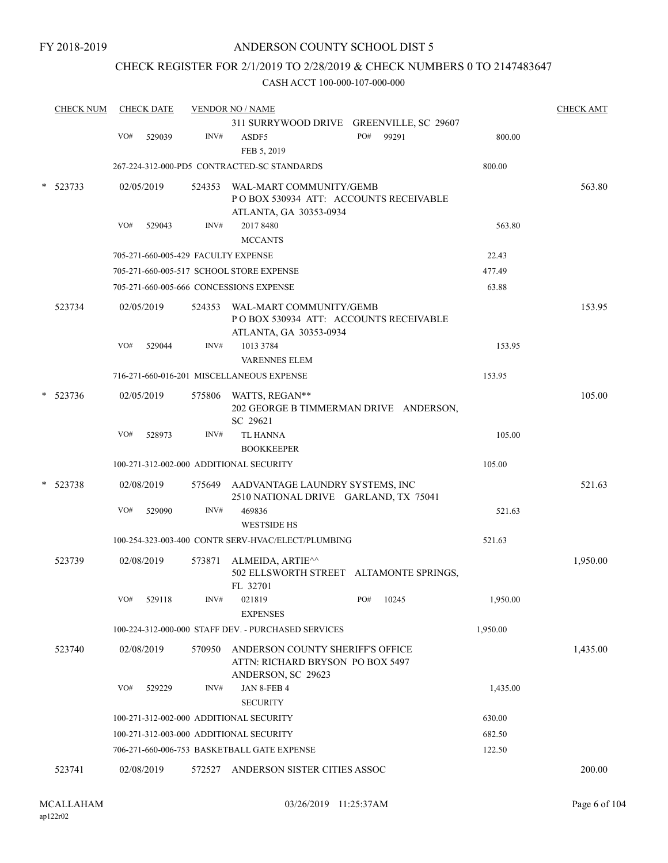### CHECK REGISTER FOR 2/1/2019 TO 2/28/2019 & CHECK NUMBERS 0 TO 2147483647

| <b>CHECK NUM</b> |     | <b>CHECK DATE</b>                       |        | <b>VENDOR NO / NAME</b>                                                         |              |          | <b>CHECK AMT</b> |
|------------------|-----|-----------------------------------------|--------|---------------------------------------------------------------------------------|--------------|----------|------------------|
|                  |     |                                         |        | 311 SURRYWOOD DRIVE GREENVILLE, SC 29607                                        |              |          |                  |
|                  | VO# | 529039                                  | INV#   | ASDF5<br>FEB 5, 2019                                                            | PO#<br>99291 | 800.00   |                  |
|                  |     |                                         |        | 267-224-312-000-PD5 CONTRACTED-SC STANDARDS                                     |              | 800.00   |                  |
| 523733           |     | 02/05/2019                              | 524353 | WAL-MART COMMUNITY/GEMB                                                         |              |          | 563.80           |
|                  |     |                                         |        | POBOX 530934 ATT: ACCOUNTS RECEIVABLE                                           |              |          |                  |
|                  |     |                                         |        | ATLANTA, GA 30353-0934                                                          |              |          |                  |
|                  | VO# | 529043                                  | INV#   | 2017 8480                                                                       |              | 563.80   |                  |
|                  |     |                                         |        | <b>MCCANTS</b>                                                                  |              |          |                  |
|                  |     |                                         |        | 705-271-660-005-429 FACULTY EXPENSE                                             |              | 22.43    |                  |
|                  |     |                                         |        | 705-271-660-005-517 SCHOOL STORE EXPENSE                                        |              | 477.49   |                  |
|                  |     |                                         |        | 705-271-660-005-666 CONCESSIONS EXPENSE                                         |              | 63.88    |                  |
| 523734           |     | 02/05/2019                              |        | 524353 WAL-MART COMMUNITY/GEMB                                                  |              |          | 153.95           |
|                  |     |                                         |        | POBOX 530934 ATT: ACCOUNTS RECEIVABLE                                           |              |          |                  |
|                  | VO# | 529044                                  | INV#   | ATLANTA, GA 30353-0934<br>1013 3784                                             |              | 153.95   |                  |
|                  |     |                                         |        | <b>VARENNES ELEM</b>                                                            |              |          |                  |
|                  |     |                                         |        | 716-271-660-016-201 MISCELLANEOUS EXPENSE                                       |              | 153.95   |                  |
|                  |     |                                         |        |                                                                                 |              |          |                  |
| 523736           |     | 02/05/2019                              |        | 575806 WATTS, REGAN**<br>202 GEORGE B TIMMERMAN DRIVE ANDERSON,<br>SC 29621     |              |          | 105.00           |
|                  | VO# | 528973                                  | INV#   | <b>TL HANNA</b>                                                                 |              | 105.00   |                  |
|                  |     |                                         |        | <b>BOOKKEEPER</b>                                                               |              |          |                  |
|                  |     |                                         |        | 100-271-312-002-000 ADDITIONAL SECURITY                                         |              | 105.00   |                  |
| 523738           |     | 02/08/2019                              |        | 575649 AADVANTAGE LAUNDRY SYSTEMS, INC<br>2510 NATIONAL DRIVE GARLAND, TX 75041 |              |          | 521.63           |
|                  | VO# | 529090                                  | INV#   | 469836<br><b>WESTSIDE HS</b>                                                    |              | 521.63   |                  |
|                  |     |                                         |        | 100-254-323-003-400 CONTR SERV-HVAC/ELECT/PLUMBING                              |              | 521.63   |                  |
| 523739           |     | 02/08/2019                              | 573871 | ALMEIDA, ARTIE^^<br>502 ELLSWORTH STREET ALTAMONTE SPRINGS,<br>FL 32701         |              |          | 1,950.00         |
|                  | VO# | 529118                                  | INV#   | 021819                                                                          | PO#<br>10245 | 1,950.00 |                  |
|                  |     |                                         |        | <b>EXPENSES</b>                                                                 |              |          |                  |
|                  |     |                                         |        | 100-224-312-000-000 STAFF DEV. - PURCHASED SERVICES                             |              | 1,950.00 |                  |
| 523740           |     | 02/08/2019                              | 570950 | ANDERSON COUNTY SHERIFF'S OFFICE                                                |              |          | 1,435.00         |
|                  |     |                                         |        | ATTN: RICHARD BRYSON PO BOX 5497<br>ANDERSON, SC 29623                          |              |          |                  |
|                  | VO# | 529229                                  | INV#   | JAN 8-FEB 4                                                                     |              | 1,435.00 |                  |
|                  |     |                                         |        | <b>SECURITY</b>                                                                 |              |          |                  |
|                  |     | 100-271-312-002-000 ADDITIONAL SECURITY |        |                                                                                 | 630.00       |          |                  |
|                  |     |                                         |        | 100-271-312-003-000 ADDITIONAL SECURITY                                         |              | 682.50   |                  |
|                  |     |                                         |        | 706-271-660-006-753 BASKETBALL GATE EXPENSE                                     |              | 122.50   |                  |
| 523741           |     | 02/08/2019                              | 572527 | ANDERSON SISTER CITIES ASSOC                                                    |              |          | 200.00           |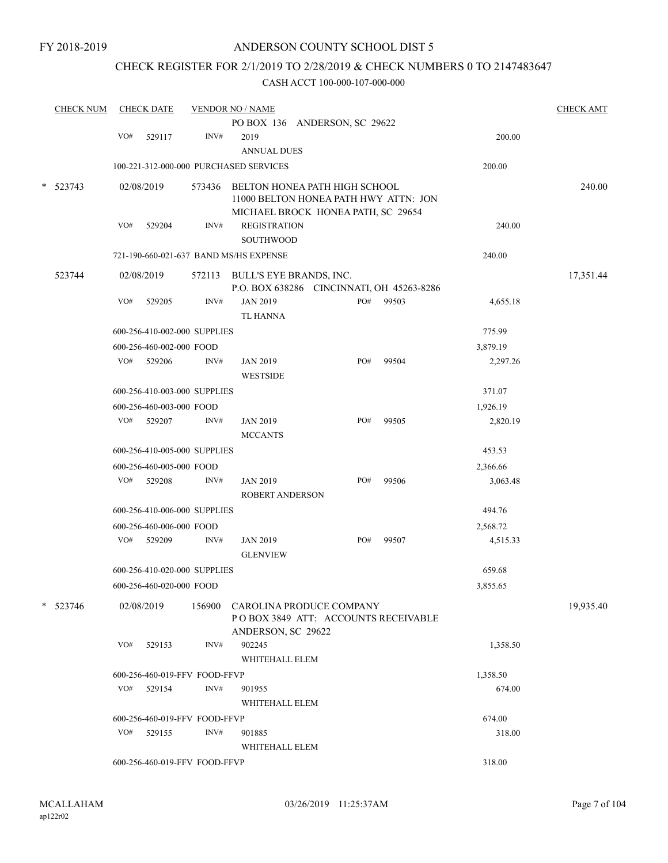### CHECK REGISTER FOR 2/1/2019 TO 2/28/2019 & CHECK NUMBERS 0 TO 2147483647

|   | <b>CHECK NUM</b> |     | <b>CHECK DATE</b>             |        | <b>VENDOR NO / NAME</b>                   |     |       |          | <b>CHECK AMT</b> |
|---|------------------|-----|-------------------------------|--------|-------------------------------------------|-----|-------|----------|------------------|
|   |                  |     |                               |        | PO BOX 136 ANDERSON, SC 29622             |     |       |          |                  |
|   |                  | VO# | 529117                        | INV#   | 2019                                      |     |       | 200.00   |                  |
|   |                  |     |                               |        | <b>ANNUAL DUES</b>                        |     |       |          |                  |
|   |                  |     |                               |        | 100-221-312-000-000 PURCHASED SERVICES    |     |       | 200.00   |                  |
| * | 523743           |     | 02/08/2019                    | 573436 | BELTON HONEA PATH HIGH SCHOOL             |     |       |          | 240.00           |
|   |                  |     |                               |        | 11000 BELTON HONEA PATH HWY ATTN: JON     |     |       |          |                  |
|   |                  |     |                               |        | MICHAEL BROCK HONEA PATH, SC 29654        |     |       |          |                  |
|   |                  | VO# | 529204                        | INV#   | <b>REGISTRATION</b>                       |     |       | 240.00   |                  |
|   |                  |     |                               |        | <b>SOUTHWOOD</b>                          |     |       |          |                  |
|   |                  |     |                               |        | 721-190-660-021-637 BAND MS/HS EXPENSE    |     |       | 240.00   |                  |
|   | 523744           |     | 02/08/2019                    |        | 572113 BULL'S EYE BRANDS, INC.            |     |       |          | 17,351.44        |
|   |                  |     |                               |        | P.O. BOX 638286 CINCINNATI, OH 45263-8286 |     |       |          |                  |
|   |                  | VO# | 529205                        | INV#   | <b>JAN 2019</b>                           | PO# | 99503 | 4,655.18 |                  |
|   |                  |     |                               |        | <b>TL HANNA</b>                           |     |       |          |                  |
|   |                  |     | 600-256-410-002-000 SUPPLIES  |        |                                           |     |       | 775.99   |                  |
|   |                  |     | 600-256-460-002-000 FOOD      |        |                                           |     |       | 3,879.19 |                  |
|   |                  | VO# | 529206                        | INV#   | <b>JAN 2019</b>                           | PO# | 99504 | 2,297.26 |                  |
|   |                  |     |                               |        | <b>WESTSIDE</b>                           |     |       |          |                  |
|   |                  |     | 600-256-410-003-000 SUPPLIES  |        |                                           |     |       | 371.07   |                  |
|   |                  |     | 600-256-460-003-000 FOOD      |        |                                           |     |       | 1,926.19 |                  |
|   |                  |     | VO# 529207                    | INV#   | <b>JAN 2019</b>                           | PO# | 99505 | 2,820.19 |                  |
|   |                  |     |                               |        | <b>MCCANTS</b>                            |     |       |          |                  |
|   |                  |     | 600-256-410-005-000 SUPPLIES  |        |                                           |     |       | 453.53   |                  |
|   |                  |     | 600-256-460-005-000 FOOD      |        |                                           |     |       | 2,366.66 |                  |
|   |                  | VO# | 529208                        | INV#   | <b>JAN 2019</b>                           | PO# | 99506 | 3,063.48 |                  |
|   |                  |     |                               |        | <b>ROBERT ANDERSON</b>                    |     |       |          |                  |
|   |                  |     | 600-256-410-006-000 SUPPLIES  |        |                                           |     |       | 494.76   |                  |
|   |                  |     | 600-256-460-006-000 FOOD      |        |                                           |     |       | 2,568.72 |                  |
|   |                  |     | VO# 529209                    | INV#   | <b>JAN 2019</b>                           | PO# | 99507 | 4,515.33 |                  |
|   |                  |     |                               |        | <b>GLENVIEW</b>                           |     |       |          |                  |
|   |                  |     | 600-256-410-020-000 SUPPLIES  |        |                                           |     |       | 659.68   |                  |
|   |                  |     | 600-256-460-020-000 FOOD      |        |                                           |     |       | 3,855.65 |                  |
| * | 523746           |     | 02/08/2019                    |        | 156900 CAROLINA PRODUCE COMPANY           |     |       |          | 19,935.40        |
|   |                  |     |                               |        | POBOX 3849 ATT: ACCOUNTS RECEIVABLE       |     |       |          |                  |
|   |                  |     |                               |        | ANDERSON, SC 29622                        |     |       |          |                  |
|   |                  | VO# | 529153                        | INV#   | 902245                                    |     |       | 1,358.50 |                  |
|   |                  |     |                               |        | WHITEHALL ELEM                            |     |       |          |                  |
|   |                  |     | 600-256-460-019-FFV FOOD-FFVP |        |                                           |     |       | 1,358.50 |                  |
|   |                  |     | VO# 529154                    | INV#   | 901955                                    |     |       | 674.00   |                  |
|   |                  |     |                               |        | WHITEHALL ELEM                            |     |       |          |                  |
|   |                  |     | 600-256-460-019-FFV FOOD-FFVP |        |                                           |     |       | 674.00   |                  |
|   |                  | VO# | 529155                        | INV#   | 901885                                    |     |       | 318.00   |                  |
|   |                  |     |                               |        | WHITEHALL ELEM                            |     |       |          |                  |
|   |                  |     | 600-256-460-019-FFV FOOD-FFVP |        |                                           |     |       | 318.00   |                  |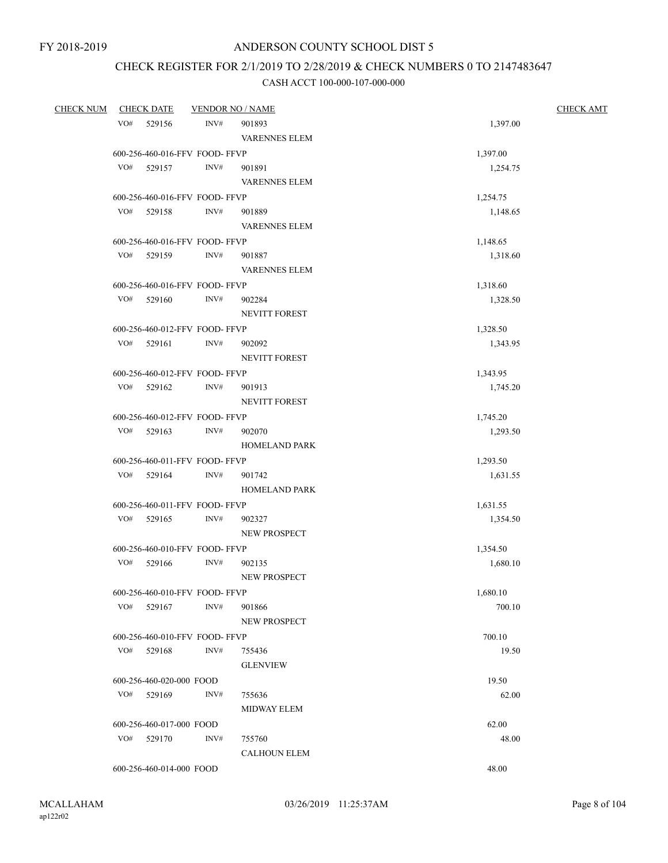## CHECK REGISTER FOR 2/1/2019 TO 2/28/2019 & CHECK NUMBERS 0 TO 2147483647

| <b>CHECK NUM</b> |     | <b>CHECK DATE</b>        | <b>VENDOR NO / NAME</b>        |                      | <b>CHECK AMT</b> |  |
|------------------|-----|--------------------------|--------------------------------|----------------------|------------------|--|
|                  | VO# | 529156                   | INV#                           | 901893               | 1,397.00         |  |
|                  |     |                          |                                | <b>VARENNES ELEM</b> |                  |  |
|                  |     |                          | 600-256-460-016-FFV FOOD-FFVP  |                      | 1,397.00         |  |
|                  | VO# | 529157                   | INV#                           | 901891               | 1,254.75         |  |
|                  |     |                          |                                | <b>VARENNES ELEM</b> |                  |  |
|                  |     |                          | 600-256-460-016-FFV FOOD-FFVP  |                      | 1,254.75         |  |
|                  | VO# | 529158                   | INV#                           | 901889               | 1,148.65         |  |
|                  |     |                          |                                | <b>VARENNES ELEM</b> |                  |  |
|                  |     |                          | 600-256-460-016-FFV FOOD- FFVP |                      | 1,148.65         |  |
|                  | VO# | 529159                   | INV#                           | 901887               | 1,318.60         |  |
|                  |     |                          |                                | <b>VARENNES ELEM</b> |                  |  |
|                  |     |                          | 600-256-460-016-FFV FOOD-FFVP  |                      | 1,318.60         |  |
|                  | VO# | 529160                   | INV#                           | 902284               | 1,328.50         |  |
|                  |     |                          |                                | NEVITT FOREST        |                  |  |
|                  |     |                          | 600-256-460-012-FFV FOOD-FFVP  |                      | 1,328.50         |  |
|                  | VO# | 529161                   | INV#                           | 902092               | 1,343.95         |  |
|                  |     |                          |                                | <b>NEVITT FOREST</b> |                  |  |
|                  |     |                          | 600-256-460-012-FFV FOOD-FFVP  |                      | 1,343.95         |  |
|                  | VO# | 529162                   | INV#                           | 901913               | 1,745.20         |  |
|                  |     |                          |                                | NEVITT FOREST        |                  |  |
|                  |     |                          | 600-256-460-012-FFV FOOD-FFVP  |                      | 1,745.20         |  |
|                  |     | VO# 529163               | INV#                           | 902070               | 1,293.50         |  |
|                  |     |                          |                                | <b>HOMELAND PARK</b> |                  |  |
|                  |     |                          | 600-256-460-011-FFV FOOD- FFVP |                      | 1,293.50         |  |
|                  |     | VO# 529164               | INV#                           | 901742               | 1,631.55         |  |
|                  |     |                          |                                | <b>HOMELAND PARK</b> |                  |  |
|                  |     |                          | 600-256-460-011-FFV FOOD- FFVP |                      | 1,631.55         |  |
|                  | VO# | 529165                   | INV#                           | 902327               | 1,354.50         |  |
|                  |     |                          |                                | NEW PROSPECT         |                  |  |
|                  |     |                          | 600-256-460-010-FFV FOOD-FFVP  |                      | 1,354.50         |  |
|                  | VO# | 529166                   | INV#                           | 902135               | 1,680.10         |  |
|                  |     |                          |                                | NEW PROSPECT         |                  |  |
|                  |     |                          | 600-256-460-010-FFV FOOD- FFVP |                      | 1,680.10         |  |
|                  |     | $VO#$ 529167             | INV#                           | 901866               | 700.10           |  |
|                  |     |                          |                                | <b>NEW PROSPECT</b>  |                  |  |
|                  |     |                          | 600-256-460-010-FFV FOOD-FFVP  |                      | 700.10           |  |
|                  |     | VO# 529168               | INV#                           | 755436               | 19.50            |  |
|                  |     |                          |                                | <b>GLENVIEW</b>      |                  |  |
|                  |     | 600-256-460-020-000 FOOD |                                |                      | 19.50            |  |
|                  |     | VO# 529169               | INV#                           | 755636               | 62.00            |  |
|                  |     |                          |                                | <b>MIDWAY ELEM</b>   |                  |  |
|                  |     | 600-256-460-017-000 FOOD |                                |                      | 62.00            |  |
|                  |     | VO# 529170               | INV#                           | 755760               | 48.00            |  |
|                  |     |                          |                                | <b>CALHOUN ELEM</b>  |                  |  |
|                  |     | 600-256-460-014-000 FOOD |                                |                      | 48.00            |  |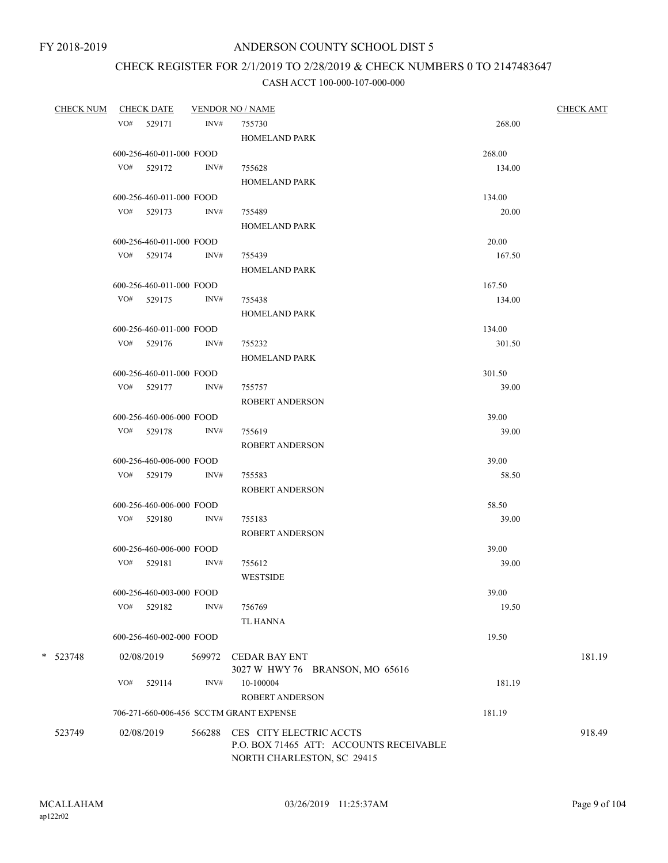# CHECK REGISTER FOR 2/1/2019 TO 2/28/2019 & CHECK NUMBERS 0 TO 2147483647

|            | CHECK NUM CHECK DATE |                          |        | <b>VENDOR NO / NAME</b>                 |        | <b>CHECK AMT</b> |
|------------|----------------------|--------------------------|--------|-----------------------------------------|--------|------------------|
|            | VO# 529171           |                          | INV#   | 755730                                  | 268.00 |                  |
|            |                      |                          |        | <b>HOMELAND PARK</b>                    |        |                  |
|            |                      | 600-256-460-011-000 FOOD |        |                                         | 268.00 |                  |
|            | VO# 529172           |                          | INV#   | 755628                                  | 134.00 |                  |
|            |                      |                          |        | <b>HOMELAND PARK</b>                    |        |                  |
|            |                      | 600-256-460-011-000 FOOD |        |                                         | 134.00 |                  |
|            | VO# 529173           |                          | INV#   | 755489                                  | 20.00  |                  |
|            |                      |                          |        | <b>HOMELAND PARK</b>                    |        |                  |
|            |                      | 600-256-460-011-000 FOOD |        |                                         | 20.00  |                  |
|            | VO# 529174           |                          | INV#   | 755439                                  | 167.50 |                  |
|            |                      |                          |        | <b>HOMELAND PARK</b>                    |        |                  |
|            |                      | 600-256-460-011-000 FOOD |        |                                         | 167.50 |                  |
|            | VO# 529175           |                          | INV#   | 755438                                  | 134.00 |                  |
|            |                      |                          |        | <b>HOMELAND PARK</b>                    |        |                  |
|            |                      |                          |        |                                         |        |                  |
|            |                      | 600-256-460-011-000 FOOD |        |                                         | 134.00 |                  |
|            | VO# 529176           |                          | INV#   | 755232                                  | 301.50 |                  |
|            |                      |                          |        | <b>HOMELAND PARK</b>                    |        |                  |
|            |                      | 600-256-460-011-000 FOOD |        |                                         | 301.50 |                  |
|            | VO# 529177           |                          | INV#   | 755757                                  | 39.00  |                  |
|            |                      |                          |        | <b>ROBERT ANDERSON</b>                  |        |                  |
|            |                      | 600-256-460-006-000 FOOD |        |                                         | 39.00  |                  |
|            | VO# 529178           |                          | INV#   | 755619                                  | 39.00  |                  |
|            |                      |                          |        | <b>ROBERT ANDERSON</b>                  |        |                  |
|            |                      | 600-256-460-006-000 FOOD |        |                                         | 39.00  |                  |
|            | VO# 529179           |                          | INV#   | 755583                                  | 58.50  |                  |
|            |                      |                          |        | <b>ROBERT ANDERSON</b>                  |        |                  |
|            |                      | 600-256-460-006-000 FOOD |        |                                         | 58.50  |                  |
|            | VO# 529180           |                          | INV#   | 755183                                  | 39.00  |                  |
|            |                      |                          |        | <b>ROBERT ANDERSON</b>                  |        |                  |
|            |                      | 600-256-460-006-000 FOOD |        |                                         | 39.00  |                  |
|            | VO# 529181           |                          | INV#   | 755612                                  | 39.00  |                  |
|            |                      |                          |        | <b>WESTSIDE</b>                         |        |                  |
|            |                      | 600-256-460-003-000 FOOD |        |                                         | 39.00  |                  |
|            | VO#                  | 529182                   | INV#   | 756769                                  | 19.50  |                  |
|            |                      |                          |        | <b>TL HANNA</b>                         |        |                  |
|            |                      | 600-256-460-002-000 FOOD |        |                                         | 19.50  |                  |
| $*$ 523748 | 02/08/2019           |                          | 569972 | <b>CEDAR BAY ENT</b>                    |        | 181.19           |
|            |                      |                          |        | 3027 W HWY 76 BRANSON, MO 65616         |        |                  |
|            | VO#                  | 529114                   | INV#   | 10-100004                               | 181.19 |                  |
|            |                      |                          |        | <b>ROBERT ANDERSON</b>                  |        |                  |
|            |                      |                          |        | 706-271-660-006-456 SCCTM GRANT EXPENSE | 181.19 |                  |
|            |                      |                          |        |                                         |        |                  |
| 523749     | 02/08/2019           |                          | 566288 | CES CITY ELECTRIC ACCTS                 |        | 918.49           |
|            |                      |                          |        | P.O. BOX 71465 ATT: ACCOUNTS RECEIVABLE |        |                  |
|            |                      |                          |        | NORTH CHARLESTON, SC 29415              |        |                  |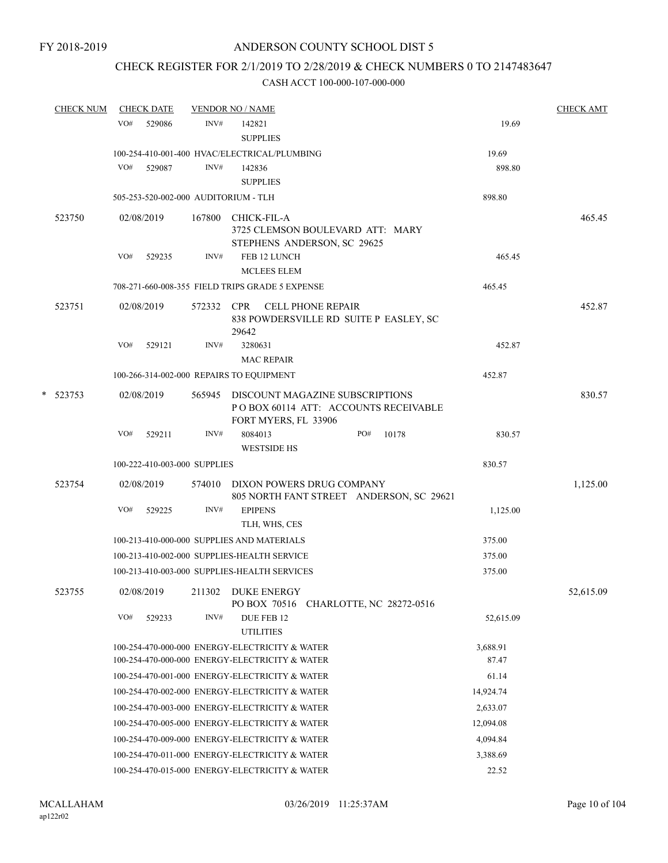## CHECK REGISTER FOR 2/1/2019 TO 2/28/2019 & CHECK NUMBERS 0 TO 2147483647

|   | <b>CHECK NUM</b> |     | <b>CHECK DATE</b>                          |        | <b>VENDOR NO / NAME</b> |                                                                         |  |     |       |  | <b>CHECK AMT</b> |           |
|---|------------------|-----|--------------------------------------------|--------|-------------------------|-------------------------------------------------------------------------|--|-----|-------|--|------------------|-----------|
|   |                  | VO# | 529086                                     | INV#   | 142821                  |                                                                         |  |     |       |  | 19.69            |           |
|   |                  |     |                                            |        | <b>SUPPLIES</b>         |                                                                         |  |     |       |  |                  |           |
|   |                  |     |                                            |        |                         | 100-254-410-001-400 HVAC/ELECTRICAL/PLUMBING                            |  |     |       |  | 19.69            |           |
|   |                  | VO# | 529087                                     | INV#   | 142836                  |                                                                         |  |     |       |  | 898.80           |           |
|   |                  |     |                                            |        | <b>SUPPLIES</b>         |                                                                         |  |     |       |  |                  |           |
|   |                  |     | 505-253-520-002-000 AUDITORIUM - TLH       |        |                         |                                                                         |  |     |       |  | 898.80           |           |
|   | 523750           |     | 02/08/2019                                 | 167800 | CHICK-FIL-A             |                                                                         |  |     |       |  |                  | 465.45    |
|   |                  |     |                                            |        |                         | 3725 CLEMSON BOULEVARD ATT: MARY                                        |  |     |       |  |                  |           |
|   |                  |     |                                            |        |                         | STEPHENS ANDERSON, SC 29625                                             |  |     |       |  |                  |           |
|   |                  | VO# | 529235                                     | INV#   |                         | FEB 12 LUNCH                                                            |  |     |       |  | 465.45           |           |
|   |                  |     |                                            |        |                         | <b>MCLEES ELEM</b>                                                      |  |     |       |  |                  |           |
|   |                  |     |                                            |        |                         | 708-271-660-008-355 FIELD TRIPS GRADE 5 EXPENSE                         |  |     |       |  | 465.45           |           |
|   | 523751           |     | 02/08/2019                                 |        |                         | 572332 CPR CELL PHONE REPAIR                                            |  |     |       |  |                  | 452.87    |
|   |                  |     |                                            |        |                         | 838 POWDERSVILLE RD SUITE P EASLEY, SC                                  |  |     |       |  |                  |           |
|   |                  | VO# | 529121                                     | INV#   | 29642<br>3280631        |                                                                         |  |     |       |  | 452.87           |           |
|   |                  |     |                                            |        |                         | <b>MAC REPAIR</b>                                                       |  |     |       |  |                  |           |
|   |                  |     | 100-266-314-002-000 REPAIRS TO EQUIPMENT   |        |                         |                                                                         |  |     |       |  | 452.87           |           |
|   |                  |     |                                            |        |                         |                                                                         |  |     |       |  |                  |           |
| * | 523753           |     | 02/08/2019                                 | 565945 |                         | DISCOUNT MAGAZINE SUBSCRIPTIONS<br>POBOX 60114 ATT: ACCOUNTS RECEIVABLE |  |     |       |  |                  | 830.57    |
|   |                  |     |                                            |        |                         | FORT MYERS, FL 33906                                                    |  |     |       |  |                  |           |
|   |                  | VO# | 529211                                     | INV#   | 8084013                 |                                                                         |  | PO# | 10178 |  | 830.57           |           |
|   |                  |     |                                            |        |                         | <b>WESTSIDE HS</b>                                                      |  |     |       |  |                  |           |
|   |                  |     | 100-222-410-003-000 SUPPLIES               |        |                         |                                                                         |  |     |       |  | 830.57           |           |
|   | 523754           |     | 02/08/2019                                 |        |                         | 574010 DIXON POWERS DRUG COMPANY                                        |  |     |       |  |                  | 1,125.00  |
|   |                  |     |                                            |        |                         | 805 NORTH FANT STREET ANDERSON, SC 29621                                |  |     |       |  |                  |           |
|   |                  | VO# | 529225                                     | INV#   | <b>EPIPENS</b>          |                                                                         |  |     |       |  | 1,125.00         |           |
|   |                  |     |                                            |        |                         | TLH, WHS, CES                                                           |  |     |       |  |                  |           |
|   |                  |     | 100-213-410-000-000 SUPPLIES AND MATERIALS |        |                         |                                                                         |  |     |       |  | 375.00           |           |
|   |                  |     |                                            |        |                         | 100-213-410-002-000 SUPPLIES-HEALTH SERVICE                             |  |     |       |  | 375.00           |           |
|   |                  |     |                                            |        |                         | 100-213-410-003-000 SUPPLIES-HEALTH SERVICES                            |  |     |       |  | 375.00           |           |
|   | 523755           |     | 02/08/2019 211302 DUKE ENERGY              |        |                         |                                                                         |  |     |       |  |                  | 52,615.09 |
|   |                  |     |                                            |        |                         | PO BOX 70516 CHARLOTTE, NC 28272-0516                                   |  |     |       |  |                  |           |
|   |                  | VO# | 529233                                     | INV#   |                         | DUE FEB 12                                                              |  |     |       |  | 52,615.09        |           |
|   |                  |     |                                            |        | <b>UTILITIES</b>        |                                                                         |  |     |       |  |                  |           |
|   |                  |     |                                            |        |                         | 100-254-470-000-000 ENERGY-ELECTRICITY & WATER                          |  |     |       |  | 3,688.91         |           |
|   |                  |     |                                            |        |                         | 100-254-470-000-000 ENERGY-ELECTRICITY & WATER                          |  |     |       |  | 87.47            |           |
|   |                  |     |                                            |        |                         | 100-254-470-001-000 ENERGY-ELECTRICITY & WATER                          |  |     |       |  | 61.14            |           |
|   |                  |     |                                            |        |                         | 100-254-470-002-000 ENERGY-ELECTRICITY & WATER                          |  |     |       |  | 14,924.74        |           |
|   |                  |     |                                            |        |                         | 100-254-470-003-000 ENERGY-ELECTRICITY & WATER                          |  |     |       |  | 2,633.07         |           |
|   |                  |     |                                            |        |                         | 100-254-470-005-000 ENERGY-ELECTRICITY & WATER                          |  |     |       |  | 12,094.08        |           |
|   |                  |     |                                            |        |                         | 100-254-470-009-000 ENERGY-ELECTRICITY & WATER                          |  |     |       |  | 4,094.84         |           |
|   |                  |     |                                            |        |                         | 100-254-470-011-000 ENERGY-ELECTRICITY & WATER                          |  |     |       |  | 3,388.69         |           |
|   |                  |     |                                            |        |                         | 100-254-470-015-000 ENERGY-ELECTRICITY & WATER                          |  |     |       |  | 22.52            |           |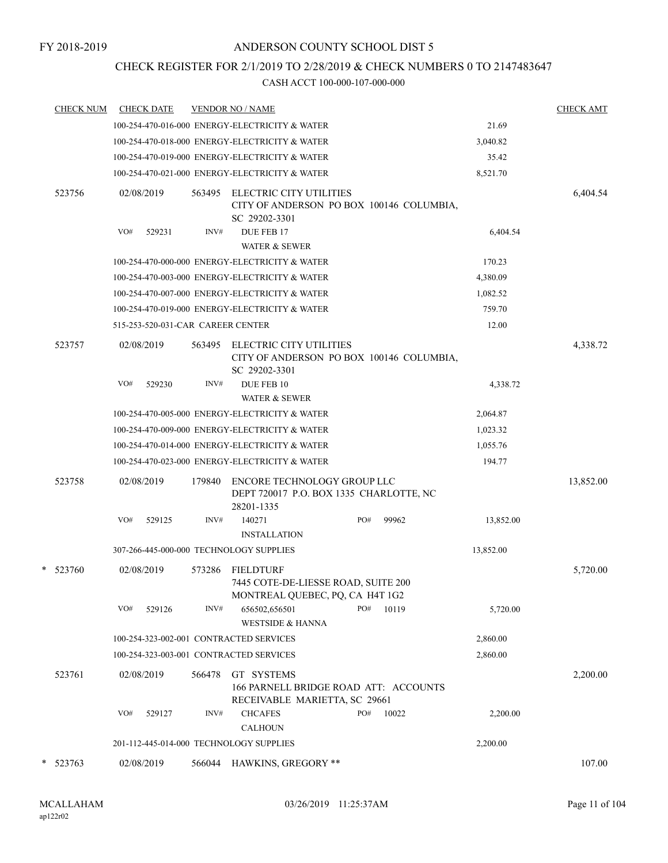## CHECK REGISTER FOR 2/1/2019 TO 2/28/2019 & CHECK NUMBERS 0 TO 2147483647

|        | <b>CHECK NUM</b> |     | <b>CHECK DATE</b>                 |        | <b>VENDOR NO / NAME</b>                                                                    |              |           | <b>CHECK AMT</b> |
|--------|------------------|-----|-----------------------------------|--------|--------------------------------------------------------------------------------------------|--------------|-----------|------------------|
|        |                  |     |                                   |        | 100-254-470-016-000 ENERGY-ELECTRICITY & WATER                                             |              | 21.69     |                  |
|        |                  |     |                                   |        | 100-254-470-018-000 ENERGY-ELECTRICITY & WATER                                             |              | 3,040.82  |                  |
|        |                  |     |                                   |        | 100-254-470-019-000 ENERGY-ELECTRICITY & WATER                                             |              | 35.42     |                  |
|        |                  |     |                                   |        | 100-254-470-021-000 ENERGY-ELECTRICITY & WATER                                             |              | 8,521.70  |                  |
|        | 523756           |     | 02/08/2019                        | 563495 | ELECTRIC CITY UTILITIES<br>CITY OF ANDERSON PO BOX 100146 COLUMBIA,<br>SC 29202-3301       |              |           | 6,404.54         |
|        |                  | VO# | 529231                            | INV#   | DUE FEB 17<br>WATER & SEWER                                                                | 6,404.54     |           |                  |
|        |                  |     |                                   |        | 100-254-470-000-000 ENERGY-ELECTRICITY & WATER                                             |              | 170.23    |                  |
|        |                  |     |                                   |        | 100-254-470-003-000 ENERGY-ELECTRICITY & WATER                                             |              | 4,380.09  |                  |
|        |                  |     |                                   |        | 100-254-470-007-000 ENERGY-ELECTRICITY & WATER                                             |              | 1,082.52  |                  |
|        |                  |     |                                   |        | 100-254-470-019-000 ENERGY-ELECTRICITY & WATER                                             |              | 759.70    |                  |
|        |                  |     | 515-253-520-031-CAR CAREER CENTER |        |                                                                                            |              | 12.00     |                  |
|        | 523757           |     | 02/08/2019                        | 563495 | ELECTRIC CITY UTILITIES<br>CITY OF ANDERSON PO BOX 100146 COLUMBIA,<br>SC 29202-3301       |              |           | 4,338.72         |
|        |                  | VO# | 529230                            | INV#   | DUE FEB 10                                                                                 |              | 4,338.72  |                  |
|        |                  |     |                                   |        | <b>WATER &amp; SEWER</b>                                                                   |              |           |                  |
|        |                  |     |                                   |        | 100-254-470-005-000 ENERGY-ELECTRICITY & WATER                                             |              | 2,064.87  |                  |
|        |                  |     |                                   |        | 100-254-470-009-000 ENERGY-ELECTRICITY & WATER                                             |              | 1,023.32  |                  |
|        |                  |     |                                   |        | 100-254-470-014-000 ENERGY-ELECTRICITY & WATER                                             |              | 1,055.76  |                  |
|        |                  |     |                                   |        | 100-254-470-023-000 ENERGY-ELECTRICITY & WATER                                             |              | 194.77    |                  |
|        | 523758           |     | 02/08/2019                        | 179840 | ENCORE TECHNOLOGY GROUP LLC<br>DEPT 720017 P.O. BOX 1335 CHARLOTTE, NC<br>28201-1335       |              |           | 13,852.00        |
|        |                  | VO# | 529125                            | INV#   | 140271                                                                                     | PO#<br>99962 | 13,852.00 |                  |
|        |                  |     |                                   |        | <b>INSTALLATION</b>                                                                        |              |           |                  |
|        |                  |     |                                   |        | 307-266-445-000-000 TECHNOLOGY SUPPLIES                                                    |              | 13,852.00 |                  |
|        | * 523760         |     | 02/08/2019                        | 573286 | <b>FIELDTURF</b><br>7445 COTE-DE-LIESSE ROAD, SUITE 200<br>MONTREAL QUEBEC, PQ, CA H4T 1G2 |              |           | 5,720.00         |
|        |                  | VO# | 529126                            | INV#   | 656502,656501<br><b>WESTSIDE &amp; HANNA</b>                                               | PO#<br>10119 | 5,720.00  |                  |
|        |                  |     |                                   |        | 100-254-323-002-001 CONTRACTED SERVICES                                                    |              | 2,860.00  |                  |
|        |                  |     |                                   |        | 100-254-323-003-001 CONTRACTED SERVICES                                                    |              | 2,860.00  |                  |
|        | 523761           |     | 02/08/2019                        | 566478 | GT SYSTEMS<br>166 PARNELL BRIDGE ROAD ATT: ACCOUNTS<br>RECEIVABLE MARIETTA, SC 29661       |              |           | 2,200.00         |
|        |                  | VO# | 529127                            | INV#   | <b>CHCAFES</b><br><b>CALHOUN</b>                                                           | PO#<br>10022 | 2,200.00  |                  |
|        |                  |     |                                   |        | 201-112-445-014-000 TECHNOLOGY SUPPLIES                                                    |              | 2,200.00  |                  |
| $\ast$ | 523763           |     | 02/08/2019                        | 566044 | HAWKINS, GREGORY **                                                                        |              |           | 107.00           |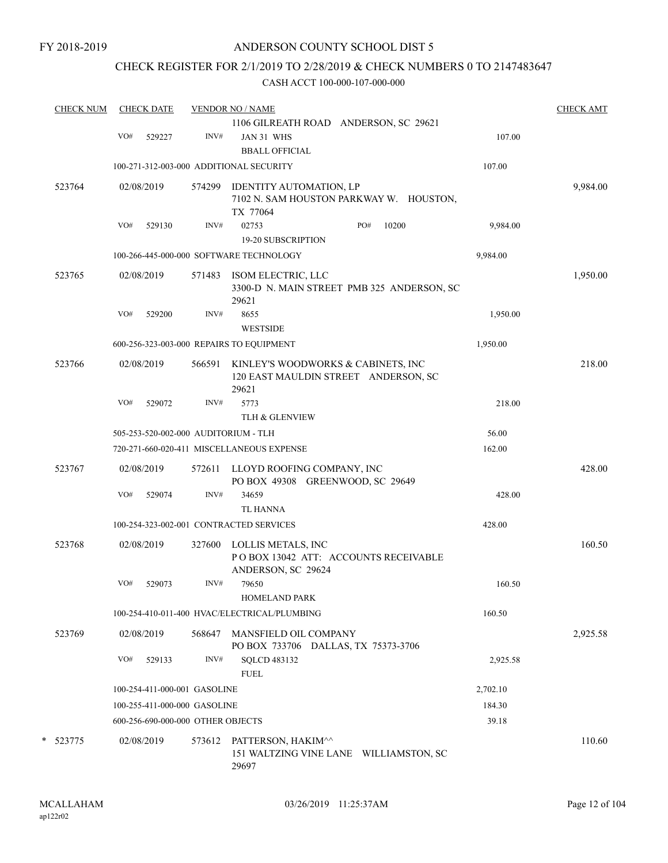### CHECK REGISTER FOR 2/1/2019 TO 2/28/2019 & CHECK NUMBERS 0 TO 2147483647

| <b>CHECK NUM</b> |     | <b>CHECK DATE</b>                 |        | <b>VENDOR NO / NAME</b>                                                             |                                            |          | <b>CHECK AMT</b> |
|------------------|-----|-----------------------------------|--------|-------------------------------------------------------------------------------------|--------------------------------------------|----------|------------------|
|                  |     |                                   |        | 1106 GILREATH ROAD ANDERSON, SC 29621                                               |                                            |          |                  |
|                  | VO# | 529227                            | INV#   | JAN 31 WHS                                                                          |                                            | 107.00   |                  |
|                  |     |                                   |        | <b>BBALL OFFICIAL</b>                                                               |                                            |          |                  |
|                  |     |                                   |        | 100-271-312-003-000 ADDITIONAL SECURITY                                             |                                            | 107.00   |                  |
| 523764           |     | 02/08/2019                        | 574299 | IDENTITY AUTOMATION, LP                                                             |                                            |          | 9,984.00         |
|                  |     |                                   |        |                                                                                     | 7102 N. SAM HOUSTON PARKWAY W. HOUSTON,    |          |                  |
|                  |     |                                   |        | TX 77064                                                                            |                                            |          |                  |
|                  | VO# | 529130                            | INV#   | 02753                                                                               | PO#<br>10200                               | 9,984.00 |                  |
|                  |     |                                   |        | <b>19-20 SUBSCRIPTION</b>                                                           |                                            |          |                  |
|                  |     |                                   |        | 100-266-445-000-000 SOFTWARE TECHNOLOGY                                             |                                            | 9,984.00 |                  |
| 523765           |     | 02/08/2019                        | 571483 | ISOM ELECTRIC, LLC                                                                  |                                            |          | 1,950.00         |
|                  |     |                                   |        | 29621                                                                               | 3300-D N. MAIN STREET PMB 325 ANDERSON, SC |          |                  |
|                  | VO# | 529200                            | INV#   | 8655                                                                                |                                            | 1,950.00 |                  |
|                  |     |                                   |        | <b>WESTSIDE</b>                                                                     |                                            |          |                  |
|                  |     |                                   |        |                                                                                     |                                            | 1,950.00 |                  |
|                  |     |                                   |        | 600-256-323-003-000 REPAIRS TO EQUIPMENT                                            |                                            |          |                  |
| 523766           |     | 02/08/2019                        | 566591 | KINLEY'S WOODWORKS & CABINETS, INC<br>120 EAST MAULDIN STREET ANDERSON, SC<br>29621 |                                            |          | 218.00           |
|                  | VO# | 529072                            | INV#   | 5773                                                                                |                                            | 218.00   |                  |
|                  |     |                                   |        | <b>TLH &amp; GLENVIEW</b>                                                           |                                            |          |                  |
|                  |     |                                   |        | 505-253-520-002-000 AUDITORIUM - TLH                                                |                                            | 56.00    |                  |
|                  |     |                                   |        | 720-271-660-020-411 MISCELLANEOUS EXPENSE                                           |                                            | 162.00   |                  |
| 523767           |     | 02/08/2019                        | 572611 | LLOYD ROOFING COMPANY, INC                                                          |                                            |          | 428.00           |
|                  | VO# |                                   | INV#   | PO BOX 49308 GREENWOOD, SC 29649<br>34659                                           |                                            |          |                  |
|                  |     | 529074                            |        |                                                                                     |                                            | 428.00   |                  |
|                  |     |                                   |        | TL HANNA                                                                            |                                            |          |                  |
|                  |     |                                   |        | 100-254-323-002-001 CONTRACTED SERVICES                                             |                                            | 428.00   |                  |
| 523768           |     | 02/08/2019                        | 327600 | LOLLIS METALS, INC<br>PO BOX 13042 ATT: ACCOUNTS RECEIVABLE<br>ANDERSON, SC 29624   |                                            |          | 160.50           |
|                  | VO# | 529073                            | INV#   | 79650                                                                               |                                            | 160.50   |                  |
|                  |     |                                   |        | <b>HOMELAND PARK</b>                                                                |                                            |          |                  |
|                  |     |                                   |        | 100-254-410-011-400 HVAC/ELECTRICAL/PLUMBING                                        |                                            | 160.50   |                  |
| 523769           |     | 02/08/2019                        | 568647 | MANSFIELD OIL COMPANY<br>PO BOX 733706 DALLAS, TX 75373-3706                        |                                            |          | 2,925.58         |
|                  | VO# | 529133                            | INV#   | <b>SQLCD 483132</b>                                                                 |                                            | 2,925.58 |                  |
|                  |     |                                   |        | <b>FUEL</b>                                                                         |                                            |          |                  |
|                  |     | 100-254-411-000-001 GASOLINE      |        |                                                                                     |                                            | 2,702.10 |                  |
|                  |     | 100-255-411-000-000 GASOLINE      |        |                                                                                     |                                            | 184.30   |                  |
|                  |     | 600-256-690-000-000 OTHER OBJECTS |        |                                                                                     |                                            | 39.18    |                  |
| * 523775         |     | 02/08/2019                        | 573612 | PATTERSON, HAKIM^^                                                                  |                                            |          | 110.60           |
|                  |     |                                   |        | 151 WALTZING VINE LANE WILLIAMSTON, SC<br>29697                                     |                                            |          |                  |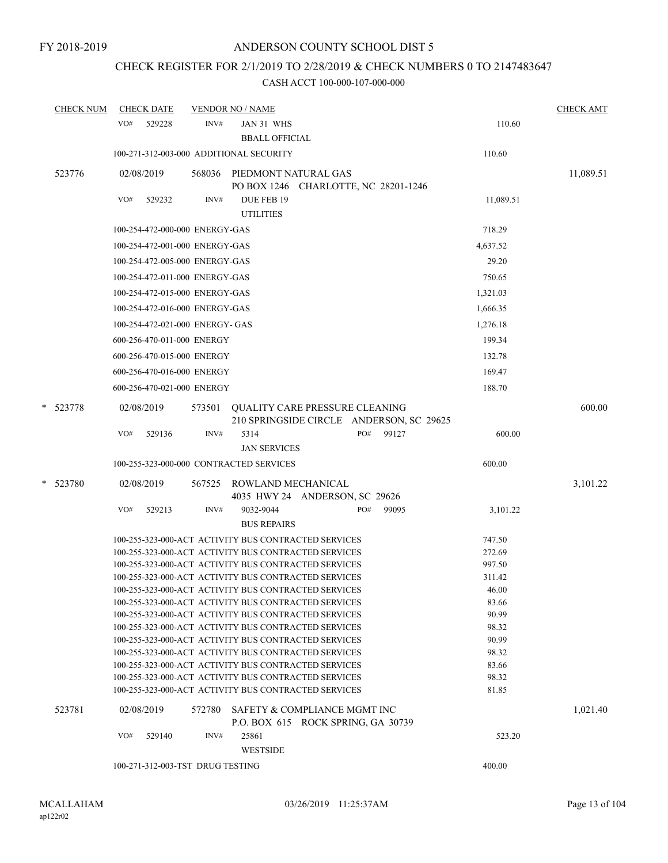# CHECK REGISTER FOR 2/1/2019 TO 2/28/2019 & CHECK NUMBERS 0 TO 2147483647

| <b>CHECK NUM</b> | <b>CHECK DATE</b>                       |        | <b>VENDOR NO / NAME</b>                                                                                      |     |                                                   |                | <b>CHECK AMT</b> |
|------------------|-----------------------------------------|--------|--------------------------------------------------------------------------------------------------------------|-----|---------------------------------------------------|----------------|------------------|
|                  | VO#<br>529228                           | INV#   | JAN 31 WHS                                                                                                   |     |                                                   | 110.60         |                  |
|                  |                                         |        | <b>BBALL OFFICIAL</b>                                                                                        |     |                                                   |                |                  |
|                  | 100-271-312-003-000 ADDITIONAL SECURITY |        |                                                                                                              |     |                                                   | 110.60         |                  |
| 523776           | 02/08/2019                              | 568036 | PIEDMONT NATURAL GAS                                                                                         |     |                                                   |                | 11,089.51        |
|                  |                                         |        | PO BOX 1246 CHARLOTTE, NC 28201-1246                                                                         |     |                                                   |                |                  |
|                  | VO#<br>529232                           | INV#   | DUE FEB 19                                                                                                   |     |                                                   | 11,089.51      |                  |
|                  |                                         |        | <b>UTILITIES</b>                                                                                             |     |                                                   |                |                  |
|                  | 100-254-472-000-000 ENERGY-GAS          |        |                                                                                                              |     |                                                   | 718.29         |                  |
|                  | 100-254-472-001-000 ENERGY-GAS          |        |                                                                                                              |     |                                                   | 4,637.52       |                  |
|                  | 100-254-472-005-000 ENERGY-GAS          |        |                                                                                                              |     |                                                   | 29.20          |                  |
|                  | 100-254-472-011-000 ENERGY-GAS          |        |                                                                                                              |     |                                                   | 750.65         |                  |
|                  | 100-254-472-015-000 ENERGY-GAS          |        |                                                                                                              |     |                                                   | 1,321.03       |                  |
|                  | 100-254-472-016-000 ENERGY-GAS          |        |                                                                                                              |     |                                                   | 1,666.35       |                  |
|                  | 100-254-472-021-000 ENERGY- GAS         |        |                                                                                                              |     |                                                   | 1,276.18       |                  |
|                  |                                         |        |                                                                                                              |     |                                                   |                |                  |
|                  | 600-256-470-011-000 ENERGY              |        |                                                                                                              |     |                                                   | 199.34         |                  |
|                  | 600-256-470-015-000 ENERGY              |        |                                                                                                              |     |                                                   | 132.78         |                  |
|                  | 600-256-470-016-000 ENERGY              |        |                                                                                                              |     |                                                   | 169.47         |                  |
|                  | 600-256-470-021-000 ENERGY              |        |                                                                                                              |     |                                                   | 188.70         |                  |
| * 523778         | 02/08/2019                              | 573501 | <b>OUALITY CARE PRESSURE CLEANING</b>                                                                        |     |                                                   |                | 600.00           |
|                  | VO#<br>529136                           | INV#   | 5314                                                                                                         | PO# | 210 SPRINGSIDE CIRCLE ANDERSON, SC 29625<br>99127 | 600.00         |                  |
|                  |                                         |        | <b>JAN SERVICES</b>                                                                                          |     |                                                   |                |                  |
|                  | 100-255-323-000-000 CONTRACTED SERVICES |        |                                                                                                              |     |                                                   | 600.00         |                  |
|                  |                                         |        |                                                                                                              |     |                                                   |                |                  |
| *<br>523780      | 02/08/2019                              | 567525 | ROWLAND MECHANICAL<br>4035 HWY 24 ANDERSON, SC 29626                                                         |     |                                                   |                | 3,101.22         |
|                  | VO#<br>529213                           | INV#   | 9032-9044                                                                                                    | PO# | 99095                                             | 3,101.22       |                  |
|                  |                                         |        | <b>BUS REPAIRS</b>                                                                                           |     |                                                   |                |                  |
|                  |                                         |        | 100-255-323-000-ACT ACTIVITY BUS CONTRACTED SERVICES                                                         |     |                                                   | 747.50         |                  |
|                  |                                         |        | 100-255-323-000-ACT ACTIVITY BUS CONTRACTED SERVICES                                                         |     |                                                   | 272.69         |                  |
|                  |                                         |        | 100-255-323-000-ACT ACTIVITY BUS CONTRACTED SERVICES                                                         |     |                                                   | 997.50         |                  |
|                  |                                         |        | 100-255-323-000-ACT ACTIVITY BUS CONTRACTED SERVICES                                                         |     |                                                   | 311.42         |                  |
|                  |                                         |        | 100-255-323-000-ACT ACTIVITY BUS CONTRACTED SERVICES                                                         |     |                                                   | 46.00          |                  |
|                  |                                         |        | 100-255-323-000-ACT ACTIVITY BUS CONTRACTED SERVICES                                                         |     |                                                   | 83.66          |                  |
|                  |                                         |        | 100-255-323-000-ACT ACTIVITY BUS CONTRACTED SERVICES                                                         |     |                                                   | 90.99          |                  |
|                  |                                         |        | 100-255-323-000-ACT ACTIVITY BUS CONTRACTED SERVICES                                                         |     |                                                   | 98.32          |                  |
|                  |                                         |        | 100-255-323-000-ACT ACTIVITY BUS CONTRACTED SERVICES                                                         |     |                                                   | 90.99          |                  |
|                  |                                         |        | 100-255-323-000-ACT ACTIVITY BUS CONTRACTED SERVICES                                                         |     |                                                   | 98.32          |                  |
|                  |                                         |        | 100-255-323-000-ACT ACTIVITY BUS CONTRACTED SERVICES                                                         |     |                                                   | 83.66          |                  |
|                  |                                         |        | 100-255-323-000-ACT ACTIVITY BUS CONTRACTED SERVICES<br>100-255-323-000-ACT ACTIVITY BUS CONTRACTED SERVICES |     |                                                   | 98.32<br>81.85 |                  |
|                  |                                         |        |                                                                                                              |     |                                                   |                |                  |
| 523781           | 02/08/2019                              | 572780 | SAFETY & COMPLIANCE MGMT INC<br>P.O. BOX 615 ROCK SPRING, GA 30739                                           |     |                                                   |                | 1,021.40         |
|                  | VO#<br>529140                           | INV#   | 25861                                                                                                        |     |                                                   | 523.20         |                  |
|                  |                                         |        | <b>WESTSIDE</b>                                                                                              |     |                                                   |                |                  |
|                  | 100-271-312-003-TST DRUG TESTING        |        |                                                                                                              |     |                                                   | 400.00         |                  |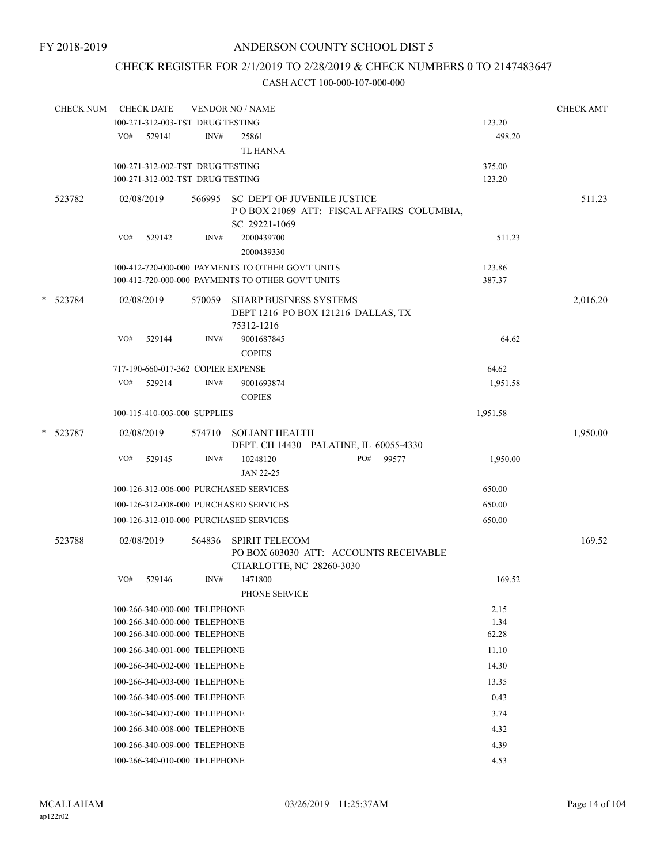# CHECK REGISTER FOR 2/1/2019 TO 2/28/2019 & CHECK NUMBERS 0 TO 2147483647

|   | <b>CHECK NUM</b> |     | <b>CHECK DATE</b>                                              |        | <b>VENDOR NO / NAME</b>                                                                          |               | <b>CHECK AMT</b> |
|---|------------------|-----|----------------------------------------------------------------|--------|--------------------------------------------------------------------------------------------------|---------------|------------------|
|   |                  |     | 100-271-312-003-TST DRUG TESTING                               |        |                                                                                                  | 123.20        |                  |
|   |                  | VO# | 529141                                                         | INV#   | 25861                                                                                            | 498.20        |                  |
|   |                  |     |                                                                |        | <b>TL HANNA</b>                                                                                  |               |                  |
|   |                  |     | 100-271-312-002-TST DRUG TESTING                               |        |                                                                                                  | 375.00        |                  |
|   |                  |     | 100-271-312-002-TST DRUG TESTING                               |        |                                                                                                  | 123.20        |                  |
|   | 523782           |     | 02/08/2019                                                     |        | 566995 SC DEPT OF JUVENILE JUSTICE<br>POBOX 21069 ATT: FISCAL AFFAIRS COLUMBIA,<br>SC 29221-1069 |               | 511.23           |
|   |                  | VO# | 529142                                                         | INV#   | 2000439700<br>2000439330                                                                         | 511.23        |                  |
|   |                  |     |                                                                |        | 100-412-720-000-000 PAYMENTS TO OTHER GOV'T UNITS                                                | 123.86        |                  |
|   |                  |     |                                                                |        | 100-412-720-000-000 PAYMENTS TO OTHER GOV'T UNITS                                                | 387.37        |                  |
| * | 523784           |     | 02/08/2019                                                     | 570059 | <b>SHARP BUSINESS SYSTEMS</b><br>DEPT 1216 PO BOX 121216 DALLAS, TX<br>75312-1216                |               | 2,016.20         |
|   |                  | VO# | 529144                                                         | INV#   | 9001687845<br><b>COPIES</b>                                                                      | 64.62         |                  |
|   |                  |     | 717-190-660-017-362 COPIER EXPENSE                             |        |                                                                                                  | 64.62         |                  |
|   |                  |     | VO# 529214                                                     | INV#   | 9001693874                                                                                       | 1,951.58      |                  |
|   |                  |     |                                                                |        | <b>COPIES</b>                                                                                    |               |                  |
|   |                  |     | 100-115-410-003-000 SUPPLIES                                   |        |                                                                                                  | 1,951.58      |                  |
| * | 523787           |     | 02/08/2019                                                     |        | 574710 SOLIANT HEALTH                                                                            |               | 1,950.00         |
|   |                  |     |                                                                |        | DEPT. CH 14430 PALATINE, IL 60055-4330                                                           |               |                  |
|   |                  | VO# | 529145                                                         | INV#   | 10248120<br>PO#<br>99577                                                                         | 1,950.00      |                  |
|   |                  |     |                                                                |        | JAN 22-25                                                                                        |               |                  |
|   |                  |     |                                                                |        | 100-126-312-006-000 PURCHASED SERVICES                                                           | 650.00        |                  |
|   |                  |     |                                                                |        | 100-126-312-008-000 PURCHASED SERVICES                                                           | 650.00        |                  |
|   |                  |     |                                                                |        | 100-126-312-010-000 PURCHASED SERVICES                                                           | 650.00        |                  |
|   | 523788           |     | 02/08/2019                                                     | 564836 | <b>SPIRIT TELECOM</b><br>PO BOX 603030 ATT: ACCOUNTS RECEIVABLE                                  |               | 169.52           |
|   |                  |     |                                                                |        | CHARLOTTE, NC 28260-3030                                                                         |               |                  |
|   |                  | VO# | 529146                                                         | INV#   | 1471800                                                                                          | 169.52        |                  |
|   |                  |     |                                                                |        | PHONE SERVICE                                                                                    |               |                  |
|   |                  |     | 100-266-340-000-000 TELEPHONE                                  |        |                                                                                                  | 2.15          |                  |
|   |                  |     | 100-266-340-000-000 TELEPHONE<br>100-266-340-000-000 TELEPHONE |        |                                                                                                  | 1.34<br>62.28 |                  |
|   |                  |     | 100-266-340-001-000 TELEPHONE                                  |        |                                                                                                  | 11.10         |                  |
|   |                  |     | 100-266-340-002-000 TELEPHONE                                  |        |                                                                                                  | 14.30         |                  |
|   |                  |     |                                                                |        |                                                                                                  |               |                  |
|   |                  |     | 100-266-340-003-000 TELEPHONE                                  |        |                                                                                                  | 13.35         |                  |
|   |                  |     | 100-266-340-005-000 TELEPHONE                                  |        |                                                                                                  | 0.43          |                  |
|   |                  |     | 100-266-340-007-000 TELEPHONE                                  |        |                                                                                                  | 3.74          |                  |
|   |                  |     | 100-266-340-008-000 TELEPHONE                                  |        |                                                                                                  | 4.32          |                  |
|   |                  |     | 100-266-340-009-000 TELEPHONE                                  |        |                                                                                                  | 4.39          |                  |
|   |                  |     | 100-266-340-010-000 TELEPHONE                                  |        |                                                                                                  | 4.53          |                  |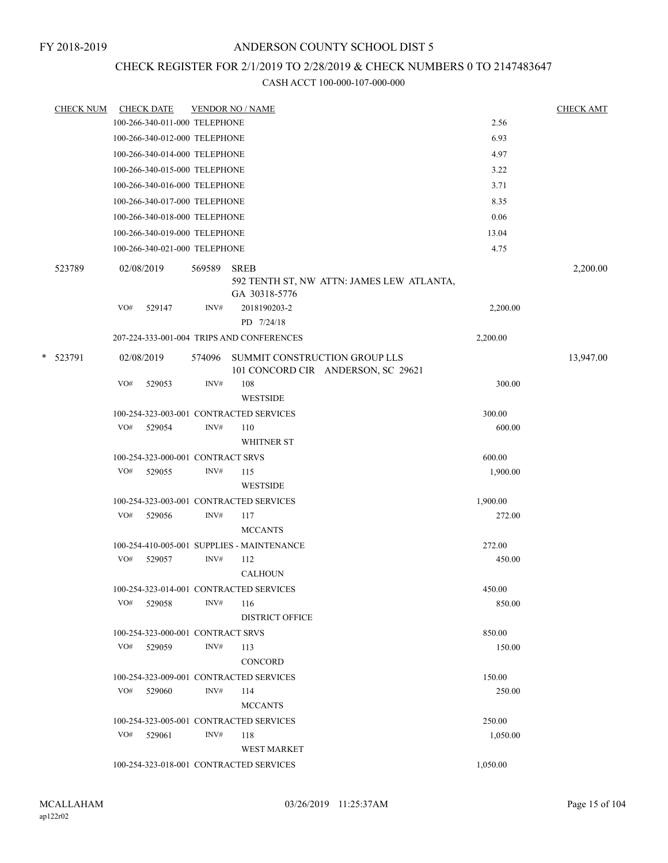# CHECK REGISTER FOR 2/1/2019 TO 2/28/2019 & CHECK NUMBERS 0 TO 2147483647

|   | <b>CHECK NUM</b> |            | <b>CHECK DATE</b>                 |        | <b>VENDOR NO / NAME</b>                                                   |          | <b>CHECK AMT</b> |
|---|------------------|------------|-----------------------------------|--------|---------------------------------------------------------------------------|----------|------------------|
|   |                  |            | 100-266-340-011-000 TELEPHONE     |        |                                                                           | 2.56     |                  |
|   |                  |            | 100-266-340-012-000 TELEPHONE     |        |                                                                           | 6.93     |                  |
|   |                  |            | 100-266-340-014-000 TELEPHONE     |        |                                                                           | 4.97     |                  |
|   |                  |            | 100-266-340-015-000 TELEPHONE     |        |                                                                           | 3.22     |                  |
|   |                  |            | 100-266-340-016-000 TELEPHONE     |        |                                                                           | 3.71     |                  |
|   |                  |            | 100-266-340-017-000 TELEPHONE     |        |                                                                           | 8.35     |                  |
|   |                  |            | 100-266-340-018-000 TELEPHONE     |        |                                                                           | 0.06     |                  |
|   |                  |            | 100-266-340-019-000 TELEPHONE     |        |                                                                           | 13.04    |                  |
|   |                  |            | 100-266-340-021-000 TELEPHONE     |        |                                                                           | 4.75     |                  |
|   | 523789           | 02/08/2019 |                                   | 569589 | <b>SREB</b><br>592 TENTH ST, NW ATTN: JAMES LEW ATLANTA,<br>GA 30318-5776 |          | 2,200.00         |
|   |                  | VO#        | 529147                            | INV#   | 2018190203-2<br>PD 7/24/18                                                | 2,200.00 |                  |
|   |                  |            |                                   |        | 207-224-333-001-004 TRIPS AND CONFERENCES                                 | 2,200.00 |                  |
| * | 523791           | 02/08/2019 |                                   | 574096 | SUMMIT CONSTRUCTION GROUP LLS<br>101 CONCORD CIR ANDERSON, SC 29621       |          | 13,947.00        |
|   |                  | VO#        | 529053                            | INV#   | 108<br><b>WESTSIDE</b>                                                    | 300.00   |                  |
|   |                  |            |                                   |        | 100-254-323-003-001 CONTRACTED SERVICES                                   | 300.00   |                  |
|   |                  | VO#        | 529054                            | INV#   | 110<br><b>WHITNER ST</b>                                                  | 600.00   |                  |
|   |                  |            | 100-254-323-000-001 CONTRACT SRVS |        |                                                                           | 600.00   |                  |
|   |                  | VO#        | 529055                            | INV#   | 115<br><b>WESTSIDE</b>                                                    | 1,900.00 |                  |
|   |                  |            |                                   |        | 100-254-323-003-001 CONTRACTED SERVICES                                   | 1,900.00 |                  |
|   |                  | VO#        | 529056                            | INV#   | 117<br><b>MCCANTS</b>                                                     | 272.00   |                  |
|   |                  |            |                                   |        | 100-254-410-005-001 SUPPLIES - MAINTENANCE                                | 272.00   |                  |
|   |                  | VO#        | 529057                            | INV#   | 112<br><b>CALHOUN</b>                                                     | 450.00   |                  |
|   |                  |            |                                   |        | 100-254-323-014-001 CONTRACTED SERVICES                                   | 450.00   |                  |
|   |                  | VO#        | 529058                            | INV#   | 116<br><b>DISTRICT OFFICE</b>                                             | 850.00   |                  |
|   |                  |            | 100-254-323-000-001 CONTRACT SRVS |        |                                                                           | 850.00   |                  |
|   |                  | VO#        | 529059                            | INV#   | 113<br>CONCORD                                                            | 150.00   |                  |
|   |                  |            |                                   |        | 100-254-323-009-001 CONTRACTED SERVICES                                   | 150.00   |                  |
|   |                  |            | VO# 529060                        | INV#   | 114<br><b>MCCANTS</b>                                                     | 250.00   |                  |
|   |                  |            |                                   |        | 100-254-323-005-001 CONTRACTED SERVICES                                   | 250.00   |                  |
|   |                  | VO#        | 529061                            | INV#   | 118<br><b>WEST MARKET</b>                                                 | 1,050.00 |                  |
|   |                  |            |                                   |        | 100-254-323-018-001 CONTRACTED SERVICES                                   | 1,050.00 |                  |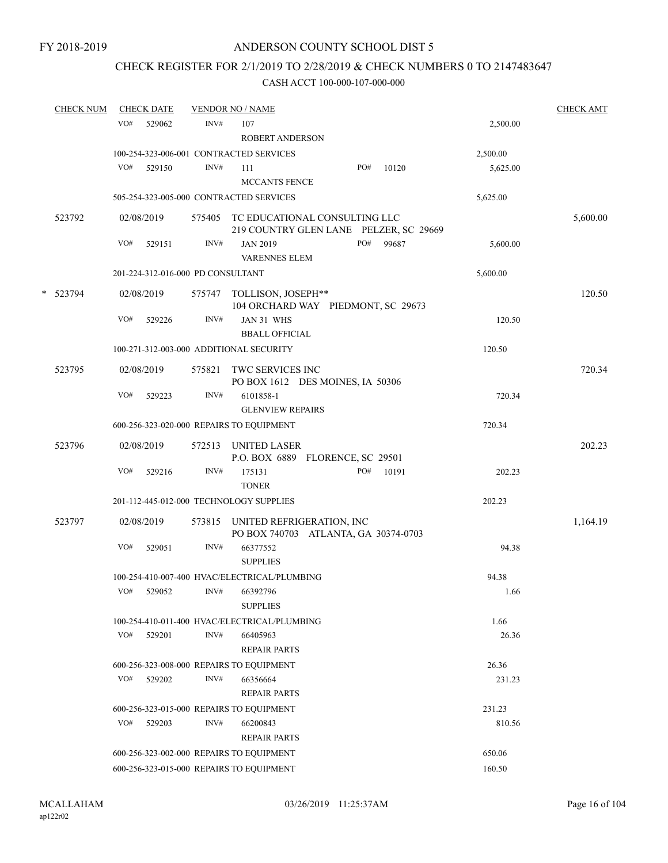## CHECK REGISTER FOR 2/1/2019 TO 2/28/2019 & CHECK NUMBERS 0 TO 2147483647

| <b>CHECK NUM</b> |     | <b>CHECK DATE</b>                 |      | <b>VENDOR NO / NAME</b>                                                        |     |       |          | <b>CHECK AMT</b> |
|------------------|-----|-----------------------------------|------|--------------------------------------------------------------------------------|-----|-------|----------|------------------|
|                  | VO# | 529062                            | INV# | 107<br><b>ROBERT ANDERSON</b>                                                  |     |       | 2,500.00 |                  |
|                  |     |                                   |      | 100-254-323-006-001 CONTRACTED SERVICES                                        |     |       | 2,500.00 |                  |
|                  | VO# | 529150                            | INV# | 111<br>MCCANTS FENCE                                                           | PO# | 10120 | 5,625.00 |                  |
|                  |     |                                   |      | 505-254-323-005-000 CONTRACTED SERVICES                                        |     |       | 5,625.00 |                  |
| 523792           |     | 02/08/2019                        |      | 575405 TC EDUCATIONAL CONSULTING LLC<br>219 COUNTRY GLEN LANE PELZER, SC 29669 |     |       |          | 5,600.00         |
|                  | VO# | 529151                            | INV# | <b>JAN 2019</b><br><b>VARENNES ELEM</b>                                        | PO# | 99687 | 5,600.00 |                  |
|                  |     | 201-224-312-016-000 PD CONSULTANT |      |                                                                                |     |       | 5,600.00 |                  |
| * 523794         |     | 02/08/2019                        |      | 575747 TOLLISON, JOSEPH**<br>104 ORCHARD WAY PIEDMONT, SC 29673                |     |       |          | 120.50           |
|                  | VO# | 529226                            | INV# | JAN 31 WHS<br><b>BBALL OFFICIAL</b>                                            |     |       | 120.50   |                  |
|                  |     |                                   |      | 100-271-312-003-000 ADDITIONAL SECURITY                                        |     |       | 120.50   |                  |
| 523795           |     | 02/08/2019                        |      | 575821 TWC SERVICES INC<br>PO BOX 1612 DES MOINES, IA 50306                    |     |       |          | 720.34           |
|                  | VO# | 529223                            | INV# | 6101858-1<br><b>GLENVIEW REPAIRS</b>                                           |     |       | 720.34   |                  |
|                  |     |                                   |      | 600-256-323-020-000 REPAIRS TO EQUIPMENT                                       |     |       | 720.34   |                  |
| 523796           |     | 02/08/2019                        |      | 572513 UNITED LASER<br>P.O. BOX 6889 FLORENCE, SC 29501                        |     |       |          | 202.23           |
|                  | VO# | 529216                            | INV# | 175131<br><b>TONER</b>                                                         | PO# | 10191 | 202.23   |                  |
|                  |     |                                   |      | 201-112-445-012-000 TECHNOLOGY SUPPLIES                                        |     |       | 202.23   |                  |
| 523797           |     | 02/08/2019                        |      | 573815 UNITED REFRIGERATION, INC<br>PO BOX 740703 ATLANTA, GA 30374-0703       |     |       |          | 1,164.19         |
|                  | VO# | 529051                            | INV# | 66377552<br><b>SUPPLIES</b>                                                    |     |       | 94.38    |                  |
|                  |     |                                   |      | 100-254-410-007-400 HVAC/ELECTRICAL/PLUMBING                                   |     |       | 94.38    |                  |
|                  |     | VO# 529052                        |      | INV# 66392796<br><b>SUPPLIES</b>                                               |     |       | 1.66     |                  |
|                  |     |                                   |      | 100-254-410-011-400 HVAC/ELECTRICAL/PLUMBING                                   |     |       | 1.66     |                  |
|                  | VO# | 529201                            | INV# | 66405963<br><b>REPAIR PARTS</b>                                                |     |       | 26.36    |                  |
|                  |     |                                   |      | 600-256-323-008-000 REPAIRS TO EQUIPMENT                                       |     |       | 26.36    |                  |
|                  | VO# | 529202                            | INV# | 66356664<br><b>REPAIR PARTS</b>                                                |     |       | 231.23   |                  |
|                  |     |                                   |      | 600-256-323-015-000 REPAIRS TO EQUIPMENT                                       |     |       | 231.23   |                  |
|                  | VO# | 529203                            | INV# | 66200843<br><b>REPAIR PARTS</b>                                                |     |       | 810.56   |                  |
|                  |     |                                   |      | 600-256-323-002-000 REPAIRS TO EQUIPMENT                                       |     |       | 650.06   |                  |
|                  |     |                                   |      | 600-256-323-015-000 REPAIRS TO EQUIPMENT                                       |     |       | 160.50   |                  |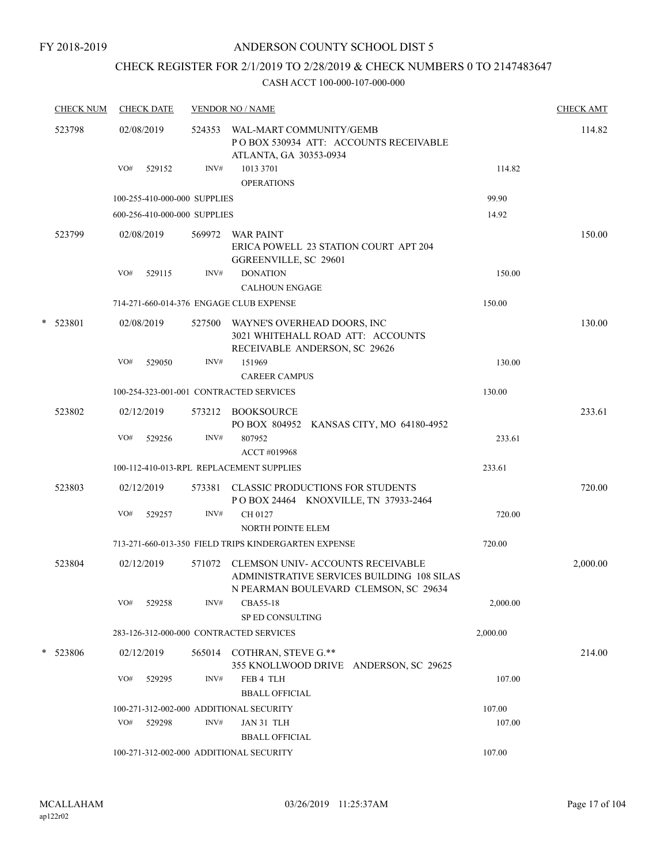FY 2018-2019

### ANDERSON COUNTY SCHOOL DIST 5

# CHECK REGISTER FOR 2/1/2019 TO 2/28/2019 & CHECK NUMBERS 0 TO 2147483647

|   | <b>CHECK NUM</b> |     | <b>CHECK DATE</b> |                              | <b>VENDOR NO / NAME</b>                                                                                                  |          | <b>CHECK AMT</b> |
|---|------------------|-----|-------------------|------------------------------|--------------------------------------------------------------------------------------------------------------------------|----------|------------------|
|   | 523798           |     | 02/08/2019        |                              | 524353 WAL-MART COMMUNITY/GEMB<br>POBOX 530934 ATT: ACCOUNTS RECEIVABLE<br>ATLANTA, GA 30353-0934                        |          | 114.82           |
|   |                  | VO# | 529152            | INV#                         | 1013 3701<br><b>OPERATIONS</b>                                                                                           | 114.82   |                  |
|   |                  |     |                   | 100-255-410-000-000 SUPPLIES |                                                                                                                          | 99.90    |                  |
|   |                  |     |                   | 600-256-410-000-000 SUPPLIES |                                                                                                                          | 14.92    |                  |
|   | 523799           |     | 02/08/2019        |                              | 569972 WAR PAINT<br>ERICA POWELL 23 STATION COURT APT 204<br>GGREENVILLE, SC 29601                                       |          | 150.00           |
|   |                  | VO# | 529115            | INV#                         | <b>DONATION</b><br><b>CALHOUN ENGAGE</b>                                                                                 | 150.00   |                  |
|   |                  |     |                   |                              | 714-271-660-014-376 ENGAGE CLUB EXPENSE                                                                                  | 150.00   |                  |
|   | * 523801         |     | 02/08/2019        |                              | 527500 WAYNE'S OVERHEAD DOORS, INC<br>3021 WHITEHALL ROAD ATT: ACCOUNTS<br>RECEIVABLE ANDERSON, SC 29626                 |          | 130.00           |
|   |                  | VO# | 529050            | INV#                         | 151969                                                                                                                   | 130.00   |                  |
|   |                  |     |                   |                              | <b>CAREER CAMPUS</b>                                                                                                     |          |                  |
|   |                  |     |                   |                              | 100-254-323-001-001 CONTRACTED SERVICES                                                                                  | 130.00   |                  |
|   | 523802           |     | 02/12/2019        |                              | 573212 BOOKSOURCE<br>PO BOX 804952 KANSAS CITY, MO 64180-4952                                                            |          | 233.61           |
|   |                  | VO# | 529256            | INV#                         | 807952<br>ACCT #019968                                                                                                   | 233.61   |                  |
|   |                  |     |                   |                              | 100-112-410-013-RPL REPLACEMENT SUPPLIES                                                                                 | 233.61   |                  |
|   | 523803           |     | 02/12/2019        |                              | 573381 CLASSIC PRODUCTIONS FOR STUDENTS<br>POBOX 24464 KNOXVILLE, TN 37933-2464                                          |          | 720.00           |
|   |                  | VO# | 529257            | INV#                         | CH 0127<br><b>NORTH POINTE ELEM</b>                                                                                      | 720.00   |                  |
|   |                  |     |                   |                              | 713-271-660-013-350 FIELD TRIPS KINDERGARTEN EXPENSE                                                                     | 720.00   |                  |
|   | 523804           |     | 02/12/2019        | 571072                       | CLEMSON UNIV- ACCOUNTS RECEIVABLE<br>ADMINISTRATIVE SERVICES BUILDING 108 SILAS<br>N PEARMAN BOULEVARD CLEMSON, SC 29634 |          | 2,000.00         |
|   |                  | VO# | 529258            | INV#                         | CBA55-18<br>SP ED CONSULTING                                                                                             | 2,000.00 |                  |
|   |                  |     |                   |                              | 283-126-312-000-000 CONTRACTED SERVICES                                                                                  | 2,000.00 |                  |
| * | 523806           |     | 02/12/2019        |                              | 565014 COTHRAN, STEVE G.**<br>355 KNOLLWOOD DRIVE ANDERSON, SC 29625                                                     |          | 214.00           |
|   |                  | VO# | 529295            | INV#                         | FEB 4 TLH<br><b>BBALL OFFICIAL</b>                                                                                       | 107.00   |                  |
|   |                  |     |                   |                              | 100-271-312-002-000 ADDITIONAL SECURITY                                                                                  | 107.00   |                  |
|   |                  | VO# | 529298            | INV#                         | JAN 31 TLH<br><b>BBALL OFFICIAL</b>                                                                                      | 107.00   |                  |
|   |                  |     |                   |                              | 100-271-312-002-000 ADDITIONAL SECURITY                                                                                  | 107.00   |                  |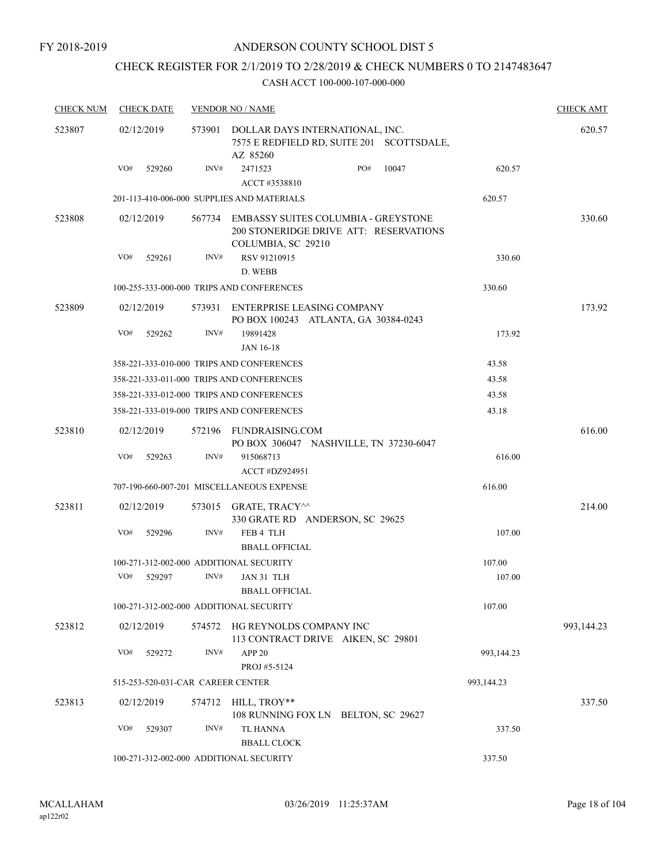## CHECK REGISTER FOR 2/1/2019 TO 2/28/2019 & CHECK NUMBERS 0 TO 2147483647

| <b>CHECK NUM</b> |     | <b>CHECK DATE</b> |        | <b>VENDOR NO / NAME</b>                                                                                    |     |       |            | <b>CHECK AMT</b> |
|------------------|-----|-------------------|--------|------------------------------------------------------------------------------------------------------------|-----|-------|------------|------------------|
| 523807           |     | 02/12/2019        | 573901 | DOLLAR DAYS INTERNATIONAL, INC.<br>7575 E REDFIELD RD, SUITE 201 SCOTTSDALE,<br>AZ 85260                   |     |       |            | 620.57           |
|                  | VO# | 529260            | INV#   | 2471523<br>ACCT #3538810                                                                                   | PO# | 10047 | 620.57     |                  |
|                  |     |                   |        | 201-113-410-006-000 SUPPLIES AND MATERIALS                                                                 |     |       | 620.57     |                  |
| 523808           |     | 02/12/2019        |        | 567734 EMBASSY SUITES COLUMBIA - GREYSTONE<br>200 STONERIDGE DRIVE ATT: RESERVATIONS<br>COLUMBIA, SC 29210 |     |       |            | 330.60           |
|                  | VO# | 529261            | INV#   | RSV 91210915<br>D. WEBB                                                                                    |     |       | 330.60     |                  |
|                  |     |                   |        | 100-255-333-000-000 TRIPS AND CONFERENCES                                                                  |     |       | 330.60     |                  |
| 523809           |     | 02/12/2019        |        | 573931 ENTERPRISE LEASING COMPANY                                                                          |     |       |            | 173.92           |
|                  |     |                   |        | PO BOX 100243 ATLANTA, GA 30384-0243                                                                       |     |       |            |                  |
|                  | VO# | 529262            | INV#   | 19891428<br>JAN 16-18                                                                                      |     |       | 173.92     |                  |
|                  |     |                   |        | 358-221-333-010-000 TRIPS AND CONFERENCES                                                                  |     |       | 43.58      |                  |
|                  |     |                   |        | 358-221-333-011-000 TRIPS AND CONFERENCES                                                                  |     |       | 43.58      |                  |
|                  |     |                   |        | 358-221-333-012-000 TRIPS AND CONFERENCES                                                                  |     |       | 43.58      |                  |
|                  |     |                   |        | 358-221-333-019-000 TRIPS AND CONFERENCES                                                                  |     |       | 43.18      |                  |
| 523810           |     | 02/12/2019        |        | 572196 FUNDRAISING.COM<br>PO BOX 306047 NASHVILLE, TN 37230-6047                                           |     |       |            | 616.00           |
|                  | VO# | 529263            | INV#   | 915068713<br><b>ACCT #DZ924951</b>                                                                         |     |       | 616.00     |                  |
|                  |     |                   |        | 707-190-660-007-201 MISCELLANEOUS EXPENSE                                                                  |     |       | 616.00     |                  |
| 523811           |     | 02/12/2019        |        | 573015 GRATE, TRACY <sup>^^</sup><br>330 GRATE RD ANDERSON, SC 29625                                       |     |       |            | 214.00           |
|                  | VO# | 529296            | INV#   | FEB 4 TLH<br><b>BBALL OFFICIAL</b>                                                                         |     |       | 107.00     |                  |
|                  |     |                   |        | 100-271-312-002-000 ADDITIONAL SECURITY                                                                    |     |       | 107.00     |                  |
|                  | VO# | 529297            | INV#   | JAN 31 TLH                                                                                                 |     |       | 107.00     |                  |
|                  |     |                   |        | <b>BBALL OFFICIAL</b>                                                                                      |     |       |            |                  |
|                  |     |                   |        | 100-271-312-002-000 ADDITIONAL SECURITY                                                                    |     |       | 107.00     |                  |
| 523812           |     | 02/12/2019        | 574572 | HG REYNOLDS COMPANY INC<br>113 CONTRACT DRIVE AIKEN, SC 29801                                              |     |       |            | 993,144.23       |
|                  | VO# | 529272            | INV#   | APP <sub>20</sub><br>PROJ #5-5124                                                                          |     |       | 993,144.23 |                  |
|                  |     |                   |        | 515-253-520-031-CAR CAREER CENTER                                                                          |     |       | 993,144.23 |                  |
| 523813           |     | 02/12/2019        |        | 574712 HILL, TROY**<br>108 RUNNING FOX LN BELTON, SC 29627                                                 |     |       |            | 337.50           |
|                  | VO# | 529307            | INV#   | <b>TL HANNA</b><br><b>BBALL CLOCK</b>                                                                      |     |       | 337.50     |                  |
|                  |     |                   |        | 100-271-312-002-000 ADDITIONAL SECURITY                                                                    |     |       | 337.50     |                  |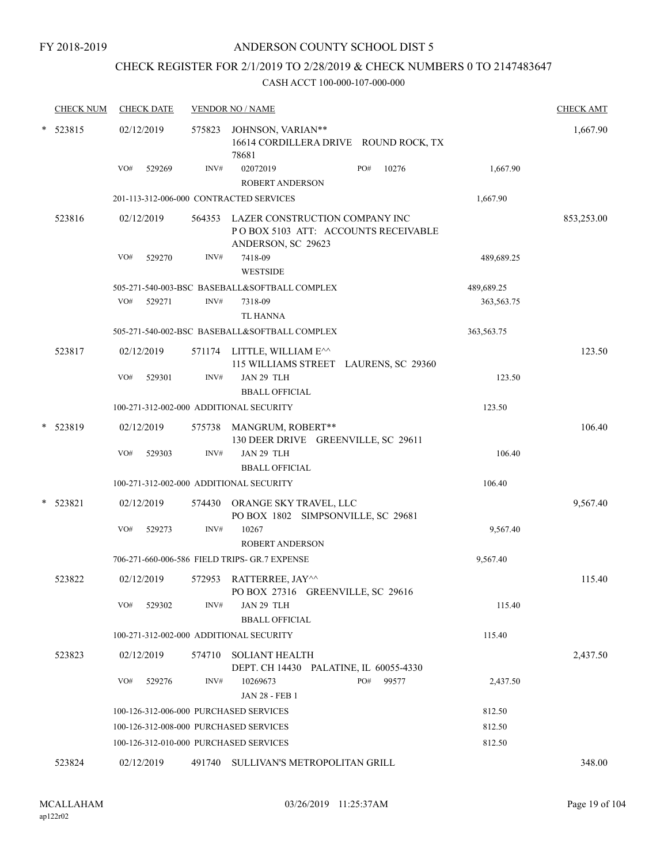## CHECK REGISTER FOR 2/1/2019 TO 2/28/2019 & CHECK NUMBERS 0 TO 2147483647

|   | <b>CHECK NUM</b> | <b>CHECK DATE</b>                      |      | <b>VENDOR NO / NAME</b>                                                                            |              |            | <b>CHECK AMT</b> |
|---|------------------|----------------------------------------|------|----------------------------------------------------------------------------------------------------|--------------|------------|------------------|
| * | 523815           | 02/12/2019                             |      | 575823 JOHNSON, VARIAN**<br>16614 CORDILLERA DRIVE ROUND ROCK, TX<br>78681                         |              |            | 1,667.90         |
|   |                  | VO#<br>529269                          | INV# | 02072019<br><b>ROBERT ANDERSON</b>                                                                 | PO#<br>10276 | 1,667.90   |                  |
|   |                  |                                        |      | 201-113-312-006-000 CONTRACTED SERVICES                                                            |              | 1,667.90   |                  |
|   | 523816           | 02/12/2019                             |      | 564353 LAZER CONSTRUCTION COMPANY INC<br>POBOX 5103 ATT: ACCOUNTS RECEIVABLE<br>ANDERSON, SC 29623 |              |            | 853,253.00       |
|   |                  | VO#<br>529270                          | INV# | 7418-09<br><b>WESTSIDE</b>                                                                         |              | 489,689.25 |                  |
|   |                  |                                        |      | 505-271-540-003-BSC BASEBALL&SOFTBALL COMPLEX                                                      |              | 489,689.25 |                  |
|   |                  | VO#<br>529271                          | INV# | 7318-09<br><b>TL HANNA</b>                                                                         |              | 363,563.75 |                  |
|   |                  |                                        |      | 505-271-540-002-BSC BASEBALL&SOFTBALL COMPLEX                                                      |              | 363,563.75 |                  |
|   | 523817           | 02/12/2019                             |      | 571174 LITTLE, WILLIAM E^^<br>115 WILLIAMS STREET LAURENS, SC 29360                                |              |            | 123.50           |
|   |                  | VO#<br>529301                          | INV# | JAN 29 TLH<br><b>BBALL OFFICIAL</b>                                                                |              | 123.50     |                  |
|   |                  |                                        |      | 100-271-312-002-000 ADDITIONAL SECURITY                                                            |              | 123.50     |                  |
|   | * 523819         | 02/12/2019                             |      | 575738 MANGRUM, ROBERT**<br>130 DEER DRIVE GREENVILLE, SC 29611                                    |              |            | 106.40           |
|   |                  | VO#<br>529303                          | INV# | JAN 29 TLH<br><b>BBALL OFFICIAL</b>                                                                |              | 106.40     |                  |
|   |                  |                                        |      | 100-271-312-002-000 ADDITIONAL SECURITY                                                            |              | 106.40     |                  |
|   | 523821           | 02/12/2019                             |      | 574430 ORANGE SKY TRAVEL, LLC<br>PO BOX 1802 SIMPSONVILLE, SC 29681                                |              |            | 9,567.40         |
|   |                  | VO#<br>529273                          | INV# | 10267<br><b>ROBERT ANDERSON</b>                                                                    |              | 9,567.40   |                  |
|   |                  |                                        |      | 706-271-660-006-586 FIELD TRIPS- GR.7 EXPENSE                                                      |              | 9,567.40   |                  |
|   | 523822           | 02/12/2019                             |      | 572953 RATTERREE, JAY^^<br>PO BOX 27316 GREENVILLE, SC 29616                                       |              |            | 115.40           |
|   |                  | VO#<br>529302                          | INV# | JAN 29 TLH<br><b>BBALL OFFICIAL</b>                                                                |              | 115.40     |                  |
|   |                  |                                        |      | 100-271-312-002-000 ADDITIONAL SECURITY                                                            |              | 115.40     |                  |
|   | 523823           | 02/12/2019                             |      | 574710 SOLIANT HEALTH<br>DEPT. CH 14430 PALATINE, IL 60055-4330                                    |              |            | 2,437.50         |
|   |                  | VO#<br>529276                          | INV# | 10269673<br>JAN 28 - FEB 1                                                                         | PO#<br>99577 | 2,437.50   |                  |
|   |                  | 100-126-312-006-000 PURCHASED SERVICES |      |                                                                                                    |              | 812.50     |                  |
|   |                  | 100-126-312-008-000 PURCHASED SERVICES |      |                                                                                                    |              | 812.50     |                  |
|   |                  | 100-126-312-010-000 PURCHASED SERVICES |      |                                                                                                    |              | 812.50     |                  |
|   | 523824           | 02/12/2019                             |      | 491740 SULLIVAN'S METROPOLITAN GRILL                                                               |              |            | 348.00           |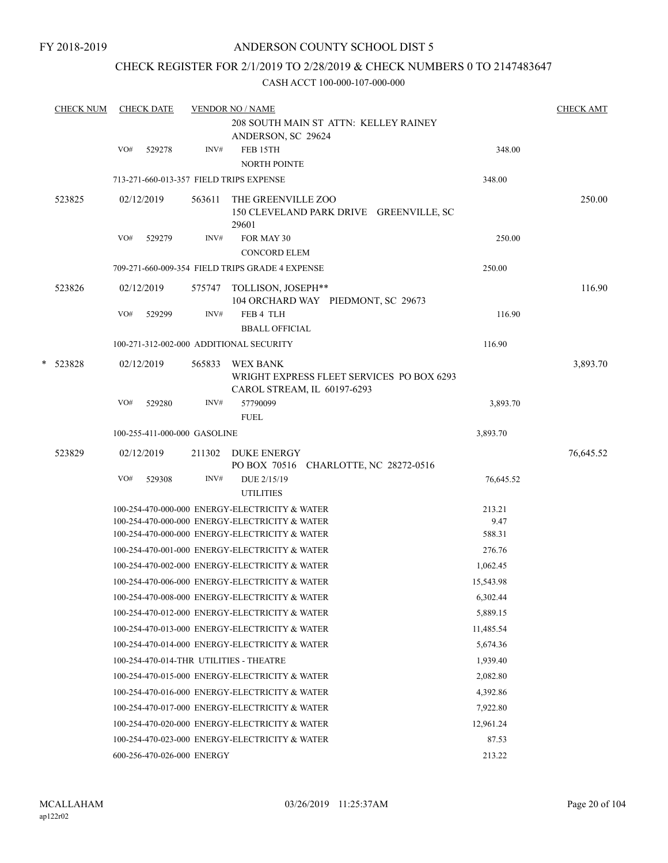### CHECK REGISTER FOR 2/1/2019 TO 2/28/2019 & CHECK NUMBERS 0 TO 2147483647

|   | <b>CHECK NUM</b> |     | <b>CHECK DATE</b>            |        | <b>VENDOR NO / NAME</b>                                                              |           | <b>CHECK AMT</b> |
|---|------------------|-----|------------------------------|--------|--------------------------------------------------------------------------------------|-----------|------------------|
|   |                  |     |                              |        | 208 SOUTH MAIN ST ATTN: KELLEY RAINEY<br>ANDERSON, SC 29624                          |           |                  |
|   |                  | VO# | 529278                       | INV#   | FEB 15TH<br><b>NORTH POINTE</b>                                                      | 348.00    |                  |
|   |                  |     |                              |        | 713-271-660-013-357 FIELD TRIPS EXPENSE                                              | 348.00    |                  |
|   | 523825           |     | 02/12/2019                   | 563611 | THE GREENVILLE ZOO<br>150 CLEVELAND PARK DRIVE GREENVILLE, SC<br>29601               |           | 250.00           |
|   |                  | VO# | 529279                       | INV#   | FOR MAY 30<br><b>CONCORD ELEM</b>                                                    | 250.00    |                  |
|   |                  |     |                              |        | 709-271-660-009-354 FIELD TRIPS GRADE 4 EXPENSE                                      | 250.00    |                  |
|   |                  |     |                              |        |                                                                                      |           |                  |
|   | 523826           |     | 02/12/2019                   | 575747 | TOLLISON, JOSEPH**<br>104 ORCHARD WAY PIEDMONT, SC 29673                             |           | 116.90           |
|   |                  | VO# | 529299                       | INV#   | FEB 4 TLH                                                                            | 116.90    |                  |
|   |                  |     |                              |        | <b>BBALL OFFICIAL</b>                                                                |           |                  |
|   |                  |     |                              |        | 100-271-312-002-000 ADDITIONAL SECURITY                                              | 116.90    |                  |
| * | 523828           |     | 02/12/2019                   | 565833 | WEX BANK<br>WRIGHT EXPRESS FLEET SERVICES PO BOX 6293<br>CAROL STREAM, IL 60197-6293 |           | 3,893.70         |
|   |                  | VO# | 529280                       | INV#   | 57790099<br><b>FUEL</b>                                                              | 3,893.70  |                  |
|   |                  |     | 100-255-411-000-000 GASOLINE |        |                                                                                      | 3,893.70  |                  |
|   | 523829           |     | 02/12/2019                   | 211302 | DUKE ENERGY<br>PO BOX 70516 CHARLOTTE, NC 28272-0516                                 |           | 76,645.52        |
|   |                  | VO# | 529308                       | INV#   | DUE 2/15/19<br><b>UTILITIES</b>                                                      | 76,645.52 |                  |
|   |                  |     |                              |        | 100-254-470-000-000 ENERGY-ELECTRICITY & WATER                                       | 213.21    |                  |
|   |                  |     |                              |        | 100-254-470-000-000 ENERGY-ELECTRICITY & WATER                                       | 9.47      |                  |
|   |                  |     |                              |        | 100-254-470-000-000 ENERGY-ELECTRICITY & WATER                                       | 588.31    |                  |
|   |                  |     |                              |        | 100-254-470-001-000 ENERGY-ELECTRICITY & WATER                                       | 276.76    |                  |
|   |                  |     |                              |        | 100-254-470-002-000 ENERGY-ELECTRICITY & WATER                                       | 1,062.45  |                  |
|   |                  |     |                              |        | 100-254-470-006-000 ENERGY-ELECTRICITY & WATER                                       | 15,543.98 |                  |
|   |                  |     |                              |        | 100-254-470-008-000 ENERGY-ELECTRICITY & WATER                                       | 6,302.44  |                  |
|   |                  |     |                              |        | 100-254-470-012-000 ENERGY-ELECTRICITY & WATER                                       | 5,889.15  |                  |
|   |                  |     |                              |        | 100-254-470-013-000 ENERGY-ELECTRICITY & WATER                                       | 11,485.54 |                  |
|   |                  |     |                              |        | 100-254-470-014-000 ENERGY-ELECTRICITY & WATER                                       | 5,674.36  |                  |
|   |                  |     |                              |        | 100-254-470-014-THR UTILITIES - THEATRE                                              | 1,939.40  |                  |
|   |                  |     |                              |        | 100-254-470-015-000 ENERGY-ELECTRICITY & WATER                                       | 2,082.80  |                  |
|   |                  |     |                              |        | 100-254-470-016-000 ENERGY-ELECTRICITY & WATER                                       | 4,392.86  |                  |
|   |                  |     |                              |        | 100-254-470-017-000 ENERGY-ELECTRICITY & WATER                                       | 7,922.80  |                  |
|   |                  |     |                              |        | 100-254-470-020-000 ENERGY-ELECTRICITY & WATER                                       | 12,961.24 |                  |
|   |                  |     |                              |        | 100-254-470-023-000 ENERGY-ELECTRICITY & WATER                                       | 87.53     |                  |
|   |                  |     | 600-256-470-026-000 ENERGY   |        |                                                                                      | 213.22    |                  |
|   |                  |     |                              |        |                                                                                      |           |                  |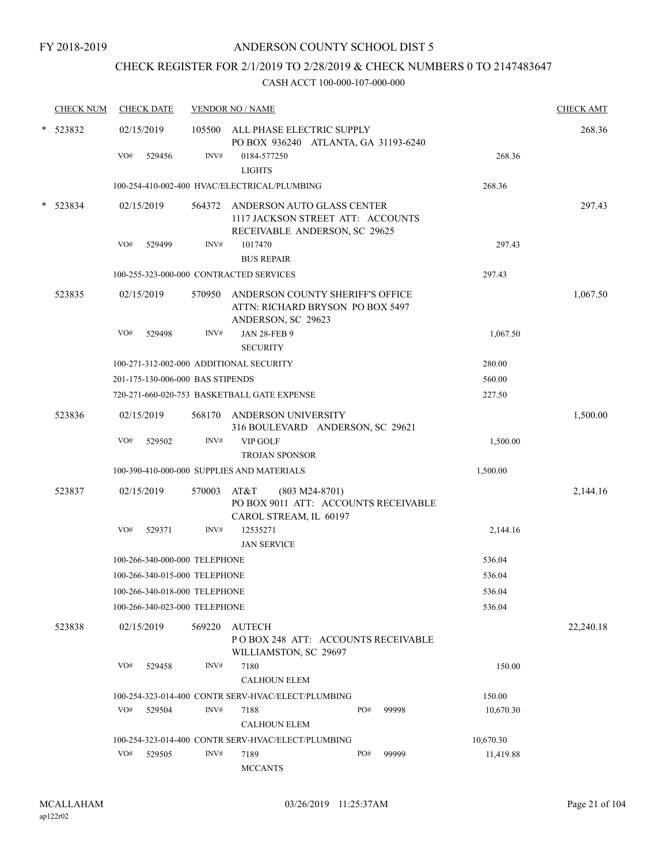# CHECK REGISTER FOR 2/1/2019 TO 2/28/2019 & CHECK NUMBERS 0 TO 2147483647

| <b>CHECK NUM</b> |     | <b>CHECK DATE</b>                |        | <b>VENDOR NO / NAME</b>                                                  |                  |       |           | <b>CHECK AMT</b> |
|------------------|-----|----------------------------------|--------|--------------------------------------------------------------------------|------------------|-------|-----------|------------------|
| * 523832         |     | 02/15/2019                       |        | 105500 ALL PHASE ELECTRIC SUPPLY<br>PO BOX 936240 ATLANTA, GA 31193-6240 |                  |       |           | 268.36           |
|                  | VO# | 529456                           | INV#   | 0184-577250<br><b>LIGHTS</b>                                             |                  |       | 268.36    |                  |
|                  |     |                                  |        | 100-254-410-002-400 HVAC/ELECTRICAL/PLUMBING                             |                  |       | 268.36    |                  |
|                  |     |                                  |        |                                                                          |                  |       |           |                  |
| $*$ 523834       |     | 02/15/2019                       |        | 564372 ANDERSON AUTO GLASS CENTER<br>1117 JACKSON STREET ATT: ACCOUNTS   |                  |       |           | 297.43           |
|                  | VO# | 529499                           | INV#   | RECEIVABLE ANDERSON, SC 29625<br>1017470                                 |                  |       | 297.43    |                  |
|                  |     |                                  |        | <b>BUS REPAIR</b>                                                        |                  |       |           |                  |
|                  |     |                                  |        | 100-255-323-000-000 CONTRACTED SERVICES                                  |                  |       | 297.43    |                  |
| 523835           |     | 02/15/2019                       | 570950 | ANDERSON COUNTY SHERIFF'S OFFICE                                         |                  |       |           | 1,067.50         |
|                  |     |                                  |        | ATTN: RICHARD BRYSON PO BOX 5497<br>ANDERSON, SC 29623                   |                  |       |           |                  |
|                  | VO# | 529498                           | INV#   | <b>JAN 28-FEB 9</b><br><b>SECURITY</b>                                   |                  |       | 1,067.50  |                  |
|                  |     |                                  |        | 100-271-312-002-000 ADDITIONAL SECURITY                                  |                  |       | 280.00    |                  |
|                  |     | 201-175-130-006-000 BAS STIPENDS |        |                                                                          |                  |       | 560.00    |                  |
|                  |     |                                  |        | 720-271-660-020-753 BASKETBALL GATE EXPENSE                              |                  |       | 227.50    |                  |
| 523836           |     | 02/15/2019                       |        | 568170 ANDERSON UNIVERSITY<br>316 BOULEVARD ANDERSON, SC 29621           |                  |       |           | 1,500.00         |
|                  | VO# | 529502                           | INV#   | <b>VIP GOLF</b>                                                          |                  |       | 1,500.00  |                  |
|                  |     |                                  |        | <b>TROJAN SPONSOR</b>                                                    |                  |       |           |                  |
|                  |     |                                  |        | 100-390-410-000-000 SUPPLIES AND MATERIALS                               |                  |       | 1,500.00  |                  |
| 523837           |     | 02/15/2019                       | 570003 | AT&T<br>PO BOX 9011 ATT: ACCOUNTS RECEIVABLE<br>CAROL STREAM, IL 60197   | $(803 M24-8701)$ |       |           | 2,144.16         |
|                  | VO# | 529371                           | INV#   | 12535271<br><b>JAN SERVICE</b>                                           |                  |       | 2,144.16  |                  |
|                  |     | 100-266-340-000-000 TELEPHONE    |        |                                                                          |                  |       | 536.04    |                  |
|                  |     | 100-266-340-015-000 TELEPHONE    |        |                                                                          |                  |       | 536.04    |                  |
|                  |     | 100-266-340-018-000 TELEPHONE    |        |                                                                          |                  |       | 536.04    |                  |
|                  |     | 100-266-340-023-000 TELEPHONE    |        |                                                                          |                  |       | 536.04    |                  |
| 523838           |     | 02/15/2019                       | 569220 | AUTECH<br>POBOX 248 ATT: ACCOUNTS RECEIVABLE<br>WILLIAMSTON, SC 29697    |                  |       |           | 22,240.18        |
|                  | VO# | 529458                           | INV#   | 7180<br><b>CALHOUN ELEM</b>                                              |                  |       | 150.00    |                  |
|                  |     |                                  |        | 100-254-323-014-400 CONTR SERV-HVAC/ELECT/PLUMBING                       |                  |       | 150.00    |                  |
|                  |     | VO# 529504                       | INV#   | 7188                                                                     | PO#              | 99998 | 10,670.30 |                  |
|                  |     |                                  |        | <b>CALHOUN ELEM</b>                                                      |                  |       |           |                  |
|                  |     |                                  |        | 100-254-323-014-400 CONTR SERV-HVAC/ELECT/PLUMBING                       |                  |       | 10,670.30 |                  |
|                  | VO# | 529505                           | INV#   | 7189<br><b>MCCANTS</b>                                                   | PO#              | 99999 | 11,419.88 |                  |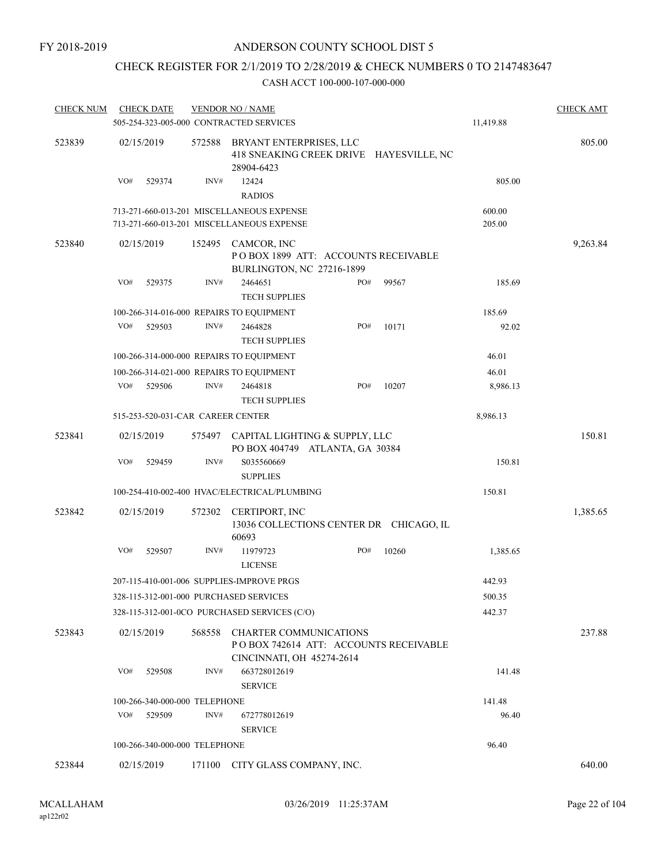## CHECK REGISTER FOR 2/1/2019 TO 2/28/2019 & CHECK NUMBERS 0 TO 2147483647

| <b>CHECK NUM</b> | <b>CHECK DATE</b><br>505-254-323-005-000 CONTRACTED SERVICES |        | <b>VENDOR NO / NAME</b>                                    |                                                                   |       | 11,419.88 | <b>CHECK AMT</b> |
|------------------|--------------------------------------------------------------|--------|------------------------------------------------------------|-------------------------------------------------------------------|-------|-----------|------------------|
| 523839           | 02/15/2019                                                   | 572588 | BRYANT ENTERPRISES, LLC<br>28904-6423                      | 418 SNEAKING CREEK DRIVE HAYESVILLE, NC                           |       |           | 805.00           |
|                  | VO#<br>529374                                                | INV#   | 12424<br><b>RADIOS</b>                                     |                                                                   |       | 805.00    |                  |
|                  |                                                              |        | 713-271-660-013-201 MISCELLANEOUS EXPENSE                  |                                                                   |       | 600.00    |                  |
|                  |                                                              |        | 713-271-660-013-201 MISCELLANEOUS EXPENSE                  |                                                                   |       | 205.00    |                  |
| 523840           | 02/15/2019                                                   | 152495 | CAMCOR, INC<br>BURLINGTON, NC 27216-1899                   | POBOX 1899 ATT: ACCOUNTS RECEIVABLE                               |       |           | 9,263.84         |
|                  | VO#<br>529375                                                | INV#   | 2464651<br><b>TECH SUPPLIES</b>                            | PO#                                                               | 99567 | 185.69    |                  |
|                  | 100-266-314-016-000 REPAIRS TO EQUIPMENT                     |        |                                                            |                                                                   |       | 185.69    |                  |
|                  | VO#<br>529503                                                | INV#   | 2464828<br><b>TECH SUPPLIES</b>                            | PO#                                                               | 10171 | 92.02     |                  |
|                  | 100-266-314-000-000 REPAIRS TO EQUIPMENT                     |        |                                                            |                                                                   |       | 46.01     |                  |
|                  | 100-266-314-021-000 REPAIRS TO EQUIPMENT                     |        |                                                            |                                                                   |       | 46.01     |                  |
|                  | VO#<br>529506                                                | INV#   | 2464818<br><b>TECH SUPPLIES</b>                            | PO#                                                               | 10207 | 8,986.13  |                  |
|                  | 515-253-520-031-CAR CAREER CENTER                            |        |                                                            |                                                                   |       | 8,986.13  |                  |
| 523841           | 02/15/2019                                                   | 575497 |                                                            | CAPITAL LIGHTING & SUPPLY, LLC<br>PO BOX 404749 ATLANTA, GA 30384 |       |           | 150.81           |
|                  | VO#<br>529459                                                | INV#   | S035560669<br><b>SUPPLIES</b>                              |                                                                   |       | 150.81    |                  |
|                  |                                                              |        | 100-254-410-002-400 HVAC/ELECTRICAL/PLUMBING               |                                                                   |       | 150.81    |                  |
| 523842           | 02/15/2019                                                   | 572302 | CERTIPORT, INC                                             |                                                                   |       |           | 1,385.65         |
|                  |                                                              |        | 60693                                                      | 13036 COLLECTIONS CENTER DR CHICAGO, IL                           |       |           |                  |
|                  | VO#<br>529507                                                | INV#   | 11979723<br><b>LICENSE</b>                                 | PO#                                                               | 10260 | 1,385.65  |                  |
|                  | 207-115-410-001-006 SUPPLIES-IMPROVE PRGS                    |        |                                                            |                                                                   |       | 442.93    |                  |
|                  | 328-115-312-001-000 PURCHASED SERVICES                       |        |                                                            |                                                                   |       | 500.35    |                  |
|                  |                                                              |        | 328-115-312-001-0CO PURCHASED SERVICES (C/O)               |                                                                   |       | 442.37    |                  |
| 523843           | 02/15/2019                                                   | 568558 | <b>CHARTER COMMUNICATIONS</b><br>CINCINNATI, OH 45274-2614 | PO BOX 742614 ATT: ACCOUNTS RECEIVABLE                            |       |           | 237.88           |
|                  | VO#<br>529508                                                | INV#   | 663728012619<br><b>SERVICE</b>                             |                                                                   |       | 141.48    |                  |
|                  | 100-266-340-000-000 TELEPHONE                                |        |                                                            |                                                                   |       | 141.48    |                  |
|                  | VO#<br>529509                                                | INV#   | 672778012619<br><b>SERVICE</b>                             |                                                                   |       | 96.40     |                  |
|                  | 100-266-340-000-000 TELEPHONE                                |        |                                                            |                                                                   |       | 96.40     |                  |
| 523844           | 02/15/2019                                                   |        | 171100 CITY GLASS COMPANY, INC.                            |                                                                   |       |           | 640.00           |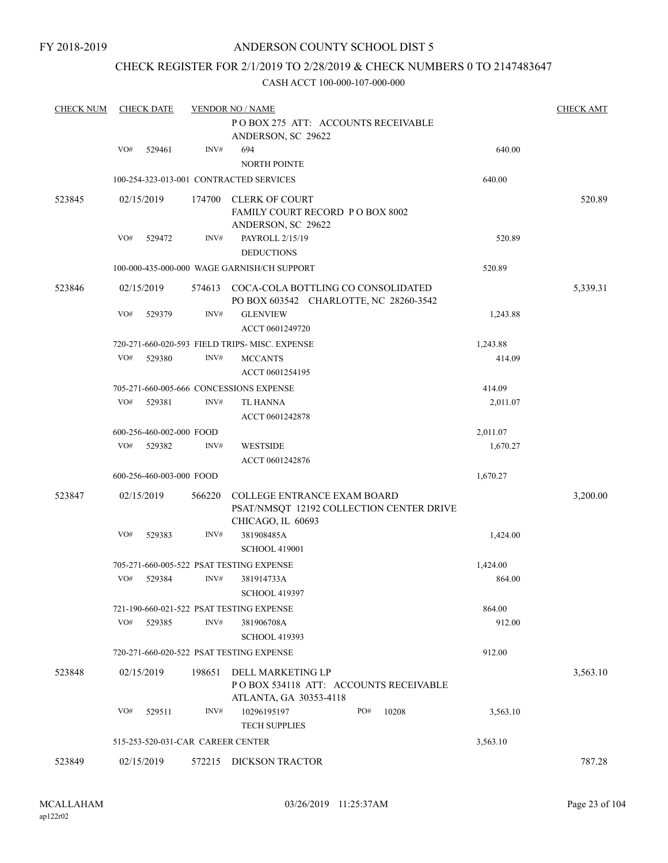#### CHECK REGISTER FOR 2/1/2019 TO 2/28/2019 & CHECK NUMBERS 0 TO 2147483647

| <b>CHECK NUM</b> |     | <b>CHECK DATE</b>                 |        | <b>VENDOR NO / NAME</b>                                                                             |          | <b>CHECK AMT</b> |
|------------------|-----|-----------------------------------|--------|-----------------------------------------------------------------------------------------------------|----------|------------------|
|                  |     |                                   |        | POBOX 275 ATT: ACCOUNTS RECEIVABLE<br>ANDERSON, SC 29622                                            |          |                  |
|                  | VO# | 529461                            | INV#   | 694<br><b>NORTH POINTE</b>                                                                          | 640.00   |                  |
|                  |     |                                   |        | 100-254-323-013-001 CONTRACTED SERVICES                                                             | 640.00   |                  |
| 523845           |     | 02/15/2019                        | 174700 | CLERK OF COURT<br>FAMILY COURT RECORD PO BOX 8002<br>ANDERSON, SC 29622                             |          | 520.89           |
|                  | VO# | 529472                            | INV#   | PAYROLL 2/15/19<br><b>DEDUCTIONS</b>                                                                | 520.89   |                  |
|                  |     |                                   |        | 100-000-435-000-000 WAGE GARNISH/CH SUPPORT                                                         | 520.89   |                  |
| 523846           |     | 02/15/2019                        | 574613 | COCA-COLA BOTTLING CO CONSOLIDATED<br>PO BOX 603542 CHARLOTTE, NC 28260-3542                        |          | 5,339.31         |
|                  | VO# | 529379                            | INV#   | <b>GLENVIEW</b><br>ACCT 0601249720                                                                  | 1,243.88 |                  |
|                  |     |                                   |        | 720-271-660-020-593 FIELD TRIPS- MISC. EXPENSE                                                      | 1,243.88 |                  |
|                  | VO# | 529380                            | INV#   | <b>MCCANTS</b><br>ACCT 0601254195                                                                   | 414.09   |                  |
|                  |     |                                   |        | 705-271-660-005-666 CONCESSIONS EXPENSE                                                             | 414.09   |                  |
|                  | VO# | 529381                            | INV#   | TL HANNA<br>ACCT 0601242878                                                                         | 2,011.07 |                  |
|                  |     | 600-256-460-002-000 FOOD          |        |                                                                                                     | 2,011.07 |                  |
|                  | VO# | 529382                            | INV#   | <b>WESTSIDE</b><br>ACCT 0601242876                                                                  | 1,670.27 |                  |
|                  |     | 600-256-460-003-000 FOOD          |        |                                                                                                     | 1,670.27 |                  |
| 523847           |     | 02/15/2019                        | 566220 | <b>COLLEGE ENTRANCE EXAM BOARD</b><br>PSAT/NMSQT 12192 COLLECTION CENTER DRIVE<br>CHICAGO, IL 60693 |          | 3,200.00         |
|                  | VO# | 529383                            | INV#   | 381908485A<br><b>SCHOOL 419001</b>                                                                  | 1,424.00 |                  |
|                  |     |                                   |        | 705-271-660-005-522 PSAT TESTING EXPENSE                                                            | 1,424.00 |                  |
|                  | VO# | 529384                            | INV#   | 381914733A<br><b>SCHOOL 419397</b>                                                                  | 864.00   |                  |
|                  |     |                                   |        | 721-190-660-021-522 PSAT TESTING EXPENSE                                                            | 864.00   |                  |
|                  | VO# | 529385                            | INV#   | 381906708A<br><b>SCHOOL 419393</b>                                                                  | 912.00   |                  |
|                  |     |                                   |        | 720-271-660-020-522 PSAT TESTING EXPENSE                                                            | 912.00   |                  |
| 523848           |     | 02/15/2019                        | 198651 | DELL MARKETING LP<br>PO BOX 534118 ATT: ACCOUNTS RECEIVABLE<br>ATLANTA, GA 30353-4118               |          | 3,563.10         |
|                  | VO# | 529511                            | INV#   | PO#<br>10296195197<br>10208<br><b>TECH SUPPLIES</b>                                                 | 3,563.10 |                  |
|                  |     | 515-253-520-031-CAR CAREER CENTER |        |                                                                                                     | 3,563.10 |                  |
| 523849           |     | 02/15/2019                        |        | 572215 DICKSON TRACTOR                                                                              |          | 787.28           |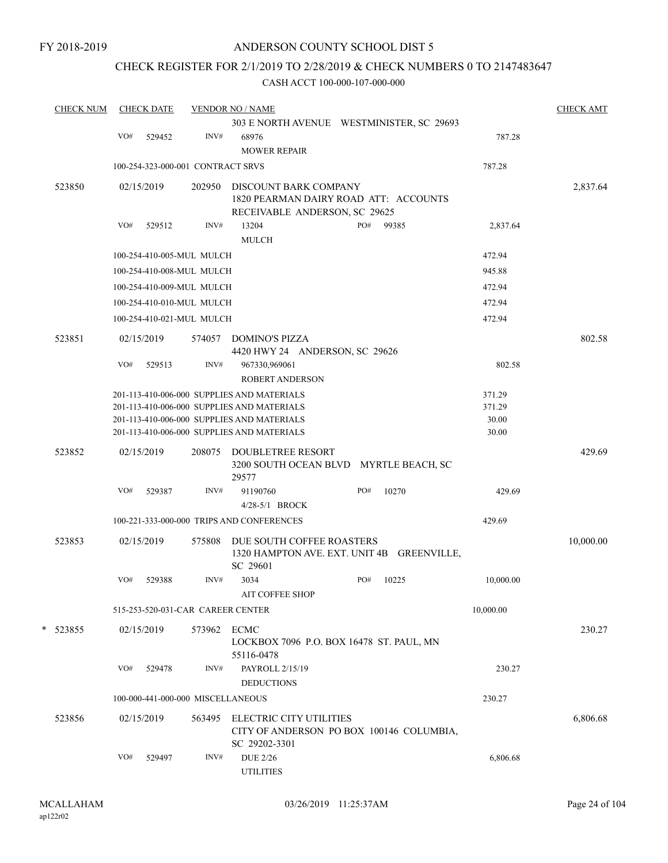FY 2018-2019

### ANDERSON COUNTY SCHOOL DIST 5

## CHECK REGISTER FOR 2/1/2019 TO 2/28/2019 & CHECK NUMBERS 0 TO 2147483647

| <b>CHECK NUM</b> |     | <b>CHECK DATE</b> |                                   | <b>VENDOR NO / NAME</b>                                                                  |     |       |                | <b>CHECK AMT</b> |
|------------------|-----|-------------------|-----------------------------------|------------------------------------------------------------------------------------------|-----|-------|----------------|------------------|
|                  |     |                   |                                   | 303 E NORTH AVENUE WESTMINISTER, SC 29693                                                |     |       |                |                  |
|                  | VO# | 529452            | INV#                              | 68976                                                                                    |     |       | 787.28         |                  |
|                  |     |                   |                                   | <b>MOWER REPAIR</b>                                                                      |     |       |                |                  |
|                  |     |                   | 100-254-323-000-001 CONTRACT SRVS |                                                                                          |     |       | 787.28         |                  |
| 523850           |     | 02/15/2019        | 202950                            | DISCOUNT BARK COMPANY                                                                    |     |       |                | 2,837.64         |
|                  |     |                   |                                   | 1820 PEARMAN DAIRY ROAD ATT: ACCOUNTS                                                    |     |       |                |                  |
|                  |     |                   |                                   | RECEIVABLE ANDERSON, SC 29625                                                            |     |       |                |                  |
|                  | VO# | 529512            | INV#                              | 13204                                                                                    | PO# | 99385 | 2,837.64       |                  |
|                  |     |                   |                                   | <b>MULCH</b>                                                                             |     |       |                |                  |
|                  |     |                   | 100-254-410-005-MUL MULCH         |                                                                                          |     |       | 472.94         |                  |
|                  |     |                   | 100-254-410-008-MUL MULCH         |                                                                                          |     |       | 945.88         |                  |
|                  |     |                   | 100-254-410-009-MUL MULCH         |                                                                                          |     |       | 472.94         |                  |
|                  |     |                   | 100-254-410-010-MUL MULCH         |                                                                                          |     |       | 472.94         |                  |
|                  |     |                   | 100-254-410-021-MUL MULCH         |                                                                                          |     |       | 472.94         |                  |
| 523851           |     | 02/15/2019        | 574057                            | <b>DOMINO'S PIZZA</b>                                                                    |     |       |                | 802.58           |
|                  |     |                   |                                   | 4420 HWY 24 ANDERSON, SC 29626                                                           |     |       |                |                  |
|                  | VO# | 529513            | INV#                              | 967330,969061                                                                            |     |       | 802.58         |                  |
|                  |     |                   |                                   | <b>ROBERT ANDERSON</b>                                                                   |     |       |                |                  |
|                  |     |                   |                                   | 201-113-410-006-000 SUPPLIES AND MATERIALS                                               |     |       | 371.29         |                  |
|                  |     |                   |                                   | 201-113-410-006-000 SUPPLIES AND MATERIALS                                               |     |       | 371.29         |                  |
|                  |     |                   |                                   | 201-113-410-006-000 SUPPLIES AND MATERIALS<br>201-113-410-006-000 SUPPLIES AND MATERIALS |     |       | 30.00<br>30.00 |                  |
|                  |     |                   |                                   |                                                                                          |     |       |                |                  |
| 523852           |     | 02/15/2019        | 208075                            | <b>DOUBLETREE RESORT</b>                                                                 |     |       |                | 429.69           |
|                  |     |                   |                                   | 3200 SOUTH OCEAN BLVD MYRTLE BEACH, SC<br>29577                                          |     |       |                |                  |
|                  | VO# | 529387            | INV#                              | 91190760                                                                                 | PO# | 10270 | 429.69         |                  |
|                  |     |                   |                                   | 4/28-5/1 BROCK                                                                           |     |       |                |                  |
|                  |     |                   |                                   | 100-221-333-000-000 TRIPS AND CONFERENCES                                                |     |       | 429.69         |                  |
|                  |     |                   |                                   |                                                                                          |     |       |                |                  |
| 523853           |     | 02/15/2019        | 575808                            | DUE SOUTH COFFEE ROASTERS<br>1320 HAMPTON AVE. EXT. UNIT 4B GREENVILLE,                  |     |       |                | 10,000.00        |
|                  |     |                   |                                   | SC 29601                                                                                 |     |       |                |                  |
|                  | VO# | 529388            | INV#                              | 3034                                                                                     | PO# | 10225 | 10,000.00      |                  |
|                  |     |                   |                                   | AIT COFFEE SHOP                                                                          |     |       |                |                  |
|                  |     |                   | 515-253-520-031-CAR CAREER CENTER |                                                                                          |     |       | 10,000.00      |                  |
|                  |     |                   |                                   |                                                                                          |     |       |                | 230.27           |
| * 523855         |     | 02/15/2019        | 573962                            | <b>ECMC</b><br>LOCKBOX 7096 P.O. BOX 16478 ST. PAUL, MN                                  |     |       |                |                  |
|                  |     |                   |                                   | 55116-0478                                                                               |     |       |                |                  |
|                  | VO# | 529478            | INV#                              | PAYROLL 2/15/19                                                                          |     |       | 230.27         |                  |
|                  |     |                   |                                   | <b>DEDUCTIONS</b>                                                                        |     |       |                |                  |
|                  |     |                   | 100-000-441-000-000 MISCELLANEOUS |                                                                                          |     |       | 230.27         |                  |
| 523856           |     | 02/15/2019        | 563495                            | ELECTRIC CITY UTILITIES                                                                  |     |       |                | 6,806.68         |
|                  |     |                   |                                   | CITY OF ANDERSON PO BOX 100146 COLUMBIA,                                                 |     |       |                |                  |
|                  |     |                   |                                   | SC 29202-3301                                                                            |     |       |                |                  |
|                  | VO# | 529497            | INV#                              | <b>DUE 2/26</b>                                                                          |     |       | 6,806.68       |                  |
|                  |     |                   |                                   | <b>UTILITIES</b>                                                                         |     |       |                |                  |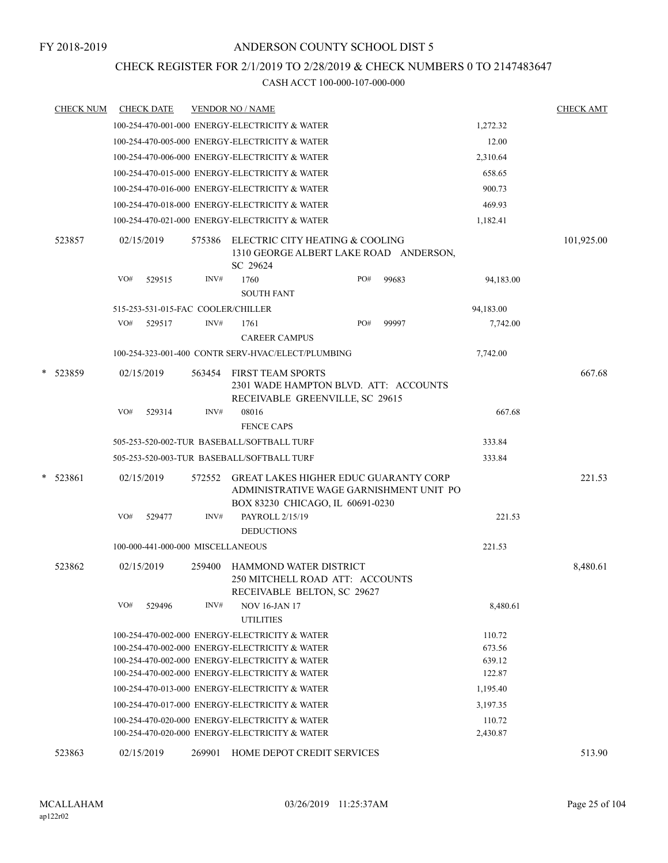### CHECK REGISTER FOR 2/1/2019 TO 2/28/2019 & CHECK NUMBERS 0 TO 2147483647

| <b>CHECK NUM</b> |     | <b>CHECK DATE</b>                  |        | <b>VENDOR NO / NAME</b>                                                                                                                            |     |                                         |                            | <b>CHECK AMT</b> |
|------------------|-----|------------------------------------|--------|----------------------------------------------------------------------------------------------------------------------------------------------------|-----|-----------------------------------------|----------------------------|------------------|
|                  |     |                                    |        | 100-254-470-001-000 ENERGY-ELECTRICITY & WATER                                                                                                     |     |                                         | 1,272.32                   |                  |
|                  |     |                                    |        | 100-254-470-005-000 ENERGY-ELECTRICITY & WATER                                                                                                     |     |                                         | 12.00                      |                  |
|                  |     |                                    |        | 100-254-470-006-000 ENERGY-ELECTRICITY & WATER                                                                                                     |     |                                         | 2,310.64                   |                  |
|                  |     |                                    |        | 100-254-470-015-000 ENERGY-ELECTRICITY & WATER                                                                                                     |     |                                         | 658.65                     |                  |
|                  |     |                                    |        | 100-254-470-016-000 ENERGY-ELECTRICITY & WATER                                                                                                     |     |                                         | 900.73                     |                  |
|                  |     |                                    |        | 100-254-470-018-000 ENERGY-ELECTRICITY & WATER                                                                                                     |     |                                         | 469.93                     |                  |
|                  |     |                                    |        | 100-254-470-021-000 ENERGY-ELECTRICITY & WATER                                                                                                     |     |                                         | 1,182.41                   |                  |
| 523857           |     | 02/15/2019                         | 575386 | ELECTRIC CITY HEATING & COOLING<br>1310 GEORGE ALBERT LAKE ROAD ANDERSON,<br>SC 29624                                                              |     |                                         |                            | 101,925.00       |
|                  | VO# | 529515                             | INV#   | 1760<br><b>SOUTH FANT</b>                                                                                                                          | PO# | 99683                                   | 94,183.00                  |                  |
|                  |     | 515-253-531-015-FAC COOLER/CHILLER |        |                                                                                                                                                    |     |                                         | 94,183.00                  |                  |
|                  | VO# | 529517                             | INV#   | 1761<br><b>CAREER CAMPUS</b>                                                                                                                       | PO# | 99997                                   | 7,742.00                   |                  |
|                  |     |                                    |        | 100-254-323-001-400 CONTR SERV-HVAC/ELECT/PLUMBING                                                                                                 |     |                                         | 7,742.00                   |                  |
| * 523859         |     | 02/15/2019                         | 563454 | <b>FIRST TEAM SPORTS</b><br>2301 WADE HAMPTON BLVD. ATT: ACCOUNTS<br>RECEIVABLE GREENVILLE, SC 29615                                               |     |                                         |                            | 667.68           |
|                  | VO# | 529314                             | INV#   | 08016<br><b>FENCE CAPS</b>                                                                                                                         |     |                                         | 667.68                     |                  |
|                  |     |                                    |        | 505-253-520-002-TUR BASEBALL/SOFTBALL TURF                                                                                                         |     |                                         | 333.84                     |                  |
|                  |     |                                    |        | 505-253-520-003-TUR BASEBALL/SOFTBALL TURF                                                                                                         |     |                                         | 333.84                     |                  |
| $*$ 523861       |     | 02/15/2019                         | 572552 | <b>GREAT LAKES HIGHER EDUC GUARANTY CORP</b><br>BOX 83230 CHICAGO, IL 60691-0230                                                                   |     | ADMINISTRATIVE WAGE GARNISHMENT UNIT PO |                            | 221.53           |
|                  | VO# | 529477                             | INV#   | PAYROLL 2/15/19<br><b>DEDUCTIONS</b>                                                                                                               |     |                                         | 221.53                     |                  |
|                  |     | 100-000-441-000-000 MISCELLANEOUS  |        |                                                                                                                                                    |     |                                         | 221.53                     |                  |
| 523862           |     | 02/15/2019                         | 259400 | <b>HAMMOND WATER DISTRICT</b><br>250 MITCHELL ROAD ATT: ACCOUNTS<br>RECEIVABLE BELTON, SC 29627                                                    |     |                                         |                            | 8,480.61         |
|                  | VO# | 529496                             | INV#   | <b>NOV 16-JAN 17</b><br><b>UTILITIES</b>                                                                                                           |     |                                         | 8,480.61                   |                  |
|                  |     |                                    |        | 100-254-470-002-000 ENERGY-ELECTRICITY & WATER<br>100-254-470-002-000 ENERGY-ELECTRICITY & WATER<br>100-254-470-002-000 ENERGY-ELECTRICITY & WATER |     |                                         | 110.72<br>673.56<br>639.12 |                  |
|                  |     |                                    |        | 100-254-470-002-000 ENERGY-ELECTRICITY & WATER                                                                                                     |     |                                         | 122.87                     |                  |
|                  |     |                                    |        | 100-254-470-013-000 ENERGY-ELECTRICITY & WATER                                                                                                     |     |                                         | 1,195.40                   |                  |
|                  |     |                                    |        | 100-254-470-017-000 ENERGY-ELECTRICITY & WATER                                                                                                     |     |                                         | 3,197.35                   |                  |
|                  |     |                                    |        | 100-254-470-020-000 ENERGY-ELECTRICITY & WATER<br>100-254-470-020-000 ENERGY-ELECTRICITY & WATER                                                   |     |                                         | 110.72<br>2,430.87         |                  |
| 523863           |     | 02/15/2019                         | 269901 | HOME DEPOT CREDIT SERVICES                                                                                                                         |     |                                         |                            | 513.90           |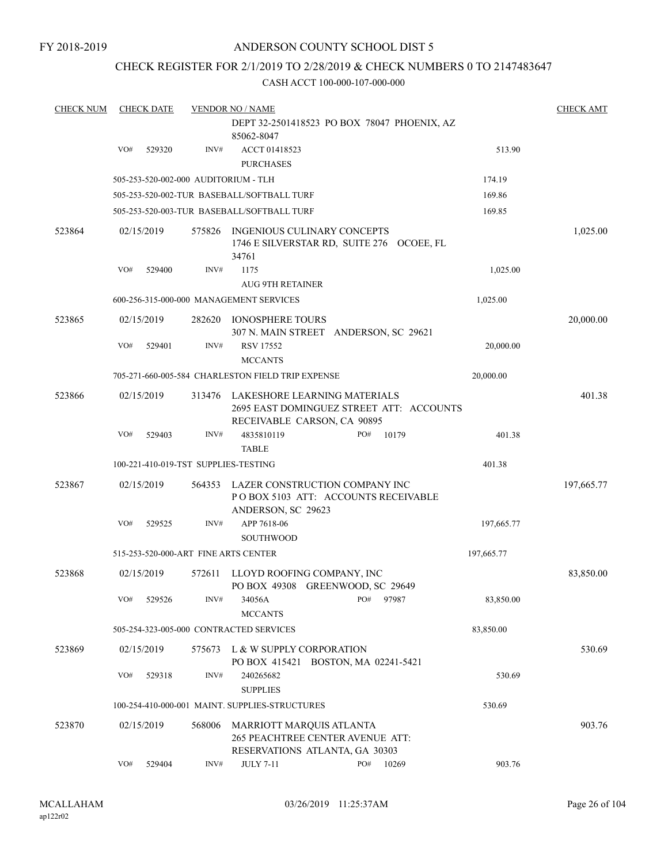FY 2018-2019

### ANDERSON COUNTY SCHOOL DIST 5

#### CHECK REGISTER FOR 2/1/2019 TO 2/28/2019 & CHECK NUMBERS 0 TO 2147483647

| <b>CHECK NUM</b> |     | <b>CHECK DATE</b> |        | <b>VENDOR NO / NAME</b>                                                                                 |     |       |            | <b>CHECK AMT</b> |
|------------------|-----|-------------------|--------|---------------------------------------------------------------------------------------------------------|-----|-------|------------|------------------|
|                  |     |                   |        | DEPT 32-2501418523 PO BOX 78047 PHOENIX, AZ<br>85062-8047                                               |     |       |            |                  |
|                  | VO# | 529320            | INV#   | ACCT 01418523<br><b>PURCHASES</b>                                                                       |     |       | 513.90     |                  |
|                  |     |                   |        | 505-253-520-002-000 AUDITORIUM - TLH                                                                    |     |       | 174.19     |                  |
|                  |     |                   |        | 505-253-520-002-TUR BASEBALL/SOFTBALL TURF                                                              |     |       | 169.86     |                  |
|                  |     |                   |        | 505-253-520-003-TUR BASEBALL/SOFTBALL TURF                                                              |     |       | 169.85     |                  |
| 523864           |     | 02/15/2019        | 575826 | INGENIOUS CULINARY CONCEPTS<br>1746 E SILVERSTAR RD, SUITE 276 OCOEE, FL<br>34761                       |     |       |            | 1,025.00         |
|                  | VO# | 529400            | INV#   | 1175                                                                                                    |     |       | 1,025.00   |                  |
|                  |     |                   |        | <b>AUG 9TH RETAINER</b>                                                                                 |     |       |            |                  |
|                  |     |                   |        | 600-256-315-000-000 MANAGEMENT SERVICES                                                                 |     |       | 1,025.00   |                  |
| 523865           |     | 02/15/2019        | 282620 | <b>IONOSPHERE TOURS</b><br>307 N. MAIN STREET ANDERSON, SC 29621                                        |     |       |            | 20,000.00        |
|                  | VO# | 529401            | INV#   | RSV 17552<br><b>MCCANTS</b>                                                                             |     |       | 20,000.00  |                  |
|                  |     |                   |        | 705-271-660-005-584 CHARLESTON FIELD TRIP EXPENSE                                                       |     |       | 20,000.00  |                  |
| 523866           |     | 02/15/2019        | 313476 | LAKESHORE LEARNING MATERIALS<br>2695 EAST DOMINGUEZ STREET ATT: ACCOUNTS<br>RECEIVABLE CARSON, CA 90895 |     |       |            | 401.38           |
|                  | VO# | 529403            | INV#   | 4835810119<br><b>TABLE</b>                                                                              | PO# | 10179 | 401.38     |                  |
|                  |     |                   |        | 100-221-410-019-TST SUPPLIES-TESTING                                                                    |     |       | 401.38     |                  |
| 523867           |     | 02/15/2019        | 564353 | LAZER CONSTRUCTION COMPANY INC<br>POBOX 5103 ATT: ACCOUNTS RECEIVABLE<br>ANDERSON, SC 29623             |     |       |            | 197,665.77       |
|                  | VO# | 529525            | INV#   | APP 7618-06<br><b>SOUTHWOOD</b>                                                                         |     |       | 197,665.77 |                  |
|                  |     |                   |        | 515-253-520-000-ART FINE ARTS CENTER                                                                    |     |       | 197,665.77 |                  |
| 523868           |     | 02/15/2019        | 572611 | LLOYD ROOFING COMPANY, INC<br>PO BOX 49308 GREENWOOD, SC 29649                                          |     |       |            | 83,850.00        |
|                  | VO# | 529526            | INV#   | 34056A<br><b>MCCANTS</b>                                                                                | PO# | 97987 | 83,850.00  |                  |
|                  |     |                   |        | 505-254-323-005-000 CONTRACTED SERVICES                                                                 |     |       | 83,850.00  |                  |
| 523869           |     | 02/15/2019        | 575673 | L & W SUPPLY CORPORATION<br>PO BOX 415421 BOSTON, MA 02241-5421                                         |     |       |            | 530.69           |
|                  | VO# | 529318            | INV#   | 240265682<br><b>SUPPLIES</b>                                                                            |     |       | 530.69     |                  |
|                  |     |                   |        | 100-254-410-000-001 MAINT. SUPPLIES-STRUCTURES                                                          |     |       | 530.69     |                  |
| 523870           |     | 02/15/2019        | 568006 | MARRIOTT MARQUIS ATLANTA<br>265 PEACHTREE CENTER AVENUE ATT:<br>RESERVATIONS ATLANTA, GA 30303          |     |       |            | 903.76           |
|                  | VO# | 529404            | INV#   | <b>JULY 7-11</b>                                                                                        | PO# | 10269 | 903.76     |                  |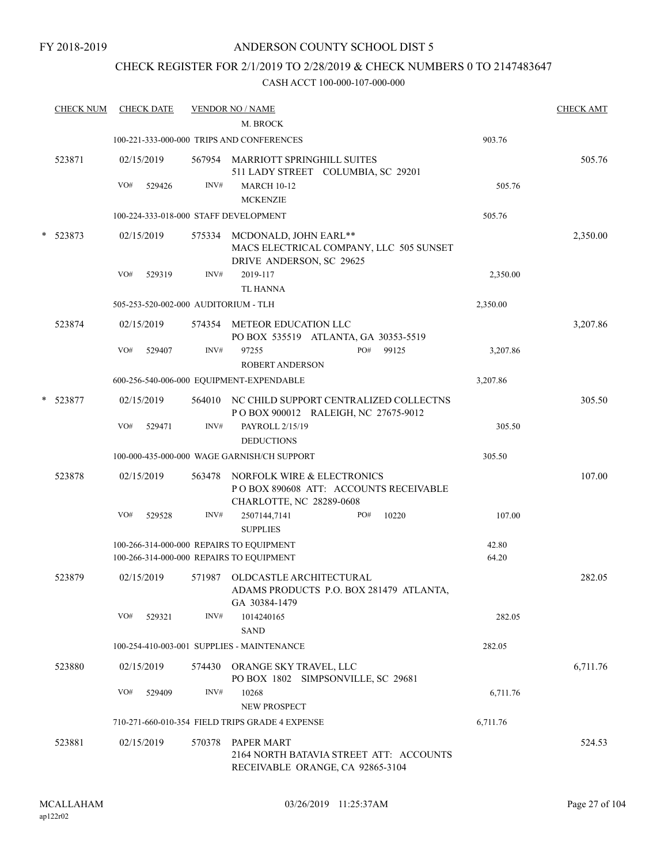FY 2018-2019

### ANDERSON COUNTY SCHOOL DIST 5

### CHECK REGISTER FOR 2/1/2019 TO 2/28/2019 & CHECK NUMBERS 0 TO 2147483647

|   | <b>CHECK NUM</b> | <b>CHECK DATE</b>                        |        | <b>VENDOR NO / NAME</b>                                                                             |          | <b>CHECK AMT</b> |
|---|------------------|------------------------------------------|--------|-----------------------------------------------------------------------------------------------------|----------|------------------|
|   |                  |                                          |        | M. BROCK                                                                                            |          |                  |
|   |                  |                                          |        | 100-221-333-000-000 TRIPS AND CONFERENCES                                                           | 903.76   |                  |
|   | 523871           | 02/15/2019                               |        | 567954 MARRIOTT SPRINGHILL SUITES<br>511 LADY STREET COLUMBIA, SC 29201                             |          | 505.76           |
|   |                  | VO#<br>529426                            | INV#   | <b>MARCH 10-12</b>                                                                                  | 505.76   |                  |
|   |                  |                                          |        | <b>MCKENZIE</b>                                                                                     |          |                  |
|   |                  | 100-224-333-018-000 STAFF DEVELOPMENT    |        |                                                                                                     | 505.76   |                  |
|   | * 523873         | 02/15/2019                               |        | 575334 MCDONALD, JOHN EARL**<br>MACS ELECTRICAL COMPANY, LLC 505 SUNSET<br>DRIVE ANDERSON, SC 29625 |          | 2,350.00         |
|   |                  | VO#<br>529319                            | INV#   | 2019-117                                                                                            | 2,350.00 |                  |
|   |                  |                                          |        | <b>TL HANNA</b>                                                                                     |          |                  |
|   |                  | 505-253-520-002-000 AUDITORIUM - TLH     |        |                                                                                                     | 2,350.00 |                  |
|   | 523874           | 02/15/2019                               |        | 574354 METEOR EDUCATION LLC<br>PO BOX 535519 ATLANTA, GA 30353-5519                                 |          | 3,207.86         |
|   |                  | VO#<br>529407                            | INV#   | PO#<br>97255<br>99125<br><b>ROBERT ANDERSON</b>                                                     | 3,207.86 |                  |
|   |                  |                                          |        | 600-256-540-006-000 EQUIPMENT-EXPENDABLE                                                            | 3,207.86 |                  |
| * | 523877           | 02/15/2019                               |        | 564010 NC CHILD SUPPORT CENTRALIZED COLLECTNS<br>POBOX 900012 RALEIGH, NC 27675-9012                |          | 305.50           |
|   |                  | VO#<br>529471                            | INV#   | PAYROLL 2/15/19<br><b>DEDUCTIONS</b>                                                                | 305.50   |                  |
|   |                  |                                          |        | 100-000-435-000-000 WAGE GARNISH/CH SUPPORT                                                         | 305.50   |                  |
|   | 523878           | 02/15/2019                               |        | NORFOLK WIRE & ELECTRONICS                                                                          |          | 107.00           |
|   |                  |                                          | 563478 | PO BOX 890608 ATT: ACCOUNTS RECEIVABLE<br>CHARLOTTE, NC 28289-0608                                  |          |                  |
|   |                  | VO#<br>529528                            | INV#   | 10220<br>2507144,7141<br>PO#<br><b>SUPPLIES</b>                                                     | 107.00   |                  |
|   |                  | 100-266-314-000-000 REPAIRS TO EQUIPMENT |        |                                                                                                     | 42.80    |                  |
|   |                  | 100-266-314-000-000 REPAIRS TO EQUIPMENT |        |                                                                                                     | 64.20    |                  |
|   | 523879           | 02/15/2019                               | 571987 | OLDCASTLE ARCHITECTURAL<br>ADAMS PRODUCTS P.O. BOX 281479 ATLANTA<br>GA 30384-1479                  |          | 282.05           |
|   |                  | VO#<br>529321                            | INV#   | 1014240165<br><b>SAND</b>                                                                           | 282.05   |                  |
|   |                  |                                          |        | 100-254-410-003-001 SUPPLIES - MAINTENANCE                                                          | 282.05   |                  |
|   | 523880           | 02/15/2019                               |        | 574430 ORANGE SKY TRAVEL, LLC<br>PO BOX 1802 SIMPSONVILLE, SC 29681                                 |          | 6,711.76         |
|   |                  | VO#<br>529409                            | INV#   | 10268<br><b>NEW PROSPECT</b>                                                                        | 6,711.76 |                  |
|   |                  |                                          |        | 710-271-660-010-354 FIELD TRIPS GRADE 4 EXPENSE                                                     | 6,711.76 |                  |
|   | 523881           | 02/15/2019                               | 570378 | PAPER MART<br>2164 NORTH BATAVIA STREET ATT: ACCOUNTS<br>RECEIVABLE ORANGE, CA 92865-3104           |          | 524.53           |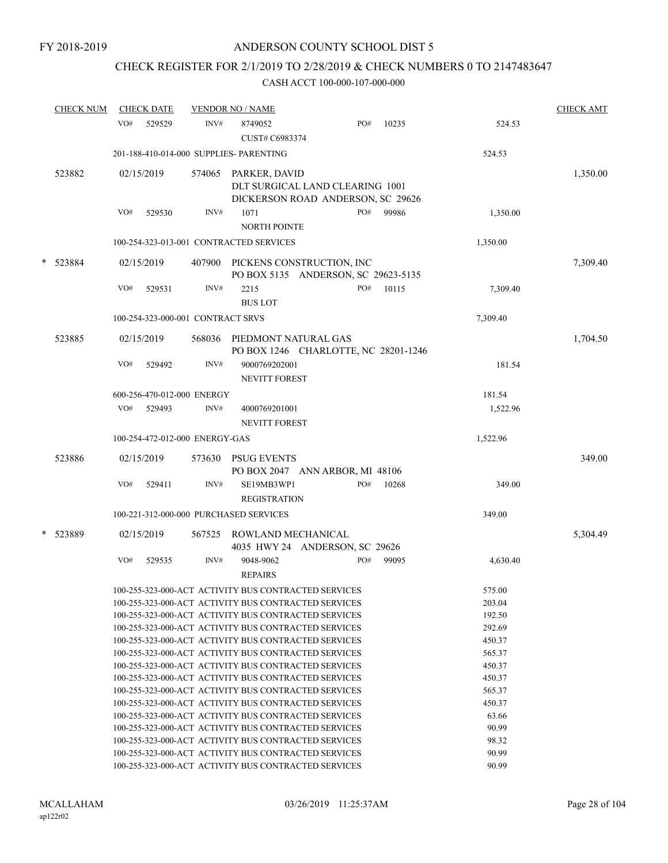# CHECK REGISTER FOR 2/1/2019 TO 2/28/2019 & CHECK NUMBERS 0 TO 2147483647

|   | <b>CHECK NUM</b> |     | <b>CHECK DATE</b> |                                   | <b>VENDOR NO / NAME</b>                 |                                                                      |     |       |          | <b>CHECK AMT</b> |
|---|------------------|-----|-------------------|-----------------------------------|-----------------------------------------|----------------------------------------------------------------------|-----|-------|----------|------------------|
|   |                  | VO# | 529529            | INV#                              | 8749052<br>CUST# C6983374               |                                                                      | PO# | 10235 | 524.53   |                  |
|   |                  |     |                   |                                   | 201-188-410-014-000 SUPPLIES- PARENTING |                                                                      |     |       | 524.53   |                  |
|   | 523882           |     | 02/15/2019        |                                   | 574065 PARKER, DAVID                    | DLT SURGICAL LAND CLEARING 1001<br>DICKERSON ROAD ANDERSON, SC 29626 |     |       |          | 1,350.00         |
|   |                  | VO# | 529530            | INV#                              | 1071<br><b>NORTH POINTE</b>             |                                                                      | PO# | 99986 | 1,350.00 |                  |
|   |                  |     |                   |                                   | 100-254-323-013-001 CONTRACTED SERVICES |                                                                      |     |       | 1,350.00 |                  |
| * | 523884           |     | 02/15/2019        | 407900                            |                                         | PICKENS CONSTRUCTION, INC<br>PO BOX 5135 ANDERSON, SC 29623-5135     |     |       |          | 7,309.40         |
|   |                  | VO# | 529531            | INV#                              | 2215<br><b>BUS LOT</b>                  |                                                                      | PO# | 10115 | 7,309.40 |                  |
|   |                  |     |                   | 100-254-323-000-001 CONTRACT SRVS |                                         |                                                                      |     |       | 7,309.40 |                  |
|   | 523885           |     | 02/15/2019        | 568036                            | PIEDMONT NATURAL GAS                    | PO BOX 1246 CHARLOTTE, NC 28201-1246                                 |     |       |          | 1,704.50         |
|   |                  | VO# | 529492            | INV#                              | 9000769202001<br><b>NEVITT FOREST</b>   |                                                                      |     |       | 181.54   |                  |
|   |                  |     |                   | 600-256-470-012-000 ENERGY        |                                         |                                                                      |     |       | 181.54   |                  |
|   |                  |     | VO# 529493        | INV#                              | 4000769201001<br><b>NEVITT FOREST</b>   |                                                                      |     |       | 1,522.96 |                  |
|   |                  |     |                   | 100-254-472-012-000 ENERGY-GAS    |                                         |                                                                      |     |       | 1,522.96 |                  |
|   | 523886           |     | 02/15/2019        | 573630                            | <b>PSUG EVENTS</b>                      | PO BOX 2047 ANN ARBOR, MI 48106                                      |     |       |          | 349.00           |
|   |                  | VO# | 529411            | INV#                              | SE19MB3WP1<br><b>REGISTRATION</b>       |                                                                      | PO# | 10268 | 349.00   |                  |
|   |                  |     |                   |                                   | 100-221-312-000-000 PURCHASED SERVICES  |                                                                      |     |       | 349.00   |                  |
| * | 523889           |     | 02/15/2019        | 567525                            | ROWLAND MECHANICAL                      | 4035 HWY 24 ANDERSON, SC 29626                                       |     |       |          | 5,304.49         |
|   |                  | VO# | 529535            | INV#                              | 9048-9062<br><b>REPAIRS</b>             |                                                                      | PO# | 99095 | 4,630.40 |                  |
|   |                  |     |                   |                                   |                                         | 100-255-323-000-ACT ACTIVITY BUS CONTRACTED SERVICES                 |     |       | 575.00   |                  |
|   |                  |     |                   |                                   |                                         | 100-255-323-000-ACT ACTIVITY BUS CONTRACTED SERVICES                 |     |       | 203.04   |                  |
|   |                  |     |                   |                                   |                                         | 100-255-323-000-ACT ACTIVITY BUS CONTRACTED SERVICES                 |     |       | 192.50   |                  |
|   |                  |     |                   |                                   |                                         | 100-255-323-000-ACT ACTIVITY BUS CONTRACTED SERVICES                 |     |       | 292.69   |                  |
|   |                  |     |                   |                                   |                                         | 100-255-323-000-ACT ACTIVITY BUS CONTRACTED SERVICES                 |     |       | 450.37   |                  |
|   |                  |     |                   |                                   |                                         | 100-255-323-000-ACT ACTIVITY BUS CONTRACTED SERVICES                 |     |       | 565.37   |                  |
|   |                  |     |                   |                                   |                                         | 100-255-323-000-ACT ACTIVITY BUS CONTRACTED SERVICES                 |     |       | 450.37   |                  |
|   |                  |     |                   |                                   |                                         | 100-255-323-000-ACT ACTIVITY BUS CONTRACTED SERVICES                 |     |       | 450.37   |                  |
|   |                  |     |                   |                                   |                                         | 100-255-323-000-ACT ACTIVITY BUS CONTRACTED SERVICES                 |     |       | 565.37   |                  |
|   |                  |     |                   |                                   |                                         | 100-255-323-000-ACT ACTIVITY BUS CONTRACTED SERVICES                 |     |       | 450.37   |                  |
|   |                  |     |                   |                                   |                                         | 100-255-323-000-ACT ACTIVITY BUS CONTRACTED SERVICES                 |     |       | 63.66    |                  |
|   |                  |     |                   |                                   |                                         | 100-255-323-000-ACT ACTIVITY BUS CONTRACTED SERVICES                 |     |       | 90.99    |                  |
|   |                  |     |                   |                                   |                                         | 100-255-323-000-ACT ACTIVITY BUS CONTRACTED SERVICES                 |     |       | 98.32    |                  |
|   |                  |     |                   |                                   |                                         | 100-255-323-000-ACT ACTIVITY BUS CONTRACTED SERVICES                 |     |       | 90.99    |                  |
|   |                  |     |                   |                                   |                                         | 100-255-323-000-ACT ACTIVITY BUS CONTRACTED SERVICES                 |     |       | 90.99    |                  |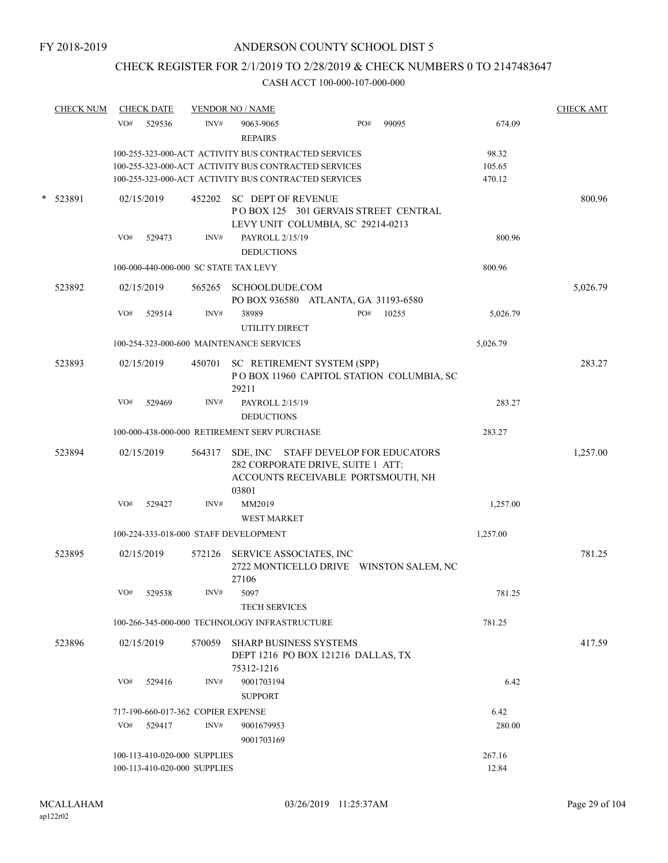# CHECK REGISTER FOR 2/1/2019 TO 2/28/2019 & CHECK NUMBERS 0 TO 2147483647

|        | <b>CHECK NUM</b> |     | <b>CHECK DATE</b> |                                                              | <b>VENDOR NO / NAME</b>                                                                                                  |     |       |                  | <b>CHECK AMT</b> |
|--------|------------------|-----|-------------------|--------------------------------------------------------------|--------------------------------------------------------------------------------------------------------------------------|-----|-------|------------------|------------------|
|        |                  | VO# | 529536            | INV#                                                         | 9063-9065<br><b>REPAIRS</b>                                                                                              | PO# | 99095 | 674.09           |                  |
|        |                  |     |                   |                                                              | 100-255-323-000-ACT ACTIVITY BUS CONTRACTED SERVICES                                                                     |     |       | 98.32            |                  |
|        |                  |     |                   |                                                              | 100-255-323-000-ACT ACTIVITY BUS CONTRACTED SERVICES<br>100-255-323-000-ACT ACTIVITY BUS CONTRACTED SERVICES             |     |       | 105.65<br>470.12 |                  |
| $\ast$ | 523891           |     | 02/15/2019        |                                                              | 452202 SC DEPT OF REVENUE<br>POBOX 125 301 GERVAIS STREET CENTRAL<br>LEVY UNIT COLUMBIA, SC 29214-0213                   |     |       |                  | 800.96           |
|        |                  | VO# | 529473            | INV#                                                         | PAYROLL 2/15/19<br><b>DEDUCTIONS</b>                                                                                     |     |       | 800.96           |                  |
|        |                  |     |                   |                                                              | 100-000-440-000-000 SC STATE TAX LEVY                                                                                    |     |       | 800.96           |                  |
|        | 523892           |     | 02/15/2019        |                                                              | 565265 SCHOOLDUDE.COM<br>PO BOX 936580 ATLANTA, GA 31193-6580                                                            |     |       |                  | 5,026.79         |
|        |                  | VO# | 529514            | INV#                                                         | 38989<br>UTILITY DIRECT                                                                                                  | PO# | 10255 | 5,026.79         |                  |
|        |                  |     |                   |                                                              | 100-254-323-000-600 MAINTENANCE SERVICES                                                                                 |     |       | 5,026.79         |                  |
|        | 523893           |     | 02/15/2019        | 450701                                                       | SC RETIREMENT SYSTEM (SPP)<br>POBOX 11960 CAPITOL STATION COLUMBIA, SC<br>29211                                          |     |       |                  | 283.27           |
|        |                  | VO# | 529469            | INV#                                                         | PAYROLL 2/15/19<br><b>DEDUCTIONS</b>                                                                                     |     |       | 283.27           |                  |
|        |                  |     |                   |                                                              | 100-000-438-000-000 RETIREMENT SERV PURCHASE                                                                             |     |       | 283.27           |                  |
|        | 523894           |     | 02/15/2019        | 564317                                                       | SDE, INC STAFF DEVELOP FOR EDUCATORS<br>282 CORPORATE DRIVE, SUITE 1 ATT:<br>ACCOUNTS RECEIVABLE PORTSMOUTH, NH<br>03801 |     |       |                  | 1,257.00         |
|        |                  | VO# | 529427            | INV#                                                         | MM2019                                                                                                                   |     |       | 1,257.00         |                  |
|        |                  |     |                   |                                                              | <b>WEST MARKET</b>                                                                                                       |     |       |                  |                  |
|        |                  |     |                   |                                                              | 100-224-333-018-000 STAFF DEVELOPMENT                                                                                    |     |       | 1,257.00         |                  |
|        | 523895           |     | 02/15/2019        |                                                              | 572126 SERVICE ASSOCIATES, INC<br>2722 MONTICELLO DRIVE WINSTON SALEM, NC<br>27106                                       |     |       |                  | 781.25           |
|        |                  |     | VO# 529538        | INV#                                                         | 5097<br><b>TECH SERVICES</b>                                                                                             |     |       | 781.25           |                  |
|        |                  |     |                   |                                                              | 100-266-345-000-000 TECHNOLOGY INFRASTRUCTURE                                                                            |     |       | 781.25           |                  |
|        | 523896           |     | 02/15/2019        |                                                              | 570059 SHARP BUSINESS SYSTEMS<br>DEPT 1216 PO BOX 121216 DALLAS, TX<br>75312-1216                                        |     |       |                  | 417.59           |
|        |                  | VO# | 529416            | INV#                                                         | 9001703194<br><b>SUPPORT</b>                                                                                             |     |       | 6.42             |                  |
|        |                  |     |                   | 717-190-660-017-362 COPIER EXPENSE                           |                                                                                                                          |     |       | 6.42             |                  |
|        |                  | VO# | 529417            | INV#                                                         | 9001679953<br>9001703169                                                                                                 |     |       | 280.00           |                  |
|        |                  |     |                   | 100-113-410-020-000 SUPPLIES<br>100-113-410-020-000 SUPPLIES |                                                                                                                          |     |       | 267.16<br>12.84  |                  |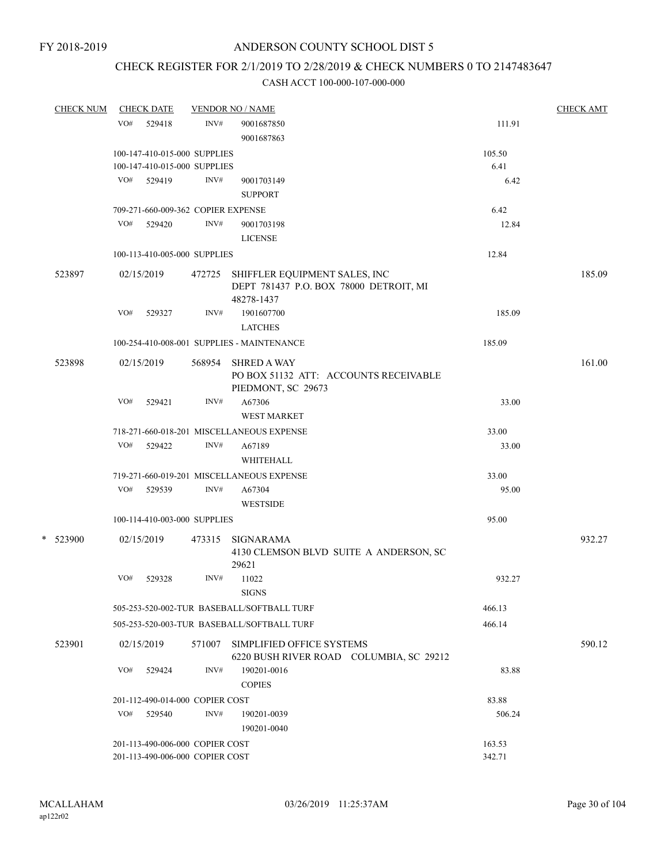# CHECK REGISTER FOR 2/1/2019 TO 2/28/2019 & CHECK NUMBERS 0 TO 2147483647

| <b>CHECK NUM</b> |     | <b>CHECK DATE</b>                  |        | <b>VENDOR NO / NAME</b>                                                                      |        | <b>CHECK AMT</b> |
|------------------|-----|------------------------------------|--------|----------------------------------------------------------------------------------------------|--------|------------------|
|                  | VO# | 529418                             | INV#   | 9001687850                                                                                   | 111.91 |                  |
|                  |     |                                    |        | 9001687863                                                                                   |        |                  |
|                  |     | 100-147-410-015-000 SUPPLIES       |        |                                                                                              | 105.50 |                  |
|                  |     | 100-147-410-015-000 SUPPLIES       |        |                                                                                              | 6.41   |                  |
|                  |     | VO# 529419                         | INV#   | 9001703149                                                                                   | 6.42   |                  |
|                  |     |                                    |        | <b>SUPPORT</b>                                                                               |        |                  |
|                  |     | 709-271-660-009-362 COPIER EXPENSE |        |                                                                                              | 6.42   |                  |
|                  |     | VO# 529420                         | INV#   | 9001703198                                                                                   | 12.84  |                  |
|                  |     |                                    |        | <b>LICENSE</b>                                                                               |        |                  |
|                  |     | 100-113-410-005-000 SUPPLIES       |        |                                                                                              | 12.84  |                  |
| 523897           |     | 02/15/2019                         |        | 472725 SHIFFLER EQUIPMENT SALES, INC<br>DEPT 781437 P.O. BOX 78000 DETROIT, MI<br>48278-1437 |        | 185.09           |
|                  | VO# | 529327                             | INV#   | 1901607700                                                                                   | 185.09 |                  |
|                  |     |                                    |        | <b>LATCHES</b>                                                                               |        |                  |
|                  |     |                                    |        | 100-254-410-008-001 SUPPLIES - MAINTENANCE                                                   | 185.09 |                  |
|                  |     |                                    |        | <b>SHRED A WAY</b>                                                                           |        |                  |
| 523898           |     | 02/15/2019                         | 568954 | PO BOX 51132 ATT: ACCOUNTS RECEIVABLE<br>PIEDMONT, SC 29673                                  |        | 161.00           |
|                  | VO# | 529421                             | INV#   | A67306<br>WEST MARKET                                                                        | 33.00  |                  |
|                  |     |                                    |        | 718-271-660-018-201 MISCELLANEOUS EXPENSE                                                    | 33.00  |                  |
|                  | VO# | 529422                             | INV#   | A67189<br>WHITEHALL                                                                          | 33.00  |                  |
|                  |     |                                    |        | 719-271-660-019-201 MISCELLANEOUS EXPENSE                                                    | 33.00  |                  |
|                  |     | VO# 529539                         | INV#   | A67304                                                                                       | 95.00  |                  |
|                  |     |                                    |        | <b>WESTSIDE</b>                                                                              |        |                  |
|                  |     | 100-114-410-003-000 SUPPLIES       |        |                                                                                              | 95.00  |                  |
| * 523900         |     | 02/15/2019                         | 473315 | <b>SIGNARAMA</b><br>4130 CLEMSON BLVD SUITE A ANDERSON, SC                                   |        | 932.27           |
|                  |     |                                    |        | 29621                                                                                        |        |                  |
|                  | VO# | 529328                             | INV#   | 11022<br><b>SIGNS</b>                                                                        | 932.27 |                  |
|                  |     |                                    |        | 505-253-520-002-TUR BASEBALL/SOFTBALL TURF                                                   | 466.13 |                  |
|                  |     |                                    |        | 505-253-520-003-TUR BASEBALL/SOFTBALL TURF                                                   | 466.14 |                  |
| 523901           |     | 02/15/2019                         | 571007 | SIMPLIFIED OFFICE SYSTEMS<br>6220 BUSH RIVER ROAD COLUMBIA, SC 29212                         |        | 590.12           |
|                  | VO# | 529424                             | INV#   | 190201-0016<br><b>COPIES</b>                                                                 | 83.88  |                  |
|                  |     | 201-112-490-014-000 COPIER COST    |        |                                                                                              | 83.88  |                  |
|                  | VO# | 529540                             | INV#   | 190201-0039<br>190201-0040                                                                   | 506.24 |                  |
|                  |     | 201-113-490-006-000 COPIER COST    |        |                                                                                              | 163.53 |                  |
|                  |     | 201-113-490-006-000 COPIER COST    |        |                                                                                              | 342.71 |                  |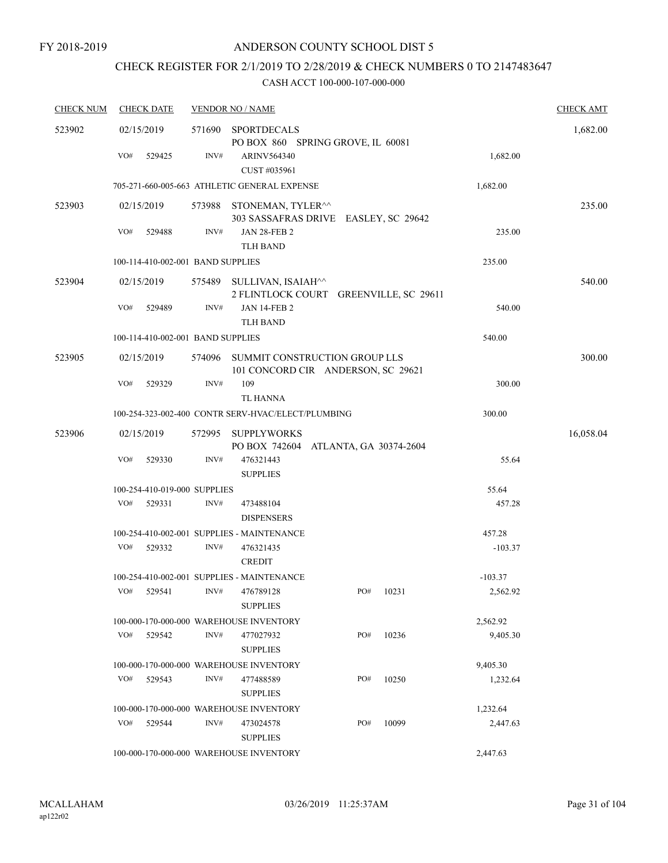# CHECK REGISTER FOR 2/1/2019 TO 2/28/2019 & CHECK NUMBERS 0 TO 2147483647

| <b>CHECK NUM</b> | <b>CHECK DATE</b>                       |        | <b>VENDOR NO / NAME</b>                                                      |  |     |           |           | <b>CHECK AMT</b> |
|------------------|-----------------------------------------|--------|------------------------------------------------------------------------------|--|-----|-----------|-----------|------------------|
| 523902           | 02/15/2019                              | 571690 | <b>SPORTDECALS</b>                                                           |  |     |           |           | 1,682.00         |
|                  | VO#<br>529425                           | INV#   | PO BOX 860 SPRING GROVE, IL 60081<br><b>ARINV564340</b><br>CUST #035961      |  |     |           | 1,682.00  |                  |
|                  |                                         |        | 705-271-660-005-663 ATHLETIC GENERAL EXPENSE                                 |  |     |           | 1,682.00  |                  |
| 523903           | 02/15/2019                              |        | 573988 STONEMAN, TYLER <sup>^^</sup><br>303 SASSAFRAS DRIVE EASLEY, SC 29642 |  |     |           |           | 235.00           |
|                  | VO#<br>529488                           | INV#   | <b>JAN 28-FEB 2</b><br><b>TLH BAND</b>                                       |  |     |           | 235.00    |                  |
|                  | 100-114-410-002-001 BAND SUPPLIES       |        |                                                                              |  |     |           | 235.00    |                  |
| 523904           | 02/15/2019                              |        | 575489 SULLIVAN, ISAIAH^^<br>2 FLINTLOCK COURT GREENVILLE, SC 29611          |  |     |           |           | 540.00           |
|                  | VO#<br>529489                           | INV#   | <b>JAN 14-FEB 2</b><br><b>TLH BAND</b>                                       |  |     |           | 540.00    |                  |
|                  | 100-114-410-002-001 BAND SUPPLIES       |        |                                                                              |  |     |           | 540.00    |                  |
| 523905           | 02/15/2019                              | 574096 | SUMMIT CONSTRUCTION GROUP LLS<br>101 CONCORD CIR ANDERSON, SC 29621          |  |     |           |           | 300.00           |
|                  | VO#<br>529329                           | INV#   | 109<br><b>TL HANNA</b>                                                       |  |     |           | 300.00    |                  |
|                  |                                         |        | 100-254-323-002-400 CONTR SERV-HVAC/ELECT/PLUMBING                           |  |     |           | 300.00    |                  |
| 523906           | 02/15/2019                              | 572995 | <b>SUPPLYWORKS</b><br>PO BOX 742604 ATLANTA, GA 30374-2604                   |  |     |           |           | 16,058.04        |
|                  | VO#<br>529330                           | INV#   | 476321443<br><b>SUPPLIES</b>                                                 |  |     |           | 55.64     |                  |
|                  | 100-254-410-019-000 SUPPLIES            |        |                                                                              |  |     |           | 55.64     |                  |
|                  | VO#<br>529331                           | INV#   | 473488104<br><b>DISPENSERS</b>                                               |  |     |           | 457.28    |                  |
|                  |                                         |        | 100-254-410-002-001 SUPPLIES - MAINTENANCE                                   |  |     |           | 457.28    |                  |
|                  | VO#<br>529332                           | INV#   | 476321435<br><b>CREDIT</b>                                                   |  |     |           | $-103.37$ |                  |
|                  |                                         |        | 100-254-410-002-001 SUPPLIES - MAINTENANCE                                   |  |     |           | $-103.37$ |                  |
|                  | VO# 529541 INV# 476789128               |        | <b>SUPPLIES</b>                                                              |  |     | PO# 10231 | 2,562.92  |                  |
|                  |                                         |        | 100-000-170-000-000 WAREHOUSE INVENTORY                                      |  |     |           | 2,562.92  |                  |
|                  | VO#<br>529542                           | INV#   | 477027932<br><b>SUPPLIES</b>                                                 |  | PO# | 10236     | 9,405.30  |                  |
|                  |                                         |        | 100-000-170-000-000 WAREHOUSE INVENTORY                                      |  |     |           | 9,405.30  |                  |
|                  | VO#<br>529543                           | INV#   | 477488589<br><b>SUPPLIES</b>                                                 |  | PO# | 10250     | 1,232.64  |                  |
|                  | 100-000-170-000-000 WAREHOUSE INVENTORY |        |                                                                              |  |     |           |           |                  |
|                  | VO#<br>529544                           | INV#   | 473024578<br><b>SUPPLIES</b>                                                 |  | PO# | 10099     | 2,447.63  |                  |
|                  |                                         |        | 100-000-170-000-000 WAREHOUSE INVENTORY                                      |  |     |           | 2,447.63  |                  |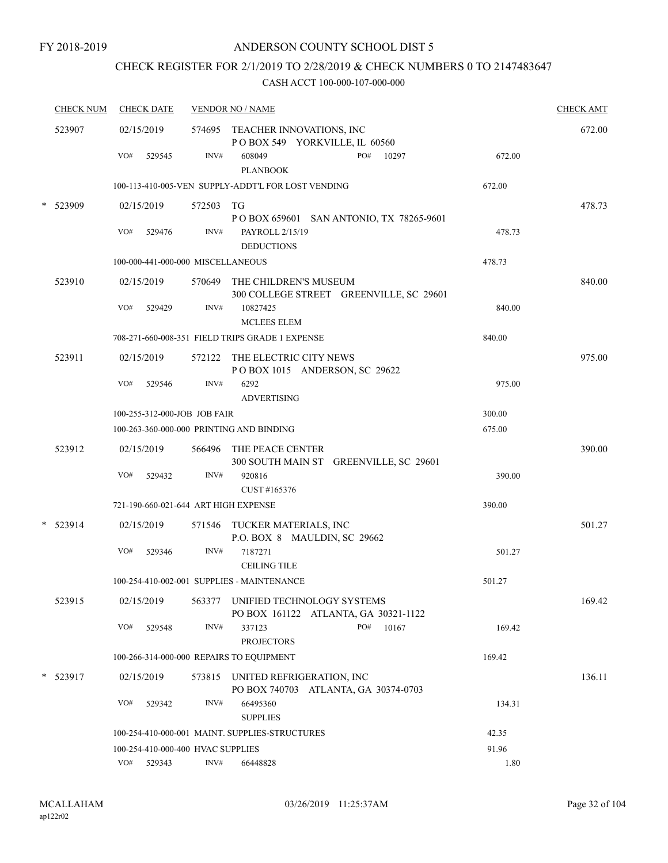# CHECK REGISTER FOR 2/1/2019 TO 2/28/2019 & CHECK NUMBERS 0 TO 2147483647

|        | <b>CHECK NUM</b> | <b>CHECK DATE</b>                        |           | <b>VENDOR NO / NAME</b>                                                     |        | <b>CHECK AMT</b> |
|--------|------------------|------------------------------------------|-----------|-----------------------------------------------------------------------------|--------|------------------|
|        | 523907           | 02/15/2019                               |           | 574695 TEACHER INNOVATIONS, INC<br>POBOX 549 YORKVILLE, IL 60560            |        | 672.00           |
|        |                  | VO#<br>529545                            | INV#      | PO#<br>608049<br>10297<br><b>PLANBOOK</b>                                   | 672.00 |                  |
|        |                  |                                          |           | 100-113-410-005-VEN SUPPLY-ADDT'L FOR LOST VENDING                          | 672.00 |                  |
| $\ast$ | 523909           | 02/15/2019                               | 572503 TG | P O BOX 659601 SAN ANTONIO, TX 78265-9601                                   |        | 478.73           |
|        |                  | VO#<br>529476                            | INV#      | PAYROLL 2/15/19<br><b>DEDUCTIONS</b>                                        | 478.73 |                  |
|        |                  | 100-000-441-000-000 MISCELLANEOUS        |           |                                                                             | 478.73 |                  |
|        | 523910           | 02/15/2019                               |           | 570649 THE CHILDREN'S MUSEUM<br>300 COLLEGE STREET GREENVILLE, SC 29601     |        | 840.00           |
|        |                  | VO#<br>529429                            | INV#      | 10827425<br><b>MCLEES ELEM</b>                                              | 840.00 |                  |
|        |                  |                                          |           | 708-271-660-008-351 FIELD TRIPS GRADE 1 EXPENSE                             | 840.00 |                  |
|        | 523911           | 02/15/2019                               |           | 572122 THE ELECTRIC CITY NEWS<br>POBOX 1015 ANDERSON, SC 29622              |        | 975.00           |
|        |                  | VO#<br>529546                            | INV#      | 6292<br><b>ADVERTISING</b>                                                  | 975.00 |                  |
|        |                  | 100-255-312-000-JOB JOB FAIR             |           |                                                                             | 300.00 |                  |
|        |                  | 100-263-360-000-000 PRINTING AND BINDING |           |                                                                             | 675.00 |                  |
|        | 523912           | 02/15/2019<br>VO#                        | INV#      | 566496 THE PEACE CENTER<br>300 SOUTH MAIN ST GREENVILLE, SC 29601<br>920816 |        | 390.00           |
|        |                  | 529432                                   |           | CUST #165376                                                                | 390.00 |                  |
|        |                  | 721-190-660-021-644 ART HIGH EXPENSE     |           |                                                                             | 390.00 |                  |
| $\ast$ | 523914           | 02/15/2019                               |           | 571546 TUCKER MATERIALS, INC<br>P.O. BOX 8 MAULDIN, SC 29662                |        | 501.27           |
|        |                  | VO#<br>529346                            | INV#      | 7187271<br><b>CEILING TILE</b>                                              | 501.27 |                  |
|        |                  |                                          |           | 100-254-410-002-001 SUPPLIES - MAINTENANCE                                  | 501.27 |                  |
|        | 523915           | 02/15/2019                               |           | 563377 UNIFIED TECHNOLOGY SYSTEMS<br>PO BOX 161122 ATLANTA, GA 30321-1122   |        | 169.42           |
|        |                  | VO#<br>529548                            | INV#      | PO#<br>10167<br>337123<br><b>PROJECTORS</b>                                 | 169.42 |                  |
|        |                  | 100-266-314-000-000 REPAIRS TO EQUIPMENT |           |                                                                             | 169.42 |                  |
|        | $*$ 523917       | 02/15/2019                               |           | 573815 UNITED REFRIGERATION, INC<br>PO BOX 740703 ATLANTA, GA 30374-0703    |        | 136.11           |
|        |                  | VO#<br>529342                            | INV#      | 66495360<br><b>SUPPLIES</b>                                                 | 134.31 |                  |
|        |                  |                                          |           | 100-254-410-000-001 MAINT. SUPPLIES-STRUCTURES                              | 42.35  |                  |
|        |                  | 100-254-410-000-400 HVAC SUPPLIES        |           |                                                                             | 91.96  |                  |
|        |                  | VO#<br>529343                            | INV#      | 66448828                                                                    | 1.80   |                  |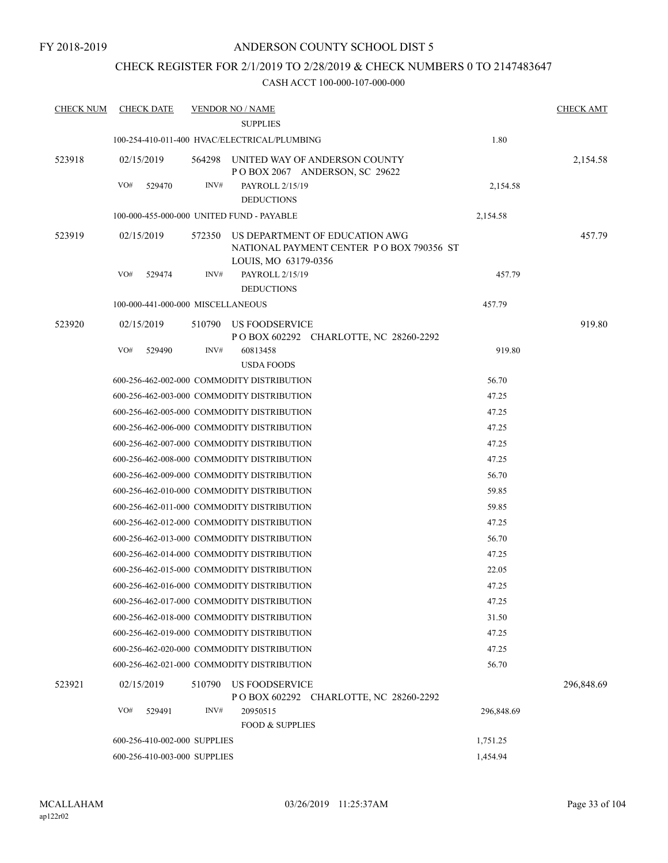### CHECK REGISTER FOR 2/1/2019 TO 2/28/2019 & CHECK NUMBERS 0 TO 2147483647

| <b>CHECK NUM</b> | <b>CHECK DATE</b>                 |        | <b>VENDOR NO / NAME</b>                      |                                                                            |            | <b>CHECK AMT</b> |
|------------------|-----------------------------------|--------|----------------------------------------------|----------------------------------------------------------------------------|------------|------------------|
|                  |                                   |        | <b>SUPPLIES</b>                              |                                                                            |            |                  |
|                  |                                   |        | 100-254-410-011-400 HVAC/ELECTRICAL/PLUMBING |                                                                            | 1.80       |                  |
| 523918           | 02/15/2019                        | 564298 |                                              | UNITED WAY OF ANDERSON COUNTY<br>POBOX 2067 ANDERSON, SC 29622             |            | 2,154.58         |
|                  | VO#<br>529470                     | INV#   | PAYROLL 2/15/19                              |                                                                            | 2,154.58   |                  |
|                  |                                   |        | <b>DEDUCTIONS</b>                            |                                                                            |            |                  |
|                  |                                   |        | 100-000-455-000-000 UNITED FUND - PAYABLE    |                                                                            | 2,154.58   |                  |
| 523919           | 02/15/2019                        | 572350 | LOUIS, MO 63179-0356                         | US DEPARTMENT OF EDUCATION AWG<br>NATIONAL PAYMENT CENTER PO BOX 790356 ST |            | 457.79           |
|                  | VO#<br>529474                     | INV#   | PAYROLL 2/15/19<br><b>DEDUCTIONS</b>         |                                                                            | 457.79     |                  |
|                  | 100-000-441-000-000 MISCELLANEOUS |        |                                              |                                                                            | 457.79     |                  |
| 523920           | 02/15/2019                        | 510790 | US FOODSERVICE                               |                                                                            |            | 919.80           |
|                  | VO#<br>529490                     | INV#   | 60813458                                     | P O BOX 602292 CHARLOTTE, NC 28260-2292                                    | 919.80     |                  |
|                  |                                   |        | <b>USDA FOODS</b>                            |                                                                            |            |                  |
|                  |                                   |        | 600-256-462-002-000 COMMODITY DISTRIBUTION   |                                                                            | 56.70      |                  |
|                  |                                   |        | 600-256-462-003-000 COMMODITY DISTRIBUTION   |                                                                            | 47.25      |                  |
|                  |                                   |        | 600-256-462-005-000 COMMODITY DISTRIBUTION   |                                                                            | 47.25      |                  |
|                  |                                   |        | 600-256-462-006-000 COMMODITY DISTRIBUTION   |                                                                            | 47.25      |                  |
|                  |                                   |        | 600-256-462-007-000 COMMODITY DISTRIBUTION   |                                                                            | 47.25      |                  |
|                  |                                   |        | 600-256-462-008-000 COMMODITY DISTRIBUTION   |                                                                            | 47.25      |                  |
|                  |                                   |        | 600-256-462-009-000 COMMODITY DISTRIBUTION   |                                                                            | 56.70      |                  |
|                  |                                   |        | 600-256-462-010-000 COMMODITY DISTRIBUTION   |                                                                            | 59.85      |                  |
|                  |                                   |        | 600-256-462-011-000 COMMODITY DISTRIBUTION   |                                                                            | 59.85      |                  |
|                  |                                   |        | 600-256-462-012-000 COMMODITY DISTRIBUTION   |                                                                            | 47.25      |                  |
|                  |                                   |        | 600-256-462-013-000 COMMODITY DISTRIBUTION   |                                                                            | 56.70      |                  |
|                  |                                   |        | 600-256-462-014-000 COMMODITY DISTRIBUTION   |                                                                            | 47.25      |                  |
|                  |                                   |        | 600-256-462-015-000 COMMODITY DISTRIBUTION   |                                                                            | 22.05      |                  |
|                  |                                   |        | 600-256-462-016-000 COMMODITY DISTRIBUTION   |                                                                            | 47.25      |                  |
|                  |                                   |        | 600-256-462-017-000 COMMODITY DISTRIBUTION   |                                                                            | 47.25      |                  |
|                  |                                   |        | 600-256-462-018-000 COMMODITY DISTRIBUTION   |                                                                            | 31.50      |                  |
|                  |                                   |        | 600-256-462-019-000 COMMODITY DISTRIBUTION   |                                                                            | 47.25      |                  |
|                  |                                   |        | 600-256-462-020-000 COMMODITY DISTRIBUTION   |                                                                            | 47.25      |                  |
|                  |                                   |        | 600-256-462-021-000 COMMODITY DISTRIBUTION   |                                                                            | 56.70      |                  |
| 523921           | 02/15/2019                        | 510790 | <b>US FOODSERVICE</b>                        | P O BOX 602292 CHARLOTTE, NC 28260-2292                                    |            | 296,848.69       |
|                  | VO#<br>529491                     | INV#   | 20950515<br><b>FOOD &amp; SUPPLIES</b>       |                                                                            | 296,848.69 |                  |
|                  | 600-256-410-002-000 SUPPLIES      |        |                                              |                                                                            | 1,751.25   |                  |
|                  | 600-256-410-003-000 SUPPLIES      |        |                                              |                                                                            | 1,454.94   |                  |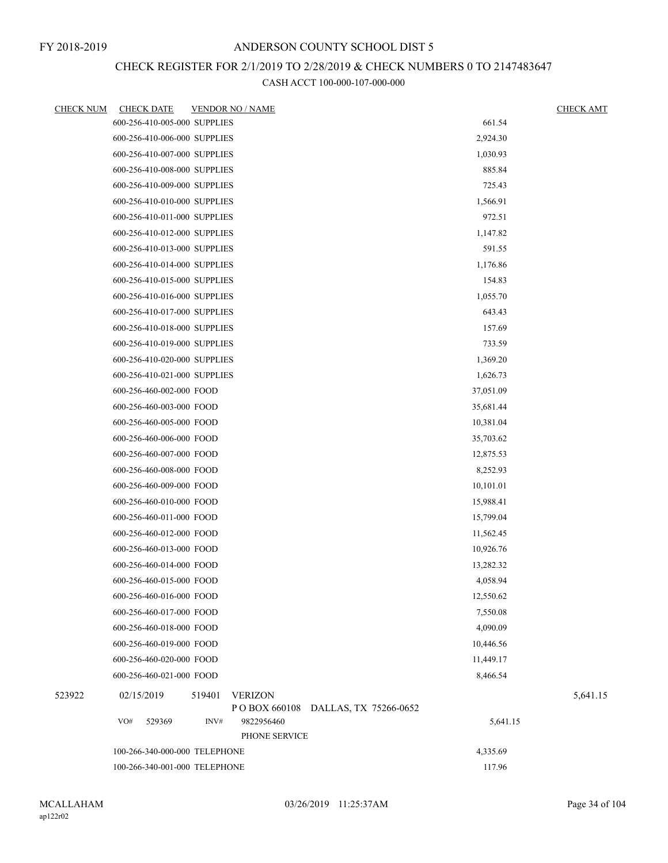## CHECK REGISTER FOR 2/1/2019 TO 2/28/2019 & CHECK NUMBERS 0 TO 2147483647

| <b>CHECK NUM</b> | <b>CHECK DATE</b>             | <b>VENDOR NO / NAME</b>  |               |                       |           | <b>CHECK AMT</b> |
|------------------|-------------------------------|--------------------------|---------------|-----------------------|-----------|------------------|
|                  | 600-256-410-005-000 SUPPLIES  |                          |               |                       | 661.54    |                  |
|                  | 600-256-410-006-000 SUPPLIES  |                          |               |                       | 2,924.30  |                  |
|                  | 600-256-410-007-000 SUPPLIES  |                          |               |                       | 1,030.93  |                  |
|                  | 600-256-410-008-000 SUPPLIES  |                          |               |                       | 885.84    |                  |
|                  | 600-256-410-009-000 SUPPLIES  |                          |               |                       | 725.43    |                  |
|                  | 600-256-410-010-000 SUPPLIES  |                          |               |                       | 1,566.91  |                  |
|                  | 600-256-410-011-000 SUPPLIES  |                          |               |                       | 972.51    |                  |
|                  | 600-256-410-012-000 SUPPLIES  |                          |               |                       | 1,147.82  |                  |
|                  | 600-256-410-013-000 SUPPLIES  |                          |               |                       | 591.55    |                  |
|                  | 600-256-410-014-000 SUPPLIES  |                          |               |                       | 1,176.86  |                  |
|                  | 600-256-410-015-000 SUPPLIES  |                          |               |                       | 154.83    |                  |
|                  | 600-256-410-016-000 SUPPLIES  |                          |               |                       | 1,055.70  |                  |
|                  | 600-256-410-017-000 SUPPLIES  |                          |               |                       | 643.43    |                  |
|                  | 600-256-410-018-000 SUPPLIES  |                          |               |                       | 157.69    |                  |
|                  | 600-256-410-019-000 SUPPLIES  |                          |               |                       | 733.59    |                  |
|                  | 600-256-410-020-000 SUPPLIES  |                          |               |                       | 1,369.20  |                  |
|                  | 600-256-410-021-000 SUPPLIES  |                          |               |                       | 1,626.73  |                  |
|                  | 600-256-460-002-000 FOOD      |                          |               |                       | 37,051.09 |                  |
|                  | 600-256-460-003-000 FOOD      |                          |               |                       | 35,681.44 |                  |
|                  | 600-256-460-005-000 FOOD      |                          |               |                       | 10,381.04 |                  |
|                  | 600-256-460-006-000 FOOD      |                          |               |                       | 35,703.62 |                  |
|                  | 600-256-460-007-000 FOOD      |                          |               |                       | 12,875.53 |                  |
|                  | 600-256-460-008-000 FOOD      |                          |               |                       | 8,252.93  |                  |
|                  | 600-256-460-009-000 FOOD      |                          |               |                       | 10,101.01 |                  |
|                  | 600-256-460-010-000 FOOD      |                          |               |                       | 15,988.41 |                  |
|                  | 600-256-460-011-000 FOOD      |                          |               |                       | 15,799.04 |                  |
|                  | 600-256-460-012-000 FOOD      |                          |               |                       | 11,562.45 |                  |
|                  | 600-256-460-013-000 FOOD      |                          |               |                       | 10,926.76 |                  |
|                  | 600-256-460-014-000 FOOD      |                          |               |                       | 13,282.32 |                  |
|                  | 600-256-460-015-000 FOOD      |                          |               |                       | 4,058.94  |                  |
|                  | 600-256-460-016-000 FOOD      |                          |               |                       | 12,550.62 |                  |
|                  | 600-256-460-017-000 FOOD      |                          |               |                       | 7,550.08  |                  |
|                  | 600-256-460-018-000 FOOD      |                          |               |                       | 4,090.09  |                  |
|                  | 600-256-460-019-000 FOOD      |                          |               |                       | 10,446.56 |                  |
|                  | 600-256-460-020-000 FOOD      |                          |               |                       | 11,449.17 |                  |
|                  | 600-256-460-021-000 FOOD      |                          |               |                       | 8,466.54  |                  |
| 523922           | 02/15/2019                    | 519401<br><b>VERIZON</b> | PO BOX 660108 | DALLAS, TX 75266-0652 |           | 5,641.15         |
|                  | VO#<br>529369                 | INV#<br>9822956460       | PHONE SERVICE |                       | 5,641.15  |                  |
|                  | 100-266-340-000-000 TELEPHONE |                          |               |                       | 4,335.69  |                  |
|                  | 100-266-340-001-000 TELEPHONE |                          |               |                       | 117.96    |                  |
|                  |                               |                          |               |                       |           |                  |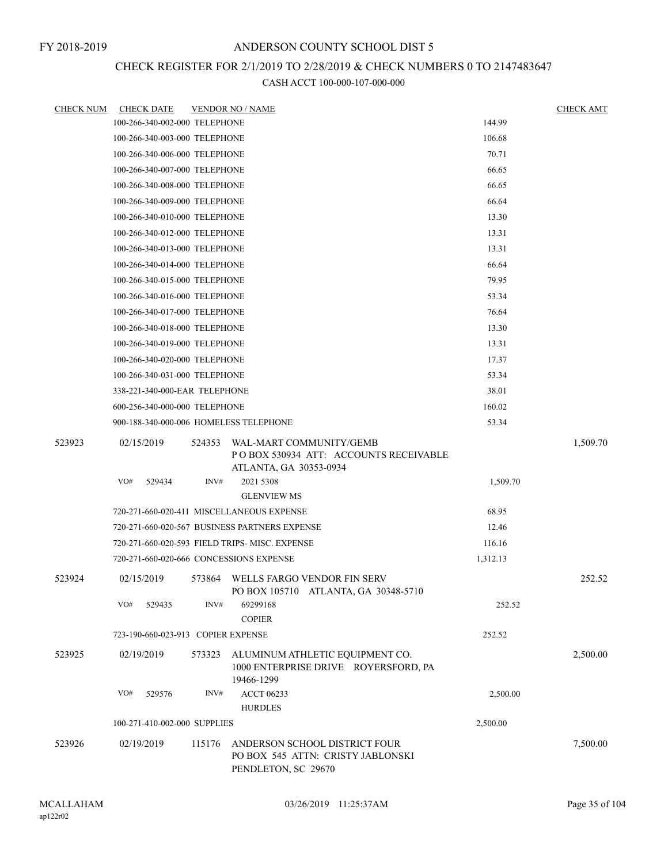# CHECK REGISTER FOR 2/1/2019 TO 2/28/2019 & CHECK NUMBERS 0 TO 2147483647

| <b>CHECK NUM</b> | <b>CHECK DATE</b>                       |        | <b>VENDOR NO / NAME</b>                                                                    |          | <b>CHECK AMT</b> |
|------------------|-----------------------------------------|--------|--------------------------------------------------------------------------------------------|----------|------------------|
|                  | 100-266-340-002-000 TELEPHONE           |        |                                                                                            | 144.99   |                  |
|                  | 100-266-340-003-000 TELEPHONE           |        |                                                                                            | 106.68   |                  |
|                  | 100-266-340-006-000 TELEPHONE           |        |                                                                                            | 70.71    |                  |
|                  | 100-266-340-007-000 TELEPHONE           |        |                                                                                            | 66.65    |                  |
|                  | 100-266-340-008-000 TELEPHONE           |        |                                                                                            | 66.65    |                  |
|                  | 100-266-340-009-000 TELEPHONE           |        |                                                                                            | 66.64    |                  |
|                  | 100-266-340-010-000 TELEPHONE           |        |                                                                                            | 13.30    |                  |
|                  | 100-266-340-012-000 TELEPHONE           |        |                                                                                            | 13.31    |                  |
|                  | 100-266-340-013-000 TELEPHONE           |        |                                                                                            | 13.31    |                  |
|                  | 100-266-340-014-000 TELEPHONE           |        |                                                                                            | 66.64    |                  |
|                  | 100-266-340-015-000 TELEPHONE           |        |                                                                                            | 79.95    |                  |
|                  | 100-266-340-016-000 TELEPHONE           |        |                                                                                            | 53.34    |                  |
|                  | 100-266-340-017-000 TELEPHONE           |        |                                                                                            | 76.64    |                  |
|                  | 100-266-340-018-000 TELEPHONE           |        |                                                                                            | 13.30    |                  |
|                  | 100-266-340-019-000 TELEPHONE           |        |                                                                                            | 13.31    |                  |
|                  | 100-266-340-020-000 TELEPHONE           |        |                                                                                            | 17.37    |                  |
|                  | 100-266-340-031-000 TELEPHONE           |        |                                                                                            | 53.34    |                  |
|                  | 338-221-340-000-EAR TELEPHONE           |        |                                                                                            | 38.01    |                  |
|                  | 600-256-340-000-000 TELEPHONE           |        |                                                                                            | 160.02   |                  |
|                  | 900-188-340-000-006 HOMELESS TELEPHONE  |        |                                                                                            | 53.34    |                  |
| 523923           | 02/15/2019                              | 524353 | WAL-MART COMMUNITY/GEMB<br>POBOX 530934 ATT: ACCOUNTS RECEIVABLE<br>ATLANTA, GA 30353-0934 |          | 1,509.70         |
|                  | VO#<br>529434                           | INV#   | 2021 5308<br><b>GLENVIEW MS</b>                                                            | 1,509.70 |                  |
|                  |                                         |        | 720-271-660-020-411 MISCELLANEOUS EXPENSE                                                  | 68.95    |                  |
|                  |                                         |        | 720-271-660-020-567 BUSINESS PARTNERS EXPENSE                                              | 12.46    |                  |
|                  |                                         |        | 720-271-660-020-593 FIELD TRIPS-MISC. EXPENSE                                              | 116.16   |                  |
|                  | 720-271-660-020-666 CONCESSIONS EXPENSE |        |                                                                                            | 1,312.13 |                  |
| 523924           | 02/15/2019                              | 573864 | WELLS FARGO VENDOR FIN SERV<br>PO BOX 105710 ATLANTA, GA 30348-5710                        |          | 252.52           |
|                  | VO#<br>529435                           | INV#   | 69299168<br><b>COPIER</b>                                                                  | 252.52   |                  |
|                  | 723-190-660-023-913 COPIER EXPENSE      |        |                                                                                            | 252.52   |                  |
| 523925           | 02/19/2019                              | 573323 | ALUMINUM ATHLETIC EQUIPMENT CO.<br>1000 ENTERPRISE DRIVE ROYERSFORD, PA<br>19466-1299      |          | 2,500.00         |
|                  | VO#<br>529576                           | INV#   | <b>ACCT 06233</b><br><b>HURDLES</b>                                                        | 2,500.00 |                  |
|                  | 100-271-410-002-000 SUPPLIES            |        |                                                                                            | 2,500.00 |                  |
| 523926           | 02/19/2019                              | 115176 | ANDERSON SCHOOL DISTRICT FOUR<br>PO BOX 545 ATTN: CRISTY JABLONSKI<br>PENDLETON, SC 29670  |          | 7,500.00         |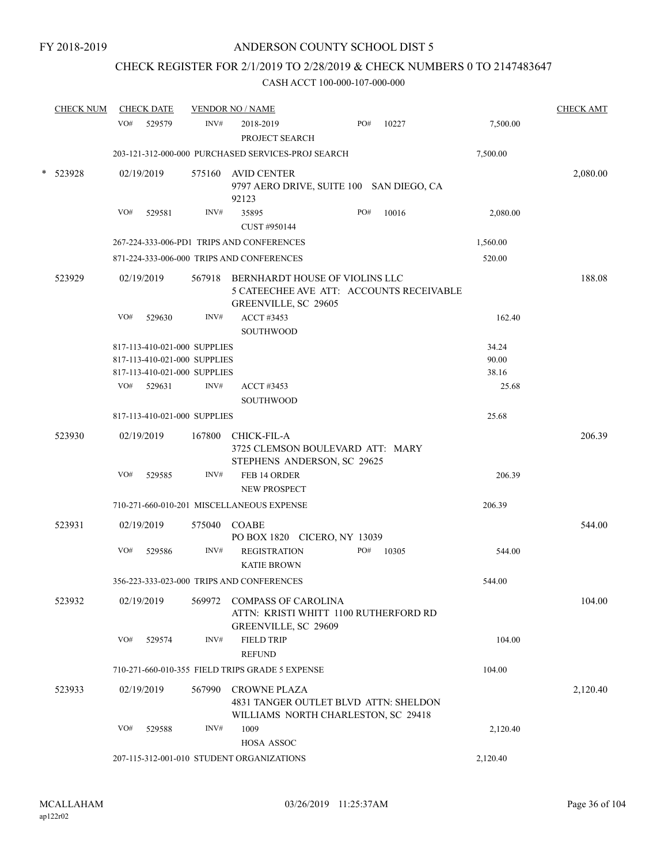## CHECK REGISTER FOR 2/1/2019 TO 2/28/2019 & CHECK NUMBERS 0 TO 2147483647

|        | <b>CHECK NUM</b> |     | <b>CHECK DATE</b>            |        | <b>VENDOR NO / NAME</b>                                                                             |     |       |          | <b>CHECK AMT</b> |
|--------|------------------|-----|------------------------------|--------|-----------------------------------------------------------------------------------------------------|-----|-------|----------|------------------|
|        |                  | VO# | 529579                       | INV#   | 2018-2019<br>PROJECT SEARCH                                                                         | PO# | 10227 | 7,500.00 |                  |
|        |                  |     |                              |        | 203-121-312-000-000 PURCHASED SERVICES-PROJ SEARCH                                                  |     |       | 7,500.00 |                  |
| $\ast$ | 523928           |     | 02/19/2019                   | 575160 | <b>AVID CENTER</b><br>9797 AERO DRIVE, SUITE 100 SAN DIEGO, CA<br>92123                             |     |       |          | 2,080.00         |
|        |                  | VO# | 529581                       | INV#   | 35895                                                                                               | PO# | 10016 | 2,080.00 |                  |
|        |                  |     |                              |        | CUST #950144                                                                                        |     |       |          |                  |
|        |                  |     |                              |        | 267-224-333-006-PD1 TRIPS AND CONFERENCES                                                           |     |       | 1,560.00 |                  |
|        |                  |     |                              |        | 871-224-333-006-000 TRIPS AND CONFERENCES                                                           |     |       | 520.00   |                  |
|        | 523929           |     | 02/19/2019                   |        | 567918 BERNHARDT HOUSE OF VIOLINS LLC<br>5 CATEECHEE AVE ATT: ACCOUNTS RECEIVABLE                   |     |       |          | 188.08           |
|        |                  | VO# | 529630                       | INV#   | GREENVILLE, SC 29605<br>ACCT #3453<br><b>SOUTHWOOD</b>                                              |     |       | 162.40   |                  |
|        |                  |     | 817-113-410-021-000 SUPPLIES |        |                                                                                                     |     |       | 34.24    |                  |
|        |                  |     | 817-113-410-021-000 SUPPLIES |        |                                                                                                     |     |       | 90.00    |                  |
|        |                  |     | 817-113-410-021-000 SUPPLIES |        |                                                                                                     |     |       | 38.16    |                  |
|        |                  | VO# | 529631                       | INV#   | <b>ACCT #3453</b>                                                                                   |     |       | 25.68    |                  |
|        |                  |     |                              |        | <b>SOUTHWOOD</b>                                                                                    |     |       |          |                  |
|        |                  |     | 817-113-410-021-000 SUPPLIES |        |                                                                                                     |     |       | 25.68    |                  |
|        | 523930           |     | 02/19/2019                   | 167800 | CHICK-FIL-A<br>3725 CLEMSON BOULEVARD ATT: MARY<br>STEPHENS ANDERSON, SC 29625                      |     |       |          | 206.39           |
|        |                  | VO# | 529585                       | INV#   | FEB 14 ORDER                                                                                        |     |       | 206.39   |                  |
|        |                  |     |                              |        | <b>NEW PROSPECT</b>                                                                                 |     |       |          |                  |
|        |                  |     |                              |        | 710-271-660-010-201 MISCELLANEOUS EXPENSE                                                           |     |       | 206.39   |                  |
|        | 523931           |     | 02/19/2019                   | 575040 | COABE<br>PO BOX 1820 CICERO, NY 13039                                                               |     |       |          | 544.00           |
|        |                  | VO# | 529586                       | INV#   | <b>REGISTRATION</b><br><b>KATIE BROWN</b>                                                           | PO# | 10305 | 544.00   |                  |
|        |                  |     |                              |        | 356-223-333-023-000 TRIPS AND CONFERENCES                                                           |     |       | 544.00   |                  |
|        | 523932           |     | 02/19/2019                   | 569972 | <b>COMPASS OF CAROLINA</b><br>ATTN: KRISTI WHITT 1100 RUTHERFORD RD<br>GREENVILLE, SC 29609         |     |       |          | 104.00           |
|        |                  | VO# | 529574                       | INV#   | <b>FIELD TRIP</b><br><b>REFUND</b>                                                                  |     |       | 104.00   |                  |
|        |                  |     |                              |        | 710-271-660-010-355 FIELD TRIPS GRADE 5 EXPENSE                                                     |     |       | 104.00   |                  |
|        | 523933           |     | 02/19/2019                   | 567990 | <b>CROWNE PLAZA</b><br>4831 TANGER OUTLET BLVD ATTN: SHELDON<br>WILLIAMS NORTH CHARLESTON, SC 29418 |     |       |          | 2,120.40         |
|        |                  | VO# | 529588                       | INV#   | 1009<br>HOSA ASSOC                                                                                  |     |       | 2,120.40 |                  |
|        |                  |     |                              |        | 207-115-312-001-010 STUDENT ORGANIZATIONS                                                           |     |       | 2,120.40 |                  |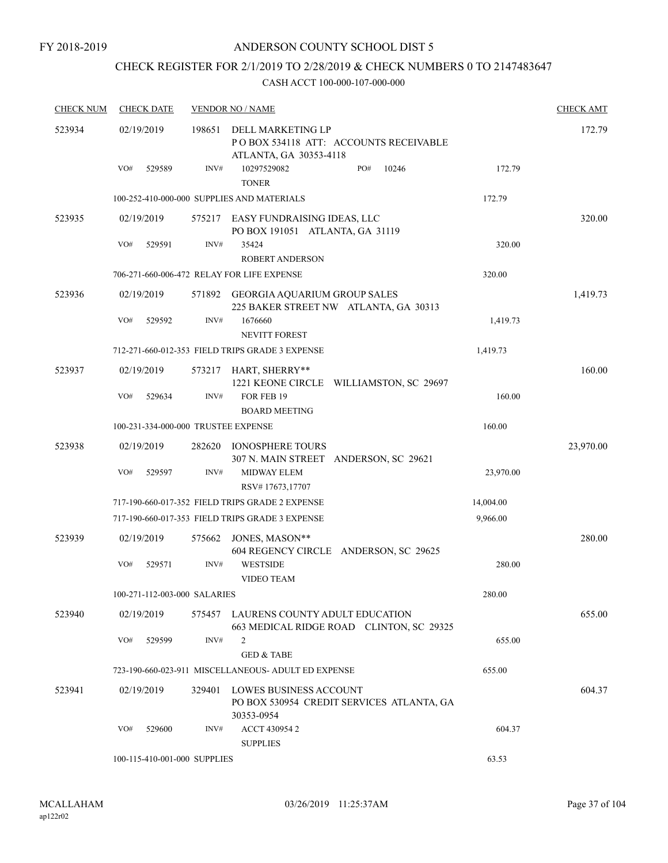# CHECK REGISTER FOR 2/1/2019 TO 2/28/2019 & CHECK NUMBERS 0 TO 2147483647

| <b>CHECK NUM</b> | <b>CHECK DATE</b>                   |        | <b>VENDOR NO / NAME</b>                                                               |           | <b>CHECK AMT</b> |
|------------------|-------------------------------------|--------|---------------------------------------------------------------------------------------|-----------|------------------|
| 523934           | 02/19/2019                          | 198651 | DELL MARKETING LP<br>PO BOX 534118 ATT: ACCOUNTS RECEIVABLE<br>ATLANTA, GA 30353-4118 |           | 172.79           |
|                  | VO#<br>529589                       | INV#   | 10246<br>10297529082<br>PO#<br><b>TONER</b>                                           | 172.79    |                  |
|                  |                                     |        | 100-252-410-000-000 SUPPLIES AND MATERIALS                                            | 172.79    |                  |
| 523935           | 02/19/2019                          | 575217 | EASY FUNDRAISING IDEAS, LLC<br>PO BOX 191051 ATLANTA, GA 31119                        |           | 320.00           |
|                  | VO#<br>529591                       | INV#   | 35424<br><b>ROBERT ANDERSON</b>                                                       | 320.00    |                  |
|                  |                                     |        | 706-271-660-006-472 RELAY FOR LIFE EXPENSE                                            | 320.00    |                  |
| 523936           | 02/19/2019                          | 571892 | GEORGIA AQUARIUM GROUP SALES<br>225 BAKER STREET NW ATLANTA, GA 30313                 |           | 1,419.73         |
|                  | VO#<br>529592                       | INV#   | 1676660<br><b>NEVITT FOREST</b>                                                       | 1,419.73  |                  |
|                  |                                     |        | 712-271-660-012-353 FIELD TRIPS GRADE 3 EXPENSE                                       | 1,419.73  |                  |
| 523937           | 02/19/2019                          | 573217 | HART, SHERRY**<br>1221 KEONE CIRCLE WILLIAMSTON, SC 29697                             |           | 160.00           |
|                  | VO#<br>529634                       | INV#   | FOR FEB 19<br><b>BOARD MEETING</b>                                                    | 160.00    |                  |
|                  | 100-231-334-000-000 TRUSTEE EXPENSE |        |                                                                                       | 160.00    |                  |
| 523938           | 02/19/2019                          | 282620 | <b>IONOSPHERE TOURS</b><br>307 N. MAIN STREET ANDERSON, SC 29621                      |           | 23,970.00        |
|                  | VO#<br>529597                       | INV#   | <b>MIDWAY ELEM</b><br>RSV#17673,17707                                                 | 23,970.00 |                  |
|                  |                                     |        | 717-190-660-017-352 FIELD TRIPS GRADE 2 EXPENSE                                       | 14,004.00 |                  |
|                  |                                     |        | 717-190-660-017-353 FIELD TRIPS GRADE 3 EXPENSE                                       | 9,966.00  |                  |
| 523939           | 02/19/2019                          | 575662 | JONES, MASON**<br>604 REGENCY CIRCLE ANDERSON, SC 29625                               |           | 280.00           |
|                  | VO#<br>529571                       | INV#   | <b>WESTSIDE</b><br>VIDEO TEAM                                                         | 280.00    |                  |
|                  | 100-271-112-003-000 SALARIES        |        |                                                                                       | 280.00    |                  |
| 523940           | 02/19/2019                          | 575457 | LAURENS COUNTY ADULT EDUCATION<br>663 MEDICAL RIDGE ROAD CLINTON, SC 29325            |           | 655.00           |
|                  | VO#<br>529599                       | INV#   | 2<br><b>GED &amp; TABE</b>                                                            | 655.00    |                  |
|                  |                                     |        | 723-190-660-023-911 MISCELLANEOUS- ADULT ED EXPENSE                                   | 655.00    |                  |
| 523941           | 02/19/2019                          | 329401 | LOWES BUSINESS ACCOUNT<br>PO BOX 530954 CREDIT SERVICES ATLANTA, GA<br>30353-0954     |           | 604.37           |
|                  | VO#<br>529600                       | INV#   | ACCT 430954 2<br><b>SUPPLIES</b>                                                      | 604.37    |                  |
|                  | 100-115-410-001-000 SUPPLIES        |        |                                                                                       | 63.53     |                  |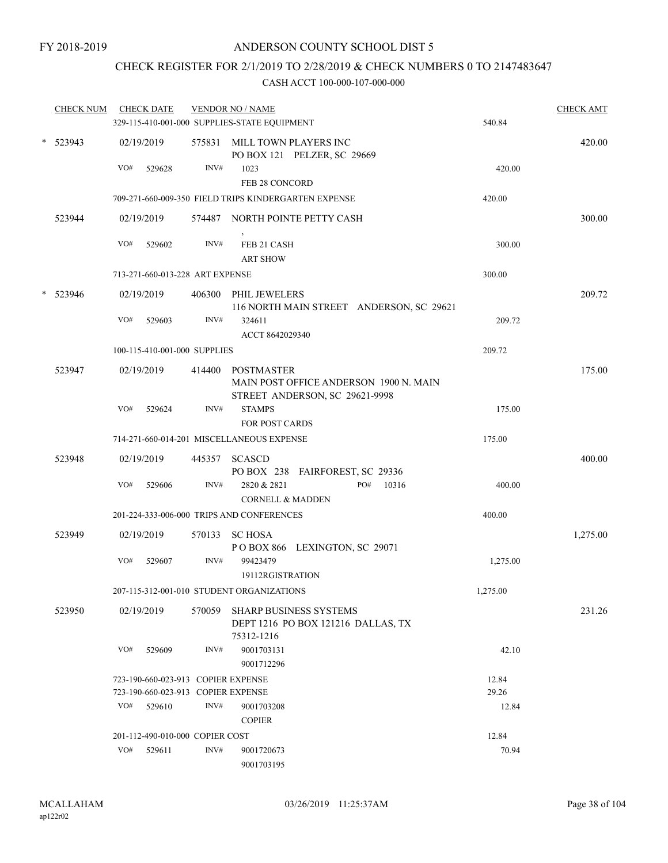# CHECK REGISTER FOR 2/1/2019 TO 2/28/2019 & CHECK NUMBERS 0 TO 2147483647

| <b>CHECK NUM</b> |     | <b>CHECK DATE</b>                  |        | <b>VENDOR NO / NAME</b><br>329-115-410-001-000 SUPPLIES-STATE EQUIPMENT           | 540.84   | <b>CHECK AMT</b> |
|------------------|-----|------------------------------------|--------|-----------------------------------------------------------------------------------|----------|------------------|
|                  |     |                                    |        |                                                                                   |          |                  |
| * 523943         |     | 02/19/2019                         |        | 575831 MILL TOWN PLAYERS INC<br>PO BOX 121 PELZER, SC 29669                       |          | 420.00           |
|                  | VO# | 529628                             | INV#   | 1023                                                                              | 420.00   |                  |
|                  |     |                                    |        | FEB 28 CONCORD<br>709-271-660-009-350 FIELD TRIPS KINDERGARTEN EXPENSE            | 420.00   |                  |
|                  |     |                                    |        |                                                                                   |          |                  |
| 523944           |     | 02/19/2019                         |        | 574487 NORTH POINTE PETTY CASH                                                    |          | 300.00           |
|                  | VO# | 529602                             | INV#   | FEB 21 CASH<br><b>ART SHOW</b>                                                    | 300.00   |                  |
|                  |     | 713-271-660-013-228 ART EXPENSE    |        |                                                                                   | 300.00   |                  |
| $*$ 523946       |     | 02/19/2019                         |        | 406300 PHIL JEWELERS<br>116 NORTH MAIN STREET ANDERSON, SC 29621                  |          | 209.72           |
|                  | VO# | 529603                             | INV#   | 324611<br>ACCT 8642029340                                                         | 209.72   |                  |
|                  |     | 100-115-410-001-000 SUPPLIES       |        |                                                                                   | 209.72   |                  |
| 523947           |     | 02/19/2019                         | 414400 | POSTMASTER                                                                        |          | 175.00           |
|                  |     |                                    |        | MAIN POST OFFICE ANDERSON 1900 N. MAIN                                            |          |                  |
|                  | VO# | 529624                             | INV#   | STREET ANDERSON, SC 29621-9998<br><b>STAMPS</b>                                   | 175.00   |                  |
|                  |     |                                    |        | <b>FOR POST CARDS</b>                                                             |          |                  |
|                  |     |                                    |        | 714-271-660-014-201 MISCELLANEOUS EXPENSE                                         | 175.00   |                  |
| 523948           |     | 02/19/2019                         |        | 445357 SCASCD                                                                     |          | 400.00           |
|                  | VO# |                                    | INV#   | PO BOX 238 FAIRFOREST, SC 29336<br>2820 & 2821<br>PO#                             |          |                  |
|                  |     | 529606                             |        | 10316<br><b>CORNELL &amp; MADDEN</b>                                              | 400.00   |                  |
|                  |     |                                    |        | 201-224-333-006-000 TRIPS AND CONFERENCES                                         | 400.00   |                  |
| 523949           |     | 02/19/2019                         |        | 570133 SC HOSA                                                                    |          | 1,275.00         |
|                  |     |                                    |        | POBOX 866 LEXINGTON, SC 29071                                                     |          |                  |
|                  | VO# | 529607                             | INV#   | 99423479                                                                          | 1,275.00 |                  |
|                  |     |                                    |        | 19112RGISTRATION<br>207-115-312-001-010 STUDENT ORGANIZATIONS                     | 1,275.00 |                  |
|                  |     |                                    |        |                                                                                   |          |                  |
| 523950           |     | 02/19/2019                         | 570059 | <b>SHARP BUSINESS SYSTEMS</b><br>DEPT 1216 PO BOX 121216 DALLAS, TX<br>75312-1216 |          | 231.26           |
|                  | VO# | 529609                             | INV#   | 9001703131                                                                        | 42.10    |                  |
|                  |     |                                    |        | 9001712296                                                                        |          |                  |
|                  |     | 723-190-660-023-913 COPIER EXPENSE |        |                                                                                   | 12.84    |                  |
|                  |     | 723-190-660-023-913 COPIER EXPENSE |        |                                                                                   | 29.26    |                  |
|                  | VO# | 529610                             | INV#   | 9001703208                                                                        | 12.84    |                  |
|                  |     |                                    |        | <b>COPIER</b>                                                                     |          |                  |
|                  |     | 201-112-490-010-000 COPIER COST    |        |                                                                                   | 12.84    |                  |
|                  | VO# | 529611                             | INV#   | 9001720673                                                                        | 70.94    |                  |
|                  |     |                                    |        | 9001703195                                                                        |          |                  |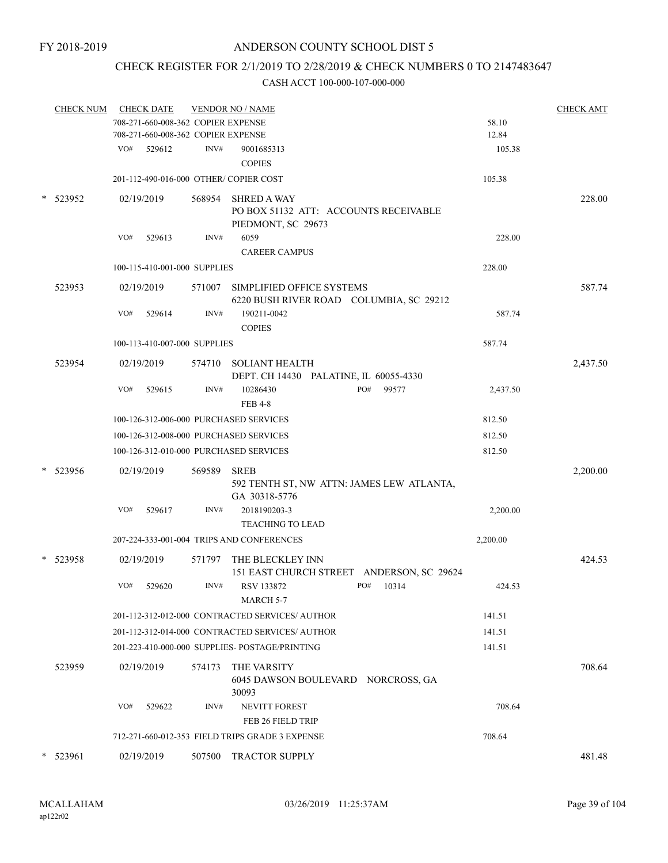# CHECK REGISTER FOR 2/1/2019 TO 2/28/2019 & CHECK NUMBERS 0 TO 2147483647

|        | <u>CHECK NUM</u> | <b>CHECK DATE</b>                         |        | <b>VENDOR NO / NAME</b>                                              |          | <b>CHECK AMT</b> |
|--------|------------------|-------------------------------------------|--------|----------------------------------------------------------------------|----------|------------------|
|        |                  | 708-271-660-008-362 COPIER EXPENSE        |        |                                                                      | 58.10    |                  |
|        |                  | 708-271-660-008-362 COPIER EXPENSE        |        |                                                                      | 12.84    |                  |
|        |                  | VO#<br>529612                             | INV#   | 9001685313<br><b>COPIES</b>                                          | 105.38   |                  |
|        |                  | 201-112-490-016-000 OTHER/ COPIER COST    |        |                                                                      | 105.38   |                  |
| $\ast$ | 523952           | 02/19/2019                                |        | 568954 SHRED A WAY<br>PO BOX 51132 ATT: ACCOUNTS RECEIVABLE          |          | 228.00           |
|        |                  |                                           |        | PIEDMONT, SC 29673                                                   |          |                  |
|        |                  | VO#<br>529613                             | INV#   | 6059                                                                 | 228.00   |                  |
|        |                  |                                           |        | <b>CAREER CAMPUS</b>                                                 |          |                  |
|        |                  | 100-115-410-001-000 SUPPLIES              |        |                                                                      | 228.00   |                  |
|        | 523953           | 02/19/2019                                | 571007 | SIMPLIFIED OFFICE SYSTEMS<br>6220 BUSH RIVER ROAD COLUMBIA, SC 29212 |          | 587.74           |
|        |                  | VO#<br>529614                             | INV#   | 190211-0042<br><b>COPIES</b>                                         | 587.74   |                  |
|        |                  | 100-113-410-007-000 SUPPLIES              |        |                                                                      | 587.74   |                  |
|        | 523954           | 02/19/2019                                | 574710 | <b>SOLIANT HEALTH</b><br>DEPT. CH 14430 PALATINE, IL 60055-4330      |          | 2,437.50         |
|        |                  | VO#<br>529615                             | INV#   | 10286430<br>PO#<br>99577<br><b>FEB 4-8</b>                           | 2,437.50 |                  |
|        |                  | 100-126-312-006-000 PURCHASED SERVICES    |        |                                                                      | 812.50   |                  |
|        |                  | 100-126-312-008-000 PURCHASED SERVICES    |        |                                                                      | 812.50   |                  |
|        |                  | 100-126-312-010-000 PURCHASED SERVICES    |        |                                                                      | 812.50   |                  |
|        | * 523956         | 02/19/2019                                | 569589 | <b>SREB</b>                                                          |          | 2,200.00         |
|        |                  |                                           |        | 592 TENTH ST, NW ATTN: JAMES LEW ATLANTA,<br>GA 30318-5776           |          |                  |
|        |                  | VO#<br>529617                             | INV#   | 2018190203-3<br><b>TEACHING TO LEAD</b>                              | 2,200.00 |                  |
|        |                  | 207-224-333-001-004 TRIPS AND CONFERENCES |        |                                                                      | 2,200.00 |                  |
|        | * 523958         | 02/19/2019                                | 571797 | THE BLECKLEY INN<br>151 EAST CHURCH STREET ANDERSON, SC 29624        |          | 424.53           |
|        |                  | VO#<br>529620                             | INV#   | PO#<br>RSV 133872<br>10314<br>MARCH 5-7                              | 424.53   |                  |
|        |                  |                                           |        | 201-112-312-012-000 CONTRACTED SERVICES/AUTHOR                       | 141.51   |                  |
|        |                  |                                           |        | 201-112-312-014-000 CONTRACTED SERVICES/ AUTHOR                      | 141.51   |                  |
|        |                  |                                           |        | 201-223-410-000-000 SUPPLIES- POSTAGE/PRINTING                       | 141.51   |                  |
|        | 523959           | 02/19/2019                                | 574173 | THE VARSITY                                                          |          | 708.64           |
|        |                  |                                           |        | 6045 DAWSON BOULEVARD NORCROSS, GA<br>30093                          |          |                  |
|        |                  | VO#<br>529622                             | INV#   | <b>NEVITT FOREST</b><br>FEB 26 FIELD TRIP                            | 708.64   |                  |
|        |                  |                                           |        | 712-271-660-012-353 FIELD TRIPS GRADE 3 EXPENSE                      | 708.64   |                  |
| $\ast$ | 523961           | 02/19/2019                                | 507500 | TRACTOR SUPPLY                                                       |          | 481.48           |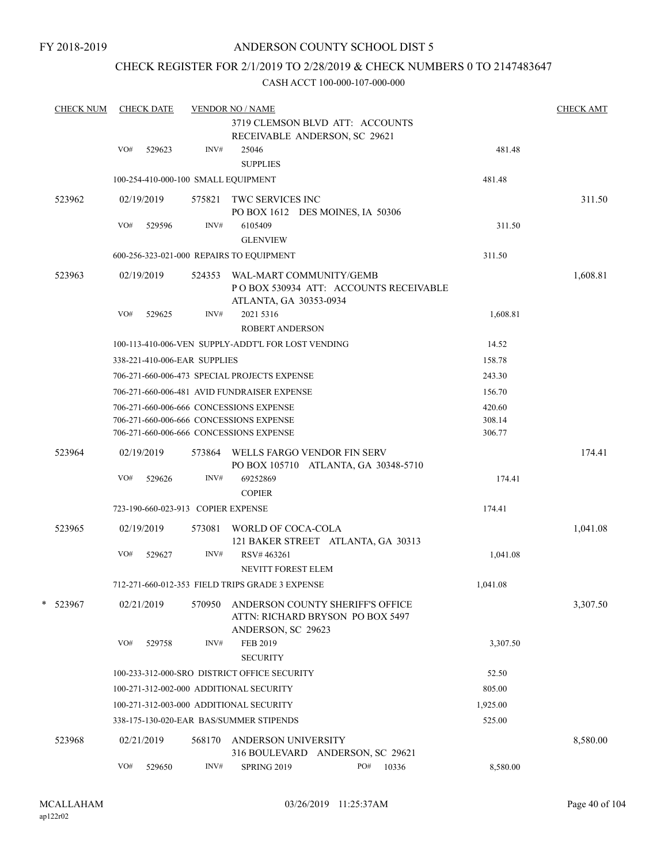# CHECK REGISTER FOR 2/1/2019 TO 2/28/2019 & CHECK NUMBERS 0 TO 2147483647

| <b>CHECK NUM</b> |     | <b>CHECK DATE</b> |                                    | <b>VENDOR NO / NAME</b>                                                                                                       |                                                                      |                            | <b>CHECK AMT</b> |
|------------------|-----|-------------------|------------------------------------|-------------------------------------------------------------------------------------------------------------------------------|----------------------------------------------------------------------|----------------------------|------------------|
|                  |     |                   |                                    |                                                                                                                               | 3719 CLEMSON BLVD ATT: ACCOUNTS<br>RECEIVABLE ANDERSON, SC 29621     |                            |                  |
|                  | VO# | 529623            | INV#                               | 25046<br><b>SUPPLIES</b>                                                                                                      |                                                                      | 481.48                     |                  |
|                  |     |                   |                                    | 100-254-410-000-100 SMALL EQUIPMENT                                                                                           |                                                                      | 481.48                     |                  |
| 523962           |     | 02/19/2019        | 575821                             | TWC SERVICES INC                                                                                                              | PO BOX 1612 DES MOINES, IA 50306                                     |                            | 311.50           |
|                  | VO# | 529596            | INV#                               | 6105409<br><b>GLENVIEW</b>                                                                                                    |                                                                      | 311.50                     |                  |
|                  |     |                   |                                    | 600-256-323-021-000 REPAIRS TO EQUIPMENT                                                                                      |                                                                      | 311.50                     |                  |
| 523963           |     | 02/19/2019        | 524353                             | WAL-MART COMMUNITY/GEMB<br>ATLANTA, GA 30353-0934                                                                             | PO BOX 530934 ATT: ACCOUNTS RECEIVABLE                               |                            | 1,608.81         |
|                  | VO# | 529625            | INV#                               | 2021 5316<br><b>ROBERT ANDERSON</b>                                                                                           |                                                                      | 1,608.81                   |                  |
|                  |     |                   |                                    | 100-113-410-006-VEN SUPPLY-ADDT'L FOR LOST VENDING                                                                            |                                                                      | 14.52                      |                  |
|                  |     |                   | 338-221-410-006-EAR SUPPLIES       |                                                                                                                               |                                                                      | 158.78                     |                  |
|                  |     |                   |                                    | 706-271-660-006-473 SPECIAL PROJECTS EXPENSE                                                                                  |                                                                      | 243.30                     |                  |
|                  |     |                   |                                    | 706-271-660-006-481 AVID FUNDRAISER EXPENSE                                                                                   |                                                                      | 156.70                     |                  |
|                  |     |                   |                                    | 706-271-660-006-666 CONCESSIONS EXPENSE<br>706-271-660-006-666 CONCESSIONS EXPENSE<br>706-271-660-006-666 CONCESSIONS EXPENSE |                                                                      | 420.60<br>308.14<br>306.77 |                  |
| 523964           |     | 02/19/2019        |                                    | 573864 WELLS FARGO VENDOR FIN SERV                                                                                            | PO BOX 105710 ATLANTA, GA 30348-5710                                 |                            | 174.41           |
|                  | VO# | 529626            | INV#                               | 69252869<br><b>COPIER</b>                                                                                                     |                                                                      | 174.41                     |                  |
|                  |     |                   | 723-190-660-023-913 COPIER EXPENSE |                                                                                                                               |                                                                      | 174.41                     |                  |
| 523965           |     | 02/19/2019        | 573081                             | WORLD OF COCA-COLA                                                                                                            | 121 BAKER STREET ATLANTA, GA 30313                                   |                            | 1,041.08         |
|                  | VO# | 529627            | INV#                               | RSV#463261<br>NEVITT FOREST ELEM                                                                                              |                                                                      | 1,041.08                   |                  |
|                  |     |                   |                                    | 712-271-660-012-353 FIELD TRIPS GRADE 3 EXPENSE                                                                               |                                                                      | 1,041.08                   |                  |
| * 523967         |     | 02/21/2019        | 570950                             | ANDERSON, SC 29623                                                                                                            | ANDERSON COUNTY SHERIFF'S OFFICE<br>ATTN: RICHARD BRYSON PO BOX 5497 |                            | 3,307.50         |
|                  | VO# | 529758            | INV#                               | FEB 2019<br><b>SECURITY</b>                                                                                                   |                                                                      | 3,307.50                   |                  |
|                  |     |                   |                                    | 100-233-312-000-SRO DISTRICT OFFICE SECURITY                                                                                  |                                                                      | 52.50                      |                  |
|                  |     |                   |                                    | 100-271-312-002-000 ADDITIONAL SECURITY                                                                                       |                                                                      | 805.00                     |                  |
|                  |     |                   |                                    | 100-271-312-003-000 ADDITIONAL SECURITY                                                                                       |                                                                      | 1,925.00                   |                  |
|                  |     |                   |                                    | 338-175-130-020-EAR BAS/SUMMER STIPENDS                                                                                       |                                                                      | 525.00                     |                  |
| 523968           |     | 02/21/2019        | 568170                             | ANDERSON UNIVERSITY                                                                                                           | 316 BOULEVARD ANDERSON, SC 29621                                     |                            | 8,580.00         |
|                  | VO# | 529650            | INV#                               | <b>SPRING 2019</b>                                                                                                            | PO#<br>10336                                                         | 8,580.00                   |                  |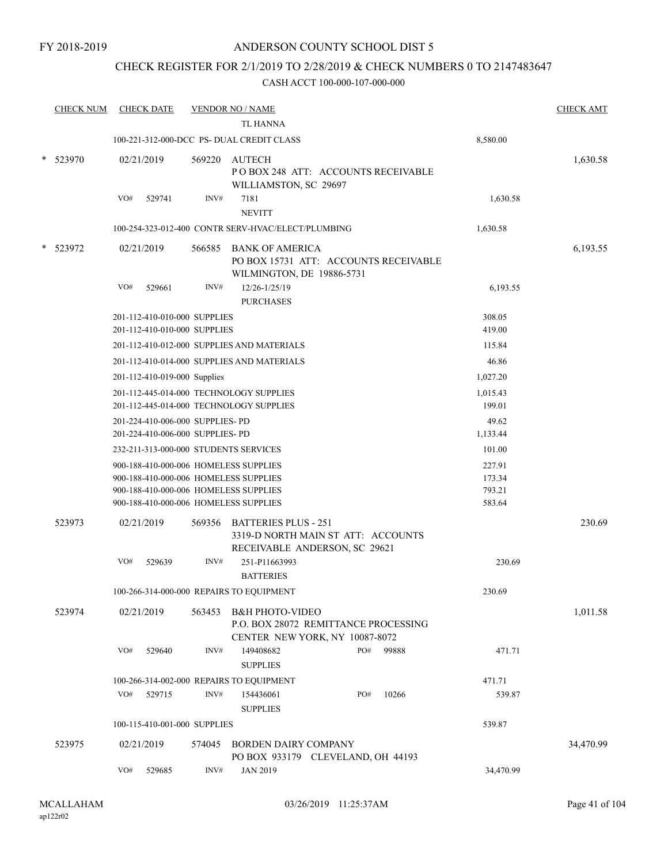# CHECK REGISTER FOR 2/1/2019 TO 2/28/2019 & CHECK NUMBERS 0 TO 2147483647

|        | <b>CHECK NUM</b> |     | <b>CHECK DATE</b>                |        | <u>VENDOR NO / NAME</u>                                                                              |     |       |                  | <b>CHECK AMT</b> |
|--------|------------------|-----|----------------------------------|--------|------------------------------------------------------------------------------------------------------|-----|-------|------------------|------------------|
|        |                  |     |                                  |        | <b>TL HANNA</b>                                                                                      |     |       |                  |                  |
|        |                  |     |                                  |        | 100-221-312-000-DCC PS-DUAL CREDIT CLASS                                                             |     |       | 8,580.00         |                  |
| $\ast$ | 523970           |     | 02/21/2019                       |        | 569220 AUTECH<br>POBOX 248 ATT: ACCOUNTS RECEIVABLE<br>WILLIAMSTON, SC 29697                         |     |       |                  | 1,630.58         |
|        |                  | VO# | 529741                           | INV#   | 7181<br><b>NEVITT</b>                                                                                |     |       | 1,630.58         |                  |
|        |                  |     |                                  |        | 100-254-323-012-400 CONTR SERV-HVAC/ELECT/PLUMBING                                                   |     |       | 1,630.58         |                  |
|        | 523972           |     | 02/21/2019                       | 566585 | <b>BANK OF AMERICA</b><br>PO BOX 15731 ATT: ACCOUNTS RECEIVABLE<br>WILMINGTON, DE 19886-5731         |     |       |                  | 6,193.55         |
|        |                  | VO# | 529661                           | INV#   | 12/26-1/25/19<br><b>PURCHASES</b>                                                                    |     |       | 6,193.55         |                  |
|        |                  |     | 201-112-410-010-000 SUPPLIES     |        |                                                                                                      |     |       | 308.05           |                  |
|        |                  |     | 201-112-410-010-000 SUPPLIES     |        |                                                                                                      |     |       | 419.00           |                  |
|        |                  |     |                                  |        | 201-112-410-012-000 SUPPLIES AND MATERIALS                                                           |     |       | 115.84           |                  |
|        |                  |     |                                  |        | 201-112-410-014-000 SUPPLIES AND MATERIALS                                                           |     |       | 46.86            |                  |
|        |                  |     | 201-112-410-019-000 Supplies     |        |                                                                                                      |     |       | 1,027.20         |                  |
|        |                  |     |                                  |        | 201-112-445-014-000 TECHNOLOGY SUPPLIES                                                              |     |       | 1,015.43         |                  |
|        |                  |     |                                  |        | 201-112-445-014-000 TECHNOLOGY SUPPLIES                                                              |     |       | 199.01           |                  |
|        |                  |     | 201-224-410-006-000 SUPPLIES- PD |        |                                                                                                      |     |       | 49.62            |                  |
|        |                  |     | 201-224-410-006-000 SUPPLIES- PD |        |                                                                                                      |     |       | 1,133.44         |                  |
|        |                  |     |                                  |        | 232-211-313-000-000 STUDENTS SERVICES                                                                |     |       | 101.00           |                  |
|        |                  |     |                                  |        | 900-188-410-000-006 HOMELESS SUPPLIES                                                                |     |       | 227.91           |                  |
|        |                  |     |                                  |        | 900-188-410-000-006 HOMELESS SUPPLIES                                                                |     |       | 173.34           |                  |
|        |                  |     |                                  |        | 900-188-410-000-006 HOMELESS SUPPLIES<br>900-188-410-000-006 HOMELESS SUPPLIES                       |     |       | 793.21<br>583.64 |                  |
|        |                  |     |                                  |        |                                                                                                      |     |       |                  |                  |
|        | 523973           |     | 02/21/2019                       |        | 569356 BATTERIES PLUS - 251<br>3319-D NORTH MAIN ST ATT: ACCOUNTS<br>RECEIVABLE ANDERSON, SC 29621   |     |       |                  | 230.69           |
|        |                  | VO# | 529639                           | INV#   | 251-P11663993<br><b>BATTERIES</b>                                                                    |     |       | 230.69           |                  |
|        |                  |     |                                  |        | 100-266-314-000-000 REPAIRS TO EQUIPMENT                                                             |     |       | 230.69           |                  |
|        | 523974           |     | 02/21/2019                       | 563453 | <b>B&amp;H PHOTO-VIDEO</b><br>P.O. BOX 28072 REMITTANCE PROCESSING<br>CENTER NEW YORK, NY 10087-8072 |     |       |                  | 1,011.58         |
|        |                  | VO# | 529640                           | INV#   | 149408682<br><b>SUPPLIES</b>                                                                         | PO# | 99888 | 471.71           |                  |
|        |                  |     |                                  |        | 100-266-314-002-000 REPAIRS TO EQUIPMENT                                                             |     |       | 471.71           |                  |
|        |                  | VO# | 529715                           | INV#   | 154436061<br><b>SUPPLIES</b>                                                                         | PO# | 10266 | 539.87           |                  |
|        |                  |     | 100-115-410-001-000 SUPPLIES     |        |                                                                                                      |     |       | 539.87           |                  |
|        | 523975           |     | 02/21/2019                       | 574045 | <b>BORDEN DAIRY COMPANY</b><br>PO BOX 933179 CLEVELAND, OH 44193                                     |     |       |                  | 34,470.99        |
|        |                  | VO# | 529685                           | INV#   | <b>JAN 2019</b>                                                                                      |     |       | 34,470.99        |                  |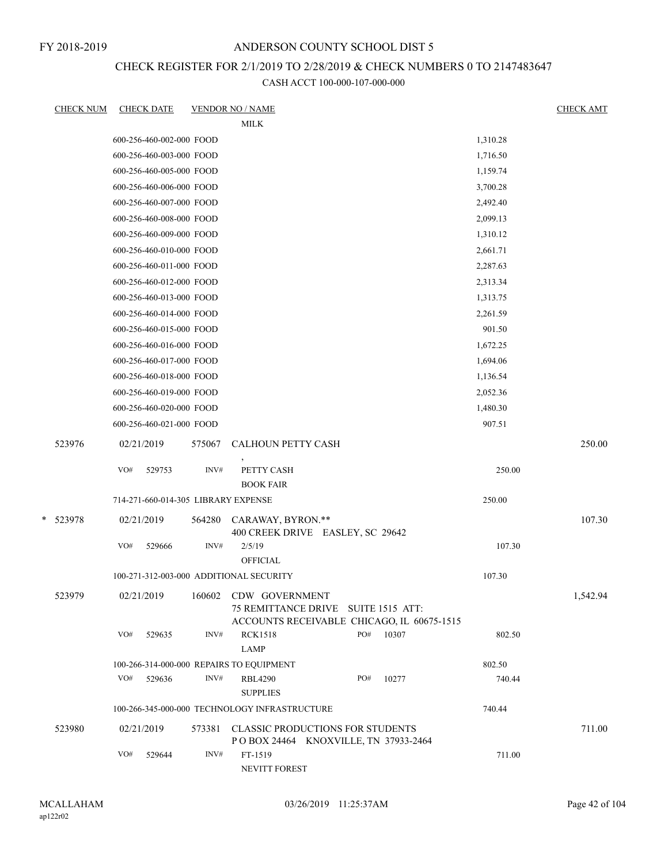FY 2018-2019

# ANDERSON COUNTY SCHOOL DIST 5

# CHECK REGISTER FOR 2/1/2019 TO 2/28/2019 & CHECK NUMBERS 0 TO 2147483647

|   | <u>CHECK NUM</u> | <b>CHECK DATE</b>                       |        | <b>VENDOR NO / NAME</b>                                                                             |     |       |          | <b>CHECK AMT</b> |
|---|------------------|-----------------------------------------|--------|-----------------------------------------------------------------------------------------------------|-----|-------|----------|------------------|
|   |                  |                                         |        | <b>MILK</b>                                                                                         |     |       |          |                  |
|   |                  | 600-256-460-002-000 FOOD                |        |                                                                                                     |     |       | 1,310.28 |                  |
|   |                  | 600-256-460-003-000 FOOD                |        |                                                                                                     |     |       | 1,716.50 |                  |
|   |                  | 600-256-460-005-000 FOOD                |        |                                                                                                     |     |       | 1,159.74 |                  |
|   |                  | 600-256-460-006-000 FOOD                |        |                                                                                                     |     |       | 3,700.28 |                  |
|   |                  | 600-256-460-007-000 FOOD                |        |                                                                                                     |     |       | 2,492.40 |                  |
|   |                  | 600-256-460-008-000 FOOD                |        |                                                                                                     |     |       | 2,099.13 |                  |
|   |                  | 600-256-460-009-000 FOOD                |        |                                                                                                     |     |       | 1,310.12 |                  |
|   |                  | 600-256-460-010-000 FOOD                |        |                                                                                                     |     |       | 2,661.71 |                  |
|   |                  | 600-256-460-011-000 FOOD                |        |                                                                                                     |     |       | 2,287.63 |                  |
|   |                  | 600-256-460-012-000 FOOD                |        |                                                                                                     |     |       | 2,313.34 |                  |
|   |                  | 600-256-460-013-000 FOOD                |        |                                                                                                     |     |       | 1,313.75 |                  |
|   |                  | 600-256-460-014-000 FOOD                |        |                                                                                                     |     |       | 2,261.59 |                  |
|   |                  | 600-256-460-015-000 FOOD                |        |                                                                                                     |     |       | 901.50   |                  |
|   |                  | 600-256-460-016-000 FOOD                |        |                                                                                                     |     |       | 1,672.25 |                  |
|   |                  | 600-256-460-017-000 FOOD                |        |                                                                                                     |     |       | 1,694.06 |                  |
|   |                  | 600-256-460-018-000 FOOD                |        |                                                                                                     |     |       | 1,136.54 |                  |
|   |                  | 600-256-460-019-000 FOOD                |        |                                                                                                     |     |       | 2,052.36 |                  |
|   |                  | 600-256-460-020-000 FOOD                |        |                                                                                                     |     |       | 1,480.30 |                  |
|   |                  | 600-256-460-021-000 FOOD                |        |                                                                                                     |     |       | 907.51   |                  |
|   | 523976           | 02/21/2019                              | 575067 | CALHOUN PETTY CASH                                                                                  |     |       |          | 250.00           |
|   |                  | VO#<br>529753                           | INV#   | PETTY CASH<br><b>BOOK FAIR</b>                                                                      |     |       | 250.00   |                  |
|   |                  | 714-271-660-014-305 LIBRARY EXPENSE     |        |                                                                                                     |     |       | 250.00   |                  |
| * | 523978           | 02/21/2019                              | 564280 | CARAWAY, BYRON.**                                                                                   |     |       |          | 107.30           |
|   |                  |                                         |        | 400 CREEK DRIVE EASLEY, SC 29642                                                                    |     |       |          |                  |
|   |                  | VO#<br>529666                           | INV#   | 2/5/19<br><b>OFFICIAL</b>                                                                           |     |       | 107.30   |                  |
|   |                  | 100-271-312-003-000 ADDITIONAL SECURITY |        |                                                                                                     |     |       | 107.30   |                  |
|   | 523979           | 02/21/2019                              | 160602 | CDW GOVERNMENT<br>75 REMITTANCE DRIVE SUITE 1515 ATT:<br>ACCOUNTS RECEIVABLE CHICAGO, IL 60675-1515 |     |       |          | 1,542.94         |
|   |                  | VO#<br>529635                           | INV#   | <b>RCK1518</b><br><b>LAMP</b>                                                                       | PO# | 10307 | 802.50   |                  |
|   |                  |                                         |        | 100-266-314-000-000 REPAIRS TO EQUIPMENT                                                            |     |       | 802.50   |                  |
|   |                  | VO#<br>529636                           | INV#   | <b>RBL4290</b><br><b>SUPPLIES</b>                                                                   | PO# | 10277 | 740.44   |                  |
|   |                  |                                         |        | 100-266-345-000-000 TECHNOLOGY INFRASTRUCTURE                                                       |     |       | 740.44   |                  |
|   | 523980           | 02/21/2019                              | 573381 | <b>CLASSIC PRODUCTIONS FOR STUDENTS</b>                                                             |     |       |          | 711.00           |
|   |                  | VO#<br>529644                           | INV#   | POBOX 24464 KNOXVILLE, TN 37933-2464<br>FT-1519<br>NEVITT FOREST                                    |     |       | 711.00   |                  |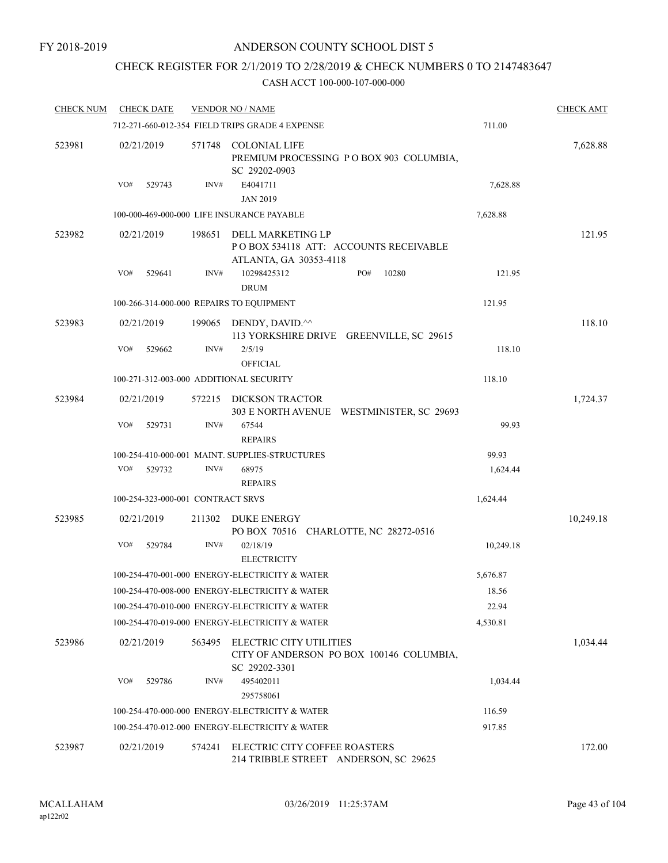# CHECK REGISTER FOR 2/1/2019 TO 2/28/2019 & CHECK NUMBERS 0 TO 2147483647

| <b>CHECK NUM</b> | <b>CHECK DATE</b>                        |        | <b>VENDOR NO / NAME</b>                                                              |           | <b>CHECK AMT</b> |
|------------------|------------------------------------------|--------|--------------------------------------------------------------------------------------|-----------|------------------|
|                  |                                          |        | 712-271-660-012-354 FIELD TRIPS GRADE 4 EXPENSE                                      | 711.00    |                  |
| 523981           | 02/21/2019                               |        | 571748 COLONIAL LIFE<br>PREMIUM PROCESSING PO BOX 903 COLUMBIA,<br>SC 29202-0903     |           | 7,628.88         |
|                  | VO#<br>529743                            | INV#   | E4041711                                                                             | 7,628.88  |                  |
|                  |                                          |        | <b>JAN 2019</b>                                                                      |           |                  |
|                  |                                          |        | 100-000-469-000-000 LIFE INSURANCE PAYABLE                                           | 7,628.88  |                  |
| 523982           | 02/21/2019                               | 198651 | DELL MARKETING LP<br>POBOX 534118 ATT: ACCOUNTS RECEIVABLE<br>ATLANTA, GA 30353-4118 |           | 121.95           |
|                  | VO#<br>529641                            | INV#   | 10298425312<br>PO#<br>10280<br><b>DRUM</b>                                           | 121.95    |                  |
|                  | 100-266-314-000-000 REPAIRS TO EQUIPMENT |        |                                                                                      | 121.95    |                  |
| 523983           | 02/21/2019                               |        | 199065 DENDY, DAVID.^^<br>113 YORKSHIRE DRIVE GREENVILLE, SC 29615                   |           | 118.10           |
|                  | VO#<br>529662                            | INV#   | 2/5/19<br><b>OFFICIAL</b>                                                            | 118.10    |                  |
|                  | 100-271-312-003-000 ADDITIONAL SECURITY  |        |                                                                                      | 118.10    |                  |
| 523984           | 02/21/2019                               | 572215 | DICKSON TRACTOR<br>303 E NORTH AVENUE WESTMINISTER, SC 29693                         |           | 1,724.37         |
|                  | VO#<br>529731                            | INV#   | 67544<br><b>REPAIRS</b>                                                              | 99.93     |                  |
|                  |                                          |        | 100-254-410-000-001 MAINT. SUPPLIES-STRUCTURES                                       | 99.93     |                  |
|                  | VO#<br>529732                            | INV#   | 68975<br><b>REPAIRS</b>                                                              | 1,624.44  |                  |
|                  | 100-254-323-000-001 CONTRACT SRVS        |        |                                                                                      | 1,624.44  |                  |
| 523985           | 02/21/2019                               | 211302 | DUKE ENERGY<br>PO BOX 70516 CHARLOTTE, NC 28272-0516                                 |           | 10,249.18        |
|                  | VO#<br>529784                            | INV#   | 02/18/19<br><b>ELECTRICITY</b>                                                       | 10,249.18 |                  |
|                  |                                          |        | 100-254-470-001-000 ENERGY-ELECTRICITY & WATER                                       | 5,676.87  |                  |
|                  |                                          |        | 100-254-470-008-000 ENERGY-ELECTRICITY & WATER                                       | 18.56     |                  |
|                  |                                          |        | 100-254-470-010-000 ENERGY-ELECTRICITY & WATER                                       | 22.94     |                  |
|                  |                                          |        | 100-254-470-019-000 ENERGY-ELECTRICITY & WATER                                       | 4,530.81  |                  |
| 523986           | 02/21/2019                               | 563495 | ELECTRIC CITY UTILITIES<br>CITY OF ANDERSON PO BOX 100146 COLUMBIA,<br>SC 29202-3301 |           | 1,034.44         |
|                  | VO#<br>529786                            | INV#   | 495402011<br>295758061                                                               | 1,034.44  |                  |
|                  |                                          |        | 100-254-470-000-000 ENERGY-ELECTRICITY & WATER                                       | 116.59    |                  |
|                  |                                          |        | 100-254-470-012-000 ENERGY-ELECTRICITY & WATER                                       | 917.85    |                  |
| 523987           | 02/21/2019                               |        | 574241 ELECTRIC CITY COFFEE ROASTERS<br>214 TRIBBLE STREET ANDERSON, SC 29625        |           | 172.00           |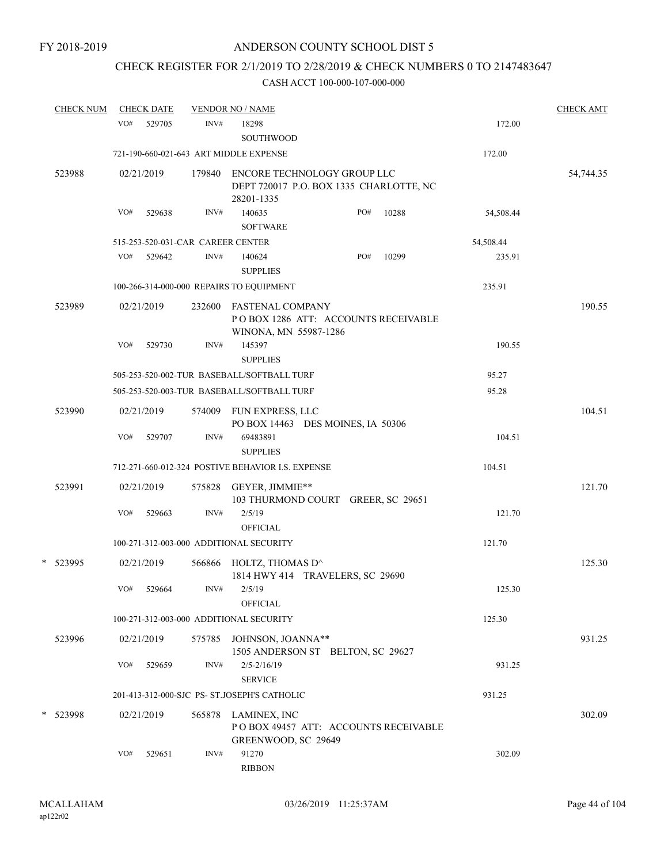# CHECK REGISTER FOR 2/1/2019 TO 2/28/2019 & CHECK NUMBERS 0 TO 2147483647

| <b>CHECK NUM</b> |     | <b>CHECK DATE</b> |                                   | <b>VENDOR NO / NAME</b>                                                                 |     |       |           | <b>CHECK AMT</b> |
|------------------|-----|-------------------|-----------------------------------|-----------------------------------------------------------------------------------------|-----|-------|-----------|------------------|
|                  | VO# | 529705            | INV#                              | 18298                                                                                   |     |       | 172.00    |                  |
|                  |     |                   |                                   | SOUTHWOOD                                                                               |     |       |           |                  |
|                  |     |                   |                                   | 721-190-660-021-643 ART MIDDLE EXPENSE                                                  |     |       | 172.00    |                  |
| 523988           |     | 02/21/2019        | 179840                            | ENCORE TECHNOLOGY GROUP LLC<br>DEPT 720017 P.O. BOX 1335 CHARLOTTE, NC<br>28201-1335    |     |       |           | 54,744.35        |
|                  | VO# | 529638            | INV#                              | 140635<br><b>SOFTWARE</b>                                                               | PO# | 10288 | 54,508.44 |                  |
|                  |     |                   | 515-253-520-031-CAR CAREER CENTER |                                                                                         |     |       | 54,508.44 |                  |
|                  | VO# | 529642            | INV#                              | 140624<br><b>SUPPLIES</b>                                                               | PO# | 10299 | 235.91    |                  |
|                  |     |                   |                                   | 100-266-314-000-000 REPAIRS TO EQUIPMENT                                                |     |       | 235.91    |                  |
| 523989           |     | 02/21/2019        | 232600                            | <b>FASTENAL COMPANY</b><br>POBOX 1286 ATT: ACCOUNTS RECEIVABLE<br>WINONA, MN 55987-1286 |     |       |           | 190.55           |
|                  | VO# | 529730            | INV#                              | 145397<br><b>SUPPLIES</b>                                                               |     |       | 190.55    |                  |
|                  |     |                   |                                   | 505-253-520-002-TUR BASEBALL/SOFTBALL TURF                                              |     |       | 95.27     |                  |
|                  |     |                   |                                   | 505-253-520-003-TUR BASEBALL/SOFTBALL TURF                                              |     |       | 95.28     |                  |
| 523990           |     | 02/21/2019        | 574009                            | FUN EXPRESS, LLC<br>PO BOX 14463 DES MOINES, IA 50306                                   |     |       |           | 104.51           |
|                  | VO# | 529707            | INV#                              | 69483891<br><b>SUPPLIES</b>                                                             |     |       | 104.51    |                  |
|                  |     |                   |                                   | 712-271-660-012-324 POSTIVE BEHAVIOR I.S. EXPENSE                                       |     |       | 104.51    |                  |
| 523991           |     | 02/21/2019        | 575828                            | GEYER, JIMMIE**<br>103 THURMOND COURT GREER, SC 29651                                   |     |       |           | 121.70           |
|                  | VO# | 529663            | INV#                              | 2/5/19<br><b>OFFICIAL</b>                                                               |     |       | 121.70    |                  |
|                  |     |                   |                                   | 100-271-312-003-000 ADDITIONAL SECURITY                                                 |     |       | 121.70    |                  |
| *<br>523995      |     | 02/21/2019        | 566866                            | HOLTZ, THOMAS D^<br>1814 HWY 414 TRAVELERS, SC 29690                                    |     |       |           | 125.30           |
|                  | VO# | 529664            | INV#                              | 2/5/19<br><b>OFFICIAL</b>                                                               |     |       | 125.30    |                  |
|                  |     |                   |                                   | 100-271-312-003-000 ADDITIONAL SECURITY                                                 |     |       | 125.30    |                  |
| 523996           |     | 02/21/2019        |                                   | 575785 JOHNSON, JOANNA**<br>1505 ANDERSON ST BELTON, SC 29627                           |     |       |           | 931.25           |
|                  | VO# | 529659            | INV#                              | $2/5 - 2/16/19$<br><b>SERVICE</b>                                                       |     |       | 931.25    |                  |
|                  |     |                   |                                   | 201-413-312-000-SJC PS- ST.JOSEPH'S CATHOLIC                                            |     |       | 931.25    |                  |
| *<br>523998      |     | 02/21/2019        | 565878                            | LAMINEX, INC<br>POBOX 49457 ATT: ACCOUNTS RECEIVABLE<br>GREENWOOD, SC 29649             |     |       |           | 302.09           |
|                  | VO# | 529651            | INV#                              | 91270<br><b>RIBBON</b>                                                                  |     |       | 302.09    |                  |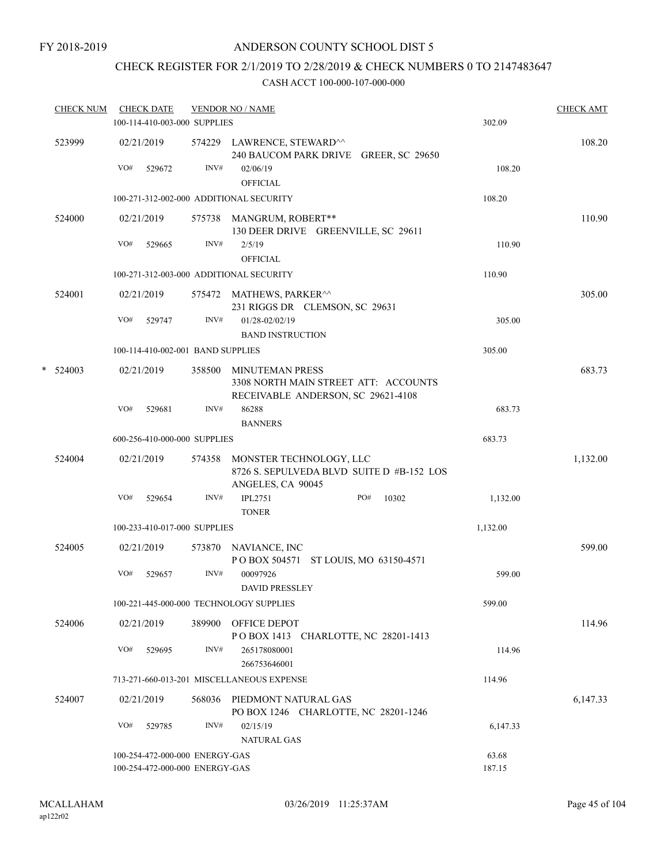FY 2018-2019

# ANDERSON COUNTY SCHOOL DIST 5

# CHECK REGISTER FOR 2/1/2019 TO 2/28/2019 & CHECK NUMBERS 0 TO 2147483647

|   | <b>CHECK NUM</b> |     | <b>CHECK DATE</b><br>100-114-410-003-000 SUPPLIES                |        | <b>VENDOR NO / NAME</b>                                                                          | 302.09          | <b>CHECK AMT</b> |
|---|------------------|-----|------------------------------------------------------------------|--------|--------------------------------------------------------------------------------------------------|-----------------|------------------|
|   | 523999           |     | 02/21/2019                                                       |        | 574229 LAWRENCE, STEWARD^^                                                                       |                 | 108.20           |
|   |                  | VO# | 529672                                                           | INV#   | 240 BAUCOM PARK DRIVE GREER, SC 29650<br>02/06/19<br><b>OFFICIAL</b>                             | 108.20          |                  |
|   |                  |     |                                                                  |        | 100-271-312-002-000 ADDITIONAL SECURITY                                                          | 108.20          |                  |
|   | 524000           |     | 02/21/2019                                                       |        | 575738 MANGRUM, ROBERT**<br>130 DEER DRIVE GREENVILLE, SC 29611                                  |                 | 110.90           |
|   |                  | VO# | 529665                                                           | INV#   | 2/5/19<br><b>OFFICIAL</b>                                                                        | 110.90          |                  |
|   |                  |     |                                                                  |        | 100-271-312-003-000 ADDITIONAL SECURITY                                                          | 110.90          |                  |
|   | 524001           |     | 02/21/2019                                                       |        | 575472 MATHEWS, PARKER <sup>^^</sup><br>231 RIGGS DR CLEMSON, SC 29631                           |                 | 305.00           |
|   |                  | VO# | 529747                                                           | INV#   | 01/28-02/02/19<br><b>BAND INSTRUCTION</b>                                                        | 305.00          |                  |
|   |                  |     | 100-114-410-002-001 BAND SUPPLIES                                |        |                                                                                                  | 305.00          |                  |
| * | 524003           |     | 02/21/2019                                                       | 358500 | MINUTEMAN PRESS<br>3308 NORTH MAIN STREET ATT: ACCOUNTS<br>RECEIVABLE ANDERSON, SC 29621-4108    |                 | 683.73           |
|   |                  | VO# | 529681                                                           | INV#   | 86288<br><b>BANNERS</b>                                                                          | 683.73          |                  |
|   |                  |     | 600-256-410-000-000 SUPPLIES                                     |        |                                                                                                  | 683.73          |                  |
|   | 524004           |     | 02/21/2019                                                       |        | 574358 MONSTER TECHNOLOGY, LLC<br>8726 S. SEPULVEDA BLVD SUITE D #B-152 LOS<br>ANGELES, CA 90045 |                 | 1,132.00         |
|   |                  | VO# | 529654                                                           | INV#   | <b>IPL2751</b><br>PO#<br>10302<br><b>TONER</b>                                                   | 1,132.00        |                  |
|   |                  |     | 100-233-410-017-000 SUPPLIES                                     |        |                                                                                                  | 1,132.00        |                  |
|   | 524005           |     | 02/21/2019                                                       |        | 573870 NAVIANCE, INC<br>POBOX 504571 ST LOUIS, MO 63150-4571                                     |                 | 599.00           |
|   |                  | VO# | 529657                                                           | INV#   | 00097926<br><b>DAVID PRESSLEY</b>                                                                | 599.00          |                  |
|   |                  |     |                                                                  |        | 100-221-445-000-000 TECHNOLOGY SUPPLIES                                                          | 599.00          |                  |
|   | 524006           |     | 02/21/2019                                                       | 389900 | OFFICE DEPOT<br>POBOX 1413 CHARLOTTE, NC 28201-1413                                              |                 | 114.96           |
|   |                  | VO# | 529695                                                           | INV#   | 265178080001<br>266753646001                                                                     | 114.96          |                  |
|   |                  |     |                                                                  |        | 713-271-660-013-201 MISCELLANEOUS EXPENSE                                                        | 114.96          |                  |
|   | 524007           |     | 02/21/2019                                                       | 568036 | PIEDMONT NATURAL GAS<br>PO BOX 1246 CHARLOTTE, NC 28201-1246                                     |                 | 6,147.33         |
|   |                  | VO# | 529785                                                           | INV#   | 02/15/19<br><b>NATURAL GAS</b>                                                                   | 6,147.33        |                  |
|   |                  |     | 100-254-472-000-000 ENERGY-GAS<br>100-254-472-000-000 ENERGY-GAS |        |                                                                                                  | 63.68<br>187.15 |                  |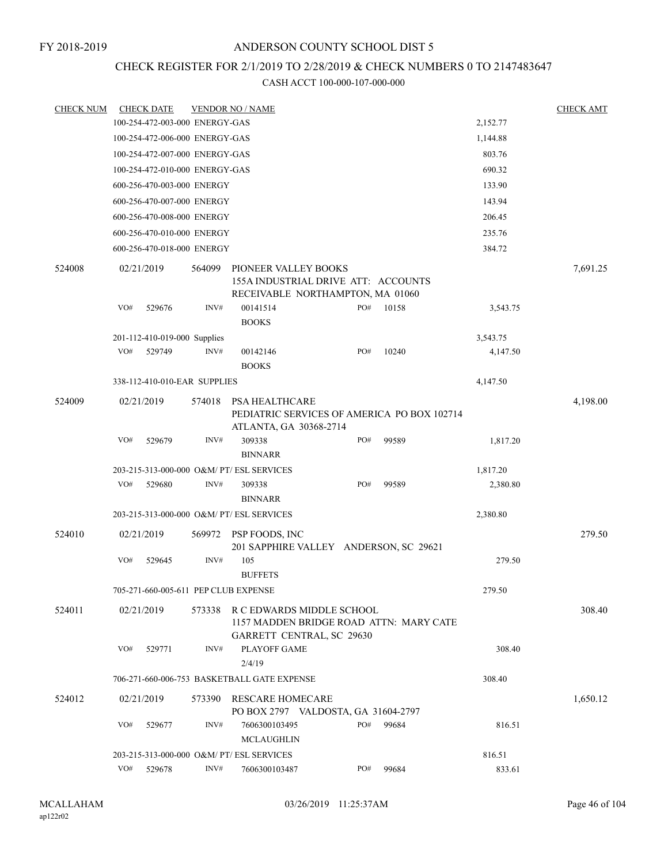# CHECK REGISTER FOR 2/1/2019 TO 2/28/2019 & CHECK NUMBERS 0 TO 2147483647

| <b>CHECK NUM</b> |     | <b>CHECK DATE</b>              |        | <b>VENDOR NO / NAME</b>                                                                                  |     |       |          | <b>CHECK AMT</b> |
|------------------|-----|--------------------------------|--------|----------------------------------------------------------------------------------------------------------|-----|-------|----------|------------------|
|                  |     | 100-254-472-003-000 ENERGY-GAS |        |                                                                                                          |     |       | 2,152.77 |                  |
|                  |     | 100-254-472-006-000 ENERGY-GAS |        |                                                                                                          |     |       | 1,144.88 |                  |
|                  |     | 100-254-472-007-000 ENERGY-GAS |        |                                                                                                          |     |       | 803.76   |                  |
|                  |     | 100-254-472-010-000 ENERGY-GAS |        |                                                                                                          |     |       | 690.32   |                  |
|                  |     | 600-256-470-003-000 ENERGY     |        |                                                                                                          |     |       | 133.90   |                  |
|                  |     | 600-256-470-007-000 ENERGY     |        |                                                                                                          |     |       | 143.94   |                  |
|                  |     | 600-256-470-008-000 ENERGY     |        |                                                                                                          |     |       | 206.45   |                  |
|                  |     | 600-256-470-010-000 ENERGY     |        |                                                                                                          |     |       | 235.76   |                  |
|                  |     | 600-256-470-018-000 ENERGY     |        |                                                                                                          |     |       | 384.72   |                  |
| 524008           |     | 02/21/2019                     | 564099 | PIONEER VALLEY BOOKS<br>155A INDUSTRIAL DRIVE ATT: ACCOUNTS<br>RECEIVABLE NORTHAMPTON, MA 01060          |     |       |          | 7,691.25         |
|                  | VO# | 529676                         | INV#   | 00141514<br><b>BOOKS</b>                                                                                 | PO# | 10158 | 3,543.75 |                  |
|                  |     | 201-112-410-019-000 Supplies   |        |                                                                                                          |     |       | 3,543.75 |                  |
|                  | VO# | 529749                         | INV#   | 00142146<br><b>BOOKS</b>                                                                                 | PO# | 10240 | 4,147.50 |                  |
|                  |     | 338-112-410-010-EAR SUPPLIES   |        |                                                                                                          |     |       | 4,147.50 |                  |
| 524009           |     | 02/21/2019                     | 574018 | PSA HEALTHCARE<br>PEDIATRIC SERVICES OF AMERICA PO BOX 102714                                            |     |       |          | 4,198.00         |
|                  | VO# | 529679                         | INV#   | ATLANTA, GA 30368-2714<br>309338<br><b>BINNARR</b>                                                       | PO# | 99589 | 1,817.20 |                  |
|                  |     |                                |        | 203-215-313-000-000 O&M/ PT/ ESL SERVICES                                                                |     |       | 1,817.20 |                  |
|                  | VO# | 529680                         | INV#   | 309338                                                                                                   | PO# | 99589 | 2,380.80 |                  |
|                  |     |                                |        | <b>BINNARR</b>                                                                                           |     |       |          |                  |
|                  |     |                                |        | 203-215-313-000-000 O&M/ PT/ ESL SERVICES                                                                |     |       | 2,380.80 |                  |
| 524010           |     | 02/21/2019                     | 569972 | PSP FOODS, INC<br>201 SAPPHIRE VALLEY ANDERSON, SC 29621                                                 |     |       |          | 279.50           |
|                  | VO# | 529645                         | INV#   | 105<br><b>BUFFETS</b>                                                                                    |     |       | 279.50   |                  |
|                  |     |                                |        | 705-271-660-005-611 PEP CLUB EXPENSE                                                                     |     |       | 279.50   |                  |
| 524011           |     | 02/21/2019                     | 573338 | R C EDWARDS MIDDLE SCHOOL<br>1157 MADDEN BRIDGE ROAD ATTN: MARY CATE<br><b>GARRETT CENTRAL, SC 29630</b> |     |       |          | 308.40           |
|                  | VO# | 529771                         | INV#   | <b>PLAYOFF GAME</b><br>2/4/19                                                                            |     |       | 308.40   |                  |
|                  |     |                                |        | 706-271-660-006-753 BASKETBALL GATE EXPENSE                                                              |     |       | 308.40   |                  |
| 524012           |     | 02/21/2019                     | 573390 | <b>RESCARE HOMECARE</b><br>PO BOX 2797 VALDOSTA, GA 31604-2797                                           |     |       |          | 1,650.12         |
|                  | VO# | 529677                         | INV#   | 7606300103495<br><b>MCLAUGHLIN</b>                                                                       | PO# | 99684 | 816.51   |                  |
|                  |     |                                |        | 203-215-313-000-000 O&M/ PT/ ESL SERVICES                                                                |     |       | 816.51   |                  |
|                  | VO# | 529678                         | INV#   | 7606300103487                                                                                            | PO# | 99684 | 833.61   |                  |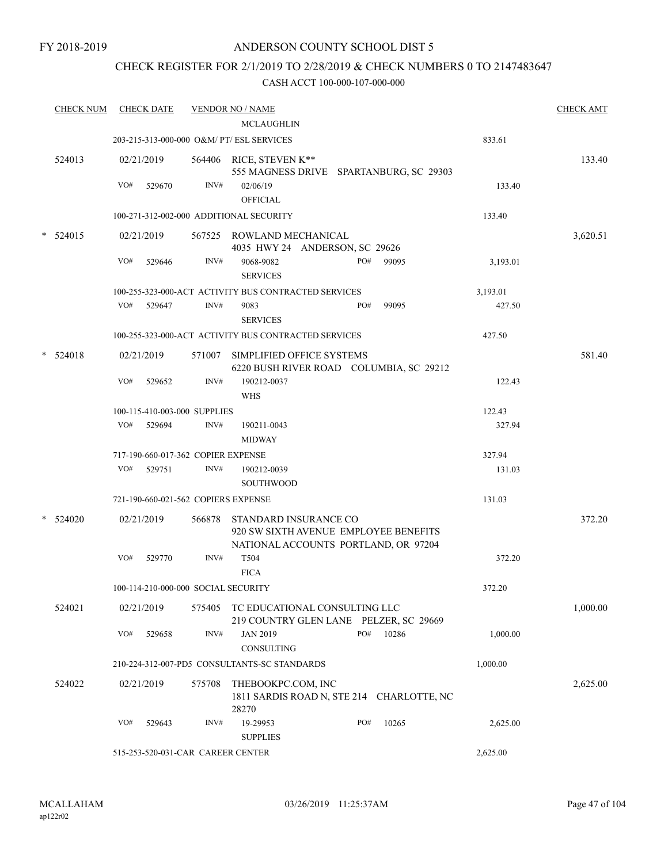# CHECK REGISTER FOR 2/1/2019 TO 2/28/2019 & CHECK NUMBERS 0 TO 2147483647

| <b>CHECK NUM</b> |     | <b>CHECK DATE</b> |                                     | <b>VENDOR NO / NAME</b>                                              |     |       |          | <b>CHECK AMT</b> |
|------------------|-----|-------------------|-------------------------------------|----------------------------------------------------------------------|-----|-------|----------|------------------|
|                  |     |                   |                                     | MCLAUGHLIN                                                           |     |       |          |                  |
|                  |     |                   |                                     | 203-215-313-000-000 O&M/ PT/ ESL SERVICES                            |     |       | 833.61   |                  |
| 524013           |     | 02/21/2019        |                                     | 564406 RICE, STEVEN K**<br>555 MAGNESS DRIVE SPARTANBURG, SC 29303   |     |       |          | 133.40           |
|                  | VO# | 529670            | INV#                                | 02/06/19<br><b>OFFICIAL</b>                                          |     |       | 133.40   |                  |
|                  |     |                   |                                     | 100-271-312-002-000 ADDITIONAL SECURITY                              |     |       | 133.40   |                  |
| * 524015         |     | 02/21/2019        |                                     | 567525 ROWLAND MECHANICAL                                            |     |       |          | 3,620.51         |
|                  |     |                   |                                     | 4035 HWY 24 ANDERSON, SC 29626                                       |     |       |          |                  |
|                  | VO# | 529646            | INV#                                | 9068-9082<br><b>SERVICES</b>                                         | PO# | 99095 | 3,193.01 |                  |
|                  |     |                   |                                     | 100-255-323-000-ACT ACTIVITY BUS CONTRACTED SERVICES                 |     |       | 3,193.01 |                  |
|                  | VO# | 529647            | INV#                                | 9083<br><b>SERVICES</b>                                              | PO# | 99095 | 427.50   |                  |
|                  |     |                   |                                     | 100-255-323-000-ACT ACTIVITY BUS CONTRACTED SERVICES                 |     |       | 427.50   |                  |
| $*$ 524018       |     | 02/21/2019        | 571007                              | SIMPLIFIED OFFICE SYSTEMS<br>6220 BUSH RIVER ROAD COLUMBIA, SC 29212 |     |       |          | 581.40           |
|                  | VO# | 529652            | INV#                                | 190212-0037<br><b>WHS</b>                                            |     |       | 122.43   |                  |
|                  |     |                   | 100-115-410-003-000 SUPPLIES        |                                                                      |     |       | 122.43   |                  |
|                  | VO# | 529694            | INV#                                | 190211-0043                                                          |     |       | 327.94   |                  |
|                  |     |                   |                                     | <b>MIDWAY</b>                                                        |     |       |          |                  |
|                  |     |                   | 717-190-660-017-362 COPIER EXPENSE  |                                                                      |     |       | 327.94   |                  |
|                  | VO# | 529751            | INV#                                | 190212-0039                                                          |     |       | 131.03   |                  |
|                  |     |                   |                                     | SOUTHWOOD                                                            |     |       |          |                  |
|                  |     |                   | 721-190-660-021-562 COPIERS EXPENSE |                                                                      |     |       | 131.03   |                  |
| $*$ 524020       |     | 02/21/2019        | 566878                              | STANDARD INSURANCE CO<br>920 SW SIXTH AVENUE EMPLOYEE BENEFITS       |     |       |          | 372.20           |
|                  | VO# | 529770            | INV#                                | NATIONAL ACCOUNTS PORTLAND, OR 97204<br>T504                         |     |       | 372.20   |                  |
|                  |     |                   |                                     | <b>FICA</b>                                                          |     |       |          |                  |
|                  |     |                   | 100-114-210-000-000 SOCIAL SECURITY |                                                                      |     |       | 372.20   |                  |
| 524021           |     | 02/21/2019        | 575405                              | TC EDUCATIONAL CONSULTING LLC                                        |     |       |          | 1,000.00         |
|                  |     |                   |                                     | 219 COUNTRY GLEN LANE PELZER, SC 29669                               |     |       |          |                  |
|                  | VO# | 529658            | INV#                                | <b>JAN 2019</b><br><b>CONSULTING</b>                                 | PO# | 10286 | 1,000.00 |                  |
|                  |     |                   |                                     | 210-224-312-007-PD5 CONSULTANTS-SC STANDARDS                         |     |       | 1,000.00 |                  |
| 524022           |     | 02/21/2019        | 575708                              | THEBOOKPC.COM, INC<br>1811 SARDIS ROAD N, STE 214 CHARLOTTE, NC      |     |       |          | 2,625.00         |
|                  | VO# | 529643            | INV#                                | 28270<br>19-29953                                                    | PO# | 10265 |          |                  |
|                  |     |                   |                                     | <b>SUPPLIES</b>                                                      |     |       | 2,625.00 |                  |
|                  |     |                   | 515-253-520-031-CAR CAREER CENTER   |                                                                      |     |       | 2,625.00 |                  |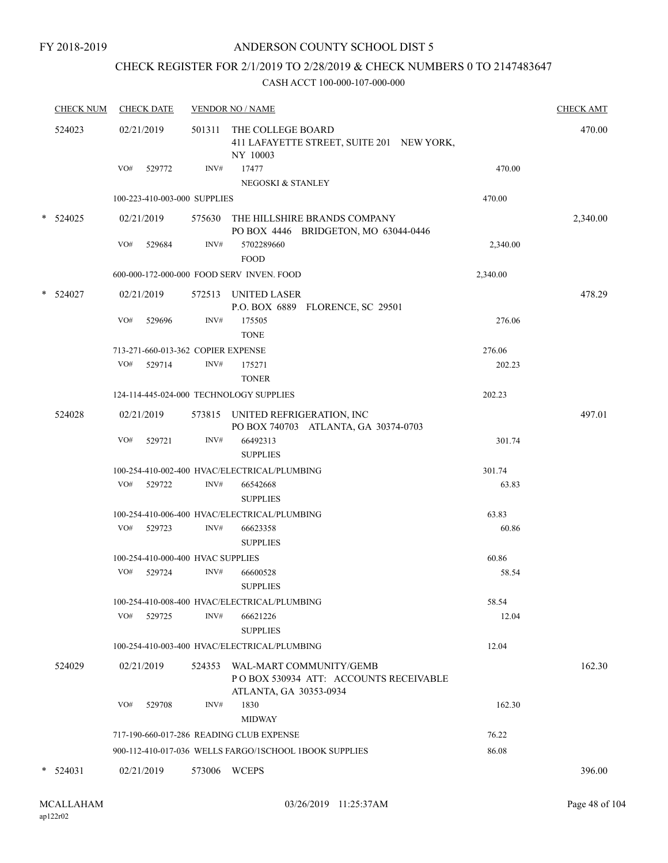FY 2018-2019

# ANDERSON COUNTY SCHOOL DIST 5

# CHECK REGISTER FOR 2/1/2019 TO 2/28/2019 & CHECK NUMBERS 0 TO 2147483647

| <b>CHECK NUM</b> | <b>CHECK DATE</b>                       |        | <b>VENDOR NO / NAME</b>                                                                            |          | <b>CHECK AMT</b> |
|------------------|-----------------------------------------|--------|----------------------------------------------------------------------------------------------------|----------|------------------|
| 524023           | 02/21/2019                              | 501311 | THE COLLEGE BOARD<br>411 LAFAYETTE STREET, SUITE 201 NEW YORK,<br>NY 10003                         |          | 470.00           |
|                  | VO#<br>529772                           | INV#   | 17477<br>NEGOSKI & STANLEY                                                                         | 470.00   |                  |
|                  | 100-223-410-003-000 SUPPLIES            |        |                                                                                                    | 470.00   |                  |
| * 524025         | 02/21/2019                              |        | 575630 THE HILLSHIRE BRANDS COMPANY<br>PO BOX 4446 BRIDGETON, MO 63044-0446                        |          | 2,340.00         |
|                  | VO#<br>529684                           | INV#   | 5702289660<br><b>FOOD</b>                                                                          | 2,340.00 |                  |
|                  |                                         |        | 600-000-172-000-000 FOOD SERV INVEN. FOOD                                                          | 2,340.00 |                  |
| $*$ 524027       | 02/21/2019                              |        | 572513 UNITED LASER<br>P.O. BOX 6889 FLORENCE, SC 29501                                            |          | 478.29           |
|                  | VO#<br>529696                           | INV#   | 175505<br><b>TONE</b>                                                                              | 276.06   |                  |
|                  | 713-271-660-013-362 COPIER EXPENSE      |        |                                                                                                    | 276.06   |                  |
|                  | VO#<br>529714                           | INV#   | 175271<br><b>TONER</b>                                                                             | 202.23   |                  |
|                  | 124-114-445-024-000 TECHNOLOGY SUPPLIES |        |                                                                                                    | 202.23   |                  |
| 524028           | 02/21/2019                              |        | 573815 UNITED REFRIGERATION, INC<br>PO BOX 740703 ATLANTA, GA 30374-0703                           |          | 497.01           |
|                  | VO#<br>529721                           | INV#   | 66492313<br><b>SUPPLIES</b>                                                                        | 301.74   |                  |
|                  |                                         |        | 100-254-410-002-400 HVAC/ELECTRICAL/PLUMBING                                                       | 301.74   |                  |
|                  | VO#<br>529722                           | INV#   | 66542668<br><b>SUPPLIES</b>                                                                        | 63.83    |                  |
|                  |                                         |        | 100-254-410-006-400 HVAC/ELECTRICAL/PLUMBING                                                       | 63.83    |                  |
|                  | VO#<br>529723                           | INV#   | 66623358<br><b>SUPPLIES</b>                                                                        | 60.86    |                  |
|                  | 100-254-410-000-400 HVAC SUPPLIES       |        |                                                                                                    | 60.86    |                  |
|                  | VO#<br>529724                           | INV#   | 66600528<br><b>SUPPLIES</b>                                                                        | 58.54    |                  |
|                  |                                         |        | 100-254-410-008-400 HVAC/ELECTRICAL/PLUMBING                                                       | 58.54    |                  |
|                  | VO#<br>529725                           | INV#   | 66621226<br><b>SUPPLIES</b>                                                                        | 12.04    |                  |
|                  |                                         |        | 100-254-410-003-400 HVAC/ELECTRICAL/PLUMBING                                                       | 12.04    |                  |
| 524029           | 02/21/2019                              |        | 524353 WAL-MART COMMUNITY/GEMB<br>PO BOX 530934 ATT: ACCOUNTS RECEIVABLE<br>ATLANTA, GA 30353-0934 |          | 162.30           |
|                  | VO#<br>529708                           | INV#   | 1830<br><b>MIDWAY</b>                                                                              | 162.30   |                  |
|                  |                                         |        | 717-190-660-017-286 READING CLUB EXPENSE                                                           | 76.22    |                  |
|                  |                                         |        | 900-112-410-017-036 WELLS FARGO/ISCHOOL 1BOOK SUPPLIES                                             | 86.08    |                  |
|                  |                                         |        |                                                                                                    |          |                  |
| $*$ 524031       | 02/21/2019                              |        | 573006 WCEPS                                                                                       |          | 396.00           |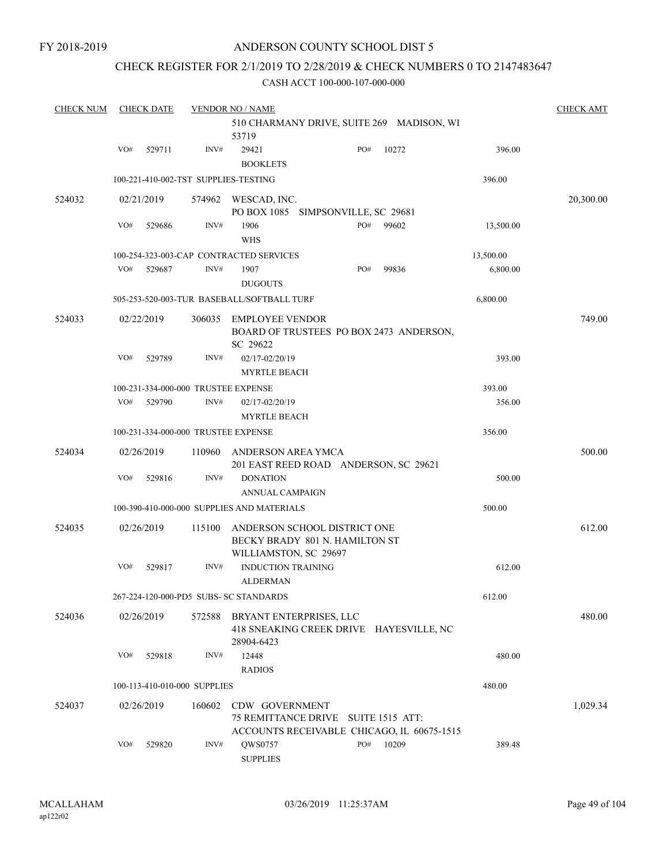### CHECK REGISTER FOR 2/1/2019 TO 2/28/2019 & CHECK NUMBERS 0 TO 2147483647

| <b>CHECK NUM</b> |     | <b>CHECK DATE</b> |                                     | <b>VENDOR NO / NAME</b>                                                                             |     |       |           | <b>CHECK AMT</b> |
|------------------|-----|-------------------|-------------------------------------|-----------------------------------------------------------------------------------------------------|-----|-------|-----------|------------------|
|                  |     |                   |                                     | 510 CHARMANY DRIVE, SUITE 269 MADISON, WI<br>53719                                                  |     |       |           |                  |
|                  | VO# | 529711            | INV#                                | 29421<br><b>BOOKLETS</b>                                                                            | PO# | 10272 | 396.00    |                  |
|                  |     |                   |                                     | 100-221-410-002-TST SUPPLIES-TESTING                                                                |     |       | 396.00    |                  |
| 524032           |     | 02/21/2019        | 574962                              | WESCAD, INC.<br>PO BOX 1085 SIMPSONVILLE, SC 29681                                                  |     |       |           | 20,300.00        |
|                  | VO# | 529686            | INV#                                | 1906<br><b>WHS</b>                                                                                  | PO# | 99602 | 13,500.00 |                  |
|                  |     |                   |                                     | 100-254-323-003-CAP CONTRACTED SERVICES                                                             |     |       | 13,500.00 |                  |
|                  | VO# | 529687            | INV#                                | 1907<br><b>DUGOUTS</b>                                                                              | PO# | 99836 | 6,800.00  |                  |
|                  |     |                   |                                     | 505-253-520-003-TUR BASEBALL/SOFTBALL TURF                                                          |     |       | 6,800.00  |                  |
| 524033           |     | 02/22/2019        | 306035                              | EMPLOYEE VENDOR<br>BOARD OF TRUSTEES PO BOX 2473 ANDERSON,                                          |     |       |           | 749.00           |
|                  | VO# | 529789            | INV#                                | SC 29622<br>02/17-02/20/19<br><b>MYRTLE BEACH</b>                                                   |     |       | 393.00    |                  |
|                  |     |                   |                                     | 100-231-334-000-000 TRUSTEE EXPENSE                                                                 |     |       | 393.00    |                  |
|                  | VO# | 529790            | INV#                                | 02/17-02/20/19<br><b>MYRTLE BEACH</b>                                                               |     |       | 356.00    |                  |
|                  |     |                   | 100-231-334-000-000 TRUSTEE EXPENSE |                                                                                                     |     |       | 356.00    |                  |
| 524034           |     | 02/26/2019        | 110960                              | ANDERSON AREA YMCA<br>201 EAST REED ROAD ANDERSON, SC 29621                                         |     |       |           | 500.00           |
|                  | VO# | 529816            | INV#                                | <b>DONATION</b><br>ANNUAL CAMPAIGN                                                                  |     |       | 500.00    |                  |
|                  |     |                   |                                     | 100-390-410-000-000 SUPPLIES AND MATERIALS                                                          |     |       | 500.00    |                  |
| 524035           |     | 02/26/2019        | 115100                              | ANDERSON SCHOOL DISTRICT ONE<br>BECKY BRADY 801 N. HAMILTON ST                                      |     |       |           | 612.00           |
|                  | VO# | 529817            | INV#                                | WILLIAMSTON, SC 29697<br><b>INDUCTION TRAINING</b><br><b>ALDERMAN</b>                               |     |       | 612.00    |                  |
|                  |     |                   |                                     | 267-224-120-000-PD5 SUBS- SC STANDARDS                                                              |     |       | 612.00    |                  |
| 524036           |     | 02/26/2019        | 572588                              | BRYANT ENTERPRISES, LLC<br>418 SNEAKING CREEK DRIVE HAYESVILLE, NC<br>28904-6423                    |     |       |           | 480.00           |
|                  | VO# | 529818            | INV#                                | 12448<br><b>RADIOS</b>                                                                              |     |       | 480.00    |                  |
|                  |     |                   | 100-113-410-010-000 SUPPLIES        |                                                                                                     |     |       | 480.00    |                  |
| 524037           |     | 02/26/2019        | 160602                              | CDW GOVERNMENT<br>75 REMITTANCE DRIVE SUITE 1515 ATT:<br>ACCOUNTS RECEIVABLE CHICAGO, IL 60675-1515 |     |       |           | 1,029.34         |
|                  | VO# | 529820            | INV#                                | QWS0757<br><b>SUPPLIES</b>                                                                          | PO# | 10209 | 389.48    |                  |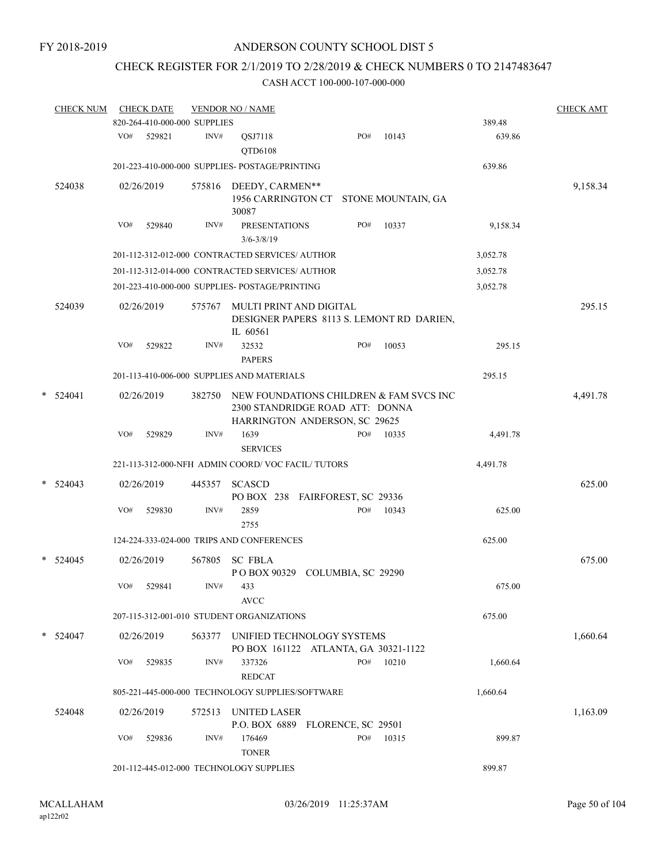# CHECK REGISTER FOR 2/1/2019 TO 2/28/2019 & CHECK NUMBERS 0 TO 2147483647

|   | <b>CHECK NUM</b> |     | <b>CHECK DATE</b>            |        | <b>VENDOR NO / NAME</b>                                                                                            |     |                    |          | <b>CHECK AMT</b> |
|---|------------------|-----|------------------------------|--------|--------------------------------------------------------------------------------------------------------------------|-----|--------------------|----------|------------------|
|   |                  |     | 820-264-410-000-000 SUPPLIES |        |                                                                                                                    |     |                    | 389.48   |                  |
|   |                  | VO# | 529821                       | INV#   | QSJ7118<br>QTD6108                                                                                                 | PO# | 10143              | 639.86   |                  |
|   |                  |     |                              |        | 201-223-410-000-000 SUPPLIES- POSTAGE/PRINTING                                                                     |     |                    | 639.86   |                  |
|   | 524038           |     | 02/26/2019                   | 575816 | DEEDY, CARMEN**<br>1956 CARRINGTON CT<br>30087                                                                     |     | STONE MOUNTAIN, GA |          | 9,158.34         |
|   |                  | VO# | 529840                       | INV#   | <b>PRESENTATIONS</b><br>$3/6 - 3/8/19$                                                                             | PO# | 10337              | 9,158.34 |                  |
|   |                  |     |                              |        | 201-112-312-012-000 CONTRACTED SERVICES/ AUTHOR                                                                    |     |                    | 3,052.78 |                  |
|   |                  |     |                              |        | 201-112-312-014-000 CONTRACTED SERVICES/ AUTHOR                                                                    |     |                    | 3,052.78 |                  |
|   |                  |     |                              |        | 201-223-410-000-000 SUPPLIES- POSTAGE/PRINTING                                                                     |     |                    | 3,052.78 |                  |
|   | 524039           |     | 02/26/2019                   | 575767 | MULTI PRINT AND DIGITAL<br>DESIGNER PAPERS 8113 S. LEMONT RD DARIEN,<br>IL 60561                                   |     |                    |          | 295.15           |
|   |                  | VO# | 529822                       | INV#   | 32532<br><b>PAPERS</b>                                                                                             | PO# | 10053              | 295.15   |                  |
|   |                  |     |                              |        | 201-113-410-006-000 SUPPLIES AND MATERIALS                                                                         |     |                    | 295.15   |                  |
| * | 524041           |     | 02/26/2019                   | 382750 | NEW FOUNDATIONS CHILDREN & FAM SVCS INC<br>2300 STANDRIDGE ROAD ATT: DONNA<br><b>HARRINGTON ANDERSON, SC 29625</b> |     |                    |          | 4,491.78         |
|   |                  | VO# | 529829                       | INV#   | 1639                                                                                                               | PO# | 10335              | 4,491.78 |                  |
|   |                  |     |                              |        | <b>SERVICES</b>                                                                                                    |     |                    |          |                  |
|   |                  |     |                              |        | 221-113-312-000-NFH ADMIN COORD/VOC FACIL/TUTORS                                                                   |     |                    | 4,491.78 |                  |
| * | 524043           |     | 02/26/2019                   | 445357 | <b>SCASCD</b><br>PO BOX 238 FAIRFOREST, SC 29336                                                                   |     |                    |          | 625.00           |
|   |                  | VO# | 529830                       | INV#   | 2859<br>2755                                                                                                       | PO# | 10343              | 625.00   |                  |
|   |                  |     |                              |        | 124-224-333-024-000 TRIPS AND CONFERENCES                                                                          |     |                    | 625.00   |                  |
| * | 524045           |     | 02/26/2019                   | 567805 | <b>SC FBLA</b><br>POBOX 90329 COLUMBIA, SC 29290                                                                   |     |                    |          | 675.00           |
|   |                  | VO# | 529841                       | INV#   | 433<br><b>AVCC</b>                                                                                                 |     |                    | 675.00   |                  |
|   |                  |     |                              |        | 207-115-312-001-010 STUDENT ORGANIZATIONS                                                                          |     |                    | 675.00   |                  |
|   | $*$ 524047       |     | 02/26/2019                   | 563377 | UNIFIED TECHNOLOGY SYSTEMS<br>PO BOX 161122 ATLANTA, GA 30321-1122                                                 |     |                    |          | 1,660.64         |
|   |                  | VO# | 529835                       | INV#   | 337326<br><b>REDCAT</b>                                                                                            | PO# | 10210              | 1,660.64 |                  |
|   |                  |     |                              |        | 805-221-445-000-000 TECHNOLOGY SUPPLIES/SOFTWARE                                                                   |     |                    | 1,660.64 |                  |
|   | 524048           |     | 02/26/2019                   | 572513 | <b>UNITED LASER</b><br>P.O. BOX 6889 FLORENCE, SC 29501                                                            |     |                    |          | 1,163.09         |
|   |                  | VO# | 529836                       | INV#   | 176469<br><b>TONER</b>                                                                                             | PO# | 10315              | 899.87   |                  |
|   |                  |     |                              |        | 201-112-445-012-000 TECHNOLOGY SUPPLIES                                                                            |     |                    | 899.87   |                  |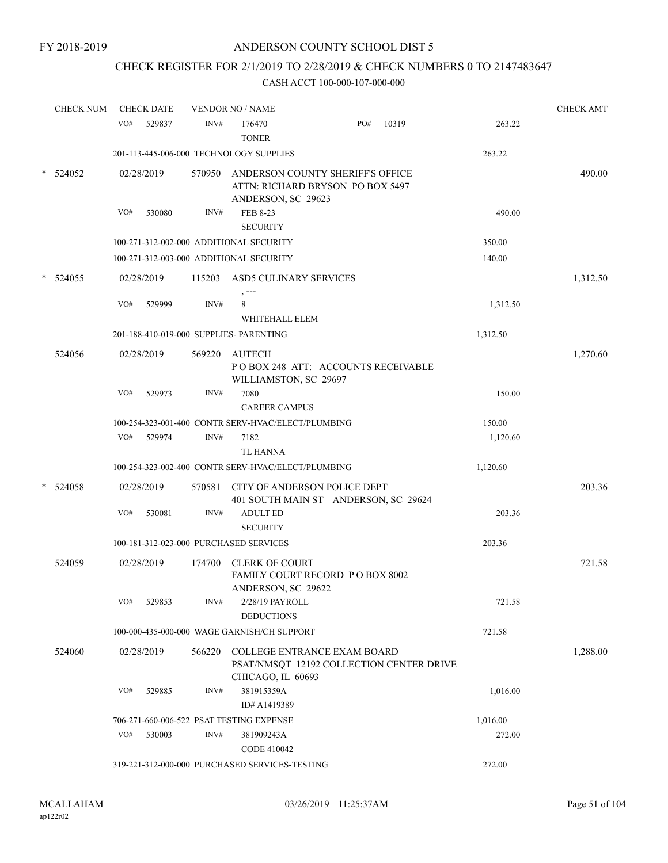# CHECK REGISTER FOR 2/1/2019 TO 2/28/2019 & CHECK NUMBERS 0 TO 2147483647

| <b>CHECK NUM</b> |     | <b>CHECK DATE</b> |        | <b>VENDOR NO / NAME</b>                            |                                                                                |       |          | <b>CHECK AMT</b> |
|------------------|-----|-------------------|--------|----------------------------------------------------|--------------------------------------------------------------------------------|-------|----------|------------------|
|                  | VO# | 529837            | INV#   | 176470<br><b>TONER</b>                             | PO#                                                                            | 10319 | 263.22   |                  |
|                  |     |                   |        | 201-113-445-006-000 TECHNOLOGY SUPPLIES            |                                                                                |       | 263.22   |                  |
| 524052           |     | 02/28/2019        | 570950 | ANDERSON, SC 29623                                 | ANDERSON COUNTY SHERIFF'S OFFICE<br>ATTN: RICHARD BRYSON PO BOX 5497           |       |          | 490.00           |
|                  | VO# | 530080            | INV#   | FEB 8-23<br><b>SECURITY</b>                        |                                                                                |       | 490.00   |                  |
|                  |     |                   |        | 100-271-312-002-000 ADDITIONAL SECURITY            |                                                                                |       | 350.00   |                  |
|                  |     |                   |        | 100-271-312-003-000 ADDITIONAL SECURITY            |                                                                                |       | 140.00   |                  |
| 524055           |     | 02/28/2019        | 115203 | ASD5 CULINARY SERVICES                             |                                                                                |       |          | 1,312.50         |
|                  | VO# | 529999            | INV#   | 8<br>WHITEHALL ELEM                                |                                                                                |       | 1,312.50 |                  |
|                  |     |                   |        | 201-188-410-019-000 SUPPLIES- PARENTING            |                                                                                |       | 1,312.50 |                  |
| 524056           |     | 02/28/2019        | 569220 | AUTECH<br>WILLIAMSTON, SC 29697                    | POBOX 248 ATT: ACCOUNTS RECEIVABLE                                             |       |          | 1,270.60         |
|                  | VO# | 529973            | INV#   | 7080<br><b>CAREER CAMPUS</b>                       |                                                                                |       | 150.00   |                  |
|                  |     |                   |        | 100-254-323-001-400 CONTR SERV-HVAC/ELECT/PLUMBING |                                                                                |       | 150.00   |                  |
|                  | VO# | 529974            | INV#   | 7182<br><b>TL HANNA</b>                            |                                                                                |       | 1,120.60 |                  |
|                  |     |                   |        | 100-254-323-002-400 CONTR SERV-HVAC/ELECT/PLUMBING |                                                                                |       | 1,120.60 |                  |
| 524058           |     | 02/28/2019        | 570581 |                                                    | CITY OF ANDERSON POLICE DEPT<br>401 SOUTH MAIN ST ANDERSON, SC 29624           |       |          | 203.36           |
|                  | VO# | 530081            | INV#   | <b>ADULT ED</b><br><b>SECURITY</b>                 |                                                                                |       | 203.36   |                  |
|                  |     |                   |        | 100-181-312-023-000 PURCHASED SERVICES             |                                                                                |       | 203.36   |                  |
| 524059           |     | 02/28/2019        | 174700 | <b>CLERK OF COURT</b><br>ANDERSON, SC 29622        | FAMILY COURT RECORD PO BOX 8002                                                |       |          | 721.58           |
|                  | VO# | 529853            | INV#   | 2/28/19 PAYROLL<br><b>DEDUCTIONS</b>               |                                                                                |       | 721.58   |                  |
|                  |     |                   |        | 100-000-435-000-000 WAGE GARNISH/CH SUPPORT        |                                                                                |       | 721.58   |                  |
| 524060           |     | 02/28/2019        |        | CHICAGO, IL 60693                                  | 566220 COLLEGE ENTRANCE EXAM BOARD<br>PSAT/NMSQT 12192 COLLECTION CENTER DRIVE |       |          | 1,288.00         |
|                  | VO# | 529885            | INV#   | 381915359A<br>ID# A1419389                         |                                                                                |       | 1,016.00 |                  |
|                  |     |                   |        | 706-271-660-006-522 PSAT TESTING EXPENSE           |                                                                                |       | 1,016.00 |                  |
|                  | VO# | 530003            | INV#   | 381909243A<br>CODE 410042                          |                                                                                |       | 272.00   |                  |
|                  |     |                   |        | 319-221-312-000-000 PURCHASED SERVICES-TESTING     |                                                                                |       | 272.00   |                  |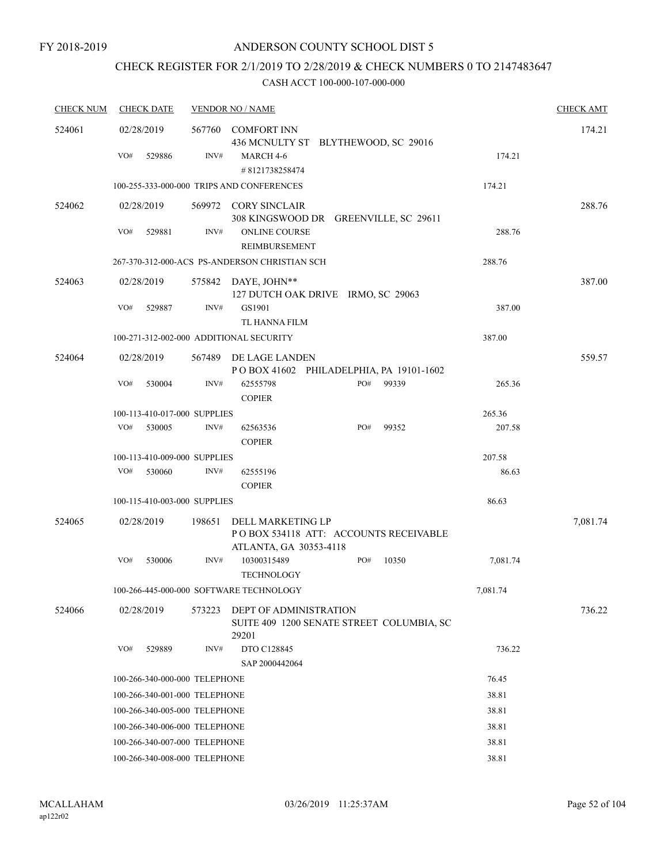# CHECK REGISTER FOR 2/1/2019 TO 2/28/2019 & CHECK NUMBERS 0 TO 2147483647

| <b>CHECK NUM</b> | <b>CHECK DATE</b>                       |        | <b>VENDOR NO / NAME</b>                                                              |     |       |          | <b>CHECK AMT</b> |
|------------------|-----------------------------------------|--------|--------------------------------------------------------------------------------------|-----|-------|----------|------------------|
| 524061           | 02/28/2019                              | 567760 | <b>COMFORT INN</b><br>436 MCNULTY ST BLYTHEWOOD, SC 29016                            |     |       |          | 174.21           |
|                  | VO#<br>529886                           | INV#   | MARCH 4-6<br>#8121738258474                                                          |     |       | 174.21   |                  |
|                  |                                         |        | 100-255-333-000-000 TRIPS AND CONFERENCES                                            |     |       | 174.21   |                  |
| 524062           | 02/28/2019                              |        | 569972 CORY SINCLAIR                                                                 |     |       |          | 288.76           |
|                  |                                         |        | 308 KINGSWOOD DR GREENVILLE, SC 29611                                                |     |       |          |                  |
|                  | VO#<br>529881                           | INV#   | <b>ONLINE COURSE</b><br><b>REIMBURSEMENT</b>                                         |     |       | 288.76   |                  |
|                  |                                         |        | 267-370-312-000-ACS PS-ANDERSON CHRISTIAN SCH                                        |     |       | 288.76   |                  |
| 524063           | 02/28/2019                              |        | 575842 DAYE, JOHN**<br>127 DUTCH OAK DRIVE IRMO, SC 29063                            |     |       |          | 387.00           |
|                  | VO#<br>529887                           | INV#   | GS1901                                                                               |     |       | 387.00   |                  |
|                  |                                         |        | TL HANNA FILM                                                                        |     |       |          |                  |
|                  | 100-271-312-002-000 ADDITIONAL SECURITY |        |                                                                                      |     |       | 387.00   |                  |
| 524064           | 02/28/2019                              | 567489 | DE LAGE LANDEN                                                                       |     |       |          | 559.57           |
|                  |                                         |        | POBOX 41602 PHILADELPHIA, PA 19101-1602                                              |     |       |          |                  |
|                  | VO#<br>530004                           | INV#   | 62555798<br><b>COPIER</b>                                                            | PO# | 99339 | 265.36   |                  |
|                  | 100-113-410-017-000 SUPPLIES            |        |                                                                                      |     |       | 265.36   |                  |
|                  | VO#<br>530005                           | INV#   | 62563536<br><b>COPIER</b>                                                            | PO# | 99352 | 207.58   |                  |
|                  | 100-113-410-009-000 SUPPLIES            |        |                                                                                      |     |       | 207.58   |                  |
|                  | VO#<br>530060                           | INV#   | 62555196                                                                             |     |       | 86.63    |                  |
|                  |                                         |        | <b>COPIER</b>                                                                        |     |       |          |                  |
|                  | 100-115-410-003-000 SUPPLIES            |        |                                                                                      |     |       | 86.63    |                  |
| 524065           | 02/28/2019                              | 198651 | DELL MARKETING LP<br>POBOX 534118 ATT: ACCOUNTS RECEIVABLE<br>ATLANTA, GA 30353-4118 |     |       |          | 7,081.74         |
|                  | VO#<br>530006                           | INV#   | 10300315489                                                                          | PO# | 10350 | 7,081.74 |                  |
|                  |                                         |        | <b>TECHNOLOGY</b>                                                                    |     |       |          |                  |
|                  |                                         |        | 100-266-445-000-000 SOFTWARE TECHNOLOGY                                              |     |       | 7,081.74 |                  |
| 524066           | 02/28/2019                              | 573223 | <b>DEPT OF ADMINISTRATION</b><br>SUITE 409 1200 SENATE STREET COLUMBIA, SC<br>29201  |     |       |          | 736.22           |
|                  | VO#<br>529889                           | INV#   | DTO C128845                                                                          |     |       | 736.22   |                  |
|                  |                                         |        | SAP 2000442064                                                                       |     |       |          |                  |
|                  | 100-266-340-000-000 TELEPHONE           |        |                                                                                      |     |       | 76.45    |                  |
|                  | 100-266-340-001-000 TELEPHONE           |        |                                                                                      |     |       | 38.81    |                  |
|                  | 100-266-340-005-000 TELEPHONE           |        |                                                                                      |     |       | 38.81    |                  |
|                  | 100-266-340-006-000 TELEPHONE           |        |                                                                                      |     |       | 38.81    |                  |
|                  | 100-266-340-007-000 TELEPHONE           |        |                                                                                      |     |       | 38.81    |                  |
|                  | 100-266-340-008-000 TELEPHONE           |        |                                                                                      |     |       | 38.81    |                  |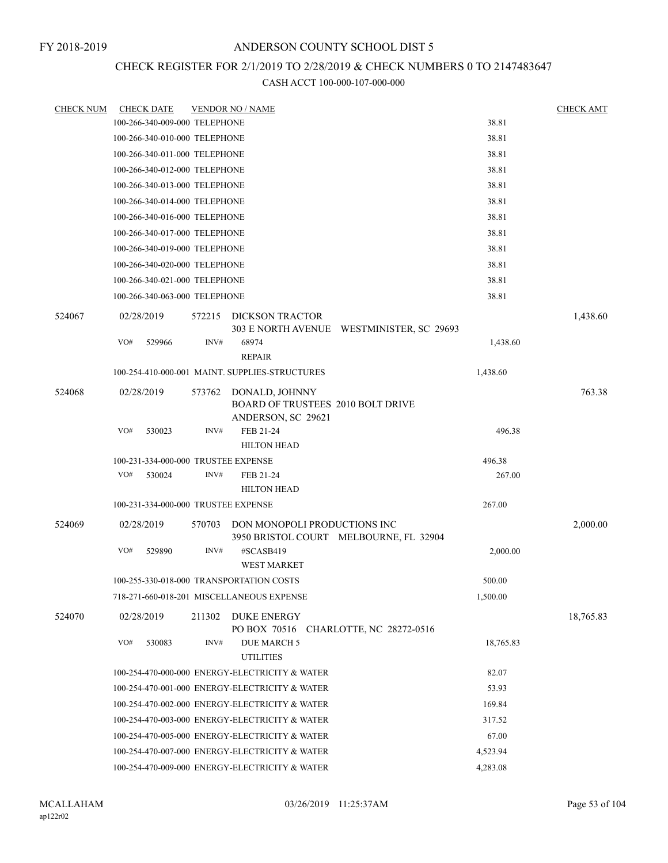# CHECK REGISTER FOR 2/1/2019 TO 2/28/2019 & CHECK NUMBERS 0 TO 2147483647

| <b>CHECK NUM</b> | <b>CHECK DATE</b>                   |        | <b>VENDOR NO / NAME</b>                                                   |           | <b>CHECK AMT</b> |
|------------------|-------------------------------------|--------|---------------------------------------------------------------------------|-----------|------------------|
|                  | 100-266-340-009-000 TELEPHONE       |        |                                                                           | 38.81     |                  |
|                  | 100-266-340-010-000 TELEPHONE       |        |                                                                           | 38.81     |                  |
|                  | 100-266-340-011-000 TELEPHONE       |        |                                                                           | 38.81     |                  |
|                  | 100-266-340-012-000 TELEPHONE       |        |                                                                           | 38.81     |                  |
|                  | 100-266-340-013-000 TELEPHONE       |        |                                                                           | 38.81     |                  |
|                  | 100-266-340-014-000 TELEPHONE       |        |                                                                           | 38.81     |                  |
|                  | 100-266-340-016-000 TELEPHONE       |        |                                                                           | 38.81     |                  |
|                  | 100-266-340-017-000 TELEPHONE       |        |                                                                           | 38.81     |                  |
|                  | 100-266-340-019-000 TELEPHONE       |        |                                                                           | 38.81     |                  |
|                  | 100-266-340-020-000 TELEPHONE       |        |                                                                           | 38.81     |                  |
|                  | 100-266-340-021-000 TELEPHONE       |        |                                                                           | 38.81     |                  |
|                  | 100-266-340-063-000 TELEPHONE       |        |                                                                           | 38.81     |                  |
| 524067           | 02/28/2019                          | 572215 | DICKSON TRACTOR<br>303 E NORTH AVENUE WESTMINISTER, SC 29693              |           | 1,438.60         |
|                  | VO#<br>529966                       | INV#   | 68974<br><b>REPAIR</b>                                                    | 1,438.60  |                  |
|                  |                                     |        | 100-254-410-000-001 MAINT, SUPPLIES-STRUCTURES                            | 1,438.60  |                  |
| 524068           | 02/28/2019                          | 573762 | DONALD, JOHNNY<br>BOARD OF TRUSTEES 2010 BOLT DRIVE<br>ANDERSON, SC 29621 |           | 763.38           |
|                  | VO#<br>530023                       | INV#   | FEB 21-24<br><b>HILTON HEAD</b>                                           | 496.38    |                  |
|                  | 100-231-334-000-000 TRUSTEE EXPENSE |        |                                                                           | 496.38    |                  |
|                  | VO#<br>530024                       | INV#   | FEB 21-24<br><b>HILTON HEAD</b>                                           | 267.00    |                  |
|                  | 100-231-334-000-000 TRUSTEE EXPENSE |        |                                                                           | 267.00    |                  |
| 524069           | 02/28/2019                          | 570703 | DON MONOPOLI PRODUCTIONS INC<br>3950 BRISTOL COURT MELBOURNE, FL 32904    |           | 2,000.00         |
|                  | VO#<br>529890                       | INV#   | #SCASB419<br><b>WEST MARKET</b>                                           | 2,000.00  |                  |
|                  |                                     |        | 100-255-330-018-000 TRANSPORTATION COSTS                                  | 500.00    |                  |
|                  |                                     |        | 718-271-660-018-201 MISCELLANEOUS EXPENSE                                 | 1,500.00  |                  |
| 524070           | 02/28/2019                          | 211302 | DUKE ENERGY<br>PO BOX 70516 CHARLOTTE, NC 28272-0516                      |           | 18,765.83        |
|                  | VO#<br>530083                       | INV#   | DUE MARCH 5<br><b>UTILITIES</b>                                           | 18,765.83 |                  |
|                  |                                     |        | 100-254-470-000-000 ENERGY-ELECTRICITY & WATER                            | 82.07     |                  |
|                  |                                     |        | 100-254-470-001-000 ENERGY-ELECTRICITY & WATER                            | 53.93     |                  |
|                  |                                     |        | 100-254-470-002-000 ENERGY-ELECTRICITY & WATER                            | 169.84    |                  |
|                  |                                     |        | 100-254-470-003-000 ENERGY-ELECTRICITY & WATER                            | 317.52    |                  |
|                  |                                     |        | 100-254-470-005-000 ENERGY-ELECTRICITY & WATER                            | 67.00     |                  |
|                  |                                     |        | 100-254-470-007-000 ENERGY-ELECTRICITY & WATER                            | 4,523.94  |                  |
|                  |                                     |        | 100-254-470-009-000 ENERGY-ELECTRICITY & WATER                            | 4,283.08  |                  |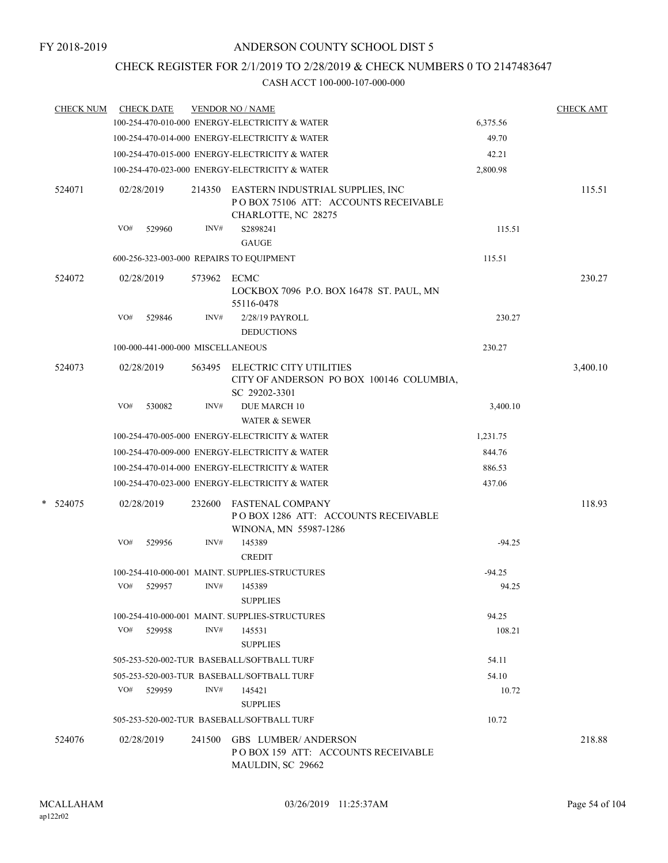# CHECK REGISTER FOR 2/1/2019 TO 2/28/2019 & CHECK NUMBERS 0 TO 2147483647

| <b>CHECK NUM</b> | <b>CHECK DATE</b>                        |        | <b>VENDOR NO / NAME</b>                                                                         |          | <b>CHECK AMT</b> |
|------------------|------------------------------------------|--------|-------------------------------------------------------------------------------------------------|----------|------------------|
|                  |                                          |        | 100-254-470-010-000 ENERGY-ELECTRICITY & WATER                                                  | 6,375.56 |                  |
|                  |                                          |        | 100-254-470-014-000 ENERGY-ELECTRICITY & WATER                                                  | 49.70    |                  |
|                  |                                          |        | 100-254-470-015-000 ENERGY-ELECTRICITY & WATER                                                  | 42.21    |                  |
|                  |                                          |        | 100-254-470-023-000 ENERGY-ELECTRICITY & WATER                                                  | 2,800.98 |                  |
| 524071           | 02/28/2019                               | 214350 | EASTERN INDUSTRIAL SUPPLIES, INC<br>POBOX 75106 ATT: ACCOUNTS RECEIVABLE<br>CHARLOTTE, NC 28275 |          | 115.51           |
|                  | VO#<br>529960                            | INV#   | S2898241<br><b>GAUGE</b>                                                                        | 115.51   |                  |
|                  | 600-256-323-003-000 REPAIRS TO EQUIPMENT |        |                                                                                                 | 115.51   |                  |
| 524072           | 02/28/2019                               | 573962 | ECMC<br>LOCKBOX 7096 P.O. BOX 16478 ST. PAUL, MN<br>55116-0478                                  |          | 230.27           |
|                  | VO#<br>529846                            | INV#   | 2/28/19 PAYROLL<br><b>DEDUCTIONS</b>                                                            | 230.27   |                  |
|                  | 100-000-441-000-000 MISCELLANEOUS        |        |                                                                                                 | 230.27   |                  |
| 524073           | 02/28/2019                               | 563495 | ELECTRIC CITY UTILITIES<br>CITY OF ANDERSON PO BOX 100146 COLUMBIA,<br>SC 29202-3301            |          | 3,400.10         |
|                  | VO#<br>530082                            | INV#   | <b>DUE MARCH 10</b><br>WATER & SEWER                                                            | 3,400.10 |                  |
|                  |                                          |        | 100-254-470-005-000 ENERGY-ELECTRICITY & WATER                                                  | 1,231.75 |                  |
|                  |                                          |        | 100-254-470-009-000 ENERGY-ELECTRICITY & WATER                                                  | 844.76   |                  |
|                  |                                          |        | 100-254-470-014-000 ENERGY-ELECTRICITY & WATER                                                  | 886.53   |                  |
|                  |                                          |        | 100-254-470-023-000 ENERGY-ELECTRICITY & WATER                                                  | 437.06   |                  |
| * 524075         | 02/28/2019                               | 232600 | <b>FASTENAL COMPANY</b><br>POBOX 1286 ATT: ACCOUNTS RECEIVABLE<br>WINONA, MN 55987-1286         |          | 118.93           |
|                  | VO#<br>529956                            | INV#   | 145389<br><b>CREDIT</b>                                                                         | $-94.25$ |                  |
|                  |                                          |        | 100-254-410-000-001 MAINT. SUPPLIES-STRUCTURES                                                  | $-94.25$ |                  |
|                  | VO#<br>529957                            | INV#   | 145389<br><b>SUPPLIES</b>                                                                       | 94.25    |                  |
|                  |                                          |        | 100-254-410-000-001 MAINT. SUPPLIES-STRUCTURES                                                  | 94.25    |                  |
|                  | VO#<br>529958                            | INV#   | 145531<br><b>SUPPLIES</b>                                                                       | 108.21   |                  |
|                  |                                          |        | 505-253-520-002-TUR BASEBALL/SOFTBALL TURF                                                      | 54.11    |                  |
|                  |                                          |        | 505-253-520-003-TUR BASEBALL/SOFTBALL TURF                                                      | 54.10    |                  |
|                  | VO#<br>529959                            | INV#   | 145421<br><b>SUPPLIES</b>                                                                       | 10.72    |                  |
|                  |                                          |        | 505-253-520-002-TUR BASEBALL/SOFTBALL TURF                                                      | 10.72    |                  |
| 524076           | 02/28/2019                               | 241500 | <b>GBS LUMBER/ANDERSON</b><br>POBOX 159 ATT: ACCOUNTS RECEIVABLE<br>MAULDIN, SC 29662           |          | 218.88           |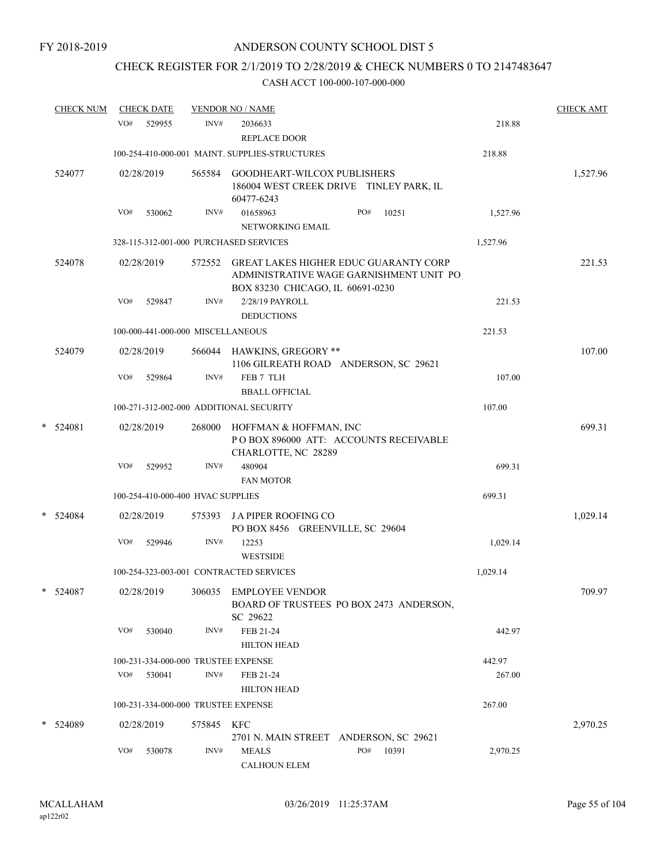# CHECK REGISTER FOR 2/1/2019 TO 2/28/2019 & CHECK NUMBERS 0 TO 2147483647

| <b>CHECK NUM</b> |            | <b>CHECK DATE</b>                 |            | <b>VENDOR NO / NAME</b>                                                                                                     |     |       |          | <b>CHECK AMT</b> |
|------------------|------------|-----------------------------------|------------|-----------------------------------------------------------------------------------------------------------------------------|-----|-------|----------|------------------|
|                  | VO#        | 529955                            | INV#       | 2036633<br>REPLACE DOOR                                                                                                     |     |       | 218.88   |                  |
|                  |            |                                   |            | 100-254-410-000-001 MAINT. SUPPLIES-STRUCTURES                                                                              |     |       | 218.88   |                  |
| 524077           |            | 02/28/2019                        |            | 565584 GOODHEART-WILCOX PUBLISHERS<br>186004 WEST CREEK DRIVE TINLEY PARK, IL<br>60477-6243                                 |     |       |          | 1,527.96         |
|                  | VO#        | 530062                            | INV#       | 01658963                                                                                                                    | PO# | 10251 | 1,527.96 |                  |
|                  |            |                                   |            | NETWORKING EMAIL                                                                                                            |     |       |          |                  |
|                  |            |                                   |            | 328-115-312-001-000 PURCHASED SERVICES                                                                                      |     |       | 1,527.96 |                  |
| 524078           |            | 02/28/2019                        |            | 572552 GREAT LAKES HIGHER EDUC GUARANTY CORP<br>ADMINISTRATIVE WAGE GARNISHMENT UNIT PO<br>BOX 83230 CHICAGO, IL 60691-0230 |     |       |          | 221.53           |
|                  | VO#        | 529847                            | INV#       | 2/28/19 PAYROLL<br><b>DEDUCTIONS</b>                                                                                        |     |       | 221.53   |                  |
|                  |            | 100-000-441-000-000 MISCELLANEOUS |            |                                                                                                                             |     |       | 221.53   |                  |
| 524079           |            | 02/28/2019                        |            | 566044 HAWKINS, GREGORY **<br>1106 GILREATH ROAD ANDERSON, SC 29621                                                         |     |       |          | 107.00           |
|                  | VO#        | 529864                            | INV#       | FEB 7 TLH                                                                                                                   |     |       | 107.00   |                  |
|                  |            |                                   |            | <b>BBALL OFFICIAL</b>                                                                                                       |     |       |          |                  |
|                  |            |                                   |            | 100-271-312-002-000 ADDITIONAL SECURITY                                                                                     |     |       | 107.00   |                  |
| $* 524081$       | 02/28/2019 |                                   |            | 268000 HOFFMAN & HOFFMAN, INC<br>POBOX 896000 ATT: ACCOUNTS RECEIVABLE<br>CHARLOTTE, NC 28289                               |     |       |          | 699.31           |
|                  | VO#        | 529952                            | INV#       | 480904<br><b>FAN MOTOR</b>                                                                                                  |     |       | 699.31   |                  |
|                  |            | 100-254-410-000-400 HVAC SUPPLIES |            |                                                                                                                             |     |       | 699.31   |                  |
| $*$ 524084       |            | 02/28/2019                        |            | 575393 JA PIPER ROOFING CO<br>PO BOX 8456 GREENVILLE, SC 29604                                                              |     |       |          | 1,029.14         |
|                  | VO#        | 529946                            | INV#       | 12253<br><b>WESTSIDE</b>                                                                                                    |     |       | 1,029.14 |                  |
|                  |            |                                   |            | 100-254-323-003-001 CONTRACTED SERVICES                                                                                     |     |       | 1,029.14 |                  |
| $* 524087$       |            |                                   |            | 02/28/2019 306035 EMPLOYEE VENDOR<br>BOARD OF TRUSTEES PO BOX 2473 ANDERSON,<br>SC 29622                                    |     |       |          | 709.97           |
|                  | VO#        | 530040                            | INV#       | FEB 21-24<br><b>HILTON HEAD</b>                                                                                             |     |       | 442.97   |                  |
|                  |            |                                   |            | 100-231-334-000-000 TRUSTEE EXPENSE                                                                                         |     |       | 442.97   |                  |
|                  | VO#        | 530041                            | INV#       | FEB 21-24<br><b>HILTON HEAD</b>                                                                                             |     |       | 267.00   |                  |
|                  |            |                                   |            | 100-231-334-000-000 TRUSTEE EXPENSE                                                                                         |     |       | 267.00   |                  |
| * 524089         |            | 02/28/2019                        | 575845 KFC | 2701 N. MAIN STREET ANDERSON, SC 29621                                                                                      |     |       |          | 2,970.25         |
|                  | VO#        | 530078                            | INV#       | <b>MEALS</b><br><b>CALHOUN ELEM</b>                                                                                         | PO# | 10391 | 2,970.25 |                  |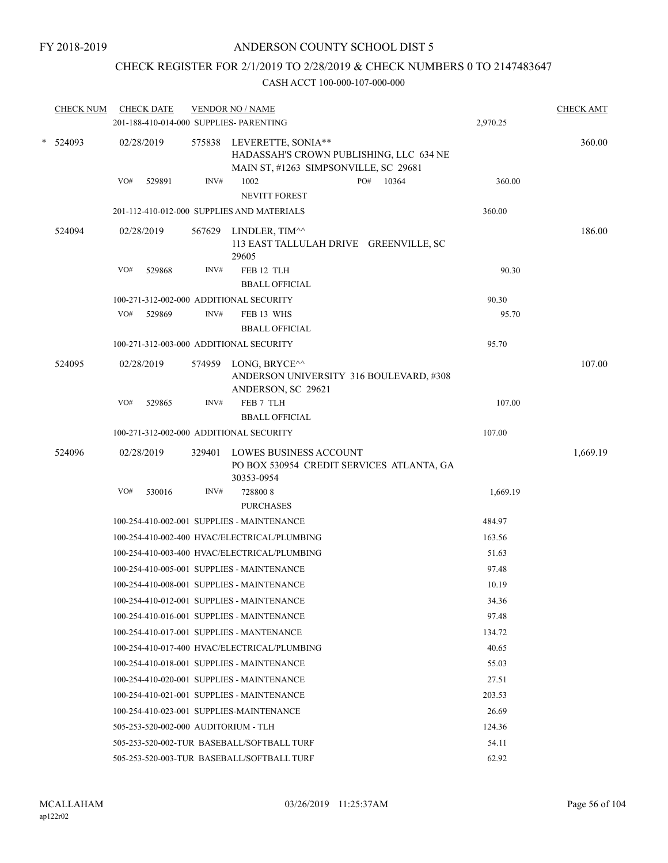# CHECK REGISTER FOR 2/1/2019 TO 2/28/2019 & CHECK NUMBERS 0 TO 2147483647

|   | <b>CHECK NUM</b> | <b>CHECK DATE</b><br>201-188-410-014-000 SUPPLIES- PARENTING |        | <b>VENDOR NO / NAME</b>                                |                                           | 2,970.25 | <b>CHECK AMT</b> |
|---|------------------|--------------------------------------------------------------|--------|--------------------------------------------------------|-------------------------------------------|----------|------------------|
| * | 524093           | 02/28/2019                                                   |        | 575838 LEVERETTE, SONIA**                              | HADASSAH'S CROWN PUBLISHING, LLC 634 NE   |          | 360.00           |
|   |                  | VO#<br>529891                                                | INV#   | MAIN ST, #1263 SIMPSONVILLE, SC 29681<br>1002          | PO#<br>10364                              | 360.00   |                  |
|   |                  |                                                              |        | <b>NEVITT FOREST</b>                                   |                                           |          |                  |
|   |                  |                                                              |        | 201-112-410-012-000 SUPPLIES AND MATERIALS             |                                           | 360.00   |                  |
|   | 524094           | 02/28/2019                                                   | 567629 | LINDLER, TIM <sup>^^</sup><br>29605                    | 113 EAST TALLULAH DRIVE GREENVILLE, SC    |          | 186.00           |
|   |                  | VO#<br>529868                                                | INV#   | FEB 12 TLH<br><b>BBALL OFFICIAL</b>                    |                                           | 90.30    |                  |
|   |                  | 100-271-312-002-000 ADDITIONAL SECURITY                      |        |                                                        |                                           | 90.30    |                  |
|   |                  | VO#<br>529869                                                | INV#   | FEB 13 WHS<br><b>BBALL OFFICIAL</b>                    |                                           | 95.70    |                  |
|   |                  | 100-271-312-003-000 ADDITIONAL SECURITY                      |        |                                                        |                                           | 95.70    |                  |
|   | 524095           | 02/28/2019                                                   |        | 574959 LONG, BRYCE <sup>^^</sup><br>ANDERSON, SC 29621 | ANDERSON UNIVERSITY 316 BOULEVARD, #308   |          | 107.00           |
|   |                  | VO#<br>529865                                                | INV#   | FEB 7 TLH<br><b>BBALL OFFICIAL</b>                     |                                           | 107.00   |                  |
|   |                  | 100-271-312-002-000 ADDITIONAL SECURITY                      |        |                                                        |                                           | 107.00   |                  |
|   | 524096           | 02/28/2019                                                   | 329401 | <b>LOWES BUSINESS ACCOUNT</b><br>30353-0954            | PO BOX 530954 CREDIT SERVICES ATLANTA, GA |          | 1,669.19         |
|   |                  | VO#<br>530016                                                | INV#   | 7288008<br><b>PURCHASES</b>                            |                                           | 1,669.19 |                  |
|   |                  |                                                              |        | 100-254-410-002-001 SUPPLIES - MAINTENANCE             |                                           | 484.97   |                  |
|   |                  |                                                              |        | 100-254-410-002-400 HVAC/ELECTRICAL/PLUMBING           |                                           | 163.56   |                  |
|   |                  |                                                              |        | 100-254-410-003-400 HVAC/ELECTRICAL/PLUMBING           |                                           | 51.63    |                  |
|   |                  |                                                              |        | 100-254-410-005-001 SUPPLIES - MAINTENANCE             |                                           | 97.48    |                  |
|   |                  |                                                              |        | 100-254-410-008-001 SUPPLIES - MAINTENANCE             |                                           | 10.19    |                  |
|   |                  |                                                              |        | 100-254-410-012-001 SUPPLIES - MAINTENANCE             |                                           | 34.36    |                  |
|   |                  |                                                              |        | 100-254-410-016-001 SUPPLIES - MAINTENANCE             |                                           | 97.48    |                  |
|   |                  |                                                              |        | 100-254-410-017-001 SUPPLIES - MANTENANCE              |                                           | 134.72   |                  |
|   |                  |                                                              |        | 100-254-410-017-400 HVAC/ELECTRICAL/PLUMBING           |                                           | 40.65    |                  |
|   |                  |                                                              |        | 100-254-410-018-001 SUPPLIES - MAINTENANCE             |                                           | 55.03    |                  |
|   |                  |                                                              |        | 100-254-410-020-001 SUPPLIES - MAINTENANCE             |                                           | 27.51    |                  |
|   |                  |                                                              |        | 100-254-410-021-001 SUPPLIES - MAINTENANCE             |                                           | 203.53   |                  |
|   |                  | 100-254-410-023-001 SUPPLIES-MAINTENANCE                     |        |                                                        |                                           | 26.69    |                  |
|   |                  | 505-253-520-002-000 AUDITORIUM - TLH                         |        |                                                        |                                           | 124.36   |                  |
|   |                  |                                                              |        | 505-253-520-002-TUR BASEBALL/SOFTBALL TURF             |                                           | 54.11    |                  |
|   |                  |                                                              |        | 505-253-520-003-TUR BASEBALL/SOFTBALL TURF             |                                           | 62.92    |                  |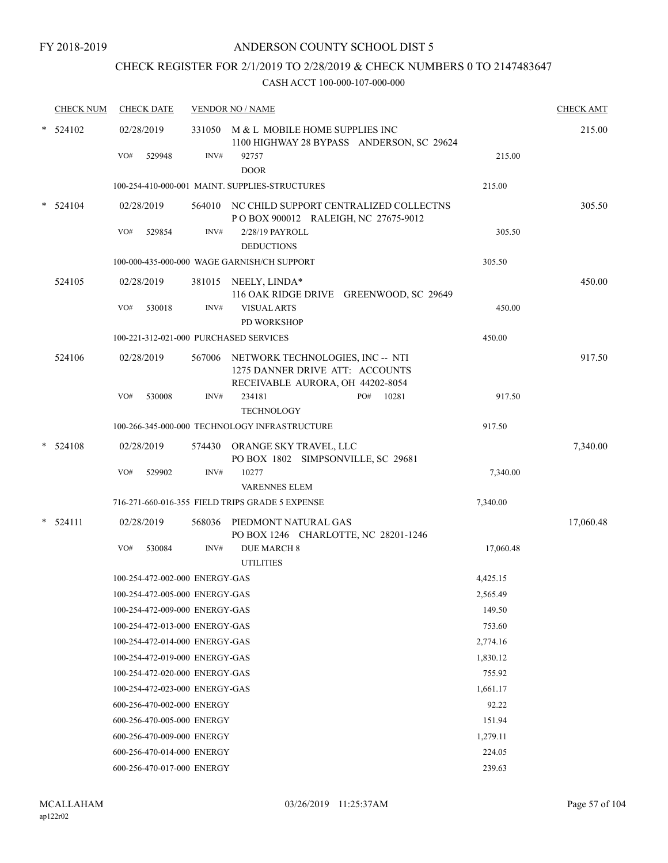# CHECK REGISTER FOR 2/1/2019 TO 2/28/2019 & CHECK NUMBERS 0 TO 2147483647

|        | <b>CHECK NUM</b> |     | <b>CHECK DATE</b>              |        | <b>VENDOR NO / NAME</b>                                                                                        |           | <b>CHECK AMT</b> |
|--------|------------------|-----|--------------------------------|--------|----------------------------------------------------------------------------------------------------------------|-----------|------------------|
| $\ast$ | 524102           | VO# | 02/28/2019<br>529948           | INV#   | 331050 M & L MOBILE HOME SUPPLIES INC<br>1100 HIGHWAY 28 BYPASS ANDERSON, SC 29624<br>92757                    | 215.00    | 215.00           |
|        |                  |     |                                |        | <b>DOOR</b><br>100-254-410-000-001 MAINT. SUPPLIES-STRUCTURES                                                  | 215.00    |                  |
|        |                  |     | 02/28/2019                     |        | 564010 NC CHILD SUPPORT CENTRALIZED COLLECTNS                                                                  |           | 305.50           |
|        | 524104           |     |                                |        | POBOX 900012 RALEIGH, NC 27675-9012                                                                            |           |                  |
|        |                  | VO# | 529854                         | INV#   | 2/28/19 PAYROLL                                                                                                | 305.50    |                  |
|        |                  |     |                                |        | <b>DEDUCTIONS</b><br>100-000-435-000-000 WAGE GARNISH/CH SUPPORT                                               | 305.50    |                  |
|        |                  |     |                                |        |                                                                                                                |           |                  |
|        | 524105           |     | 02/28/2019                     |        | 381015 NEELY, LINDA*<br>116 OAK RIDGE DRIVE GREENWOOD, SC 29649                                                |           | 450.00           |
|        |                  | VO# | 530018                         | INV#   | <b>VISUAL ARTS</b><br><b>PD WORKSHOP</b>                                                                       | 450.00    |                  |
|        |                  |     |                                |        | 100-221-312-021-000 PURCHASED SERVICES                                                                         | 450.00    |                  |
|        | 524106           |     | 02/28/2019                     |        | 567006 NETWORK TECHNOLOGIES, INC -- NTI<br>1275 DANNER DRIVE ATT: ACCOUNTS<br>RECEIVABLE AURORA, OH 44202-8054 |           | 917.50           |
|        |                  | VO# | 530008                         | INV#   | 234181<br>PO#<br>10281<br><b>TECHNOLOGY</b>                                                                    | 917.50    |                  |
|        |                  |     |                                |        | 100-266-345-000-000 TECHNOLOGY INFRASTRUCTURE                                                                  | 917.50    |                  |
|        | 524108           |     | 02/28/2019                     |        | 574430 ORANGE SKY TRAVEL, LLC<br>PO BOX 1802 SIMPSONVILLE, SC 29681                                            |           | 7,340.00         |
|        |                  | VO# | 529902                         | INV#   | 10277<br><b>VARENNES ELEM</b>                                                                                  | 7,340.00  |                  |
|        |                  |     |                                |        | 716-271-660-016-355 FIELD TRIPS GRADE 5 EXPENSE                                                                | 7,340.00  |                  |
|        | $* 524111$       |     | 02/28/2019                     | 568036 | PIEDMONT NATURAL GAS<br>PO BOX 1246 CHARLOTTE, NC 28201-1246                                                   |           | 17,060.48        |
|        |                  | VO# | 530084                         | INV#   | <b>DUE MARCH 8</b><br><b>UTILITIES</b>                                                                         | 17,060.48 |                  |
|        |                  |     | 100-254-472-002-000 ENERGY-GAS |        |                                                                                                                | 4,425.15  |                  |
|        |                  |     | 100-254-472-005-000 ENERGY-GAS |        |                                                                                                                | 2,565.49  |                  |
|        |                  |     | 100-254-472-009-000 ENERGY-GAS |        |                                                                                                                | 149.50    |                  |
|        |                  |     | 100-254-472-013-000 ENERGY-GAS |        |                                                                                                                | 753.60    |                  |
|        |                  |     | 100-254-472-014-000 ENERGY-GAS |        |                                                                                                                | 2,774.16  |                  |
|        |                  |     | 100-254-472-019-000 ENERGY-GAS |        |                                                                                                                | 1,830.12  |                  |
|        |                  |     | 100-254-472-020-000 ENERGY-GAS |        |                                                                                                                | 755.92    |                  |
|        |                  |     | 100-254-472-023-000 ENERGY-GAS |        |                                                                                                                | 1,661.17  |                  |
|        |                  |     | 600-256-470-002-000 ENERGY     |        |                                                                                                                | 92.22     |                  |
|        |                  |     | 600-256-470-005-000 ENERGY     |        |                                                                                                                | 151.94    |                  |
|        |                  |     | 600-256-470-009-000 ENERGY     |        |                                                                                                                | 1,279.11  |                  |
|        |                  |     | 600-256-470-014-000 ENERGY     |        |                                                                                                                | 224.05    |                  |
|        |                  |     | 600-256-470-017-000 ENERGY     |        |                                                                                                                | 239.63    |                  |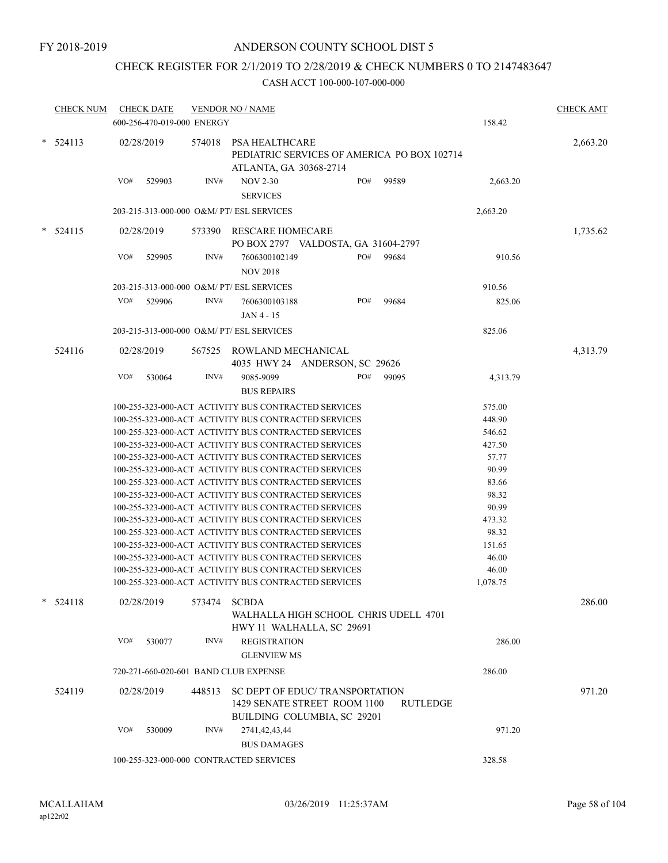# CHECK REGISTER FOR 2/1/2019 TO 2/28/2019 & CHECK NUMBERS 0 TO 2147483647

| <b>CHECK NUM</b> | <b>CHECK DATE</b><br>600-256-470-019-000 ENERGY |        | <b>VENDOR NO / NAME</b>                                                                                      |     |          | 158.42            | <b>CHECK AMT</b> |
|------------------|-------------------------------------------------|--------|--------------------------------------------------------------------------------------------------------------|-----|----------|-------------------|------------------|
| $*$ 524113       | 02/28/2019                                      | 574018 | PSA HEALTHCARE<br>PEDIATRIC SERVICES OF AMERICA PO BOX 102714<br>ATLANTA, GA 30368-2714                      |     |          |                   | 2,663.20         |
|                  | VO#<br>529903                                   | INV#   | <b>NOV 2-30</b><br><b>SERVICES</b>                                                                           | PO# | 99589    | 2,663.20          |                  |
|                  | 203-215-313-000-000 O&M/ PT/ ESL SERVICES       |        |                                                                                                              |     |          | 2,663.20          |                  |
| $*$ 524115       | 02/28/2019                                      | 573390 | RESCARE HOMECARE<br>PO BOX 2797 VALDOSTA, GA 31604-2797                                                      |     |          |                   | 1,735.62         |
|                  | VO#<br>529905                                   | INV#   | 7606300102149<br><b>NOV 2018</b>                                                                             | PO# | 99684    | 910.56            |                  |
|                  | 203-215-313-000-000 O&M/ PT/ ESL SERVICES       |        |                                                                                                              |     |          | 910.56            |                  |
|                  | VO#<br>529906                                   | INV#   | 7606300103188<br>JAN 4 - 15                                                                                  | PO# | 99684    | 825.06            |                  |
|                  | 203-215-313-000-000 O&M/ PT/ ESL SERVICES       |        |                                                                                                              |     |          | 825.06            |                  |
| 524116           | 02/28/2019                                      | 567525 | ROWLAND MECHANICAL<br>4035 HWY 24 ANDERSON, SC 29626                                                         |     |          |                   | 4,313.79         |
|                  | VO#<br>530064                                   | INV#   | 9085-9099<br><b>BUS REPAIRS</b>                                                                              | PO# | 99095    | 4,313.79          |                  |
|                  |                                                 |        | 100-255-323-000-ACT ACTIVITY BUS CONTRACTED SERVICES                                                         |     |          | 575.00            |                  |
|                  |                                                 |        | 100-255-323-000-ACT ACTIVITY BUS CONTRACTED SERVICES                                                         |     |          | 448.90            |                  |
|                  |                                                 |        | 100-255-323-000-ACT ACTIVITY BUS CONTRACTED SERVICES                                                         |     |          | 546.62            |                  |
|                  |                                                 |        | 100-255-323-000-ACT ACTIVITY BUS CONTRACTED SERVICES                                                         |     |          | 427.50            |                  |
|                  |                                                 |        | 100-255-323-000-ACT ACTIVITY BUS CONTRACTED SERVICES                                                         |     |          | 57.77             |                  |
|                  |                                                 |        | 100-255-323-000-ACT ACTIVITY BUS CONTRACTED SERVICES                                                         |     |          | 90.99             |                  |
|                  |                                                 |        | 100-255-323-000-ACT ACTIVITY BUS CONTRACTED SERVICES                                                         |     |          | 83.66             |                  |
|                  |                                                 |        | 100-255-323-000-ACT ACTIVITY BUS CONTRACTED SERVICES                                                         |     |          | 98.32             |                  |
|                  |                                                 |        | 100-255-323-000-ACT ACTIVITY BUS CONTRACTED SERVICES                                                         |     |          | 90.99             |                  |
|                  |                                                 |        | 100-255-323-000-ACT ACTIVITY BUS CONTRACTED SERVICES                                                         |     |          | 473.32            |                  |
|                  |                                                 |        | 100-255-323-000-ACT ACTIVITY BUS CONTRACTED SERVICES                                                         |     |          | 98.32             |                  |
|                  |                                                 |        | 100-255-323-000-ACT ACTIVITY BUS CONTRACTED SERVICES                                                         |     |          | 151.65            |                  |
|                  |                                                 |        | 100-255-323-000-ACT ACTIVITY BUS CONTRACTED SERVICES<br>100-255-323-000-ACT ACTIVITY BUS CONTRACTED SERVICES |     |          | 46.00             |                  |
|                  |                                                 |        | 100-255-323-000-ACT ACTIVITY BUS CONTRACTED SERVICES                                                         |     |          | 46.00<br>1,078.75 |                  |
| $*$ 524118       | 02/28/2019                                      | 573474 | <b>SCBDA</b>                                                                                                 |     |          |                   | 286.00           |
|                  |                                                 |        | WALHALLA HIGH SCHOOL CHRIS UDELL 4701<br>HWY 11 WALHALLA, SC 29691                                           |     |          |                   |                  |
|                  | VO#<br>530077                                   | INV#   | <b>REGISTRATION</b><br><b>GLENVIEW MS</b>                                                                    |     |          | 286.00            |                  |
|                  | 720-271-660-020-601 BAND CLUB EXPENSE           |        |                                                                                                              |     |          | 286.00            |                  |
| 524119           | 02/28/2019                                      |        | 448513 SC DEPT OF EDUC/ TRANSPORTATION<br>1429 SENATE STREET ROOM 1100<br>BUILDING COLUMBIA, SC 29201        |     | RUTLEDGE |                   | 971.20           |
|                  | VO#<br>530009                                   | INV#   | 2741, 42, 43, 44<br><b>BUS DAMAGES</b>                                                                       |     |          | 971.20            |                  |
|                  | 100-255-323-000-000 CONTRACTED SERVICES         |        |                                                                                                              |     |          | 328.58            |                  |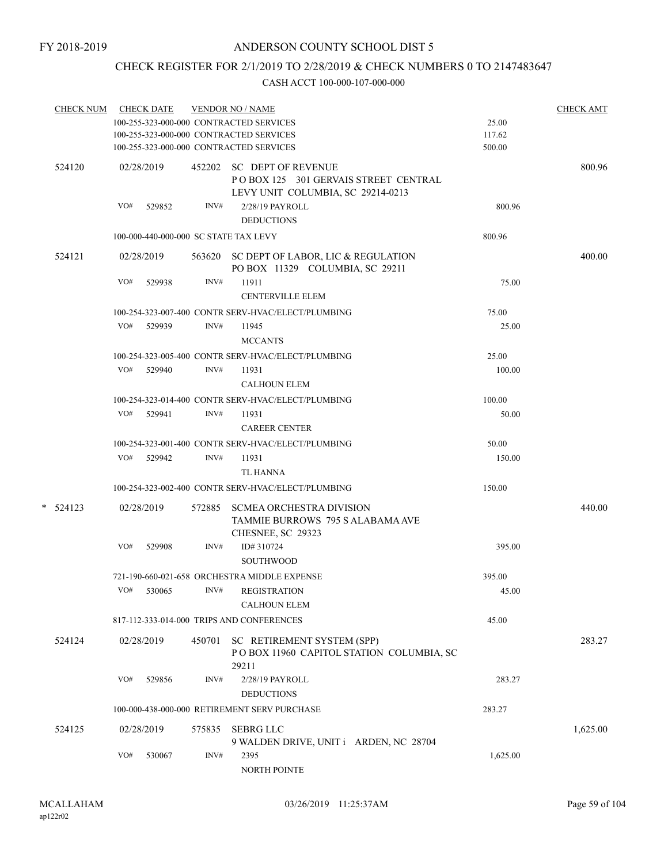# CHECK REGISTER FOR 2/1/2019 TO 2/28/2019 & CHECK NUMBERS 0 TO 2147483647

| CHECK NUM CHECK DATE |                                         |            |        | <b>VENDOR NO / NAME</b>                                                                                |          | <b>CHECK AMT</b> |
|----------------------|-----------------------------------------|------------|--------|--------------------------------------------------------------------------------------------------------|----------|------------------|
|                      |                                         |            |        | 100-255-323-000-000 CONTRACTED SERVICES                                                                | 25.00    |                  |
|                      |                                         |            |        | 100-255-323-000-000 CONTRACTED SERVICES                                                                | 117.62   |                  |
|                      | 100-255-323-000-000 CONTRACTED SERVICES |            |        |                                                                                                        | 500.00   |                  |
| 524120               |                                         | 02/28/2019 |        | 452202 SC DEPT OF REVENUE<br>POBOX 125 301 GERVAIS STREET CENTRAL<br>LEVY UNIT COLUMBIA, SC 29214-0213 |          | 800.96           |
|                      |                                         | VO# 529852 | INV#   | 2/28/19 PAYROLL<br><b>DEDUCTIONS</b>                                                                   | 800.96   |                  |
|                      |                                         |            |        | 100-000-440-000-000 SC STATE TAX LEVY                                                                  | 800.96   |                  |
| 524121               |                                         | 02/28/2019 |        | 563620 SC DEPT OF LABOR, LIC & REGULATION<br>PO BOX 11329 COLUMBIA, SC 29211                           |          | 400.00           |
|                      | VO#                                     | 529938     | INV#   | 11911<br>CENTERVILLE ELEM                                                                              | 75.00    |                  |
|                      |                                         |            |        | 100-254-323-007-400 CONTR SERV-HVAC/ELECT/PLUMBING                                                     | 75.00    |                  |
|                      |                                         | VO# 529939 | INV#   | 11945                                                                                                  | 25.00    |                  |
|                      |                                         |            |        | <b>MCCANTS</b>                                                                                         |          |                  |
|                      |                                         |            |        | 100-254-323-005-400 CONTR SERV-HVAC/ELECT/PLUMBING                                                     | 25.00    |                  |
|                      |                                         | VO# 529940 | INV#   | 11931                                                                                                  | 100.00   |                  |
|                      |                                         |            |        | <b>CALHOUN ELEM</b>                                                                                    |          |                  |
|                      |                                         |            |        | 100-254-323-014-400 CONTR SERV-HVAC/ELECT/PLUMBING                                                     | 100.00   |                  |
|                      |                                         | VO# 529941 | INV#   | 11931                                                                                                  | 50.00    |                  |
|                      |                                         |            |        | <b>CAREER CENTER</b>                                                                                   |          |                  |
|                      |                                         |            |        | 100-254-323-001-400 CONTR SERV-HVAC/ELECT/PLUMBING                                                     | 50.00    |                  |
|                      |                                         | VO# 529942 | INV#   | 11931                                                                                                  | 150.00   |                  |
|                      |                                         |            |        | TL HANNA                                                                                               |          |                  |
|                      |                                         |            |        | 100-254-323-002-400 CONTR SERV-HVAC/ELECT/PLUMBING                                                     | 150.00   |                  |
|                      |                                         |            |        |                                                                                                        |          |                  |
| $* 524123$           |                                         | 02/28/2019 |        | 572885 SCMEA ORCHESTRA DIVISION<br>TAMMIE BURROWS 795 S ALABAMA AVE<br>CHESNEE, SC 29323               |          | 440.00           |
|                      | VO#                                     | 529908     | INV#   | ID# 310724<br><b>SOUTHWOOD</b>                                                                         | 395.00   |                  |
|                      |                                         |            |        | 721-190-660-021-658 ORCHESTRA MIDDLE EXPENSE                                                           | 395.00   |                  |
|                      |                                         |            |        | VO# 530065 INV# REGISTRATION                                                                           | 45.00    |                  |
|                      |                                         |            |        | <b>CALHOUN ELEM</b>                                                                                    |          |                  |
|                      |                                         |            |        | 817-112-333-014-000 TRIPS AND CONFERENCES                                                              | 45.00    |                  |
| 524124               |                                         | 02/28/2019 | 450701 | SC RETIREMENT SYSTEM (SPP)<br>POBOX 11960 CAPITOL STATION COLUMBIA, SC                                 |          | 283.27           |
|                      | VO#                                     | 529856     | INV#   | 29211<br>2/28/19 PAYROLL                                                                               | 283.27   |                  |
|                      |                                         |            |        | <b>DEDUCTIONS</b>                                                                                      |          |                  |
|                      |                                         |            |        | 100-000-438-000-000 RETIREMENT SERV PURCHASE                                                           | 283.27   |                  |
| 524125               |                                         | 02/28/2019 | 575835 | <b>SEBRG LLC</b>                                                                                       |          | 1,625.00         |
|                      |                                         |            |        | 9 WALDEN DRIVE, UNIT i ARDEN, NC 28704                                                                 |          |                  |
|                      | VO#                                     | 530067     | INV#   | 2395<br>NORTH POINTE                                                                                   | 1,625.00 |                  |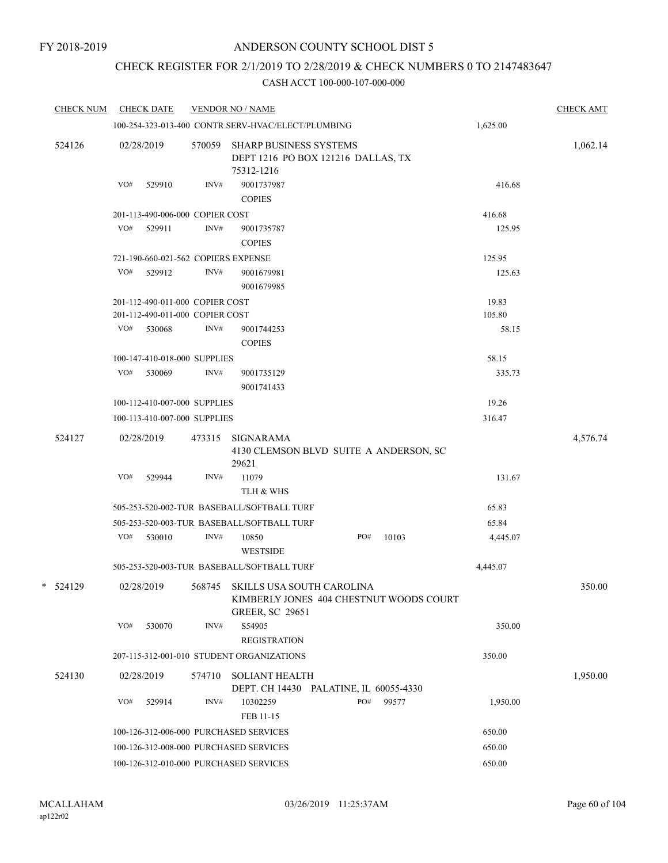# CHECK REGISTER FOR 2/1/2019 TO 2/28/2019 & CHECK NUMBERS 0 TO 2147483647

| <b>CHECK NUM</b><br><b>CHECK DATE</b> |               |                               |                                                                                                                                                                                                                                                                                                                                                                                                                                                                 |                                                                                                                                                                                                                                                                                                                                                                   |                                                                                                                                 | <b>CHECK AMT</b>                                                        |  |  |
|---------------------------------------|---------------|-------------------------------|-----------------------------------------------------------------------------------------------------------------------------------------------------------------------------------------------------------------------------------------------------------------------------------------------------------------------------------------------------------------------------------------------------------------------------------------------------------------|-------------------------------------------------------------------------------------------------------------------------------------------------------------------------------------------------------------------------------------------------------------------------------------------------------------------------------------------------------------------|---------------------------------------------------------------------------------------------------------------------------------|-------------------------------------------------------------------------|--|--|
|                                       |               |                               |                                                                                                                                                                                                                                                                                                                                                                                                                                                                 |                                                                                                                                                                                                                                                                                                                                                                   | 1,625.00                                                                                                                        |                                                                         |  |  |
| 02/28/2019                            |               | 75312-1216                    |                                                                                                                                                                                                                                                                                                                                                                                                                                                                 |                                                                                                                                                                                                                                                                                                                                                                   |                                                                                                                                 | 1,062.14                                                                |  |  |
| VO#<br>529910                         | INV#          | 9001737987                    |                                                                                                                                                                                                                                                                                                                                                                                                                                                                 |                                                                                                                                                                                                                                                                                                                                                                   | 416.68                                                                                                                          |                                                                         |  |  |
|                                       |               |                               |                                                                                                                                                                                                                                                                                                                                                                                                                                                                 |                                                                                                                                                                                                                                                                                                                                                                   |                                                                                                                                 |                                                                         |  |  |
| VO#<br>529911                         | INV#          | 9001735787                    |                                                                                                                                                                                                                                                                                                                                                                                                                                                                 |                                                                                                                                                                                                                                                                                                                                                                   | 125.95                                                                                                                          |                                                                         |  |  |
|                                       |               | <b>COPIES</b>                 |                                                                                                                                                                                                                                                                                                                                                                                                                                                                 |                                                                                                                                                                                                                                                                                                                                                                   |                                                                                                                                 |                                                                         |  |  |
|                                       |               |                               |                                                                                                                                                                                                                                                                                                                                                                                                                                                                 |                                                                                                                                                                                                                                                                                                                                                                   | 125.95                                                                                                                          |                                                                         |  |  |
| VO#<br>529912                         | INV#          | 9001679981<br>9001679985      |                                                                                                                                                                                                                                                                                                                                                                                                                                                                 |                                                                                                                                                                                                                                                                                                                                                                   | 125.63                                                                                                                          |                                                                         |  |  |
|                                       |               |                               |                                                                                                                                                                                                                                                                                                                                                                                                                                                                 |                                                                                                                                                                                                                                                                                                                                                                   | 19.83                                                                                                                           |                                                                         |  |  |
|                                       |               |                               |                                                                                                                                                                                                                                                                                                                                                                                                                                                                 |                                                                                                                                                                                                                                                                                                                                                                   | 105.80                                                                                                                          |                                                                         |  |  |
| VO#<br>530068                         | INV#          | 9001744253<br><b>COPIES</b>   |                                                                                                                                                                                                                                                                                                                                                                                                                                                                 |                                                                                                                                                                                                                                                                                                                                                                   | 58.15                                                                                                                           |                                                                         |  |  |
|                                       |               |                               |                                                                                                                                                                                                                                                                                                                                                                                                                                                                 |                                                                                                                                                                                                                                                                                                                                                                   | 58.15                                                                                                                           |                                                                         |  |  |
| VO#<br>530069                         | INV#          | 9001735129<br>9001741433      |                                                                                                                                                                                                                                                                                                                                                                                                                                                                 |                                                                                                                                                                                                                                                                                                                                                                   | 335.73                                                                                                                          |                                                                         |  |  |
|                                       |               |                               |                                                                                                                                                                                                                                                                                                                                                                                                                                                                 |                                                                                                                                                                                                                                                                                                                                                                   | 19.26                                                                                                                           |                                                                         |  |  |
|                                       |               |                               |                                                                                                                                                                                                                                                                                                                                                                                                                                                                 |                                                                                                                                                                                                                                                                                                                                                                   | 316.47                                                                                                                          |                                                                         |  |  |
| 02/28/2019                            | 473315        | SIGNARAMA                     |                                                                                                                                                                                                                                                                                                                                                                                                                                                                 |                                                                                                                                                                                                                                                                                                                                                                   |                                                                                                                                 | 4,576.74                                                                |  |  |
| VO#<br>529944                         | INV#          | 11079                         |                                                                                                                                                                                                                                                                                                                                                                                                                                                                 |                                                                                                                                                                                                                                                                                                                                                                   | 131.67                                                                                                                          |                                                                         |  |  |
|                                       |               | TLH & WHS                     |                                                                                                                                                                                                                                                                                                                                                                                                                                                                 |                                                                                                                                                                                                                                                                                                                                                                   |                                                                                                                                 |                                                                         |  |  |
|                                       |               |                               |                                                                                                                                                                                                                                                                                                                                                                                                                                                                 |                                                                                                                                                                                                                                                                                                                                                                   | 65.83                                                                                                                           |                                                                         |  |  |
|                                       |               |                               |                                                                                                                                                                                                                                                                                                                                                                                                                                                                 |                                                                                                                                                                                                                                                                                                                                                                   | 65.84                                                                                                                           |                                                                         |  |  |
| VO#<br>530010                         | INV#          | 10850<br><b>WESTSIDE</b>      | PO#                                                                                                                                                                                                                                                                                                                                                                                                                                                             | 10103                                                                                                                                                                                                                                                                                                                                                             | 4,445.07                                                                                                                        |                                                                         |  |  |
|                                       |               |                               |                                                                                                                                                                                                                                                                                                                                                                                                                                                                 |                                                                                                                                                                                                                                                                                                                                                                   | 4,445.07                                                                                                                        |                                                                         |  |  |
| 02/28/2019                            |               |                               |                                                                                                                                                                                                                                                                                                                                                                                                                                                                 |                                                                                                                                                                                                                                                                                                                                                                   |                                                                                                                                 | 350.00                                                                  |  |  |
| VO#<br>530070                         | INV#          | S54905<br><b>REGISTRATION</b> |                                                                                                                                                                                                                                                                                                                                                                                                                                                                 |                                                                                                                                                                                                                                                                                                                                                                   | 350.00                                                                                                                          |                                                                         |  |  |
|                                       |               |                               |                                                                                                                                                                                                                                                                                                                                                                                                                                                                 |                                                                                                                                                                                                                                                                                                                                                                   | 350.00                                                                                                                          |                                                                         |  |  |
| 02/28/2019                            | 574710        |                               |                                                                                                                                                                                                                                                                                                                                                                                                                                                                 |                                                                                                                                                                                                                                                                                                                                                                   |                                                                                                                                 | 1,950.00                                                                |  |  |
|                                       |               |                               |                                                                                                                                                                                                                                                                                                                                                                                                                                                                 |                                                                                                                                                                                                                                                                                                                                                                   |                                                                                                                                 |                                                                         |  |  |
|                                       |               | FEB 11-15                     |                                                                                                                                                                                                                                                                                                                                                                                                                                                                 |                                                                                                                                                                                                                                                                                                                                                                   |                                                                                                                                 |                                                                         |  |  |
|                                       |               |                               |                                                                                                                                                                                                                                                                                                                                                                                                                                                                 |                                                                                                                                                                                                                                                                                                                                                                   | 650.00                                                                                                                          |                                                                         |  |  |
|                                       |               |                               |                                                                                                                                                                                                                                                                                                                                                                                                                                                                 |                                                                                                                                                                                                                                                                                                                                                                   |                                                                                                                                 |                                                                         |  |  |
|                                       |               |                               |                                                                                                                                                                                                                                                                                                                                                                                                                                                                 |                                                                                                                                                                                                                                                                                                                                                                   | 650.00                                                                                                                          |                                                                         |  |  |
|                                       | VO#<br>529914 | INV#                          | <b>VENDOR NO / NAME</b><br>570059<br><b>COPIES</b><br>201-113-490-006-000 COPIER COST<br>721-190-660-021-562 COPIERS EXPENSE<br>201-112-490-011-000 COPIER COST<br>201-112-490-011-000 COPIER COST<br>100-147-410-018-000 SUPPLIES<br>100-112-410-007-000 SUPPLIES<br>100-113-410-007-000 SUPPLIES<br>29621<br>568745<br>10302259<br>100-126-312-006-000 PURCHASED SERVICES<br>100-126-312-008-000 PURCHASED SERVICES<br>100-126-312-010-000 PURCHASED SERVICES | 100-254-323-013-400 CONTR SERV-HVAC/ELECT/PLUMBING<br><b>SHARP BUSINESS SYSTEMS</b><br>505-253-520-002-TUR BASEBALL/SOFTBALL TURF<br>505-253-520-003-TUR BASEBALL/SOFTBALL TURF<br>505-253-520-003-TUR BASEBALL/SOFTBALL TURF<br>SKILLS USA SOUTH CAROLINA<br><b>GREER, SC 29651</b><br>207-115-312-001-010 STUDENT ORGANIZATIONS<br><b>SOLIANT HEALTH</b><br>PO# | DEPT 1216 PO BOX 121216 DALLAS, TX<br>4130 CLEMSON BLVD SUITE A ANDERSON, SC<br>DEPT. CH 14430 PALATINE, IL 60055-4330<br>99577 | 416.68<br>KIMBERLY JONES 404 CHESTNUT WOODS COURT<br>1,950.00<br>650.00 |  |  |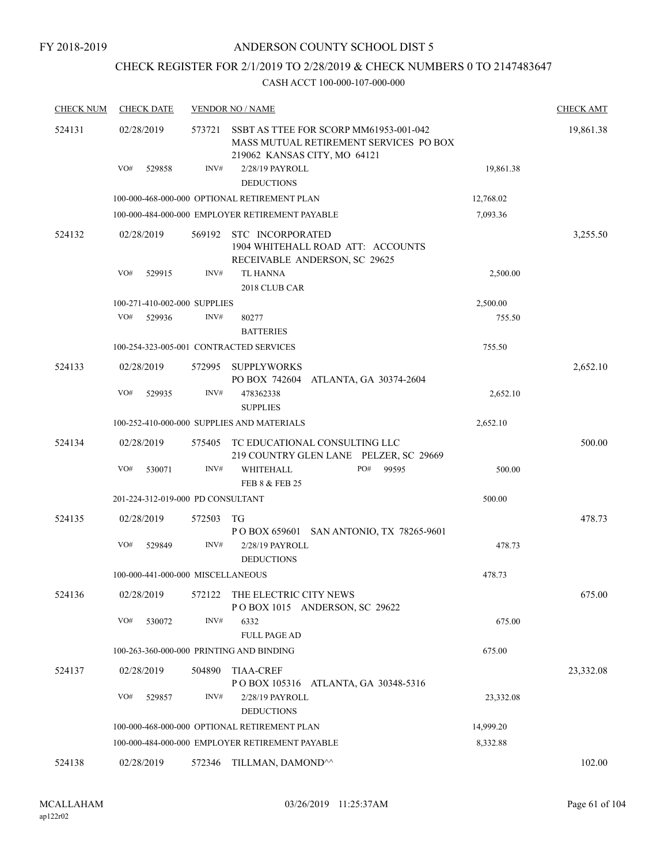# CHECK REGISTER FOR 2/1/2019 TO 2/28/2019 & CHECK NUMBERS 0 TO 2147483647

| <b>CHECK NUM</b> | <b>CHECK DATE</b>                 |        | <b>VENDOR NO / NAME</b>                                                                                          |           | <b>CHECK AMT</b> |
|------------------|-----------------------------------|--------|------------------------------------------------------------------------------------------------------------------|-----------|------------------|
| 524131           | 02/28/2019                        | 573721 | SSBT AS TTEE FOR SCORP MM61953-001-042<br>MASS MUTUAL RETIREMENT SERVICES PO BOX<br>219062 KANSAS CITY, MO 64121 |           | 19,861.38        |
|                  | VO#<br>529858                     | INV#   | 2/28/19 PAYROLL<br><b>DEDUCTIONS</b>                                                                             | 19,861.38 |                  |
|                  |                                   |        | 100-000-468-000-000 OPTIONAL RETIREMENT PLAN                                                                     | 12,768.02 |                  |
|                  |                                   |        | 100-000-484-000-000 EMPLOYER RETIREMENT PAYABLE                                                                  | 7,093.36  |                  |
| 524132           | 02/28/2019                        | 569192 | STC INCORPORATED<br>1904 WHITEHALL ROAD ATT: ACCOUNTS<br>RECEIVABLE ANDERSON, SC 29625                           |           | 3,255.50         |
|                  | VO#<br>529915                     | INV#   | <b>TL HANNA</b><br>2018 CLUB CAR                                                                                 | 2,500.00  |                  |
|                  | 100-271-410-002-000 SUPPLIES      |        |                                                                                                                  | 2,500.00  |                  |
|                  | VO#<br>529936                     | INV#   | 80277<br><b>BATTERIES</b>                                                                                        | 755.50    |                  |
|                  |                                   |        | 100-254-323-005-001 CONTRACTED SERVICES                                                                          | 755.50    |                  |
| 524133           | 02/28/2019                        | 572995 | SUPPLYWORKS<br>PO BOX 742604<br>ATLANTA, GA 30374-2604                                                           |           | 2,652.10         |
|                  | VO#<br>529935                     | INV#   | 478362338<br><b>SUPPLIES</b>                                                                                     | 2,652.10  |                  |
|                  |                                   |        | 100-252-410-000-000 SUPPLIES AND MATERIALS                                                                       | 2,652.10  |                  |
| 524134           | 02/28/2019                        | 575405 | TC EDUCATIONAL CONSULTING LLC<br>219 COUNTRY GLEN LANE PELZER, SC 29669                                          |           | 500.00           |
|                  | VO#<br>530071                     | INV#   | PO#<br>WHITEHALL<br>99595<br><b>FEB 8 &amp; FEB 25</b>                                                           | 500.00    |                  |
|                  | 201-224-312-019-000 PD CONSULTANT |        |                                                                                                                  | 500.00    |                  |
| 524135           | 02/28/2019                        | 572503 | TG<br>P O BOX 659601 SAN ANTONIO, TX 78265-9601                                                                  |           | 478.73           |
|                  | VO#<br>529849                     | INV#   | 2/28/19 PAYROLL<br><b>DEDUCTIONS</b>                                                                             | 478.73    |                  |
|                  | 100-000-441-000-000 MISCELLANEOUS |        |                                                                                                                  | 478.73    |                  |
| 524136           | 02/28/2019                        |        | 572122 THE ELECTRIC CITY NEWS<br>POBOX 1015 ANDERSON, SC 29622                                                   |           | 675.00           |
|                  | VO#<br>530072                     | INV#   | 6332<br><b>FULL PAGE AD</b>                                                                                      | 675.00    |                  |
|                  |                                   |        | 100-263-360-000-000 PRINTING AND BINDING                                                                         | 675.00    |                  |
| 524137           | 02/28/2019                        | 504890 | <b>TIAA-CREF</b>                                                                                                 |           | 23,332.08        |
|                  | VO#<br>529857                     | INV#   | POBOX 105316 ATLANTA, GA 30348-5316<br>2/28/19 PAYROLL<br><b>DEDUCTIONS</b>                                      | 23,332.08 |                  |
|                  |                                   |        | 100-000-468-000-000 OPTIONAL RETIREMENT PLAN                                                                     | 14,999.20 |                  |
|                  |                                   |        | 100-000-484-000-000 EMPLOYER RETIREMENT PAYABLE                                                                  | 8,332.88  |                  |
| 524138           | 02/28/2019                        |        | 572346 TILLMAN, DAMOND <sup>^^</sup>                                                                             |           | 102.00           |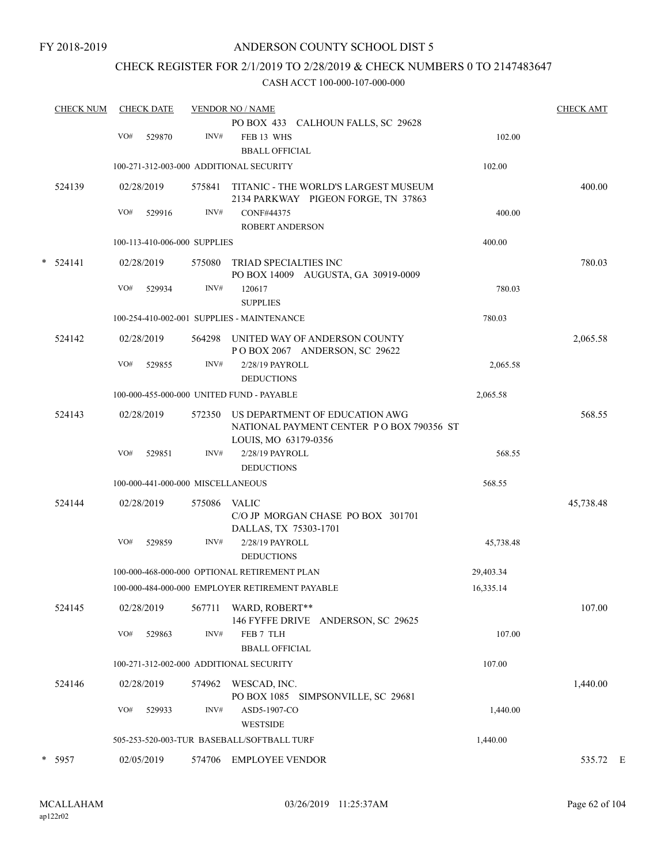# CHECK REGISTER FOR 2/1/2019 TO 2/28/2019 & CHECK NUMBERS 0 TO 2147483647

|   | <b>CHECK NUM</b> | <b>CHECK DATE</b> |            |                                   | <b>VENDOR NO / NAME</b>                                                                            | <b>CHECK AMT</b> |           |  |
|---|------------------|-------------------|------------|-----------------------------------|----------------------------------------------------------------------------------------------------|------------------|-----------|--|
|   |                  |                   |            |                                   | PO BOX 433 CALHOUN FALLS, SC 29628                                                                 |                  |           |  |
|   |                  | VO#               | 529870     | INV#                              | FEB 13 WHS<br><b>BBALL OFFICIAL</b>                                                                | 102.00           |           |  |
|   |                  |                   |            |                                   | 100-271-312-003-000 ADDITIONAL SECURITY                                                            | 102.00           |           |  |
|   | 524139           | 02/28/2019        |            | 575841                            | TITANIC - THE WORLD'S LARGEST MUSEUM<br>2134 PARKWAY PIGEON FORGE, TN 37863                        |                  | 400.00    |  |
|   |                  | VO#               | 529916     | INV#                              | CONF#44375                                                                                         | 400.00           |           |  |
|   |                  |                   |            |                                   | <b>ROBERT ANDERSON</b>                                                                             |                  |           |  |
|   |                  |                   |            | 100-113-410-006-000 SUPPLIES      |                                                                                                    | 400.00           |           |  |
| * | 524141           |                   | 02/28/2019 | 575080                            | TRIAD SPECIALTIES INC<br>PO BOX 14009 AUGUSTA, GA 30919-0009                                       |                  | 780.03    |  |
|   |                  | VO#               | 529934     | INV#                              | 120617<br><b>SUPPLIES</b>                                                                          | 780.03           |           |  |
|   |                  |                   |            |                                   | 100-254-410-002-001 SUPPLIES - MAINTENANCE                                                         | 780.03           |           |  |
|   | 524142           | 02/28/2019        |            | 564298                            | UNITED WAY OF ANDERSON COUNTY<br>POBOX 2067 ANDERSON, SC 29622                                     |                  | 2,065.58  |  |
|   |                  | VO#               | 529855     | INV#                              | 2/28/19 PAYROLL                                                                                    | 2,065.58         |           |  |
|   |                  |                   |            |                                   | <b>DEDUCTIONS</b>                                                                                  |                  |           |  |
|   |                  |                   |            |                                   | 100-000-455-000-000 UNITED FUND - PAYABLE                                                          | 2,065.58         |           |  |
|   | 524143           | 02/28/2019        |            | 572350                            | US DEPARTMENT OF EDUCATION AWG<br>NATIONAL PAYMENT CENTER PO BOX 790356 ST<br>LOUIS, MO 63179-0356 |                  | 568.55    |  |
|   |                  | VO#               | 529851     | INV#                              | 2/28/19 PAYROLL<br><b>DEDUCTIONS</b>                                                               | 568.55           |           |  |
|   |                  |                   |            | 100-000-441-000-000 MISCELLANEOUS |                                                                                                    | 568.55           |           |  |
|   | 524144           |                   | 02/28/2019 | 575086                            | VALIC<br>C/O JP MORGAN CHASE PO BOX 301701                                                         |                  | 45,738.48 |  |
|   |                  | VO#               | 529859     | INV#                              | DALLAS, TX 75303-1701<br>2/28/19 PAYROLL<br><b>DEDUCTIONS</b>                                      | 45,738.48        |           |  |
|   |                  |                   |            |                                   | 100-000-468-000-000 OPTIONAL RETIREMENT PLAN                                                       | 29,403.34        |           |  |
|   |                  |                   |            |                                   | 100-000-484-000-000 EMPLOYER RETIREMENT PAYABLE                                                    | 16,335.14        |           |  |
|   | 524145           | 02/28/2019        |            | 567711                            | WARD, ROBERT**<br>146 FYFFE DRIVE ANDERSON, SC 29625                                               |                  | 107.00    |  |
|   |                  | VO#               | 529863     | INV#                              | FEB 7 TLH<br><b>BBALL OFFICIAL</b>                                                                 | 107.00           |           |  |
|   |                  |                   |            |                                   | 100-271-312-002-000 ADDITIONAL SECURITY                                                            | 107.00           |           |  |
|   | 524146           | 02/28/2019        |            | 574962                            | WESCAD, INC.<br>PO BOX 1085 SIMPSONVILLE, SC 29681                                                 |                  | 1,440.00  |  |
|   |                  | VO#               | 529933     | INV#                              | ASD5-1907-CO<br><b>WESTSIDE</b>                                                                    | 1,440.00         |           |  |
|   |                  |                   |            |                                   | 505-253-520-003-TUR BASEBALL/SOFTBALL TURF                                                         | 1,440.00         |           |  |
|   | * 5957           |                   | 02/05/2019 |                                   | 574706 EMPLOYEE VENDOR                                                                             |                  | 535.72 E  |  |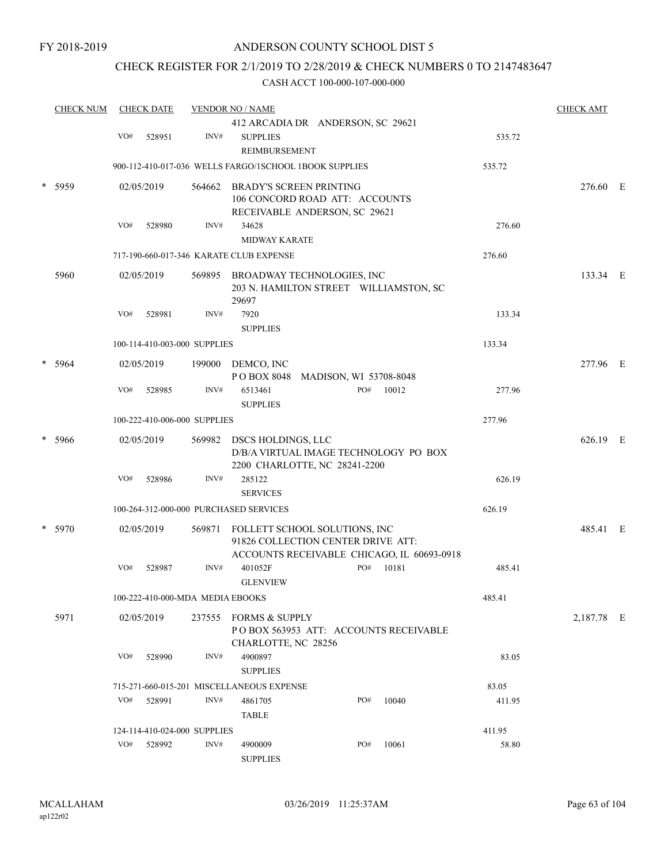# CHECK REGISTER FOR 2/1/2019 TO 2/28/2019 & CHECK NUMBERS 0 TO 2147483647

| <b>CHECK NUM</b> | <b>CHECK DATE</b> |     |                                  | <b>VENDOR NO / NAME</b> |                                                                                                                   |  | <b>CHECK AMT</b> |       |        |            |  |
|------------------|-------------------|-----|----------------------------------|-------------------------|-------------------------------------------------------------------------------------------------------------------|--|------------------|-------|--------|------------|--|
|                  |                   |     |                                  |                         | 412 ARCADIA DR ANDERSON, SC 29621                                                                                 |  |                  |       |        |            |  |
|                  |                   | VO# | 528951                           | INV#                    | <b>SUPPLIES</b><br>REIMBURSEMENT                                                                                  |  |                  |       | 535.72 |            |  |
|                  |                   |     |                                  |                         | 900-112-410-017-036 WELLS FARGO/ISCHOOL 1BOOK SUPPLIES                                                            |  |                  |       | 535.72 |            |  |
|                  | 5959              |     | 02/05/2019                       |                         | 564662 BRADY'S SCREEN PRINTING<br>106 CONCORD ROAD ATT: ACCOUNTS<br>RECEIVABLE ANDERSON, SC 29621                 |  |                  |       |        | 276.60 E   |  |
|                  |                   | VO# | 528980                           | INV#                    | 34628<br><b>MIDWAY KARATE</b>                                                                                     |  |                  |       | 276.60 |            |  |
|                  |                   |     |                                  |                         |                                                                                                                   |  |                  |       |        |            |  |
|                  |                   |     |                                  |                         | 717-190-660-017-346 KARATE CLUB EXPENSE                                                                           |  |                  |       | 276.60 |            |  |
|                  | 5960              |     | 02/05/2019                       |                         | 569895 BROADWAY TECHNOLOGIES, INC<br>203 N. HAMILTON STREET WILLIAMSTON, SC<br>29697                              |  |                  |       |        | 133.34 E   |  |
|                  |                   | VO# | 528981                           | INV#                    | 7920<br><b>SUPPLIES</b>                                                                                           |  |                  |       | 133.34 |            |  |
|                  |                   |     | 100-114-410-003-000 SUPPLIES     |                         |                                                                                                                   |  |                  |       | 133.34 |            |  |
|                  | 5964              |     | 02/05/2019                       |                         | 199000 DEMCO, INC<br>POBOX 8048 MADISON, WI 53708-8048                                                            |  |                  |       |        | 277.96 E   |  |
|                  |                   | VO# | 528985                           | INV#                    | 6513461<br><b>SUPPLIES</b>                                                                                        |  | PO#              | 10012 | 277.96 |            |  |
|                  |                   |     | 100-222-410-006-000 SUPPLIES     |                         |                                                                                                                   |  |                  |       | 277.96 |            |  |
| *                | 5966              |     | 02/05/2019                       | 569982                  | DSCS HOLDINGS, LLC<br>D/B/A VIRTUAL IMAGE TECHNOLOGY PO BOX<br>2200 CHARLOTTE, NC 28241-2200                      |  |                  |       |        | 626.19 E   |  |
|                  |                   | VO# | 528986                           | INV#                    | 285122<br><b>SERVICES</b>                                                                                         |  |                  |       | 626.19 |            |  |
|                  |                   |     |                                  |                         | 100-264-312-000-000 PURCHASED SERVICES                                                                            |  |                  |       | 626.19 |            |  |
| *                | 5970              |     | 02/05/2019                       | 569871                  | FOLLETT SCHOOL SOLUTIONS, INC<br>91826 COLLECTION CENTER DRIVE ATT:<br>ACCOUNTS RECEIVABLE CHICAGO, IL 60693-0918 |  |                  |       |        | 485.41 E   |  |
|                  |                   | VO# | 528987                           | INV#                    | 401052F<br><b>GLENVIEW</b>                                                                                        |  | PO#              | 10181 | 485.41 |            |  |
|                  |                   |     | 100-222-410-000-MDA MEDIA EBOOKS |                         |                                                                                                                   |  |                  |       | 485.41 |            |  |
|                  | 5971              |     | 02/05/2019                       |                         | 237555 FORMS & SUPPLY<br>POBOX 563953 ATT: ACCOUNTS RECEIVABLE<br>CHARLOTTE, NC 28256                             |  |                  |       |        | 2,187.78 E |  |
|                  |                   | VO# | 528990                           | INV#                    | 4900897<br><b>SUPPLIES</b>                                                                                        |  |                  |       | 83.05  |            |  |
|                  |                   |     |                                  |                         | 715-271-660-015-201 MISCELLANEOUS EXPENSE                                                                         |  |                  |       | 83.05  |            |  |
|                  |                   | VO# | 528991                           | INV#                    | 4861705<br><b>TABLE</b>                                                                                           |  | PO#              | 10040 | 411.95 |            |  |
|                  |                   |     | 124-114-410-024-000 SUPPLIES     |                         |                                                                                                                   |  |                  |       | 411.95 |            |  |
|                  |                   | VO# | 528992                           | INV#                    | 4900009<br><b>SUPPLIES</b>                                                                                        |  | PO#              | 10061 | 58.80  |            |  |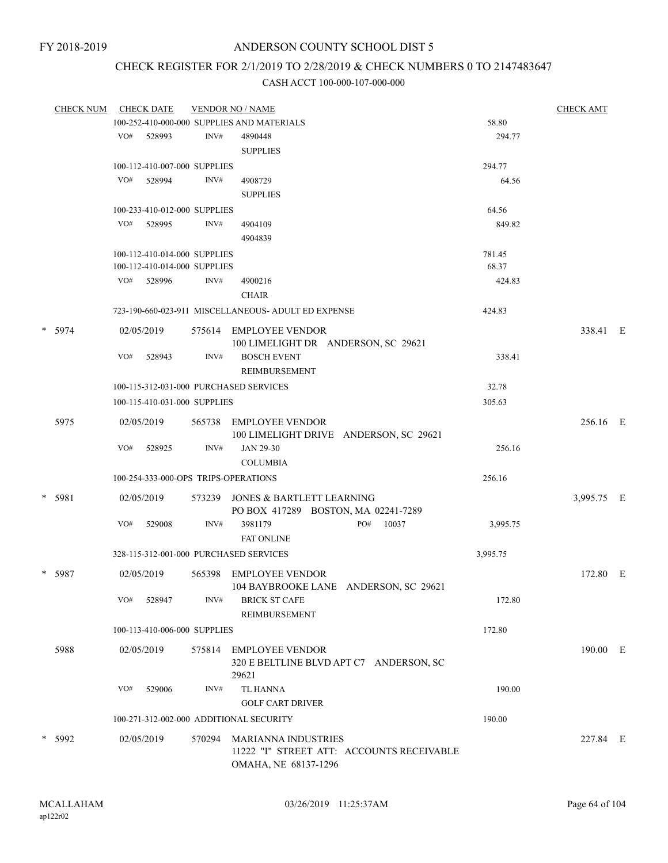# CHECK REGISTER FOR 2/1/2019 TO 2/28/2019 & CHECK NUMBERS 0 TO 2147483647

|  | <b>CHECK NUM</b> | <b>CHECK DATE</b><br><b>VENDOR NO / NAME</b> |                              |        |                                                               |          |            |  |  |  |
|--|------------------|----------------------------------------------|------------------------------|--------|---------------------------------------------------------------|----------|------------|--|--|--|
|  |                  |                                              |                              |        | 100-252-410-000-000 SUPPLIES AND MATERIALS                    | 58.80    |            |  |  |  |
|  |                  | VO#                                          | 528993                       | INV#   | 4890448                                                       | 294.77   |            |  |  |  |
|  |                  |                                              |                              |        | <b>SUPPLIES</b>                                               |          |            |  |  |  |
|  |                  |                                              | 100-112-410-007-000 SUPPLIES |        |                                                               | 294.77   |            |  |  |  |
|  |                  | VO#                                          | 528994                       | INV#   | 4908729                                                       | 64.56    |            |  |  |  |
|  |                  |                                              |                              |        | <b>SUPPLIES</b>                                               |          |            |  |  |  |
|  |                  |                                              | 100-233-410-012-000 SUPPLIES |        |                                                               | 64.56    |            |  |  |  |
|  |                  |                                              | VO# 528995                   | INV#   | 4904109                                                       | 849.82   |            |  |  |  |
|  |                  |                                              |                              |        | 4904839                                                       |          |            |  |  |  |
|  |                  |                                              | 100-112-410-014-000 SUPPLIES |        |                                                               | 781.45   |            |  |  |  |
|  |                  |                                              | 100-112-410-014-000 SUPPLIES |        |                                                               | 68.37    |            |  |  |  |
|  |                  |                                              | VO# 528996                   | INV#   | 4900216                                                       | 424.83   |            |  |  |  |
|  |                  |                                              |                              |        | <b>CHAIR</b>                                                  |          |            |  |  |  |
|  |                  |                                              |                              |        | 723-190-660-023-911 MISCELLANEOUS- ADULT ED EXPENSE           | 424.83   |            |  |  |  |
|  |                  |                                              |                              |        |                                                               |          |            |  |  |  |
|  | * 5974           |                                              | 02/05/2019                   |        | 575614 EMPLOYEE VENDOR<br>100 LIMELIGHT DR ANDERSON, SC 29621 |          | 338.41 E   |  |  |  |
|  |                  | VO#                                          | 528943                       | INV#   | <b>BOSCH EVENT</b>                                            | 338.41   |            |  |  |  |
|  |                  |                                              |                              |        | REIMBURSEMENT                                                 |          |            |  |  |  |
|  |                  |                                              |                              |        | 100-115-312-031-000 PURCHASED SERVICES                        | 32.78    |            |  |  |  |
|  |                  |                                              |                              |        |                                                               |          |            |  |  |  |
|  |                  |                                              | 100-115-410-031-000 SUPPLIES |        |                                                               | 305.63   |            |  |  |  |
|  | 5975             |                                              | 02/05/2019                   | 565738 | <b>EMPLOYEE VENDOR</b>                                        |          | 256.16 E   |  |  |  |
|  |                  |                                              |                              |        | 100 LIMELIGHT DRIVE ANDERSON, SC 29621                        |          |            |  |  |  |
|  |                  | VO#                                          | 528925                       | INV#   | JAN 29-30                                                     | 256.16   |            |  |  |  |
|  |                  |                                              |                              |        | <b>COLUMBIA</b>                                               |          |            |  |  |  |
|  |                  |                                              |                              |        | 100-254-333-000-OPS TRIPS-OPERATIONS                          | 256.16   |            |  |  |  |
|  | * 5981           |                                              | 02/05/2019                   | 573239 | JONES & BARTLETT LEARNING                                     |          | 3,995.75 E |  |  |  |
|  |                  |                                              |                              |        | PO BOX 417289 BOSTON, MA 02241-7289                           |          |            |  |  |  |
|  |                  | VO#                                          | 529008                       | INV#   | 3981179<br>10037<br>PO#                                       | 3,995.75 |            |  |  |  |
|  |                  |                                              |                              |        | <b>FAT ONLINE</b>                                             |          |            |  |  |  |
|  |                  |                                              |                              |        | 328-115-312-001-000 PURCHASED SERVICES                        | 3,995.75 |            |  |  |  |
|  | * 5987           |                                              | 02/05/2019                   | 565398 | <b>EMPLOYEE VENDOR</b>                                        |          | 172.80 E   |  |  |  |
|  |                  |                                              |                              |        | 104 BAYBROOKE LANE ANDERSON, SC 29621                         |          |            |  |  |  |
|  |                  | VO#                                          | 528947                       | INV#   | <b>BRICK ST CAFE</b>                                          | 172.80   |            |  |  |  |
|  |                  |                                              |                              |        | REIMBURSEMENT                                                 |          |            |  |  |  |
|  |                  |                                              | 100-113-410-006-000 SUPPLIES |        |                                                               | 172.80   |            |  |  |  |
|  |                  |                                              |                              |        |                                                               |          |            |  |  |  |
|  | 5988             |                                              | 02/05/2019                   | 575814 | <b>EMPLOYEE VENDOR</b>                                        |          | 190.00 E   |  |  |  |
|  |                  |                                              |                              |        | 320 E BELTLINE BLVD APT C7 ANDERSON, SC<br>29621              |          |            |  |  |  |
|  |                  | VO#                                          | 529006                       | INV#   | TL HANNA                                                      | 190.00   |            |  |  |  |
|  |                  |                                              |                              |        |                                                               |          |            |  |  |  |
|  |                  |                                              |                              |        | <b>GOLF CART DRIVER</b>                                       |          |            |  |  |  |
|  |                  |                                              |                              |        | 100-271-312-002-000 ADDITIONAL SECURITY                       | 190.00   |            |  |  |  |
|  | * 5992           |                                              | 02/05/2019                   | 570294 | MARIANNA INDUSTRIES                                           |          | 227.84 E   |  |  |  |
|  |                  |                                              |                              |        | 11222 "I" STREET ATT: ACCOUNTS RECEIVABLE                     |          |            |  |  |  |
|  |                  |                                              |                              |        | OMAHA, NE 68137-1296                                          |          |            |  |  |  |
|  |                  |                                              |                              |        |                                                               |          |            |  |  |  |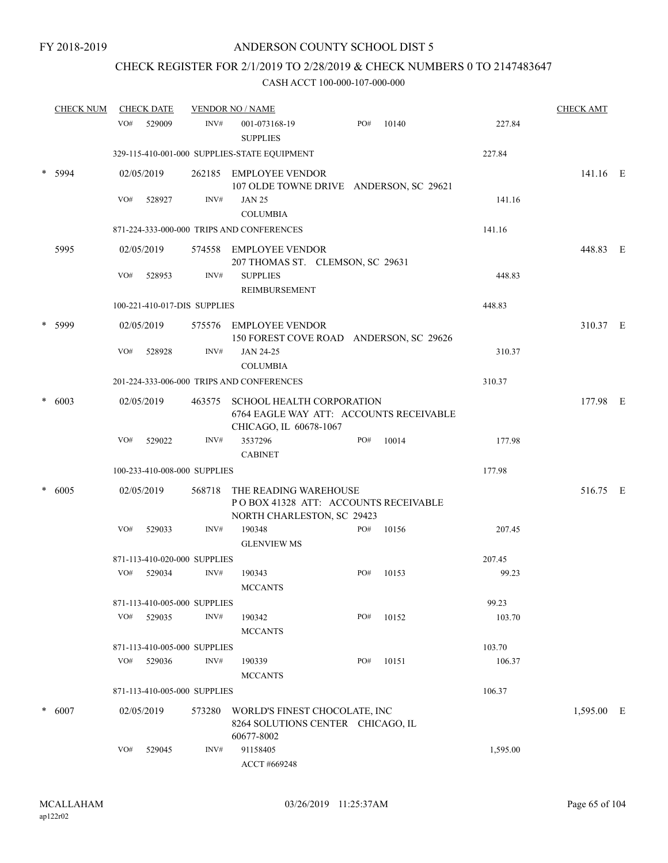# CHECK REGISTER FOR 2/1/2019 TO 2/28/2019 & CHECK NUMBERS 0 TO 2147483647

| <b>CHECK NUM</b> |     | <b>CHECK DATE</b>            |        | <b>VENDOR NO / NAME</b>                                                                               |     |       |          | <b>CHECK AMT</b> |  |
|------------------|-----|------------------------------|--------|-------------------------------------------------------------------------------------------------------|-----|-------|----------|------------------|--|
|                  | VO# | 529009                       | INV#   | 001-073168-19<br><b>SUPPLIES</b>                                                                      | PO# | 10140 | 227.84   |                  |  |
|                  |     |                              |        | 329-115-410-001-000 SUPPLIES-STATE EQUIPMENT                                                          |     |       | 227.84   |                  |  |
| 5994             |     | 02/05/2019                   |        | 262185 EMPLOYEE VENDOR<br>107 OLDE TOWNE DRIVE ANDERSON, SC 29621                                     |     |       |          | 141.16 E         |  |
|                  | VO# | 528927                       | INV#   | <b>JAN 25</b><br><b>COLUMBIA</b>                                                                      |     |       | 141.16   |                  |  |
|                  |     |                              |        | 871-224-333-000-000 TRIPS AND CONFERENCES                                                             |     |       | 141.16   |                  |  |
| 5995             |     | 02/05/2019                   |        | 574558 EMPLOYEE VENDOR<br>207 THOMAS ST. CLEMSON, SC 29631                                            |     |       |          | 448.83 E         |  |
|                  | VO# | 528953                       | INV#   | <b>SUPPLIES</b><br><b>REIMBURSEMENT</b>                                                               |     |       | 448.83   |                  |  |
|                  |     | 100-221-410-017-DIS SUPPLIES |        |                                                                                                       |     |       | 448.83   |                  |  |
| 5999             |     | 02/05/2019                   |        | 575576 EMPLOYEE VENDOR<br>150 FOREST COVE ROAD ANDERSON, SC 29626                                     |     |       |          | 310.37 E         |  |
|                  | VO# | 528928                       | INV#   | JAN 24-25<br><b>COLUMBIA</b>                                                                          |     |       | 310.37   |                  |  |
|                  |     |                              |        | 201-224-333-006-000 TRIPS AND CONFERENCES                                                             |     |       | 310.37   |                  |  |
| 6003             |     | 02/05/2019                   |        | 463575 SCHOOL HEALTH CORPORATION<br>6764 EAGLE WAY ATT: ACCOUNTS RECEIVABLE<br>CHICAGO, IL 60678-1067 |     |       |          | 177.98 E         |  |
|                  | VO# | 529022                       | INV#   | 3537296<br><b>CABINET</b>                                                                             | PO# | 10014 | 177.98   |                  |  |
|                  |     | 100-233-410-008-000 SUPPLIES |        |                                                                                                       |     |       | 177.98   |                  |  |
| 6005             |     | 02/05/2019                   | 568718 | THE READING WAREHOUSE<br>POBOX 41328 ATT: ACCOUNTS RECEIVABLE<br>NORTH CHARLESTON, SC 29423           |     |       |          | 516.75 E         |  |
|                  | VO# | 529033                       | INV#   | 190348<br><b>GLENVIEW MS</b>                                                                          | PO# | 10156 | 207.45   |                  |  |
|                  |     | 871-113-410-020-000 SUPPLIES |        |                                                                                                       |     |       | 207.45   |                  |  |
|                  | VO# | 529034                       | INV#   | 190343<br><b>MCCANTS</b>                                                                              | PO# | 10153 | 99.23    |                  |  |
|                  |     | 871-113-410-005-000 SUPPLIES |        |                                                                                                       |     |       | 99.23    |                  |  |
|                  | VO# | 529035                       | INV#   | 190342<br><b>MCCANTS</b>                                                                              | PO# | 10152 | 103.70   |                  |  |
|                  |     | 871-113-410-005-000 SUPPLIES |        |                                                                                                       |     |       | 103.70   |                  |  |
|                  | VO# | 529036                       | INV#   | 190339<br><b>MCCANTS</b>                                                                              | PO# | 10151 | 106.37   |                  |  |
|                  |     | 871-113-410-005-000 SUPPLIES |        |                                                                                                       |     |       | 106.37   |                  |  |
| 6007             |     | 02/05/2019                   | 573280 | WORLD'S FINEST CHOCOLATE, INC<br>8264 SOLUTIONS CENTER CHICAGO, IL<br>60677-8002                      |     |       |          | 1,595.00 E       |  |
|                  | VO# | 529045                       | INV#   | 91158405<br>ACCT #669248                                                                              |     |       | 1,595.00 |                  |  |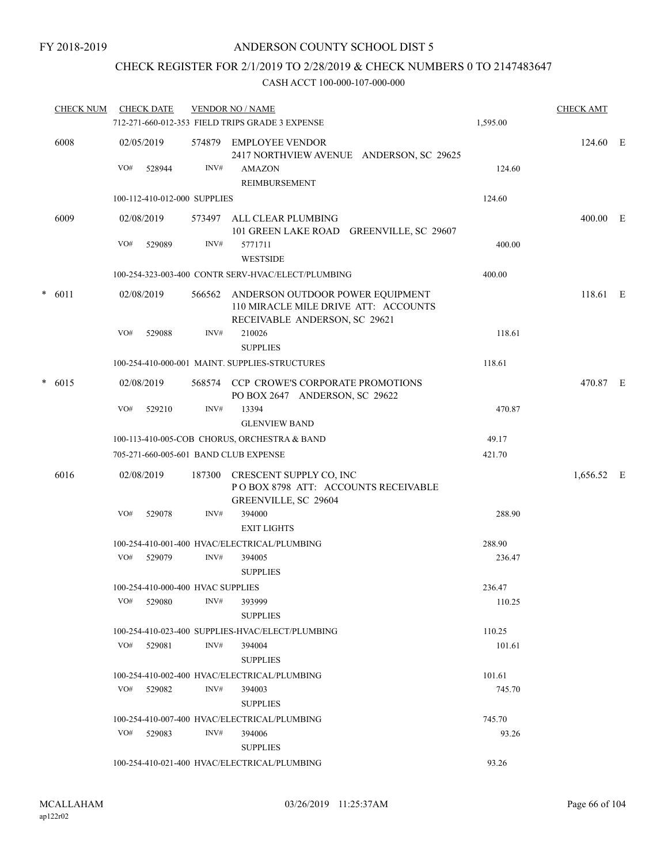# CHECK REGISTER FOR 2/1/2019 TO 2/28/2019 & CHECK NUMBERS 0 TO 2147483647

|   | <b>CHECK NUM</b> |     | <b>CHECK DATE</b>                 |        | <b>VENDOR NO / NAME</b><br>712-271-660-012-353 FIELD TRIPS GRADE 3 EXPENSE                                | 1,595.00 | <b>CHECK AMT</b> |  |
|---|------------------|-----|-----------------------------------|--------|-----------------------------------------------------------------------------------------------------------|----------|------------------|--|
|   | 6008             |     | 02/05/2019                        |        | 574879 EMPLOYEE VENDOR<br>2417 NORTHVIEW AVENUE ANDERSON, SC 29625                                        |          | 124.60 E         |  |
|   |                  | VO# | 528944                            | INV#   | <b>AMAZON</b><br>REIMBURSEMENT                                                                            | 124.60   |                  |  |
|   |                  |     | 100-112-410-012-000 SUPPLIES      |        |                                                                                                           | 124.60   |                  |  |
|   | 6009             |     | 02/08/2019                        |        | 573497 ALL CLEAR PLUMBING<br>101 GREEN LAKE ROAD GREENVILLE, SC 29607                                     |          | 400.00 E         |  |
|   |                  | VO# | 529089                            | INV#   | 5771711<br><b>WESTSIDE</b>                                                                                | 400.00   |                  |  |
|   |                  |     |                                   |        | 100-254-323-003-400 CONTR SERV-HVAC/ELECT/PLUMBING                                                        | 400.00   |                  |  |
|   | $* 6011$         |     | 02/08/2019                        | 566562 | ANDERSON OUTDOOR POWER EQUIPMENT<br>110 MIRACLE MILE DRIVE ATT: ACCOUNTS<br>RECEIVABLE ANDERSON, SC 29621 |          | 118.61 E         |  |
|   |                  | VO# | 529088                            | INV#   | 210026<br><b>SUPPLIES</b>                                                                                 | 118.61   |                  |  |
|   |                  |     |                                   |        | 100-254-410-000-001 MAINT, SUPPLIES-STRUCTURES                                                            | 118.61   |                  |  |
| * | 6015             |     | 02/08/2019                        |        | 568574 CCP CROWE'S CORPORATE PROMOTIONS<br>PO BOX 2647 ANDERSON, SC 29622                                 |          | 470.87 E         |  |
|   |                  | VO# | 529210                            | INV#   | 13394<br><b>GLENVIEW BAND</b>                                                                             | 470.87   |                  |  |
|   |                  |     |                                   |        | 100-113-410-005-COB CHORUS, ORCHESTRA & BAND                                                              | 49.17    |                  |  |
|   |                  |     |                                   |        | 705-271-660-005-601 BAND CLUB EXPENSE                                                                     | 421.70   |                  |  |
|   | 6016             |     | 02/08/2019                        |        | 187300 CRESCENT SUPPLY CO, INC<br>POBOX 8798 ATT: ACCOUNTS RECEIVABLE<br>GREENVILLE, SC 29604             |          | 1,656.52 E       |  |
|   |                  | VO# | 529078                            | INV#   | 394000<br><b>EXIT LIGHTS</b>                                                                              | 288.90   |                  |  |
|   |                  |     |                                   |        | 100-254-410-001-400 HVAC/ELECTRICAL/PLUMBING                                                              | 288.90   |                  |  |
|   |                  | VO# | 529079                            | INV#   | 394005<br><b>SUPPLIES</b>                                                                                 | 236.47   |                  |  |
|   |                  |     | 100-254-410-000-400 HVAC SUPPLIES |        |                                                                                                           | 236.47   |                  |  |
|   |                  | VO# | 529080                            | INV#   | 393999<br><b>SUPPLIES</b>                                                                                 | 110.25   |                  |  |
|   |                  |     |                                   |        | 100-254-410-023-400 SUPPLIES-HVAC/ELECT/PLUMBING                                                          | 110.25   |                  |  |
|   |                  | VO# | 529081                            | INV#   | 394004<br><b>SUPPLIES</b>                                                                                 | 101.61   |                  |  |
|   |                  |     |                                   |        | 100-254-410-002-400 HVAC/ELECTRICAL/PLUMBING                                                              | 101.61   |                  |  |
|   |                  | VO# | 529082                            | INV#   | 394003<br><b>SUPPLIES</b>                                                                                 | 745.70   |                  |  |
|   |                  |     |                                   |        | 100-254-410-007-400 HVAC/ELECTRICAL/PLUMBING                                                              | 745.70   |                  |  |
|   |                  | VO# | 529083                            | INV#   | 394006<br><b>SUPPLIES</b>                                                                                 | 93.26    |                  |  |
|   |                  |     |                                   |        | 100-254-410-021-400 HVAC/ELECTRICAL/PLUMBING                                                              | 93.26    |                  |  |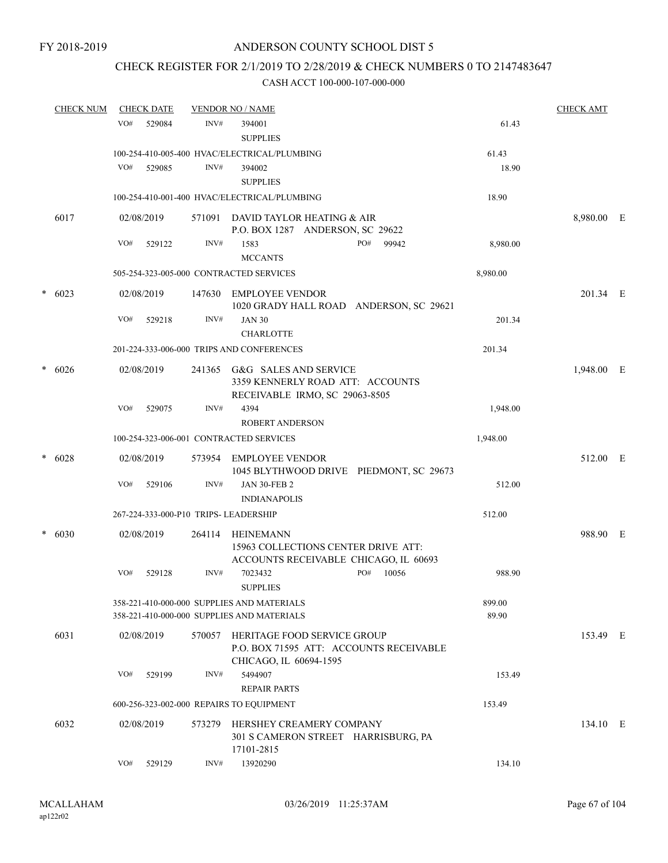# CHECK REGISTER FOR 2/1/2019 TO 2/28/2019 & CHECK NUMBERS 0 TO 2147483647

|   | <b>CHECK NUM</b> | <b>CHECK DATE</b>                     |        | <b>VENDOR NO / NAME</b>                                                                          |                 | <b>CHECK AMT</b> |  |
|---|------------------|---------------------------------------|--------|--------------------------------------------------------------------------------------------------|-----------------|------------------|--|
|   |                  | VO#<br>529084                         | INV#   | 394001<br><b>SUPPLIES</b>                                                                        | 61.43           |                  |  |
|   |                  |                                       |        | 100-254-410-005-400 HVAC/ELECTRICAL/PLUMBING                                                     | 61.43           |                  |  |
|   |                  | VO#<br>529085                         | INV#   | 394002<br><b>SUPPLIES</b>                                                                        | 18.90           |                  |  |
|   |                  |                                       |        | 100-254-410-001-400 HVAC/ELECTRICAL/PLUMBING                                                     | 18.90           |                  |  |
|   | 6017             | 02/08/2019                            | 571091 | DAVID TAYLOR HEATING & AIR<br>P.O. BOX 1287 ANDERSON, SC 29622                                   |                 | 8,980.00 E       |  |
|   |                  | VO#<br>529122                         | INV#   | 1583<br>PO#<br>99942<br><b>MCCANTS</b>                                                           | 8,980.00        |                  |  |
|   |                  |                                       |        | 505-254-323-005-000 CONTRACTED SERVICES                                                          | 8,980.00        |                  |  |
|   | $* 6023$         | 02/08/2019                            | 147630 | <b>EMPLOYEE VENDOR</b><br>1020 GRADY HALL ROAD ANDERSON, SC 29621                                |                 | 201.34 E         |  |
|   |                  | VO#<br>529218                         | INV#   | <b>JAN 30</b><br><b>CHARLOTTE</b>                                                                | 201.34          |                  |  |
|   |                  |                                       |        | 201-224-333-006-000 TRIPS AND CONFERENCES                                                        | 201.34          |                  |  |
|   | $* 6026$         | 02/08/2019                            | 241365 | G&G SALES AND SERVICE<br>3359 KENNERLY ROAD ATT: ACCOUNTS<br>RECEIVABLE IRMO, SC 29063-8505      |                 | 1,948.00 E       |  |
|   |                  | VO#<br>529075                         | INV#   | 4394                                                                                             | 1,948.00        |                  |  |
|   |                  |                                       |        | <b>ROBERT ANDERSON</b><br>100-254-323-006-001 CONTRACTED SERVICES                                | 1,948.00        |                  |  |
|   |                  |                                       |        |                                                                                                  |                 |                  |  |
| * | 6028             | 02/08/2019                            | 573954 | EMPLOYEE VENDOR<br>1045 BLYTHWOOD DRIVE PIEDMONT, SC 29673                                       |                 | 512.00 E         |  |
|   |                  | VO#<br>529106                         | INV#   | <b>JAN 30-FEB 2</b><br><b>INDIANAPOLIS</b>                                                       | 512.00          |                  |  |
|   |                  | 267-224-333-000-P10 TRIPS- LEADERSHIP |        |                                                                                                  | 512.00          |                  |  |
|   | $* 6030$         | 02/08/2019                            | 264114 | HEINEMANN<br>15963 COLLECTIONS CENTER DRIVE ATT:                                                 |                 | 988.90 E         |  |
|   |                  | VO#<br>529128                         | INV#   | ACCOUNTS RECEIVABLE CHICAGO, IL 60693<br>7023432<br>PO#<br>10056<br><b>SUPPLIES</b>              | 988.90          |                  |  |
|   |                  |                                       |        | 358-221-410-000-000 SUPPLIES AND MATERIALS<br>358-221-410-000-000 SUPPLIES AND MATERIALS         | 899.00<br>89.90 |                  |  |
|   | 6031             | 02/08/2019                            | 570057 | HERITAGE FOOD SERVICE GROUP<br>P.O. BOX 71595 ATT: ACCOUNTS RECEIVABLE<br>CHICAGO, IL 60694-1595 |                 | 153.49 E         |  |
|   |                  | VO#<br>529199                         | INV#   | 5494907<br><b>REPAIR PARTS</b>                                                                   | 153.49          |                  |  |
|   |                  |                                       |        | 600-256-323-002-000 REPAIRS TO EQUIPMENT                                                         | 153.49          |                  |  |
|   | 6032             | 02/08/2019                            | 573279 | HERSHEY CREAMERY COMPANY<br>301 S CAMERON STREET HARRISBURG, PA<br>17101-2815                    |                 | 134.10 E         |  |
|   |                  | VO#<br>529129                         | INV#   | 13920290                                                                                         | 134.10          |                  |  |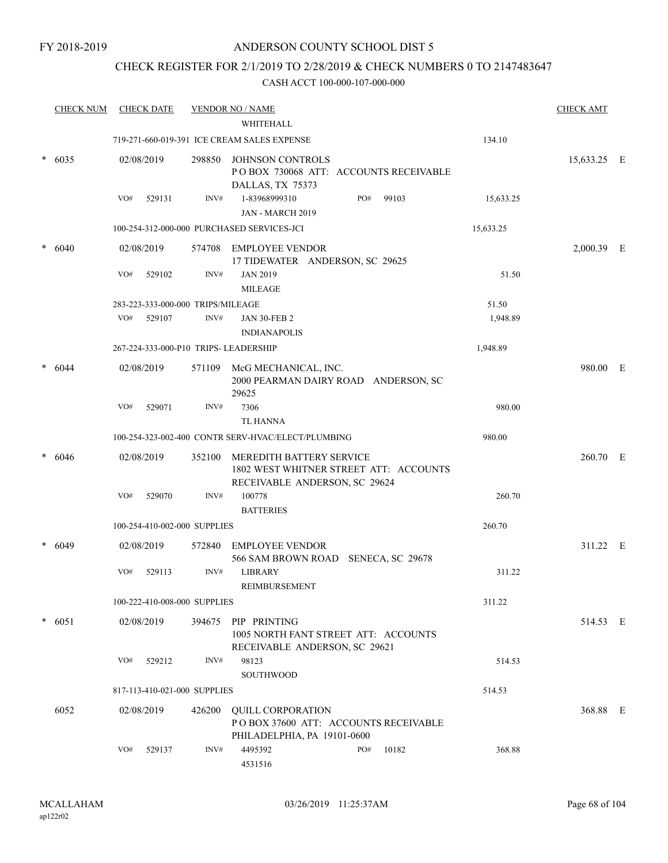# CHECK REGISTER FOR 2/1/2019 TO 2/28/2019 & CHECK NUMBERS 0 TO 2147483647

|   | <b>CHECK NUM</b> |     | <b>CHECK DATE</b>                 |        | <b>VENDOR NO / NAME</b>                                                                             |     |       |           | <b>CHECK AMT</b> |  |
|---|------------------|-----|-----------------------------------|--------|-----------------------------------------------------------------------------------------------------|-----|-------|-----------|------------------|--|
|   |                  |     |                                   |        | WHITEHALL                                                                                           |     |       |           |                  |  |
|   |                  |     |                                   |        | 719-271-660-019-391 ICE CREAM SALES EXPENSE                                                         |     |       | 134.10    |                  |  |
| * | 6035             |     | 02/08/2019                        | 298850 | <b>JOHNSON CONTROLS</b><br>POBOX 730068 ATT: ACCOUNTS RECEIVABLE<br>DALLAS, TX 75373                |     |       |           | 15,633.25 E      |  |
|   |                  | VO# | 529131                            | INV#   | 1-83968999310<br>JAN - MARCH 2019                                                                   | PO# | 99103 | 15,633.25 |                  |  |
|   |                  |     |                                   |        | 100-254-312-000-000 PURCHASED SERVICES-JCI                                                          |     |       | 15,633.25 |                  |  |
|   | 6040             |     | 02/08/2019                        | 574708 | EMPLOYEE VENDOR<br>17 TIDEWATER ANDERSON, SC 29625                                                  |     |       |           | 2,000.39 E       |  |
|   |                  | VO# | 529102                            | INV#   | <b>JAN 2019</b><br><b>MILEAGE</b>                                                                   |     |       | 51.50     |                  |  |
|   |                  |     | 283-223-333-000-000 TRIPS/MILEAGE |        |                                                                                                     |     |       | 51.50     |                  |  |
|   |                  | VO# | 529107                            | INV#   | <b>JAN 30-FEB 2</b><br><b>INDIANAPOLIS</b>                                                          |     |       | 1,948.89  |                  |  |
|   |                  |     |                                   |        | 267-224-333-000-P10 TRIPS- LEADERSHIP                                                               |     |       | 1,948.89  |                  |  |
|   | 6044             |     | 02/08/2019                        | 571109 | McG MECHANICAL, INC.<br>2000 PEARMAN DAIRY ROAD ANDERSON, SC<br>29625                               |     |       |           | 980.00 E         |  |
|   |                  | VO# | 529071                            | INV#   | 7306<br>TL HANNA                                                                                    |     |       | 980.00    |                  |  |
|   |                  |     |                                   |        | 100-254-323-002-400 CONTR SERV-HVAC/ELECT/PLUMBING                                                  |     |       | 980.00    |                  |  |
|   | 6046             |     | 02/08/2019                        | 352100 | MEREDITH BATTERY SERVICE<br>1802 WEST WHITNER STREET ATT: ACCOUNTS<br>RECEIVABLE ANDERSON, SC 29624 |     |       |           | 260.70 E         |  |
|   |                  | VO# | 529070                            | INV#   | 100778<br><b>BATTERIES</b>                                                                          |     |       | 260.70    |                  |  |
|   |                  |     | 100-254-410-002-000 SUPPLIES      |        |                                                                                                     |     |       | 260.70    |                  |  |
|   | 6049             |     | 02/08/2019                        | 572840 | <b>EMPLOYEE VENDOR</b><br>566 SAM BROWN ROAD SENECA, SC 29678                                       |     |       |           | 311.22 E         |  |
|   |                  | VO# | 529113                            | INV#   | <b>LIBRARY</b><br>REIMBURSEMENT                                                                     |     |       | 311.22    |                  |  |
|   |                  |     | 100-222-410-008-000 SUPPLIES      |        |                                                                                                     |     |       | 311.22    |                  |  |
|   | $* 6051$         |     | 02/08/2019                        | 394675 | PIP PRINTING<br>1005 NORTH FANT STREET ATT: ACCOUNTS<br>RECEIVABLE ANDERSON, SC 29621               |     |       |           | 514.53 E         |  |
|   |                  | VO# | 529212                            | INV#   | 98123<br><b>SOUTHWOOD</b>                                                                           |     |       | 514.53    |                  |  |
|   |                  |     | 817-113-410-021-000 SUPPLIES      |        |                                                                                                     |     |       | 514.53    |                  |  |
|   | 6052             |     | 02/08/2019                        | 426200 | <b>QUILL CORPORATION</b><br>POBOX 37600 ATT: ACCOUNTS RECEIVABLE<br>PHILADELPHIA, PA 19101-0600     |     |       |           | 368.88 E         |  |
|   |                  | VO# | 529137                            | INV#   | 4495392<br>4531516                                                                                  | PO# | 10182 | 368.88    |                  |  |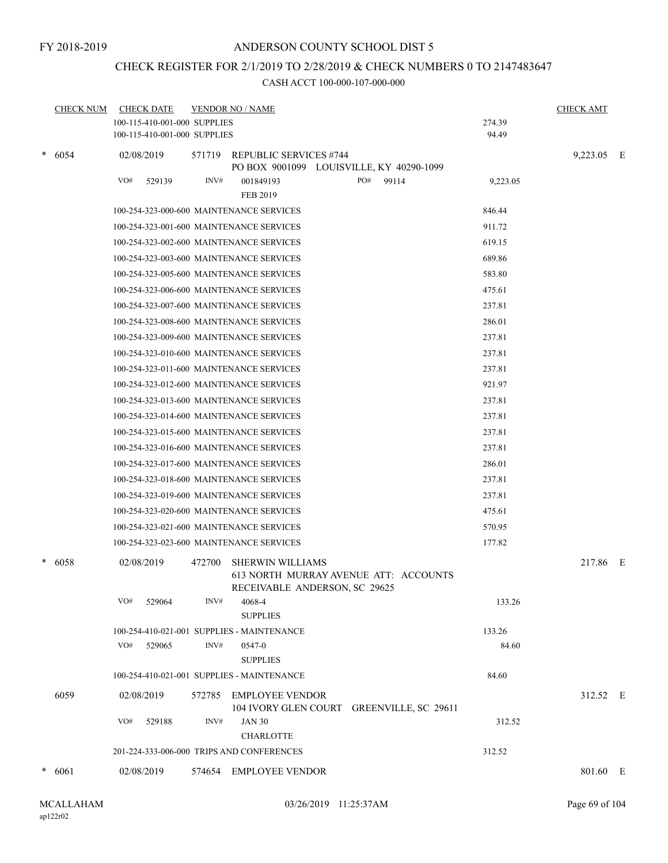#### FY 2018-2019

# ANDERSON COUNTY SCHOOL DIST 5

# CHECK REGISTER FOR 2/1/2019 TO 2/28/2019 & CHECK NUMBERS 0 TO 2147483647

|   | <b>CHECK NUM</b><br><b>CHECK DATE</b> |                                           | <b>VENDOR NO / NAME</b> | <b>CHECK AMT</b>                                                    |          |            |  |
|---|---------------------------------------|-------------------------------------------|-------------------------|---------------------------------------------------------------------|----------|------------|--|
|   |                                       | 100-115-410-001-000 SUPPLIES              |                         |                                                                     | 274.39   |            |  |
|   |                                       | 100-115-410-001-000 SUPPLIES              |                         |                                                                     | 94.49    |            |  |
|   | $*$ 6054                              | 02/08/2019                                | 571719                  | <b>REPUBLIC SERVICES #744</b>                                       |          | 9,223.05 E |  |
|   |                                       |                                           |                         | PO BOX 9001099 LOUISVILLE, KY 40290-1099                            |          |            |  |
|   |                                       | VO#<br>529139                             | INV#                    | PO#<br>001849193<br>99114                                           | 9,223.05 |            |  |
|   |                                       |                                           |                         | <b>FEB 2019</b>                                                     |          |            |  |
|   |                                       | 100-254-323-000-600 MAINTENANCE SERVICES  |                         |                                                                     | 846.44   |            |  |
|   |                                       | 100-254-323-001-600 MAINTENANCE SERVICES  |                         |                                                                     | 911.72   |            |  |
|   |                                       | 100-254-323-002-600 MAINTENANCE SERVICES  |                         |                                                                     | 619.15   |            |  |
|   |                                       | 100-254-323-003-600 MAINTENANCE SERVICES  |                         |                                                                     | 689.86   |            |  |
|   |                                       | 100-254-323-005-600 MAINTENANCE SERVICES  |                         |                                                                     | 583.80   |            |  |
|   |                                       | 100-254-323-006-600 MAINTENANCE SERVICES  |                         |                                                                     | 475.61   |            |  |
|   |                                       | 100-254-323-007-600 MAINTENANCE SERVICES  |                         |                                                                     | 237.81   |            |  |
|   |                                       | 100-254-323-008-600 MAINTENANCE SERVICES  |                         |                                                                     | 286.01   |            |  |
|   |                                       | 100-254-323-009-600 MAINTENANCE SERVICES  |                         |                                                                     | 237.81   |            |  |
|   |                                       | 100-254-323-010-600 MAINTENANCE SERVICES  |                         |                                                                     | 237.81   |            |  |
|   |                                       | 100-254-323-011-600 MAINTENANCE SERVICES  |                         |                                                                     | 237.81   |            |  |
|   |                                       | 100-254-323-012-600 MAINTENANCE SERVICES  |                         |                                                                     | 921.97   |            |  |
|   |                                       | 100-254-323-013-600 MAINTENANCE SERVICES  |                         |                                                                     | 237.81   |            |  |
|   |                                       | 100-254-323-014-600 MAINTENANCE SERVICES  |                         |                                                                     | 237.81   |            |  |
|   |                                       | 100-254-323-015-600 MAINTENANCE SERVICES  |                         |                                                                     | 237.81   |            |  |
|   |                                       | 100-254-323-016-600 MAINTENANCE SERVICES  |                         |                                                                     | 237.81   |            |  |
|   |                                       | 100-254-323-017-600 MAINTENANCE SERVICES  |                         |                                                                     | 286.01   |            |  |
|   |                                       | 100-254-323-018-600 MAINTENANCE SERVICES  |                         |                                                                     | 237.81   |            |  |
|   |                                       | 100-254-323-019-600 MAINTENANCE SERVICES  |                         |                                                                     | 237.81   |            |  |
|   |                                       | 100-254-323-020-600 MAINTENANCE SERVICES  |                         |                                                                     | 475.61   |            |  |
|   |                                       | 100-254-323-021-600 MAINTENANCE SERVICES  |                         |                                                                     | 570.95   |            |  |
|   |                                       | 100-254-323-023-600 MAINTENANCE SERVICES  |                         |                                                                     | 177.82   |            |  |
| * | 6058                                  | 02/08/2019                                | 472700                  | SHERWIN WILLIAMS                                                    |          | 217.86 E   |  |
|   |                                       |                                           |                         | 613 NORTH MURRAY AVENUE ATT: ACCOUNTS                               |          |            |  |
|   |                                       |                                           |                         | RECEIVABLE ANDERSON, SC 29625                                       |          |            |  |
|   |                                       | VO#<br>529064                             | INV#                    | 4068-4                                                              | 133.26   |            |  |
|   |                                       |                                           |                         | <b>SUPPLIES</b>                                                     |          |            |  |
|   |                                       |                                           |                         | 100-254-410-021-001 SUPPLIES - MAINTENANCE                          | 133.26   |            |  |
|   |                                       | VO#<br>529065                             | INV#                    | 0547-0                                                              | 84.60    |            |  |
|   |                                       |                                           |                         | <b>SUPPLIES</b>                                                     |          |            |  |
|   |                                       |                                           |                         | 100-254-410-021-001 SUPPLIES - MAINTENANCE                          | 84.60    |            |  |
|   | 6059                                  | 02/08/2019                                |                         | 572785 EMPLOYEE VENDOR<br>104 IVORY GLEN COURT GREENVILLE, SC 29611 |          | 312.52 E   |  |
|   |                                       | VO#<br>529188                             | INV#                    | <b>JAN 30</b>                                                       | 312.52   |            |  |
|   |                                       |                                           |                         | <b>CHARLOTTE</b>                                                    |          |            |  |
|   |                                       | 201-224-333-006-000 TRIPS AND CONFERENCES |                         |                                                                     | 312.52   |            |  |
|   |                                       |                                           |                         |                                                                     |          |            |  |
|   | 6061                                  | 02/08/2019                                |                         | 574654 EMPLOYEE VENDOR                                              |          | 801.60 E   |  |
|   |                                       |                                           |                         |                                                                     |          |            |  |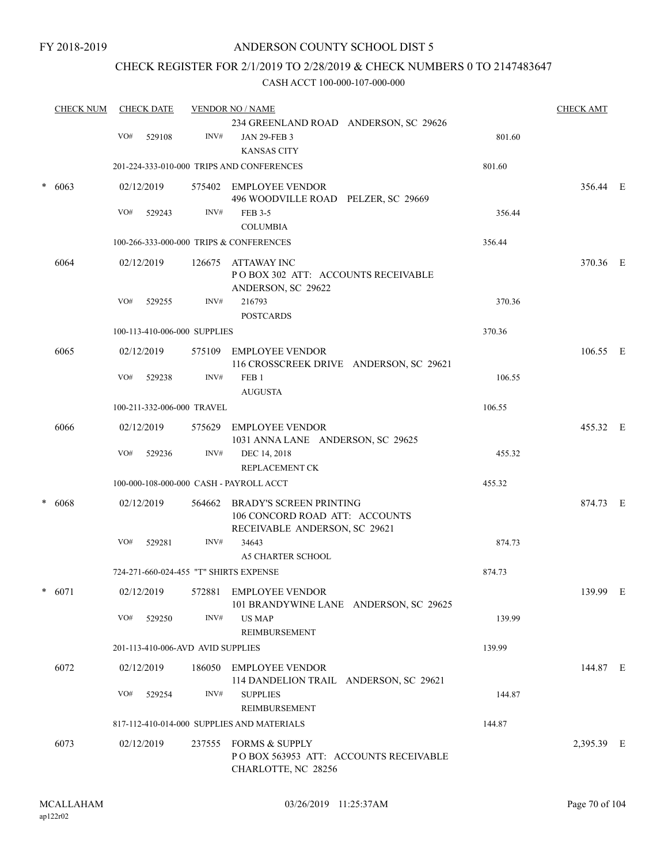# CHECK REGISTER FOR 2/1/2019 TO 2/28/2019 & CHECK NUMBERS 0 TO 2147483647

| <b>CHECK NUM</b> | <b>CHECK DATE</b> |     |            | <b>VENDOR NO / NAME</b>           | <b>CHECK AMT</b>                                                                                  |        |            |  |
|------------------|-------------------|-----|------------|-----------------------------------|---------------------------------------------------------------------------------------------------|--------|------------|--|
|                  |                   | VO# | 529108     | INV#                              | 234 GREENLAND ROAD ANDERSON, SC 29626<br><b>JAN 29-FEB 3</b>                                      | 801.60 |            |  |
|                  |                   |     |            |                                   | <b>KANSAS CITY</b>                                                                                |        |            |  |
|                  |                   |     |            |                                   | 201-224-333-010-000 TRIPS AND CONFERENCES                                                         | 801.60 |            |  |
|                  | 6063              |     | 02/12/2019 |                                   | 575402 EMPLOYEE VENDOR<br>496 WOODVILLE ROAD PELZER, SC 29669                                     |        | 356.44 E   |  |
|                  |                   | VO# | 529243     | INV#                              | FEB 3-5<br><b>COLUMBIA</b>                                                                        | 356.44 |            |  |
|                  |                   |     |            |                                   | 100-266-333-000-000 TRIPS & CONFERENCES                                                           | 356.44 |            |  |
|                  | 6064              |     | 02/12/2019 |                                   | 126675 ATTAWAY INC<br>POBOX 302 ATT: ACCOUNTS RECEIVABLE<br>ANDERSON, SC 29622                    |        | 370.36 E   |  |
|                  |                   | VO# | 529255     | INV#                              | 216793<br><b>POSTCARDS</b>                                                                        | 370.36 |            |  |
|                  |                   |     |            | 100-113-410-006-000 SUPPLIES      |                                                                                                   | 370.36 |            |  |
|                  | 6065              |     | 02/12/2019 |                                   | 575109 EMPLOYEE VENDOR<br>116 CROSSCREEK DRIVE ANDERSON, SC 29621                                 |        | 106.55 E   |  |
|                  |                   | VO# | 529238     | INV#                              | FEB <sub>1</sub><br><b>AUGUSTA</b>                                                                | 106.55 |            |  |
|                  |                   |     |            | 100-211-332-006-000 TRAVEL        |                                                                                                   | 106.55 |            |  |
|                  | 6066              |     | 02/12/2019 |                                   | 575629 EMPLOYEE VENDOR<br>1031 ANNA LANE ANDERSON, SC 29625                                       |        | 455.32 E   |  |
|                  |                   | VO# | 529236     | INV#                              | DEC 14, 2018<br>REPLACEMENT CK                                                                    | 455.32 |            |  |
|                  |                   |     |            |                                   | 100-000-108-000-000 CASH - PAYROLL ACCT                                                           | 455.32 |            |  |
|                  | 6068              |     | 02/12/2019 | 564662                            | <b>BRADY'S SCREEN PRINTING</b><br>106 CONCORD ROAD ATT: ACCOUNTS<br>RECEIVABLE ANDERSON, SC 29621 |        | 874.73 E   |  |
|                  |                   | VO# | 529281     | INV#                              | 34643<br><b>A5 CHARTER SCHOOL</b>                                                                 | 874.73 |            |  |
|                  |                   |     |            |                                   | 724-271-660-024-455 "T" SHIRTS EXPENSE                                                            | 874.73 |            |  |
|                  | $* 6071$          |     | 02/12/2019 |                                   | 572881 EMPLOYEE VENDOR<br>101 BRANDYWINE LANE ANDERSON, SC 29625                                  |        | 139.99 E   |  |
|                  |                   | VO# | 529250     | INV#                              | US MAP<br>REIMBURSEMENT                                                                           | 139.99 |            |  |
|                  |                   |     |            | 201-113-410-006-AVD AVID SUPPLIES |                                                                                                   | 139.99 |            |  |
|                  | 6072              |     | 02/12/2019 |                                   | 186050 EMPLOYEE VENDOR<br>114 DANDELION TRAIL ANDERSON, SC 29621                                  |        | 144.87 E   |  |
|                  |                   | VO# | 529254     | INV#                              | <b>SUPPLIES</b><br>REIMBURSEMENT                                                                  | 144.87 |            |  |
|                  |                   |     |            |                                   | 817-112-410-014-000 SUPPLIES AND MATERIALS                                                        | 144.87 |            |  |
|                  | 6073              |     | 02/12/2019 |                                   | 237555 FORMS & SUPPLY<br>PO BOX 563953 ATT: ACCOUNTS RECEIVABLE<br>CHARLOTTE, NC 28256            |        | 2,395.39 E |  |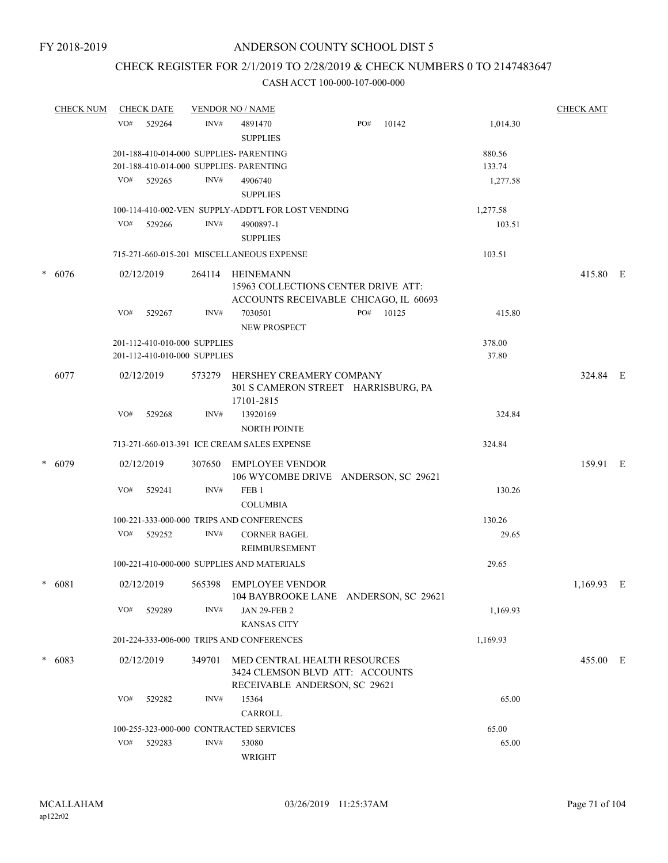# CHECK REGISTER FOR 2/1/2019 TO 2/28/2019 & CHECK NUMBERS 0 TO 2147483647

| <b>CHECK NUM</b> |                                         | <b>CHECK DATE</b> |                              | <b>VENDOR NO / NAME</b>                                                                          |     |       |          |          |   |
|------------------|-----------------------------------------|-------------------|------------------------------|--------------------------------------------------------------------------------------------------|-----|-------|----------|----------|---|
|                  | VO#                                     | 529264            | INV#                         | 4891470<br><b>SUPPLIES</b>                                                                       | PO# | 10142 | 1,014.30 |          |   |
|                  | 201-188-410-014-000 SUPPLIES- PARENTING | 880.56            |                              |                                                                                                  |     |       |          |          |   |
|                  |                                         |                   |                              | 201-188-410-014-000 SUPPLIES- PARENTING                                                          |     |       | 133.74   |          |   |
|                  |                                         | VO# 529265        | INV#                         | 4906740                                                                                          |     |       | 1,277.58 |          |   |
|                  |                                         |                   |                              | <b>SUPPLIES</b>                                                                                  |     |       |          |          |   |
|                  |                                         |                   |                              | 100-114-410-002-VEN SUPPLY-ADDT'L FOR LOST VENDING                                               |     |       | 1,277.58 |          |   |
|                  | VO#                                     | 529266            | INV#                         | 4900897-1                                                                                        |     |       | 103.51   |          |   |
|                  |                                         |                   |                              | <b>SUPPLIES</b>                                                                                  |     |       |          |          |   |
|                  |                                         |                   |                              | 715-271-660-015-201 MISCELLANEOUS EXPENSE                                                        |     |       | 103.51   |          |   |
| $* 6076$         |                                         | 02/12/2019        | 264114                       | HEINEMANN<br>15963 COLLECTIONS CENTER DRIVE ATT:<br>ACCOUNTS RECEIVABLE CHICAGO, IL 60693        |     |       |          | 415.80 E |   |
|                  | VO#                                     | 529267            | INV#                         | 7030501                                                                                          | PO# | 10125 | 415.80   |          |   |
|                  |                                         |                   |                              | <b>NEW PROSPECT</b>                                                                              |     |       |          |          |   |
|                  |                                         |                   | 201-112-410-010-000 SUPPLIES |                                                                                                  |     |       | 378.00   |          |   |
|                  |                                         |                   | 201-112-410-010-000 SUPPLIES |                                                                                                  |     |       | 37.80    |          |   |
|                  |                                         |                   |                              |                                                                                                  |     |       |          |          |   |
| 6077             |                                         | 02/12/2019        | 573279                       | HERSHEY CREAMERY COMPANY<br>301 S CAMERON STREET HARRISBURG, PA<br>17101-2815                    |     |       |          | 324.84 E |   |
|                  | VO#                                     | 529268            | INV#                         | 13920169                                                                                         |     |       | 324.84   |          |   |
|                  |                                         |                   |                              | <b>NORTH POINTE</b>                                                                              |     |       |          |          |   |
|                  |                                         |                   |                              | 713-271-660-013-391 ICE CREAM SALES EXPENSE                                                      |     |       | 324.84   |          |   |
| $* 6079$         |                                         | 02/12/2019        | 307650                       | <b>EMPLOYEE VENDOR</b><br>106 WYCOMBE DRIVE ANDERSON, SC 29621                                   |     |       |          | 159.91 E |   |
|                  | VO#                                     | 529241            | INV#                         | FEB <sub>1</sub><br><b>COLUMBIA</b>                                                              |     |       | 130.26   |          |   |
|                  |                                         |                   |                              | 100-221-333-000-000 TRIPS AND CONFERENCES                                                        |     |       | 130.26   |          |   |
|                  | VO#                                     | 529252            | INV#                         | <b>CORNER BAGEL</b><br><b>REIMBURSEMENT</b>                                                      |     |       | 29.65    |          |   |
|                  |                                         |                   |                              | 100-221-410-000-000 SUPPLIES AND MATERIALS                                                       |     |       | 29.65    |          |   |
| $* 6081$         |                                         | 02/12/2019        |                              | 565398 EMPLOYEE VENDOR<br>104 BAYBROOKE LANE ANDERSON, SC 29621                                  |     |       |          | 1,169.93 | E |
|                  | VO#                                     | 529289            | INV#                         | <b>JAN 29-FEB 2</b>                                                                              |     |       | 1,169.93 |          |   |
|                  |                                         |                   |                              | <b>KANSAS CITY</b>                                                                               |     |       |          |          |   |
|                  |                                         |                   |                              | 201-224-333-006-000 TRIPS AND CONFERENCES                                                        |     |       | 1,169.93 |          |   |
| $* 6083$         |                                         | 02/12/2019        | 349701                       | MED CENTRAL HEALTH RESOURCES<br>3424 CLEMSON BLVD ATT: ACCOUNTS<br>RECEIVABLE ANDERSON, SC 29621 |     |       |          | 455.00 E |   |
|                  | VO#                                     | 529282            | INV#                         | 15364                                                                                            |     |       | 65.00    |          |   |
|                  |                                         |                   |                              | CARROLL                                                                                          |     |       |          |          |   |
|                  |                                         |                   |                              | 100-255-323-000-000 CONTRACTED SERVICES                                                          |     |       | 65.00    |          |   |
|                  | VO#                                     | 529283            | INV#                         | 53080                                                                                            |     |       | 65.00    |          |   |
|                  |                                         |                   |                              | WRIGHT                                                                                           |     |       |          |          |   |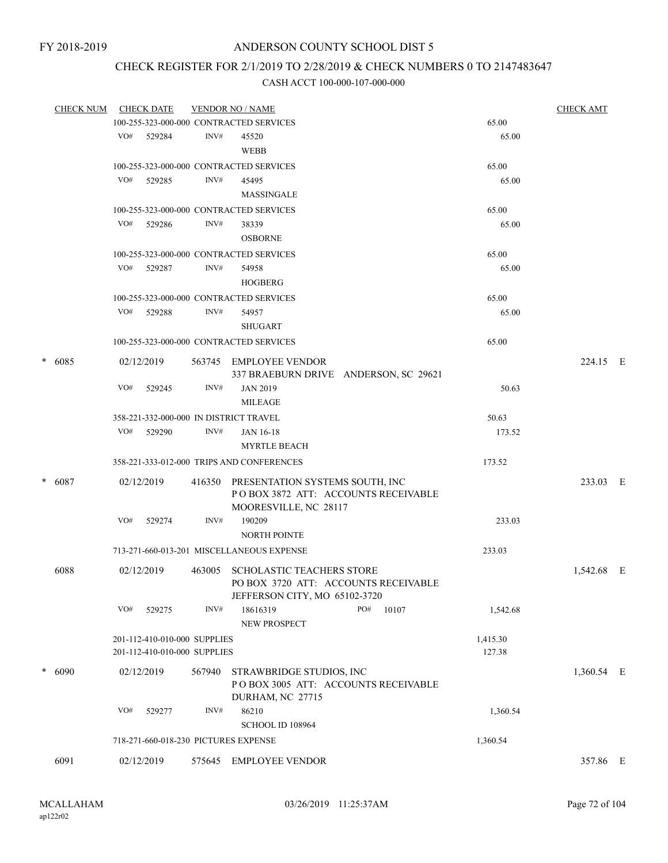# CHECK REGISTER FOR 2/1/2019 TO 2/28/2019 & CHECK NUMBERS 0 TO 2147483647

|          | <b>CHECK NUM</b> |            | <b>CHECK DATE</b>            |                                        | <b>VENDOR NO / NAME</b>                   |     |       |          |            |  |
|----------|------------------|------------|------------------------------|----------------------------------------|-------------------------------------------|-----|-------|----------|------------|--|
|          |                  |            |                              |                                        | 100-255-323-000-000 CONTRACTED SERVICES   |     |       | 65.00    |            |  |
|          |                  |            | VO# 529284                   | INV#                                   | 45520                                     |     |       | 65.00    |            |  |
|          |                  |            |                              |                                        | <b>WEBB</b>                               |     |       |          |            |  |
|          |                  |            |                              |                                        | 100-255-323-000-000 CONTRACTED SERVICES   |     |       | 65.00    |            |  |
|          |                  | VO#        | 529285                       | INV#                                   | 45495                                     |     |       | 65.00    |            |  |
|          |                  |            |                              |                                        | MASSINGALE                                |     |       |          |            |  |
|          |                  |            |                              |                                        | 100-255-323-000-000 CONTRACTED SERVICES   |     |       | 65.00    |            |  |
|          |                  | VO#        | 529286                       | INV#                                   | 38339                                     |     |       | 65.00    |            |  |
|          |                  |            |                              |                                        | <b>OSBORNE</b>                            |     |       |          |            |  |
|          |                  |            |                              |                                        | 100-255-323-000-000 CONTRACTED SERVICES   |     |       | 65.00    |            |  |
|          |                  |            | VO# 529287                   | INV#                                   | 54958                                     |     |       | 65.00    |            |  |
|          |                  |            |                              |                                        | <b>HOGBERG</b>                            |     |       |          |            |  |
|          |                  |            |                              |                                        | 100-255-323-000-000 CONTRACTED SERVICES   |     |       | 65.00    |            |  |
|          |                  | VO#        | 529288                       | INV#                                   | 54957                                     |     |       | 65.00    |            |  |
|          |                  |            |                              |                                        | <b>SHUGART</b>                            |     |       |          |            |  |
|          |                  |            |                              |                                        | 100-255-323-000-000 CONTRACTED SERVICES   |     |       | 65.00    |            |  |
|          |                  |            |                              |                                        |                                           |     |       |          |            |  |
| $* 6085$ |                  | 02/12/2019 |                              | 563745 EMPLOYEE VENDOR                 |                                           |     |       | 224.15 E |            |  |
|          |                  |            |                              |                                        | 337 BRAEBURN DRIVE ANDERSON, SC 29621     |     |       |          |            |  |
|          | VO#              | 529245     | INV#                         | <b>JAN 2019</b>                        |                                           |     | 50.63 |          |            |  |
|          |                  |            |                              | <b>MILEAGE</b>                         |                                           |     |       |          |            |  |
|          |                  |            |                              |                                        | 358-221-332-000-000 IN DISTRICT TRAVEL    |     |       | 50.63    |            |  |
|          |                  | VO#        | 529290                       | INV#                                   | JAN 16-18                                 |     |       | 173.52   |            |  |
|          |                  |            |                              |                                        | <b>MYRTLE BEACH</b>                       |     |       |          |            |  |
|          |                  |            |                              |                                        | 358-221-333-012-000 TRIPS AND CONFERENCES |     |       | 173.52   |            |  |
|          | $* 6087$         |            | 02/12/2019                   | 416350 PRESENTATION SYSTEMS SOUTH, INC |                                           |     |       |          | 233.03 E   |  |
|          |                  |            |                              |                                        | POBOX 3872 ATT: ACCOUNTS RECEIVABLE       |     |       |          |            |  |
|          |                  |            |                              |                                        | MOORESVILLE, NC 28117                     |     |       |          |            |  |
|          |                  | VO#        | 529274                       | INV#                                   | 190209                                    |     |       | 233.03   |            |  |
|          |                  |            |                              |                                        | <b>NORTH POINTE</b>                       |     |       |          |            |  |
|          |                  |            |                              |                                        | 713-271-660-013-201 MISCELLANEOUS EXPENSE |     |       | 233.03   |            |  |
|          | 6088             |            | 02/12/2019                   | 463005                                 | <b>SCHOLASTIC TEACHERS STORE</b>          |     |       |          | 1,542.68 E |  |
|          |                  |            |                              |                                        | PO BOX 3720 ATT: ACCOUNTS RECEIVABLE      |     |       |          |            |  |
|          |                  |            |                              |                                        | JEFFERSON CITY, MO 65102-3720             |     |       |          |            |  |
|          |                  | VO#        | 529275                       | INV#                                   | 18616319                                  | PO# | 10107 | 1,542.68 |            |  |
|          |                  |            |                              |                                        | <b>NEW PROSPECT</b>                       |     |       |          |            |  |
|          |                  |            | 201-112-410-010-000 SUPPLIES |                                        |                                           |     |       | 1,415.30 |            |  |
|          |                  |            | 201-112-410-010-000 SUPPLIES |                                        |                                           |     |       | 127.38   |            |  |
|          | * 6090           |            | 02/12/2019                   | 567940                                 | STRAWBRIDGE STUDIOS, INC                  |     |       |          | 1,360.54 E |  |
|          |                  |            |                              |                                        | PO BOX 3005 ATT: ACCOUNTS RECEIVABLE      |     |       |          |            |  |
|          |                  |            |                              |                                        | DURHAM, NC 27715                          |     |       |          |            |  |
|          |                  | VO#        | 529277                       | INV#                                   | 86210                                     |     |       | 1,360.54 |            |  |
|          |                  |            |                              |                                        | SCHOOL ID 108964                          |     |       |          |            |  |
|          |                  |            |                              |                                        | 718-271-660-018-230 PICTURES EXPENSE      |     |       | 1,360.54 |            |  |
|          | 6091             |            | 02/12/2019                   |                                        | 575645 EMPLOYEE VENDOR                    |     |       |          | 357.86 E   |  |
|          |                  |            |                              |                                        |                                           |     |       |          |            |  |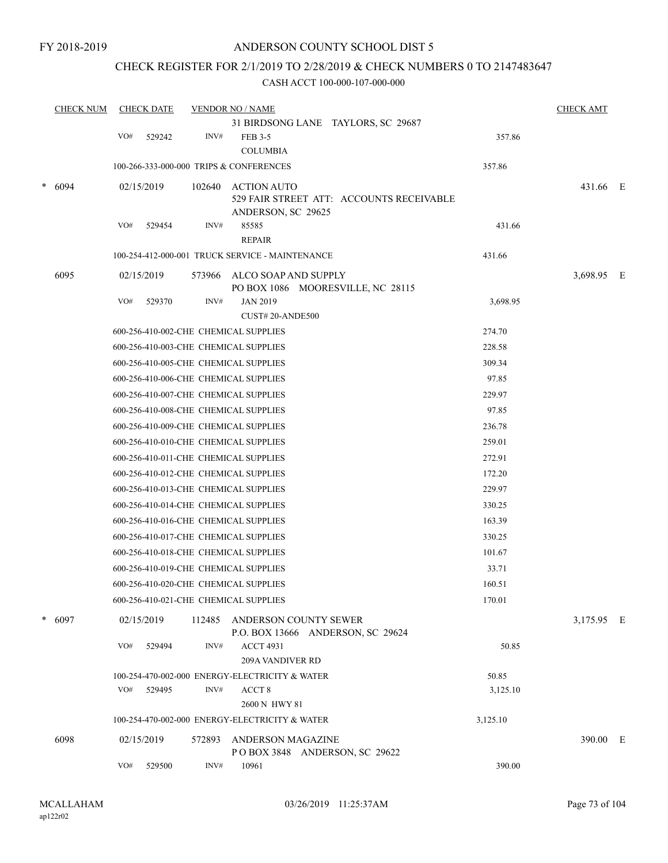### CHECK REGISTER FOR 2/1/2019 TO 2/28/2019 & CHECK NUMBERS 0 TO 2147483647

|   | <b>CHECK NUM</b> |     | <b>CHECK DATE</b> |        | <b>VENDOR NO / NAME</b>                         |                                    |                                          |          | <b>CHECK AMT</b> |  |
|---|------------------|-----|-------------------|--------|-------------------------------------------------|------------------------------------|------------------------------------------|----------|------------------|--|
|   |                  |     |                   |        |                                                 | 31 BIRDSONG LANE TAYLORS, SC 29687 |                                          |          |                  |  |
|   |                  | VO# | 529242            | INV#   | <b>FEB 3-5</b>                                  |                                    |                                          | 357.86   |                  |  |
|   |                  |     |                   |        | <b>COLUMBIA</b>                                 |                                    |                                          |          |                  |  |
|   |                  |     |                   |        | 100-266-333-000-000 TRIPS & CONFERENCES         |                                    |                                          | 357.86   |                  |  |
| * | 6094             |     | 02/15/2019        | 102640 | <b>ACTION AUTO</b>                              |                                    |                                          |          | 431.66 E         |  |
|   |                  |     |                   |        |                                                 |                                    | 529 FAIR STREET ATT: ACCOUNTS RECEIVABLE |          |                  |  |
|   |                  | VO# | 529454            | INV#   | ANDERSON, SC 29625<br>85585                     |                                    |                                          | 431.66   |                  |  |
|   |                  |     |                   |        | <b>REPAIR</b>                                   |                                    |                                          |          |                  |  |
|   |                  |     |                   |        | 100-254-412-000-001 TRUCK SERVICE - MAINTENANCE |                                    |                                          | 431.66   |                  |  |
|   | 6095             |     | 02/15/2019        | 573966 | ALCO SOAP AND SUPPLY                            |                                    |                                          |          | 3,698.95 E       |  |
|   |                  |     |                   |        |                                                 | PO BOX 1086 MOORESVILLE, NC 28115  |                                          |          |                  |  |
|   |                  | VO# | 529370            | INV#   | <b>JAN 2019</b>                                 |                                    |                                          | 3,698.95 |                  |  |
|   |                  |     |                   |        | CUST#20-ANDE500                                 |                                    |                                          |          |                  |  |
|   |                  |     |                   |        | 600-256-410-002-CHE CHEMICAL SUPPLIES           |                                    |                                          | 274.70   |                  |  |
|   |                  |     |                   |        | 600-256-410-003-CHE CHEMICAL SUPPLIES           |                                    |                                          | 228.58   |                  |  |
|   |                  |     |                   |        | 600-256-410-005-CHE CHEMICAL SUPPLIES           |                                    |                                          | 309.34   |                  |  |
|   |                  |     |                   |        | 600-256-410-006-CHE CHEMICAL SUPPLIES           |                                    |                                          | 97.85    |                  |  |
|   |                  |     |                   |        | 600-256-410-007-CHE CHEMICAL SUPPLIES           |                                    |                                          | 229.97   |                  |  |
|   |                  |     |                   |        | 600-256-410-008-CHE CHEMICAL SUPPLIES           |                                    |                                          | 97.85    |                  |  |
|   |                  |     |                   |        | 600-256-410-009-CHE CHEMICAL SUPPLIES           |                                    |                                          | 236.78   |                  |  |
|   |                  |     |                   |        | 600-256-410-010-CHE CHEMICAL SUPPLIES           |                                    |                                          | 259.01   |                  |  |
|   |                  |     |                   |        | 600-256-410-011-CHE CHEMICAL SUPPLIES           |                                    |                                          | 272.91   |                  |  |
|   |                  |     |                   |        | 600-256-410-012-CHE CHEMICAL SUPPLIES           |                                    |                                          | 172.20   |                  |  |
|   |                  |     |                   |        | 600-256-410-013-CHE CHEMICAL SUPPLIES           |                                    |                                          | 229.97   |                  |  |
|   |                  |     |                   |        | 600-256-410-014-CHE CHEMICAL SUPPLIES           |                                    |                                          | 330.25   |                  |  |
|   |                  |     |                   |        | 600-256-410-016-CHE CHEMICAL SUPPLIES           |                                    |                                          | 163.39   |                  |  |
|   |                  |     |                   |        | 600-256-410-017-CHE CHEMICAL SUPPLIES           |                                    |                                          | 330.25   |                  |  |
|   |                  |     |                   |        | 600-256-410-018-CHE CHEMICAL SUPPLIES           |                                    |                                          | 101.67   |                  |  |
|   |                  |     |                   |        | 600-256-410-019-CHE CHEMICAL SUPPLIES           |                                    |                                          | 33.71    |                  |  |
|   |                  |     |                   |        | 600-256-410-020-CHE CHEMICAL SUPPLIES           |                                    |                                          | 160.51   |                  |  |
|   |                  |     |                   |        | 600-256-410-021-CHE CHEMICAL SUPPLIES           |                                    |                                          | 170.01   |                  |  |
| * | 6097             |     | 02/15/2019        |        | 112485 ANDERSON COUNTY SEWER                    | P.O. BOX 13666 ANDERSON, SC 29624  |                                          |          | 3,175.95 E       |  |
|   |                  | VO# | 529494            | INV#   | <b>ACCT 4931</b>                                |                                    |                                          | 50.85    |                  |  |
|   |                  |     |                   |        | 209A VANDIVER RD                                |                                    |                                          |          |                  |  |
|   |                  |     |                   |        | 100-254-470-002-000 ENERGY-ELECTRICITY & WATER  |                                    |                                          | 50.85    |                  |  |
|   |                  | VO# | 529495            | INV#   | ACCT <sub>8</sub>                               |                                    |                                          | 3,125.10 |                  |  |
|   |                  |     |                   |        | 2600 N HWY 81                                   |                                    |                                          |          |                  |  |
|   |                  |     |                   |        | 100-254-470-002-000 ENERGY-ELECTRICITY & WATER  |                                    |                                          | 3,125.10 |                  |  |
|   | 6098             |     | 02/15/2019        | 572893 | ANDERSON MAGAZINE                               | POBOX 3848 ANDERSON, SC 29622      |                                          |          | 390.00 E         |  |
|   |                  | VO# | 529500            | INV#   | 10961                                           |                                    |                                          | 390.00   |                  |  |
|   |                  |     |                   |        |                                                 |                                    |                                          |          |                  |  |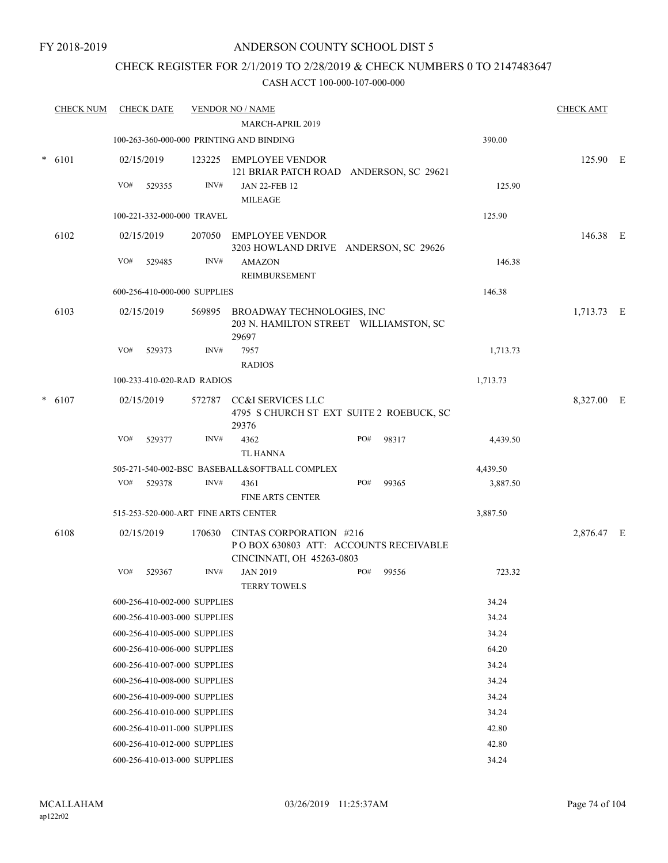### CHECK REGISTER FOR 2/1/2019 TO 2/28/2019 & CHECK NUMBERS 0 TO 2147483647

|        | <b>CHECK NUM</b> |                                      | <b>CHECK DATE</b>            |        | <b>VENDOR NO / NAME</b>                                                                               |     |       |          | <b>CHECK AMT</b> |  |
|--------|------------------|--------------------------------------|------------------------------|--------|-------------------------------------------------------------------------------------------------------|-----|-------|----------|------------------|--|
|        |                  |                                      |                              |        | MARCH-APRIL 2019                                                                                      |     |       |          |                  |  |
|        |                  |                                      |                              |        | 100-263-360-000-000 PRINTING AND BINDING                                                              |     |       | 390.00   |                  |  |
| $\ast$ | 6101             |                                      | 02/15/2019                   |        | 123225 EMPLOYEE VENDOR<br>121 BRIAR PATCH ROAD ANDERSON, SC 29621                                     |     |       |          | 125.90 E         |  |
|        |                  | VO#                                  | 529355                       | INV#   | <b>JAN 22-FEB 12</b><br><b>MILEAGE</b>                                                                |     |       | 125.90   |                  |  |
|        |                  |                                      | 100-221-332-000-000 TRAVEL   |        |                                                                                                       |     |       | 125.90   |                  |  |
|        | 6102             |                                      | 02/15/2019                   |        | 207050 EMPLOYEE VENDOR<br>3203 HOWLAND DRIVE ANDERSON, SC 29626                                       |     |       |          | 146.38 E         |  |
|        |                  | VO#                                  | 529485                       | INV#   | <b>AMAZON</b><br>REIMBURSEMENT                                                                        |     |       | 146.38   |                  |  |
|        |                  |                                      | 600-256-410-000-000 SUPPLIES |        |                                                                                                       |     |       | 146.38   |                  |  |
|        | 6103             |                                      | 02/15/2019                   |        | 569895 BROADWAY TECHNOLOGIES, INC<br>203 N. HAMILTON STREET WILLIAMSTON, SC<br>29697                  |     |       |          | 1,713.73 E       |  |
|        |                  | VO#                                  | 529373                       | INV#   | 7957<br><b>RADIOS</b>                                                                                 |     |       | 1,713.73 |                  |  |
|        |                  |                                      | 100-233-410-020-RAD RADIOS   |        |                                                                                                       |     |       | 1,713.73 |                  |  |
| $\ast$ | 6107             |                                      | 02/15/2019                   | 572787 | <b>CC&amp;I SERVICES LLC</b><br>4795 S CHURCH ST EXT SUITE 2 ROEBUCK, SC<br>29376                     |     |       |          | 8,327.00 E       |  |
|        |                  | VO#                                  | 529377                       | INV#   | 4362<br>TL HANNA                                                                                      | PO# | 98317 | 4,439.50 |                  |  |
|        |                  |                                      |                              |        | 505-271-540-002-BSC BASEBALL&SOFTBALL COMPLEX                                                         |     |       | 4,439.50 |                  |  |
|        |                  | VO#                                  | 529378                       | INV#   | 4361<br><b>FINE ARTS CENTER</b>                                                                       | PO# | 99365 | 3,887.50 |                  |  |
|        |                  | 515-253-520-000-ART FINE ARTS CENTER |                              |        |                                                                                                       |     |       | 3,887.50 |                  |  |
|        | 6108             |                                      | 02/15/2019                   |        | 170630 CINTAS CORPORATION #216<br>PO BOX 630803 ATT: ACCOUNTS RECEIVABLE<br>CINCINNATI, OH 45263-0803 |     |       |          | 2,876.47 E       |  |
|        |                  | VO#                                  | 529367                       | INV#   | <b>JAN 2019</b><br><b>TERRY TOWELS</b>                                                                | PO# | 99556 | 723.32   |                  |  |
|        |                  |                                      | 600-256-410-002-000 SUPPLIES |        |                                                                                                       |     |       | 34.24    |                  |  |
|        |                  |                                      | 600-256-410-003-000 SUPPLIES |        |                                                                                                       |     |       | 34.24    |                  |  |
|        |                  |                                      | 600-256-410-005-000 SUPPLIES |        |                                                                                                       |     |       | 34.24    |                  |  |
|        |                  |                                      | 600-256-410-006-000 SUPPLIES |        |                                                                                                       |     |       | 64.20    |                  |  |
|        |                  |                                      | 600-256-410-007-000 SUPPLIES |        |                                                                                                       |     |       | 34.24    |                  |  |
|        |                  |                                      | 600-256-410-008-000 SUPPLIES |        |                                                                                                       |     |       | 34.24    |                  |  |
|        |                  |                                      | 600-256-410-009-000 SUPPLIES |        |                                                                                                       |     |       | 34.24    |                  |  |
|        |                  |                                      | 600-256-410-010-000 SUPPLIES |        |                                                                                                       |     |       | 34.24    |                  |  |
|        |                  |                                      | 600-256-410-011-000 SUPPLIES |        |                                                                                                       |     |       | 42.80    |                  |  |
|        |                  |                                      | 600-256-410-012-000 SUPPLIES |        |                                                                                                       |     |       | 42.80    |                  |  |
|        |                  |                                      | 600-256-410-013-000 SUPPLIES |        |                                                                                                       |     |       | 34.24    |                  |  |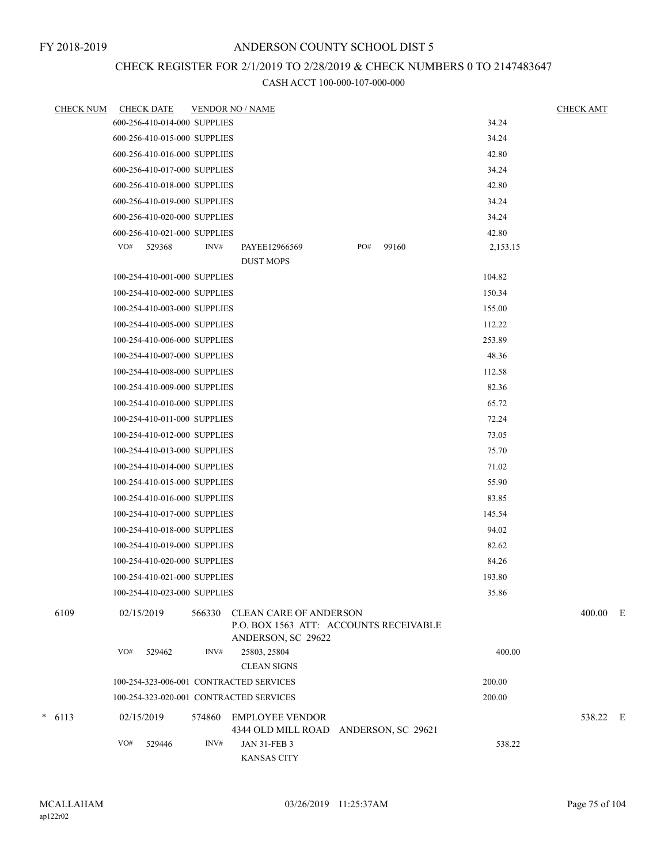## CHECK REGISTER FOR 2/1/2019 TO 2/28/2019 & CHECK NUMBERS 0 TO 2147483647

| <b>CHECK NUM</b> | <b>CHECK DATE</b>                       | <b>VENDOR NO / NAME</b>                                                                       | <b>CHECK AMT</b> |          |
|------------------|-----------------------------------------|-----------------------------------------------------------------------------------------------|------------------|----------|
|                  | 600-256-410-014-000 SUPPLIES            |                                                                                               | 34.24            |          |
|                  | 600-256-410-015-000 SUPPLIES            |                                                                                               | 34.24            |          |
|                  | 600-256-410-016-000 SUPPLIES            |                                                                                               | 42.80            |          |
|                  | 600-256-410-017-000 SUPPLIES            |                                                                                               | 34.24            |          |
|                  | 600-256-410-018-000 SUPPLIES            |                                                                                               | 42.80            |          |
|                  | 600-256-410-019-000 SUPPLIES            |                                                                                               | 34.24            |          |
|                  | 600-256-410-020-000 SUPPLIES            |                                                                                               | 34.24            |          |
|                  | 600-256-410-021-000 SUPPLIES            |                                                                                               | 42.80            |          |
|                  | INV#<br>VO#<br>529368                   | PO#<br>99160<br>PAYEE12966569                                                                 | 2,153.15         |          |
|                  |                                         | <b>DUST MOPS</b>                                                                              |                  |          |
|                  | 100-254-410-001-000 SUPPLIES            |                                                                                               | 104.82           |          |
|                  | 100-254-410-002-000 SUPPLIES            |                                                                                               | 150.34           |          |
|                  | 100-254-410-003-000 SUPPLIES            |                                                                                               | 155.00           |          |
|                  | 100-254-410-005-000 SUPPLIES            |                                                                                               | 112.22           |          |
|                  | 100-254-410-006-000 SUPPLIES            |                                                                                               | 253.89           |          |
|                  | 100-254-410-007-000 SUPPLIES            |                                                                                               | 48.36            |          |
|                  | 100-254-410-008-000 SUPPLIES            |                                                                                               | 112.58           |          |
|                  | 100-254-410-009-000 SUPPLIES            |                                                                                               | 82.36            |          |
|                  | 100-254-410-010-000 SUPPLIES            |                                                                                               | 65.72            |          |
|                  | 100-254-410-011-000 SUPPLIES            |                                                                                               | 72.24            |          |
|                  | 100-254-410-012-000 SUPPLIES            |                                                                                               | 73.05            |          |
|                  | 100-254-410-013-000 SUPPLIES            |                                                                                               | 75.70            |          |
|                  | 100-254-410-014-000 SUPPLIES            |                                                                                               | 71.02            |          |
|                  | 100-254-410-015-000 SUPPLIES            |                                                                                               | 55.90            |          |
|                  | 100-254-410-016-000 SUPPLIES            |                                                                                               | 83.85            |          |
|                  | 100-254-410-017-000 SUPPLIES            |                                                                                               | 145.54           |          |
|                  | 100-254-410-018-000 SUPPLIES            |                                                                                               | 94.02            |          |
|                  | 100-254-410-019-000 SUPPLIES            |                                                                                               | 82.62            |          |
|                  | 100-254-410-020-000 SUPPLIES            |                                                                                               | 84.26            |          |
|                  | 100-254-410-021-000 SUPPLIES            |                                                                                               | 193.80           |          |
|                  | 100-254-410-023-000 SUPPLIES            |                                                                                               | 35.86            |          |
| 6109             | 02/15/2019<br>566330                    | <b>CLEAN CARE OF ANDERSON</b><br>P.O. BOX 1563 ATT: ACCOUNTS RECEIVABLE<br>ANDERSON, SC 29622 |                  | 400.00 E |
|                  | VO#<br>529462<br>INV#                   | 25803, 25804<br><b>CLEAN SIGNS</b>                                                            | 400.00           |          |
|                  | 100-254-323-006-001 CONTRACTED SERVICES |                                                                                               | 200.00           |          |
|                  | 100-254-323-020-001 CONTRACTED SERVICES |                                                                                               | 200.00           |          |
|                  |                                         |                                                                                               |                  |          |
| $* 6113$         | 02/15/2019<br>574860                    | <b>EMPLOYEE VENDOR</b><br>4344 OLD MILL ROAD ANDERSON, SC 29621                               |                  | 538.22 E |
|                  | VO#<br>529446<br>INV#                   | <b>JAN 31-FEB 3</b><br><b>KANSAS CITY</b>                                                     | 538.22           |          |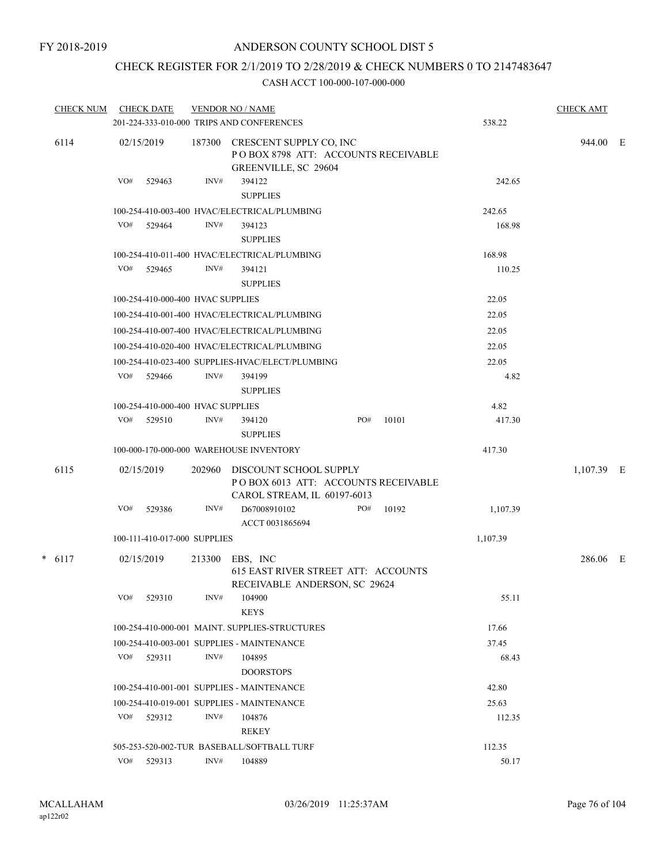### CHECK REGISTER FOR 2/1/2019 TO 2/28/2019 & CHECK NUMBERS 0 TO 2147483647

| <b>CHECK NUM</b> | <b>CHECK DATE</b>                 |                | <b>VENDOR NO / NAME</b><br>201-224-333-010-000 TRIPS AND CONFERENCES                          |     |       | 538.22   | <b>CHECK AMT</b> |  |
|------------------|-----------------------------------|----------------|-----------------------------------------------------------------------------------------------|-----|-------|----------|------------------|--|
| 6114             | 02/15/2019                        |                | 187300 CRESCENT SUPPLY CO, INC<br>POBOX 8798 ATT: ACCOUNTS RECEIVABLE<br>GREENVILLE, SC 29604 |     |       |          | 944.00 E         |  |
|                  | VO#<br>529463                     | INV#           | 394122<br><b>SUPPLIES</b>                                                                     |     |       | 242.65   |                  |  |
|                  |                                   |                | 100-254-410-003-400 HVAC/ELECTRICAL/PLUMBING                                                  |     |       | 242.65   |                  |  |
|                  | VO#<br>529464                     | INV#           | 394123<br><b>SUPPLIES</b>                                                                     |     |       | 168.98   |                  |  |
|                  |                                   |                | 100-254-410-011-400 HVAC/ELECTRICAL/PLUMBING                                                  |     |       | 168.98   |                  |  |
|                  | VO#<br>529465                     | INV#           | 394121<br><b>SUPPLIES</b>                                                                     |     |       | 110.25   |                  |  |
|                  | 100-254-410-000-400 HVAC SUPPLIES |                |                                                                                               |     |       | 22.05    |                  |  |
|                  |                                   |                | 100-254-410-001-400 HVAC/ELECTRICAL/PLUMBING                                                  |     |       | 22.05    |                  |  |
|                  |                                   |                | 100-254-410-007-400 HVAC/ELECTRICAL/PLUMBING                                                  |     |       | 22.05    |                  |  |
|                  |                                   |                | 100-254-410-020-400 HVAC/ELECTRICAL/PLUMBING                                                  |     |       | 22.05    |                  |  |
|                  |                                   |                | 100-254-410-023-400 SUPPLIES-HVAC/ELECT/PLUMBING                                              |     |       | 22.05    |                  |  |
|                  | VO# 529466                        | INV#           | 394199<br><b>SUPPLIES</b>                                                                     |     |       | 4.82     |                  |  |
|                  | 100-254-410-000-400 HVAC SUPPLIES |                |                                                                                               |     |       | 4.82     |                  |  |
|                  | VO#<br>529510                     | INV#           | 394120<br><b>SUPPLIES</b>                                                                     | PO# | 10101 | 417.30   |                  |  |
|                  |                                   |                | 100-000-170-000-000 WAREHOUSE INVENTORY                                                       |     |       | 417.30   |                  |  |
| 6115             | 02/15/2019                        | 202960         | DISCOUNT SCHOOL SUPPLY<br>POBOX 6013 ATT: ACCOUNTS RECEIVABLE<br>CAROL STREAM, IL 60197-6013  |     |       |          | 1,107.39 E       |  |
|                  | VO#<br>529386                     | INV#           | D67008910102<br>ACCT 0031865694                                                               | PO# | 10192 | 1,107.39 |                  |  |
|                  | 100-111-410-017-000 SUPPLIES      |                |                                                                                               |     |       | 1,107.39 |                  |  |
| $* 6117$         | 02/15/2019                        | 213300         | EBS, INC<br>615 EAST RIVER STREET ATT: ACCOUNTS                                               |     |       |          | 286.06 E         |  |
|                  | VO#<br>529310                     | $\text{INV}\#$ | RECEIVABLE ANDERSON, SC 29624<br>104900<br><b>KEYS</b>                                        |     |       | 55.11    |                  |  |
|                  |                                   |                | 100-254-410-000-001 MAINT. SUPPLIES-STRUCTURES                                                |     |       | 17.66    |                  |  |
|                  |                                   |                | 100-254-410-003-001 SUPPLIES - MAINTENANCE                                                    |     |       | 37.45    |                  |  |
|                  | VO#<br>529311                     | INV#           | 104895<br><b>DOORSTOPS</b>                                                                    |     |       | 68.43    |                  |  |
|                  |                                   |                | 100-254-410-001-001 SUPPLIES - MAINTENANCE                                                    |     |       | 42.80    |                  |  |
|                  |                                   |                | 100-254-410-019-001 SUPPLIES - MAINTENANCE                                                    |     |       | 25.63    |                  |  |
|                  | VO#<br>529312                     | INV#           | 104876<br><b>REKEY</b>                                                                        |     |       | 112.35   |                  |  |
|                  |                                   |                | 505-253-520-002-TUR BASEBALL/SOFTBALL TURF                                                    |     |       | 112.35   |                  |  |
|                  | $VO#$ 529313                      | INV#           | 104889                                                                                        |     |       | 50.17    |                  |  |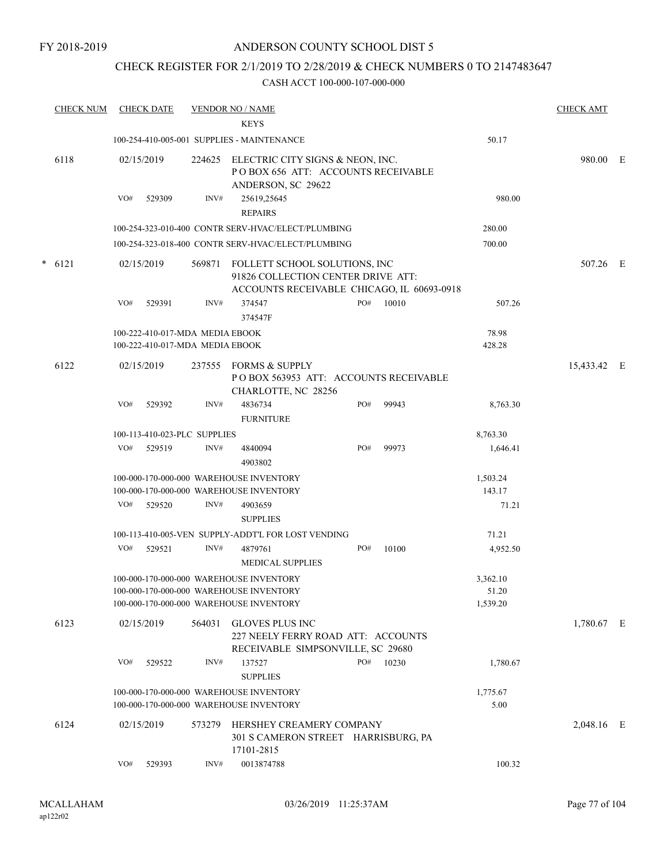### CHECK REGISTER FOR 2/1/2019 TO 2/28/2019 & CHECK NUMBERS 0 TO 2147483647

|   | <b>CHECK NUM</b> |            | <b>CHECK DATE</b>                                                  |        | <b>VENDOR NO / NAME</b>                                                                                           |     |       |                    | <b>CHECK AMT</b> |  |
|---|------------------|------------|--------------------------------------------------------------------|--------|-------------------------------------------------------------------------------------------------------------------|-----|-------|--------------------|------------------|--|
|   |                  |            |                                                                    |        | <b>KEYS</b>                                                                                                       |     |       |                    |                  |  |
|   |                  |            |                                                                    |        | 100-254-410-005-001 SUPPLIES - MAINTENANCE                                                                        |     |       | 50.17              |                  |  |
|   | 6118             | 02/15/2019 |                                                                    | 224625 | ELECTRIC CITY SIGNS & NEON, INC.<br>POBOX 656 ATT: ACCOUNTS RECEIVABLE<br>ANDERSON, SC 29622                      |     |       |                    | 980.00 E         |  |
|   |                  | VO#        | 529309                                                             | INV#   | 25619,25645<br><b>REPAIRS</b>                                                                                     |     |       | 980.00             |                  |  |
|   |                  |            |                                                                    |        | 100-254-323-010-400 CONTR SERV-HVAC/ELECT/PLUMBING                                                                |     |       | 280.00             |                  |  |
|   |                  |            |                                                                    |        | 100-254-323-018-400 CONTR SERV-HVAC/ELECT/PLUMBING                                                                |     |       | 700.00             |                  |  |
| * | 6121             | 02/15/2019 |                                                                    | 569871 | FOLLETT SCHOOL SOLUTIONS, INC<br>91826 COLLECTION CENTER DRIVE ATT:<br>ACCOUNTS RECEIVABLE CHICAGO, IL 60693-0918 |     |       |                    | 507.26 E         |  |
|   |                  | VO#        | 529391                                                             | INV#   | 374547<br>374547F                                                                                                 | PO# | 10010 | 507.26             |                  |  |
|   |                  |            | 100-222-410-017-MDA MEDIA EBOOK<br>100-222-410-017-MDA MEDIA EBOOK |        |                                                                                                                   |     |       | 78.98<br>428.28    |                  |  |
|   | 6122             | 02/15/2019 |                                                                    | 237555 | FORMS & SUPPLY<br>PO BOX 563953 ATT: ACCOUNTS RECEIVABLE<br>CHARLOTTE, NC 28256                                   |     |       |                    | 15,433.42 E      |  |
|   |                  | VO#        | 529392                                                             | INV#   | 4836734<br><b>FURNITURE</b>                                                                                       | PO# | 99943 | 8,763.30           |                  |  |
|   |                  |            | 100-113-410-023-PLC SUPPLIES                                       |        |                                                                                                                   |     |       | 8,763.30           |                  |  |
|   |                  | VO#        | 529519                                                             | INV#   | 4840094<br>4903802                                                                                                | PO# | 99973 | 1,646.41           |                  |  |
|   |                  |            |                                                                    |        | 100-000-170-000-000 WAREHOUSE INVENTORY<br>100-000-170-000-000 WAREHOUSE INVENTORY                                |     |       | 1,503.24<br>143.17 |                  |  |
|   |                  | VO#        | 529520                                                             | INV#   | 4903659<br><b>SUPPLIES</b>                                                                                        |     |       | 71.21              |                  |  |
|   |                  |            |                                                                    |        | 100-113-410-005-VEN SUPPLY-ADDT'L FOR LOST VENDING                                                                |     |       | 71.21              |                  |  |
|   |                  | VO#        | 529521                                                             | INV#   | 4879761<br><b>MEDICAL SUPPLIES</b>                                                                                | PO# | 10100 | 4,952.50           |                  |  |
|   |                  |            |                                                                    |        | 100-000-170-000-000 WAREHOUSE INVENTORY<br>100-000-170-000-000 WAREHOUSE INVENTORY                                |     |       | 3,362.10<br>51.20  |                  |  |
|   |                  |            |                                                                    |        | 100-000-170-000-000 WAREHOUSE INVENTORY                                                                           |     |       | 1,539.20           |                  |  |
|   | 6123             | 02/15/2019 |                                                                    | 564031 | <b>GLOVES PLUS INC</b><br>227 NEELY FERRY ROAD ATT: ACCOUNTS<br>RECEIVABLE SIMPSONVILLE, SC 29680                 |     |       |                    | 1,780.67 E       |  |
|   |                  | VO#        | 529522                                                             | INV#   | 137527<br><b>SUPPLIES</b>                                                                                         | PO# | 10230 | 1,780.67           |                  |  |
|   |                  |            |                                                                    |        | 100-000-170-000-000 WAREHOUSE INVENTORY<br>100-000-170-000-000 WAREHOUSE INVENTORY                                |     |       | 1,775.67<br>5.00   |                  |  |
|   | 6124             | 02/15/2019 |                                                                    | 573279 | HERSHEY CREAMERY COMPANY<br>301 S CAMERON STREET HARRISBURG, PA<br>17101-2815                                     |     |       |                    | 2,048.16 E       |  |
|   |                  | VO#        | 529393                                                             | INV#   | 0013874788                                                                                                        |     |       | 100.32             |                  |  |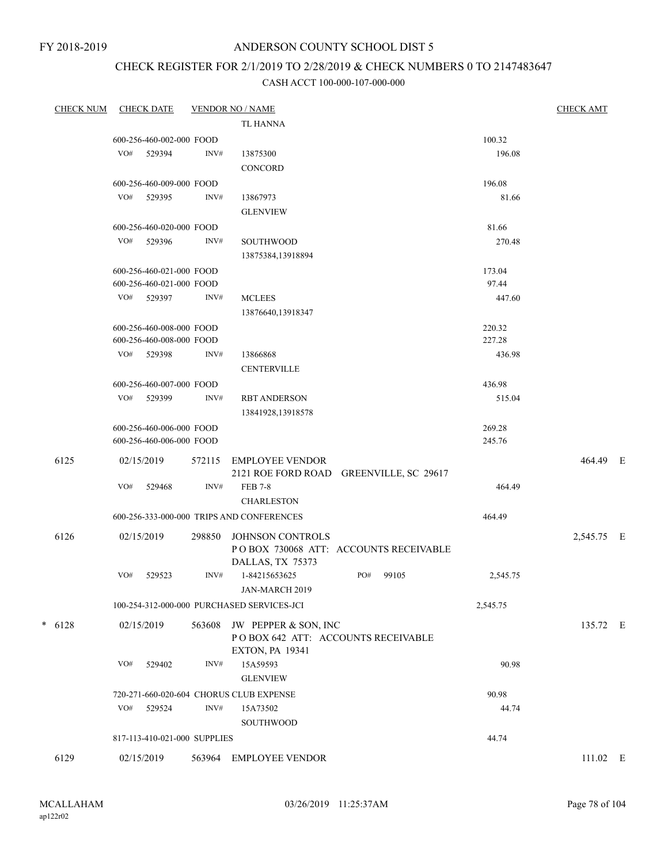FY 2018-2019

## ANDERSON COUNTY SCHOOL DIST 5

# CHECK REGISTER FOR 2/1/2019 TO 2/28/2019 & CHECK NUMBERS 0 TO 2147483647

| <b>CHECK NUM</b> |     | <b>CHECK DATE</b>            |        | <b>VENDOR NO / NAME</b>                    |     |       |          | <b>CHECK AMT</b> |  |
|------------------|-----|------------------------------|--------|--------------------------------------------|-----|-------|----------|------------------|--|
|                  |     |                              |        | <b>TL HANNA</b>                            |     |       |          |                  |  |
|                  |     | 600-256-460-002-000 FOOD     |        |                                            |     |       | 100.32   |                  |  |
|                  | VO# | 529394                       | INV#   | 13875300                                   |     |       | 196.08   |                  |  |
|                  |     |                              |        | CONCORD                                    |     |       |          |                  |  |
|                  |     | 600-256-460-009-000 FOOD     |        |                                            |     |       | 196.08   |                  |  |
|                  |     | VO# 529395                   | INV#   | 13867973                                   |     |       | 81.66    |                  |  |
|                  |     |                              |        | <b>GLENVIEW</b>                            |     |       |          |                  |  |
|                  |     | 600-256-460-020-000 FOOD     |        |                                            |     |       | 81.66    |                  |  |
|                  | VO# | 529396                       | INV#   | SOUTHWOOD                                  |     |       | 270.48   |                  |  |
|                  |     |                              |        | 13875384,13918894                          |     |       |          |                  |  |
|                  |     | 600-256-460-021-000 FOOD     |        |                                            |     |       | 173.04   |                  |  |
|                  |     | 600-256-460-021-000 FOOD     |        |                                            |     |       | 97.44    |                  |  |
|                  |     | VO# 529397                   | INV#   | <b>MCLEES</b>                              |     |       | 447.60   |                  |  |
|                  |     |                              |        | 13876640,13918347                          |     |       |          |                  |  |
|                  |     | 600-256-460-008-000 FOOD     |        |                                            |     |       | 220.32   |                  |  |
|                  |     | 600-256-460-008-000 FOOD     |        |                                            |     |       | 227.28   |                  |  |
|                  |     | VO# 529398                   | INV#   | 13866868                                   |     |       | 436.98   |                  |  |
|                  |     |                              |        | <b>CENTERVILLE</b>                         |     |       |          |                  |  |
|                  |     | 600-256-460-007-000 FOOD     |        |                                            |     |       | 436.98   |                  |  |
|                  | VO# | 529399                       | INV#   | <b>RBT ANDERSON</b>                        |     |       | 515.04   |                  |  |
|                  |     |                              |        | 13841928,13918578                          |     |       |          |                  |  |
|                  |     | 600-256-460-006-000 FOOD     |        |                                            |     |       | 269.28   |                  |  |
|                  |     | 600-256-460-006-000 FOOD     |        |                                            |     |       | 245.76   |                  |  |
| 6125             |     | 02/15/2019                   | 572115 | <b>EMPLOYEE VENDOR</b>                     |     |       |          | 464.49 E         |  |
|                  |     |                              |        | 2121 ROE FORD ROAD GREENVILLE, SC 29617    |     |       |          |                  |  |
|                  | VO# | 529468                       | INV#   | <b>FEB 7-8</b>                             |     |       | 464.49   |                  |  |
|                  |     |                              |        | <b>CHARLESTON</b>                          |     |       |          |                  |  |
|                  |     |                              |        | 600-256-333-000-000 TRIPS AND CONFERENCES  |     |       | 464.49   |                  |  |
| 6126             |     | 02/15/2019                   | 298850 | JOHNSON CONTROLS                           |     |       |          | 2,545.75 E       |  |
|                  |     |                              |        | POBOX 730068 ATT: ACCOUNTS RECEIVABLE      |     |       |          |                  |  |
|                  |     |                              |        | DALLAS, TX 75373                           |     |       |          |                  |  |
|                  | VO# | 529523                       | INV#   | 1-84215653625                              | PO# | 99105 | 2,545.75 |                  |  |
|                  |     |                              |        | JAN-MARCH 2019                             |     |       |          |                  |  |
|                  |     |                              |        | 100-254-312-000-000 PURCHASED SERVICES-JCI |     |       | 2,545.75 |                  |  |
| $* 6128$         |     | 02/15/2019                   | 563608 | JW PEPPER & SON, INC                       |     |       |          | 135.72 E         |  |
|                  |     |                              |        | POBOX 642 ATT: ACCOUNTS RECEIVABLE         |     |       |          |                  |  |
|                  |     |                              |        | <b>EXTON, PA 19341</b>                     |     |       |          |                  |  |
|                  | VO# | 529402                       | INV#   | 15A59593                                   |     |       | 90.98    |                  |  |
|                  |     |                              |        | <b>GLENVIEW</b>                            |     |       |          |                  |  |
|                  |     |                              |        | 720-271-660-020-604 CHORUS CLUB EXPENSE    |     |       | 90.98    |                  |  |
|                  | VO# | 529524                       | INV#   | 15A73502                                   |     |       | 44.74    |                  |  |
|                  |     |                              |        | SOUTHWOOD                                  |     |       |          |                  |  |
|                  |     | 817-113-410-021-000 SUPPLIES |        |                                            |     |       | 44.74    |                  |  |
| 6129             |     | 02/15/2019                   |        | 563964 EMPLOYEE VENDOR                     |     |       |          | 111.02 E         |  |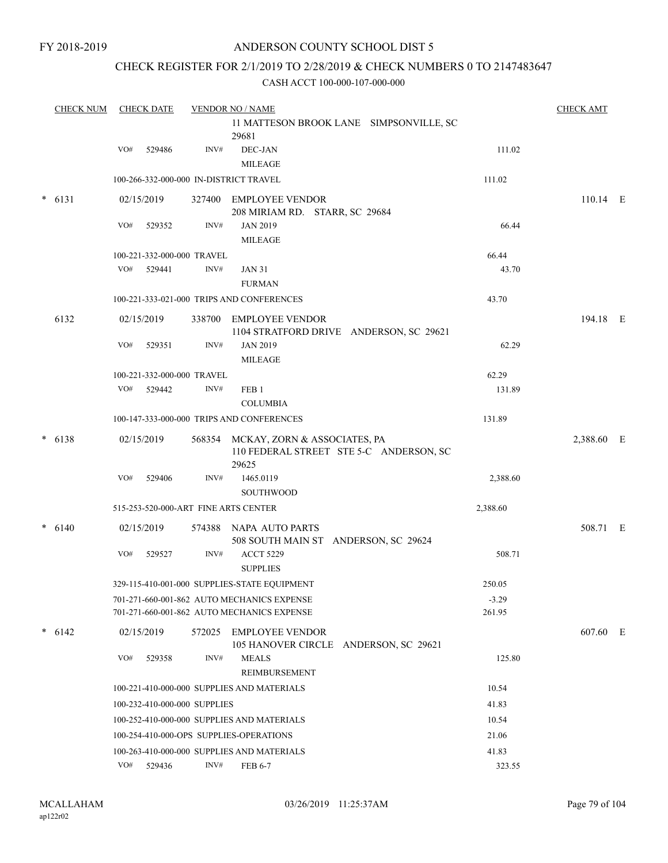### CHECK REGISTER FOR 2/1/2019 TO 2/28/2019 & CHECK NUMBERS 0 TO 2147483647

|  | <b>CHECK NUM</b> |     | <b>CHECK DATE</b>            |        | <b>VENDOR NO / NAME</b>                                                                 | <b>CHECK AMT</b> |            |  |
|--|------------------|-----|------------------------------|--------|-----------------------------------------------------------------------------------------|------------------|------------|--|
|  |                  |     |                              |        | 11 MATTESON BROOK LANE SIMPSONVILLE, SC<br>29681                                        |                  |            |  |
|  |                  | VO# | 529486                       | INV#   | DEC-JAN                                                                                 | 111.02           |            |  |
|  |                  |     |                              |        | <b>MILEAGE</b>                                                                          |                  |            |  |
|  |                  |     |                              |        | 100-266-332-000-000 IN-DISTRICT TRAVEL                                                  | 111.02           |            |  |
|  | $* 6131$         |     | 02/15/2019                   |        | 327400 EMPLOYEE VENDOR<br>208 MIRIAM RD. STARR, SC 29684                                |                  | $110.14$ E |  |
|  |                  | VO# | 529352                       | INV#   | <b>JAN 2019</b><br>MILEAGE                                                              | 66.44            |            |  |
|  |                  |     | 100-221-332-000-000 TRAVEL   |        |                                                                                         | 66.44            |            |  |
|  |                  | VO# | 529441                       | INV#   | <b>JAN 31</b>                                                                           | 43.70            |            |  |
|  |                  |     |                              |        | <b>FURMAN</b>                                                                           |                  |            |  |
|  |                  |     |                              |        | 100-221-333-021-000 TRIPS AND CONFERENCES                                               | 43.70            |            |  |
|  | 6132             |     | 02/15/2019                   | 338700 | <b>EMPLOYEE VENDOR</b><br>1104 STRATFORD DRIVE ANDERSON, SC 29621                       |                  | 194.18 E   |  |
|  |                  | VO# | 529351                       | INV#   | <b>JAN 2019</b>                                                                         | 62.29            |            |  |
|  |                  |     |                              |        | <b>MILEAGE</b>                                                                          |                  |            |  |
|  |                  |     | 100-221-332-000-000 TRAVEL   |        |                                                                                         | 62.29            |            |  |
|  |                  | VO# | 529442                       | INV#   | FEB <sub>1</sub><br><b>COLUMBIA</b>                                                     | 131.89           |            |  |
|  |                  |     |                              |        | 100-147-333-000-000 TRIPS AND CONFERENCES                                               | 131.89           |            |  |
|  | $* 6138$         |     | 02/15/2019                   |        | 568354 MCKAY, ZORN & ASSOCIATES, PA<br>110 FEDERAL STREET STE 5-C ANDERSON, SC<br>29625 |                  | 2,388.60 E |  |
|  |                  | VO# | 529406                       | INV#   | 1465.0119                                                                               | 2,388.60         |            |  |
|  |                  |     |                              |        | <b>SOUTHWOOD</b>                                                                        |                  |            |  |
|  |                  |     |                              |        | 515-253-520-000-ART FINE ARTS CENTER                                                    | 2,388.60         |            |  |
|  | $* 6140$         |     | 02/15/2019                   |        | 574388 NAPA AUTO PARTS<br>508 SOUTH MAIN ST ANDERSON, SC 29624                          |                  | 508.71 E   |  |
|  |                  | VO# | 529527                       | INV#   | <b>ACCT 5229</b><br><b>SUPPLIES</b>                                                     | 508.71           |            |  |
|  |                  |     |                              |        | 329-115-410-001-000 SUPPLIES-STATE EQUIPMENT                                            | 250.05           |            |  |
|  |                  |     |                              |        | 701-271-660-001-862 AUTO MECHANICS EXPENSE                                              | $-3.29$          |            |  |
|  |                  |     |                              |        | 701-271-660-001-862 AUTO MECHANICS EXPENSE                                              | 261.95           |            |  |
|  | $* 6142$         |     | 02/15/2019                   |        | 572025 EMPLOYEE VENDOR<br>105 HANOVER CIRCLE ANDERSON, SC 29621                         |                  | 607.60 E   |  |
|  |                  | VO# | 529358                       | INV#   | <b>MEALS</b><br>REIMBURSEMENT                                                           | 125.80           |            |  |
|  |                  |     |                              |        | 100-221-410-000-000 SUPPLIES AND MATERIALS                                              | 10.54            |            |  |
|  |                  |     | 100-232-410-000-000 SUPPLIES |        |                                                                                         | 41.83            |            |  |
|  |                  |     |                              |        | 100-252-410-000-000 SUPPLIES AND MATERIALS                                              | 10.54            |            |  |
|  |                  |     |                              |        | 100-254-410-000-OPS SUPPLIES-OPERATIONS                                                 | 21.06            |            |  |
|  |                  |     |                              |        | 100-263-410-000-000 SUPPLIES AND MATERIALS                                              | 41.83            |            |  |
|  |                  | VO# | 529436                       | INV#   | FEB 6-7                                                                                 | 323.55           |            |  |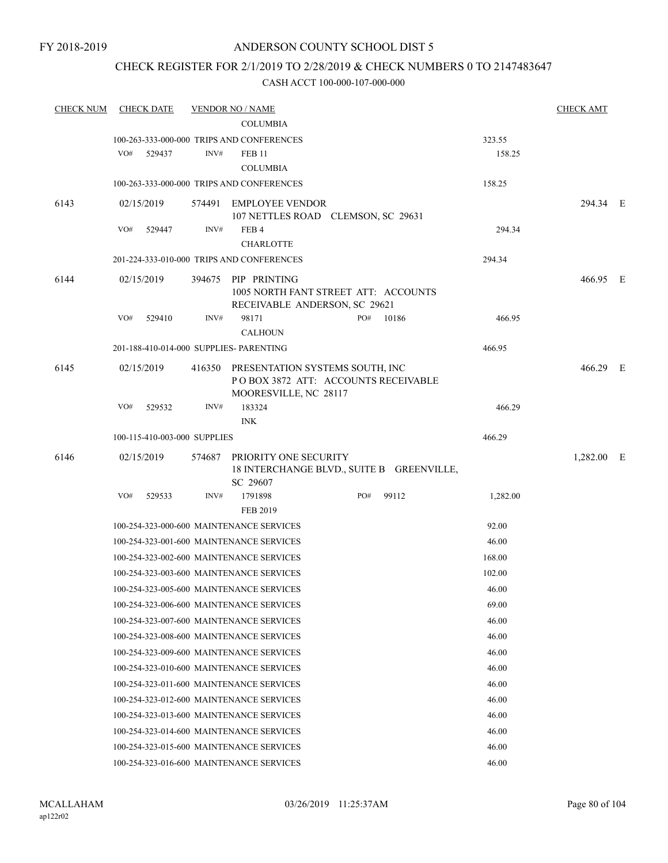### CHECK REGISTER FOR 2/1/2019 TO 2/28/2019 & CHECK NUMBERS 0 TO 2147483647

| <b>CHECK NUM</b> | <b>CHECK DATE</b>                       |        | <b>VENDOR NO / NAME</b>                                                                                |     |       |          | <b>CHECK AMT</b> |  |
|------------------|-----------------------------------------|--------|--------------------------------------------------------------------------------------------------------|-----|-------|----------|------------------|--|
|                  |                                         |        | <b>COLUMBIA</b>                                                                                        |     |       |          |                  |  |
|                  |                                         |        | 100-263-333-000-000 TRIPS AND CONFERENCES                                                              |     |       | 323.55   |                  |  |
|                  | VO#<br>529437                           | INV#   | <b>FEB 11</b>                                                                                          |     |       | 158.25   |                  |  |
|                  |                                         |        | <b>COLUMBIA</b>                                                                                        |     |       |          |                  |  |
|                  |                                         |        | 100-263-333-000-000 TRIPS AND CONFERENCES                                                              |     |       | 158.25   |                  |  |
| 6143             | 02/15/2019                              |        | 574491 EMPLOYEE VENDOR<br>107 NETTLES ROAD CLEMSON, SC 29631                                           |     |       |          | 294.34 E         |  |
|                  | VO#<br>529447                           | INV#   | FEB <sub>4</sub><br><b>CHARLOTTE</b>                                                                   |     |       | 294.34   |                  |  |
|                  |                                         |        | 201-224-333-010-000 TRIPS AND CONFERENCES                                                              |     |       | 294.34   |                  |  |
| 6144             | 02/15/2019                              |        | 394675 PIP PRINTING<br>1005 NORTH FANT STREET ATT: ACCOUNTS                                            |     |       |          | 466.95 E         |  |
|                  | VO#<br>529410                           | INV#   | RECEIVABLE ANDERSON, SC 29621<br>98171                                                                 | PO# | 10186 | 466.95   |                  |  |
|                  |                                         |        | <b>CALHOUN</b>                                                                                         |     |       |          |                  |  |
|                  | 201-188-410-014-000 SUPPLIES- PARENTING |        |                                                                                                        |     |       | 466.95   |                  |  |
| 6145             | 02/15/2019                              |        | 416350 PRESENTATION SYSTEMS SOUTH, INC<br>POBOX 3872 ATT: ACCOUNTS RECEIVABLE<br>MOORESVILLE, NC 28117 |     |       |          | 466.29 E         |  |
|                  | VO#<br>529532                           | INV#   | 183324<br><b>INK</b>                                                                                   |     |       | 466.29   |                  |  |
|                  | 100-115-410-003-000 SUPPLIES            |        |                                                                                                        |     |       | 466.29   |                  |  |
| 6146             | 02/15/2019                              | 574687 | PRIORITY ONE SECURITY<br>18 INTERCHANGE BLVD., SUITE B GREENVILLE,                                     |     |       |          | 1,282.00 E       |  |
|                  |                                         |        | SC 29607                                                                                               |     |       |          |                  |  |
|                  | VO#<br>529533                           | INV#   | 1791898<br>FEB 2019                                                                                    | PO# | 99112 | 1,282.00 |                  |  |
|                  |                                         |        | 100-254-323-000-600 MAINTENANCE SERVICES                                                               |     |       | 92.00    |                  |  |
|                  |                                         |        | 100-254-323-001-600 MAINTENANCE SERVICES                                                               |     |       | 46.00    |                  |  |
|                  |                                         |        | 100-254-323-002-600 MAINTENANCE SERVICES                                                               |     |       | 168.00   |                  |  |
|                  |                                         |        | 100-254-323-003-600 MAINTENANCE SERVICES                                                               |     |       | 102.00   |                  |  |
|                  |                                         |        | 100-254-323-005-600 MAINTENANCE SERVICES                                                               |     |       | 46.00    |                  |  |
|                  |                                         |        | 100-254-323-006-600 MAINTENANCE SERVICES                                                               |     |       | 69.00    |                  |  |
|                  |                                         |        | 100-254-323-007-600 MAINTENANCE SERVICES                                                               |     |       | 46.00    |                  |  |
|                  |                                         |        | 100-254-323-008-600 MAINTENANCE SERVICES                                                               |     |       | 46.00    |                  |  |
|                  |                                         |        | 100-254-323-009-600 MAINTENANCE SERVICES                                                               |     |       | 46.00    |                  |  |
|                  |                                         |        | 100-254-323-010-600 MAINTENANCE SERVICES                                                               |     |       | 46.00    |                  |  |
|                  |                                         |        | 100-254-323-011-600 MAINTENANCE SERVICES                                                               |     |       | 46.00    |                  |  |
|                  |                                         |        | 100-254-323-012-600 MAINTENANCE SERVICES                                                               |     |       | 46.00    |                  |  |
|                  |                                         |        | 100-254-323-013-600 MAINTENANCE SERVICES                                                               |     |       | 46.00    |                  |  |
|                  |                                         |        | 100-254-323-014-600 MAINTENANCE SERVICES                                                               |     |       | 46.00    |                  |  |
|                  |                                         |        | 100-254-323-015-600 MAINTENANCE SERVICES                                                               |     |       | 46.00    |                  |  |
|                  |                                         |        | 100-254-323-016-600 MAINTENANCE SERVICES                                                               |     |       | 46.00    |                  |  |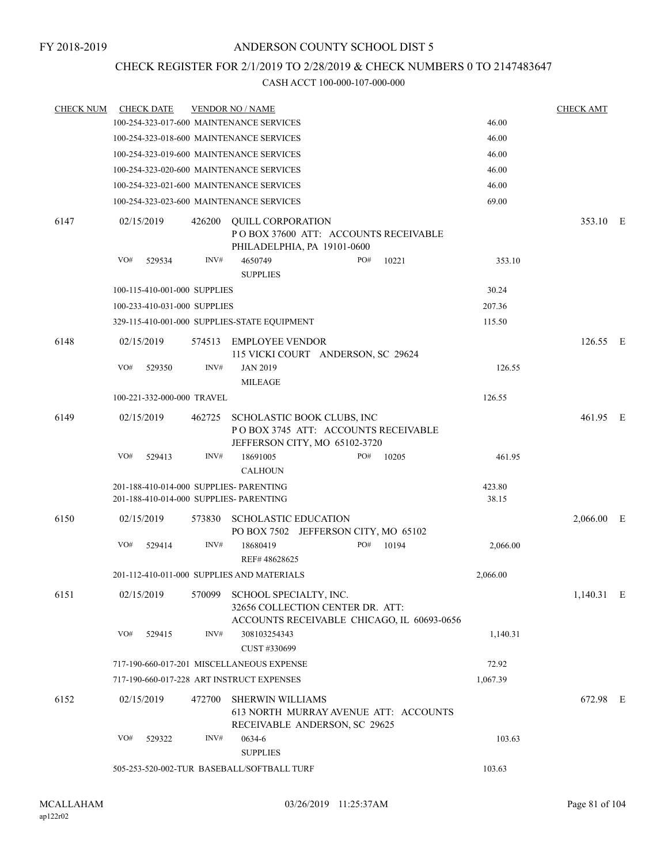### CHECK REGISTER FOR 2/1/2019 TO 2/28/2019 & CHECK NUMBERS 0 TO 2147483647

| <b>CHECK NUM</b> | <b>CHECK DATE</b>                                                                  |        | <b>VENDOR NO / NAME</b>                                                                                  |     |       |                 | <b>CHECK AMT</b> |  |
|------------------|------------------------------------------------------------------------------------|--------|----------------------------------------------------------------------------------------------------------|-----|-------|-----------------|------------------|--|
|                  | 100-254-323-017-600 MAINTENANCE SERVICES                                           |        |                                                                                                          |     |       | 46.00           |                  |  |
|                  | 100-254-323-018-600 MAINTENANCE SERVICES                                           |        |                                                                                                          |     |       | 46.00           |                  |  |
|                  | 100-254-323-019-600 MAINTENANCE SERVICES                                           |        |                                                                                                          |     |       | 46.00           |                  |  |
|                  | 100-254-323-020-600 MAINTENANCE SERVICES                                           |        |                                                                                                          |     |       | 46.00           |                  |  |
|                  | 100-254-323-021-600 MAINTENANCE SERVICES                                           |        |                                                                                                          |     |       | 46.00           |                  |  |
|                  | 100-254-323-023-600 MAINTENANCE SERVICES                                           |        |                                                                                                          |     |       | 69.00           |                  |  |
| 6147             | 02/15/2019                                                                         |        | 426200 QUILL CORPORATION<br>PO BOX 37600 ATT: ACCOUNTS RECEIVABLE<br>PHILADELPHIA, PA 19101-0600         |     |       |                 | 353.10 E         |  |
|                  | VO#<br>529534                                                                      | INV#   | 4650749<br><b>SUPPLIES</b>                                                                               | PO# | 10221 | 353.10          |                  |  |
|                  | 100-115-410-001-000 SUPPLIES                                                       |        |                                                                                                          |     |       | 30.24           |                  |  |
|                  | 100-233-410-031-000 SUPPLIES                                                       |        |                                                                                                          |     |       | 207.36          |                  |  |
|                  |                                                                                    |        | 329-115-410-001-000 SUPPLIES-STATE EQUIPMENT                                                             |     |       | 115.50          |                  |  |
| 6148             | 02/15/2019                                                                         |        | 574513 EMPLOYEE VENDOR<br>115 VICKI COURT ANDERSON, SC 29624                                             |     |       |                 | 126.55 E         |  |
|                  | VO#<br>529350                                                                      | INV#   | <b>JAN 2019</b><br><b>MILEAGE</b>                                                                        |     |       | 126.55          |                  |  |
|                  | 100-221-332-000-000 TRAVEL                                                         |        |                                                                                                          |     |       | 126.55          |                  |  |
| 6149             | 02/15/2019                                                                         | 462725 | SCHOLASTIC BOOK CLUBS, INC<br>POBOX 3745 ATT: ACCOUNTS RECEIVABLE<br>JEFFERSON CITY, MO 65102-3720       |     |       |                 | 461.95 E         |  |
|                  | VO#<br>529413                                                                      | INV#   | 18691005                                                                                                 | PO# | 10205 | 461.95          |                  |  |
|                  |                                                                                    |        | <b>CALHOUN</b>                                                                                           |     |       |                 |                  |  |
|                  | 201-188-410-014-000 SUPPLIES- PARENTING<br>201-188-410-014-000 SUPPLIES- PARENTING |        |                                                                                                          |     |       | 423.80<br>38.15 |                  |  |
| 6150             | 02/15/2019                                                                         | 573830 | <b>SCHOLASTIC EDUCATION</b><br>PO BOX 7502 JEFFERSON CITY, MO 65102                                      |     |       |                 | 2,066.00 E       |  |
|                  | VO#<br>529414                                                                      | INV#   | 18680419<br>REF#48628625                                                                                 | PO# | 10194 | 2,066.00        |                  |  |
|                  | 201-112-410-011-000 SUPPLIES AND MATERIALS                                         |        |                                                                                                          |     |       | 2,066.00        |                  |  |
| 6151             | 02/15/2019                                                                         | 570099 | SCHOOL SPECIALTY, INC.<br>32656 COLLECTION CENTER DR. ATT:<br>ACCOUNTS RECEIVABLE CHICAGO, IL 60693-0656 |     |       |                 | 1,140.31 E       |  |
|                  | VO#<br>529415                                                                      | INV#   | 308103254343<br>CUST #330699                                                                             |     |       | 1,140.31        |                  |  |
|                  |                                                                                    |        | 717-190-660-017-201 MISCELLANEOUS EXPENSE                                                                |     |       | 72.92           |                  |  |
|                  | 717-190-660-017-228 ART INSTRUCT EXPENSES                                          |        |                                                                                                          |     |       | 1,067.39        |                  |  |
| 6152             | 02/15/2019                                                                         | 472700 | <b>SHERWIN WILLIAMS</b><br>613 NORTH MURRAY AVENUE ATT: ACCOUNTS<br>RECEIVABLE ANDERSON, SC 29625        |     |       |                 | 672.98 E         |  |
|                  | VO#<br>529322                                                                      | INV#   | 0634-6<br><b>SUPPLIES</b>                                                                                |     |       | 103.63          |                  |  |
|                  |                                                                                    |        | 505-253-520-002-TUR BASEBALL/SOFTBALL TURF                                                               |     |       | 103.63          |                  |  |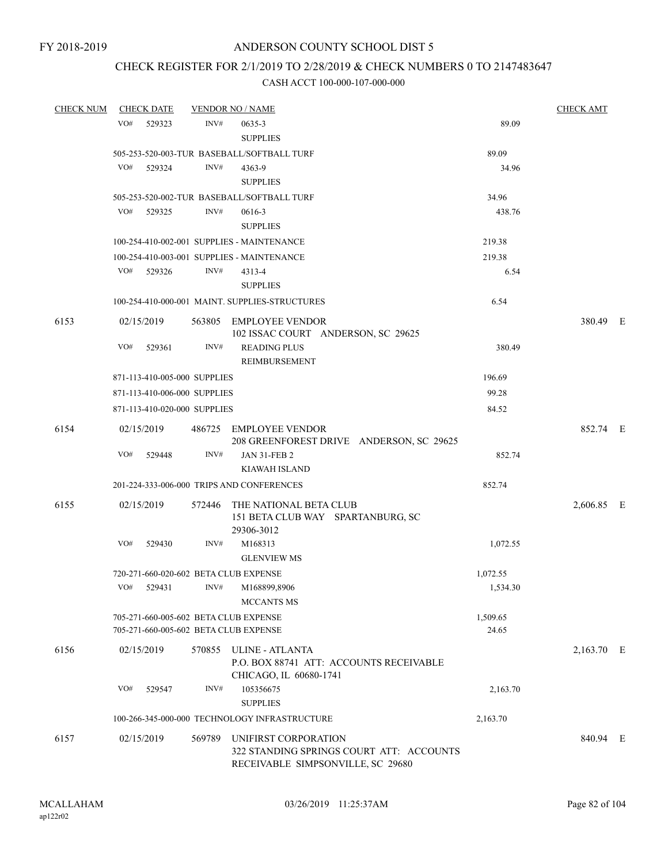### CHECK REGISTER FOR 2/1/2019 TO 2/28/2019 & CHECK NUMBERS 0 TO 2147483647

| <b>CHECK NUM</b> |     | <b>CHECK DATE</b>            |        | <b>VENDOR NO / NAME</b>                                                                                      |                   | <b>CHECK AMT</b> |  |
|------------------|-----|------------------------------|--------|--------------------------------------------------------------------------------------------------------------|-------------------|------------------|--|
|                  | VO# | 529323                       | INV#   | 0635-3<br><b>SUPPLIES</b>                                                                                    | 89.09             |                  |  |
|                  |     |                              |        | 505-253-520-003-TUR BASEBALL/SOFTBALL TURF                                                                   | 89.09             |                  |  |
|                  | VO# | 529324                       | INV#   | 4363-9<br><b>SUPPLIES</b>                                                                                    | 34.96             |                  |  |
|                  |     |                              |        | 505-253-520-002-TUR BASEBALL/SOFTBALL TURF                                                                   | 34.96             |                  |  |
|                  | VO# | 529325                       | INV#   | 0616-3<br><b>SUPPLIES</b>                                                                                    | 438.76            |                  |  |
|                  |     |                              |        | 100-254-410-002-001 SUPPLIES - MAINTENANCE                                                                   | 219.38            |                  |  |
|                  |     |                              |        | 100-254-410-003-001 SUPPLIES - MAINTENANCE                                                                   | 219.38            |                  |  |
|                  |     | VO# 529326                   | INV#   | 4313-4<br><b>SUPPLIES</b>                                                                                    | 6.54              |                  |  |
|                  |     |                              |        | 100-254-410-000-001 MAINT. SUPPLIES-STRUCTURES                                                               | 6.54              |                  |  |
| 6153             |     | 02/15/2019                   |        | 563805 EMPLOYEE VENDOR<br>102 ISSAC COURT ANDERSON, SC 29625                                                 |                   | 380.49 E         |  |
|                  | VO# | 529361                       | INV#   | <b>READING PLUS</b><br><b>REIMBURSEMENT</b>                                                                  | 380.49            |                  |  |
|                  |     | 871-113-410-005-000 SUPPLIES |        |                                                                                                              | 196.69            |                  |  |
|                  |     | 871-113-410-006-000 SUPPLIES |        |                                                                                                              | 99.28             |                  |  |
|                  |     | 871-113-410-020-000 SUPPLIES |        |                                                                                                              | 84.52             |                  |  |
| 6154             |     | 02/15/2019                   |        | 486725 EMPLOYEE VENDOR<br>208 GREENFOREST DRIVE ANDERSON, SC 29625                                           |                   | 852.74 E         |  |
|                  | VO# | 529448                       | INV#   | <b>JAN 31-FEB 2</b>                                                                                          | 852.74            |                  |  |
|                  |     |                              |        | <b>KIAWAH ISLAND</b>                                                                                         |                   |                  |  |
|                  |     |                              |        | 201-224-333-006-000 TRIPS AND CONFERENCES                                                                    | 852.74            |                  |  |
| 6155             |     | 02/15/2019                   | 572446 | THE NATIONAL BETA CLUB<br>151 BETA CLUB WAY SPARTANBURG, SC<br>29306-3012                                    |                   | 2,606.85 E       |  |
|                  | VO# | 529430                       | INV#   | M168313<br><b>GLENVIEW MS</b>                                                                                | 1,072.55          |                  |  |
|                  |     |                              |        | 720-271-660-020-602 BETA CLUB EXPENSE                                                                        | 1,072.55          |                  |  |
|                  | VO# | 529431                       | INV#   | M168899,8906<br><b>MCCANTS MS</b>                                                                            | 1,534.30          |                  |  |
|                  |     |                              |        | 705-271-660-005-602 BETA CLUB EXPENSE<br>705-271-660-005-602 BETA CLUB EXPENSE                               | 1,509.65<br>24.65 |                  |  |
| 6156             |     | 02/15/2019                   |        | 570855 ULINE - ATLANTA<br>P.O. BOX 88741 ATT: ACCOUNTS RECEIVABLE<br>CHICAGO, IL 60680-1741                  |                   | 2,163.70 E       |  |
|                  | VO# | 529547                       | INV#   | 105356675<br><b>SUPPLIES</b>                                                                                 | 2,163.70          |                  |  |
|                  |     |                              |        | 100-266-345-000-000 TECHNOLOGY INFRASTRUCTURE                                                                | 2,163.70          |                  |  |
| 6157             |     | 02/15/2019                   |        | 569789 UNIFIRST CORPORATION<br>322 STANDING SPRINGS COURT ATT: ACCOUNTS<br>RECEIVABLE SIMPSONVILLE, SC 29680 |                   | 840.94 E         |  |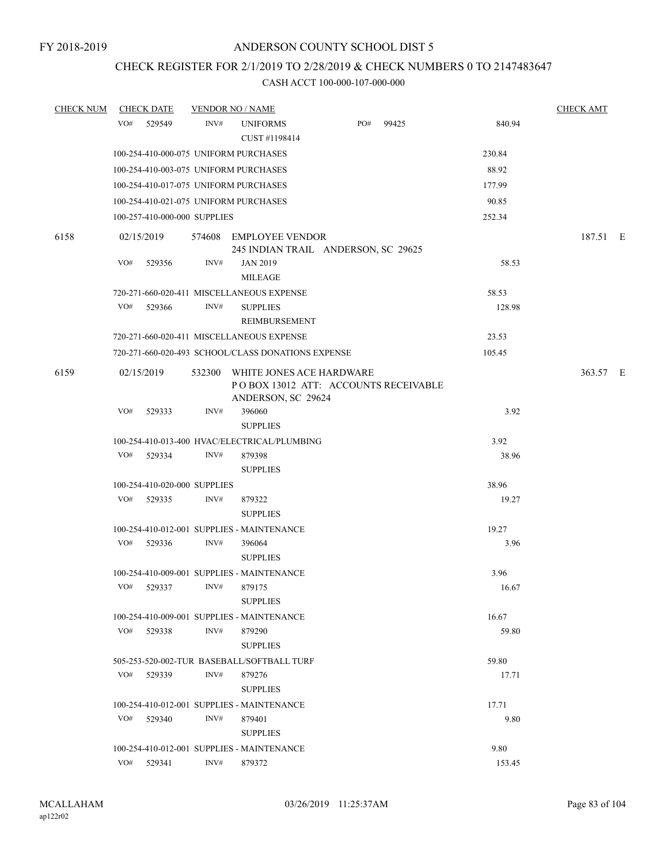# CHECK REGISTER FOR 2/1/2019 TO 2/28/2019 & CHECK NUMBERS 0 TO 2147483647

| <b>CHECK NUM</b> | <b>CHECK DATE</b>                     |      | <b>VENDOR NO / NAME</b>                                                                        |     |       |        | <b>CHECK AMT</b> |  |
|------------------|---------------------------------------|------|------------------------------------------------------------------------------------------------|-----|-------|--------|------------------|--|
|                  | VO# 529549                            | INV# | <b>UNIFORMS</b><br>CUST #1198414                                                               | PO# | 99425 | 840.94 |                  |  |
|                  | 100-254-410-000-075 UNIFORM PURCHASES |      |                                                                                                |     |       | 230.84 |                  |  |
|                  | 100-254-410-003-075 UNIFORM PURCHASES |      |                                                                                                |     |       | 88.92  |                  |  |
|                  | 100-254-410-017-075 UNIFORM PURCHASES |      |                                                                                                |     |       | 177.99 |                  |  |
|                  | 100-254-410-021-075 UNIFORM PURCHASES |      |                                                                                                |     |       | 90.85  |                  |  |
|                  | 100-257-410-000-000 SUPPLIES          |      |                                                                                                |     |       | 252.34 |                  |  |
| 6158             | 02/15/2019                            |      | 574608 EMPLOYEE VENDOR<br>245 INDIAN TRAIL ANDERSON, SC 29625                                  |     |       |        | 187.51 E         |  |
|                  | VO#<br>529356                         | INV# | <b>JAN 2019</b><br><b>MILEAGE</b>                                                              |     |       | 58.53  |                  |  |
|                  |                                       |      | 720-271-660-020-411 MISCELLANEOUS EXPENSE                                                      |     |       | 58.53  |                  |  |
|                  | VO#<br>529366                         | INV# | <b>SUPPLIES</b><br>REIMBURSEMENT                                                               |     |       | 128.98 |                  |  |
|                  |                                       |      | 720-271-660-020-411 MISCELLANEOUS EXPENSE                                                      |     |       | 23.53  |                  |  |
|                  |                                       |      | 720-271-660-020-493 SCHOOL/CLASS DONATIONS EXPENSE                                             |     |       | 105.45 |                  |  |
| 6159             | 02/15/2019                            |      | 532300 WHITE JONES ACE HARDWARE<br>PO BOX 13012 ATT: ACCOUNTS RECEIVABLE<br>ANDERSON, SC 29624 |     |       |        | 363.57 E         |  |
|                  | VO#<br>529333                         | INV# | 396060<br><b>SUPPLIES</b>                                                                      |     |       | 3.92   |                  |  |
|                  |                                       |      | 100-254-410-013-400 HVAC/ELECTRICAL/PLUMBING                                                   |     |       | 3.92   |                  |  |
|                  | VO# 529334                            | INV# | 879398<br><b>SUPPLIES</b>                                                                      |     |       | 38.96  |                  |  |
|                  | 100-254-410-020-000 SUPPLIES          |      |                                                                                                |     |       | 38.96  |                  |  |
|                  | VO# 529335                            | INV# | 879322<br><b>SUPPLIES</b>                                                                      |     |       | 19.27  |                  |  |
|                  |                                       |      | 100-254-410-012-001 SUPPLIES - MAINTENANCE                                                     |     |       | 19.27  |                  |  |
|                  | VO#<br>529336                         | INV# | 396064<br><b>SUPPLIES</b>                                                                      |     |       | 3.96   |                  |  |
|                  |                                       |      | 100-254-410-009-001 SUPPLIES - MAINTENANCE                                                     |     |       | 3.96   |                  |  |
|                  | VO# 529337                            | INV# | 879175<br><b>SUPPLIES</b>                                                                      |     |       | 16.67  |                  |  |
|                  |                                       |      | 100-254-410-009-001 SUPPLIES - MAINTENANCE                                                     |     |       | 16.67  |                  |  |
|                  | VO#<br>529338                         | INV# | 879290<br><b>SUPPLIES</b>                                                                      |     |       | 59.80  |                  |  |
|                  |                                       |      | 505-253-520-002-TUR BASEBALL/SOFTBALL TURF                                                     |     |       | 59.80  |                  |  |
|                  | VO#<br>529339                         | INV# | 879276<br><b>SUPPLIES</b>                                                                      |     |       | 17.71  |                  |  |
|                  |                                       |      | 100-254-410-012-001 SUPPLIES - MAINTENANCE                                                     |     |       | 17.71  |                  |  |
|                  | VO#<br>529340                         | INV# | 879401<br><b>SUPPLIES</b>                                                                      |     |       | 9.80   |                  |  |
|                  |                                       |      | 100-254-410-012-001 SUPPLIES - MAINTENANCE                                                     |     |       | 9.80   |                  |  |
|                  | VO# 529341                            | INV# | 879372                                                                                         |     |       | 153.45 |                  |  |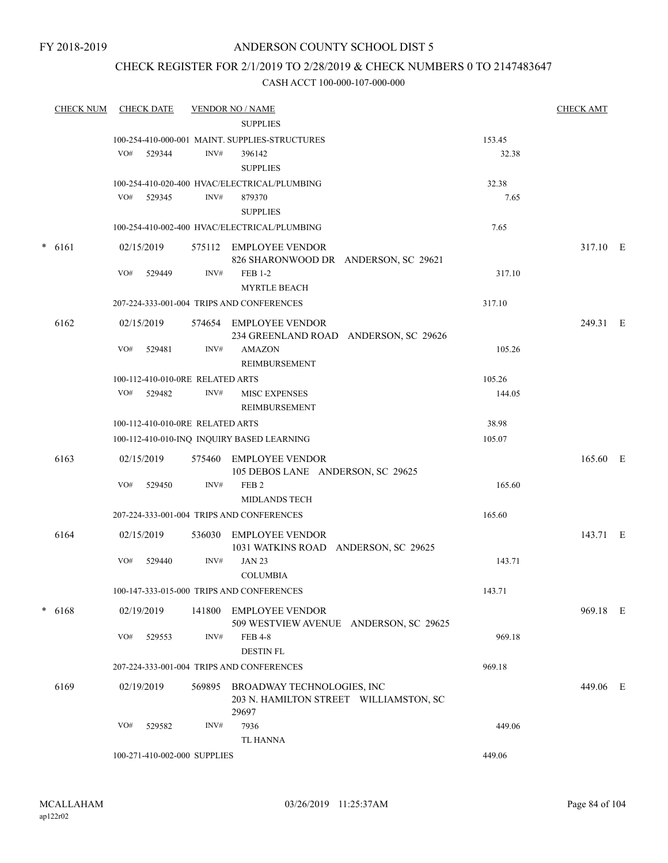### CHECK REGISTER FOR 2/1/2019 TO 2/28/2019 & CHECK NUMBERS 0 TO 2147483647

| <b>CHECK NUM</b> |          | <b>CHECK DATE</b> |            | <b>VENDOR NO / NAME</b>          |                                                |        |          |  |  |
|------------------|----------|-------------------|------------|----------------------------------|------------------------------------------------|--------|----------|--|--|
|                  |          |                   |            |                                  | <b>SUPPLIES</b>                                |        |          |  |  |
|                  |          |                   |            |                                  | 100-254-410-000-001 MAINT. SUPPLIES-STRUCTURES | 153.45 |          |  |  |
|                  |          |                   | VO# 529344 | INV#                             | 396142                                         | 32.38  |          |  |  |
|                  |          |                   |            |                                  | <b>SUPPLIES</b>                                |        |          |  |  |
|                  |          |                   |            |                                  | 100-254-410-020-400 HVAC/ELECTRICAL/PLUMBING   | 32.38  |          |  |  |
|                  |          |                   | VO# 529345 | INV#                             | 879370                                         | 7.65   |          |  |  |
|                  |          |                   |            |                                  | <b>SUPPLIES</b>                                |        |          |  |  |
|                  |          |                   |            |                                  | 100-254-410-002-400 HVAC/ELECTRICAL/PLUMBING   | 7.65   |          |  |  |
|                  | $* 6161$ |                   | 02/15/2019 |                                  | 575112 EMPLOYEE VENDOR                         |        | 317.10 E |  |  |
|                  |          |                   |            |                                  | 826 SHARONWOOD DR ANDERSON, SC 29621           |        |          |  |  |
|                  |          | VO#               | 529449     | INV#                             | <b>FEB 1-2</b>                                 | 317.10 |          |  |  |
|                  |          |                   |            |                                  | <b>MYRTLE BEACH</b>                            |        |          |  |  |
|                  |          |                   |            |                                  | 207-224-333-001-004 TRIPS AND CONFERENCES      | 317.10 |          |  |  |
|                  | 6162     |                   | 02/15/2019 |                                  | 574654 EMPLOYEE VENDOR                         |        | 249.31 E |  |  |
|                  |          |                   |            |                                  | 234 GREENLAND ROAD ANDERSON, SC 29626          |        |          |  |  |
|                  |          | VO#               | 529481     | INV#                             | <b>AMAZON</b>                                  | 105.26 |          |  |  |
|                  |          |                   |            |                                  | REIMBURSEMENT                                  |        |          |  |  |
|                  |          |                   |            | 100-112-410-010-0RE RELATED ARTS |                                                | 105.26 |          |  |  |
|                  |          |                   | VO# 529482 | INV#                             | <b>MISC EXPENSES</b>                           | 144.05 |          |  |  |
|                  |          |                   |            |                                  | REIMBURSEMENT                                  |        |          |  |  |
|                  |          |                   |            | 100-112-410-010-0RE RELATED ARTS |                                                | 38.98  |          |  |  |
|                  |          |                   |            |                                  | 100-112-410-010-INQ INQUIRY BASED LEARNING     | 105.07 |          |  |  |
|                  | 6163     |                   | 02/15/2019 |                                  | 575460 EMPLOYEE VENDOR                         |        | 165.60 E |  |  |
|                  |          |                   |            |                                  | 105 DEBOS LANE ANDERSON, SC 29625              |        |          |  |  |
|                  |          | VO#               | 529450     | INV#                             | FEB <sub>2</sub>                               | 165.60 |          |  |  |
|                  |          |                   |            |                                  | <b>MIDLANDS TECH</b>                           |        |          |  |  |
|                  |          |                   |            |                                  | 207-224-333-001-004 TRIPS AND CONFERENCES      | 165.60 |          |  |  |
|                  | 6164     |                   | 02/15/2019 |                                  | 536030 EMPLOYEE VENDOR                         |        | 143.71 E |  |  |
|                  |          |                   |            |                                  | 1031 WATKINS ROAD ANDERSON, SC 29625           |        |          |  |  |
|                  |          | VO#               | 529440     | INV#                             | <b>JAN 23</b>                                  | 143.71 |          |  |  |
|                  |          |                   |            |                                  | <b>COLUMBIA</b>                                |        |          |  |  |
|                  |          |                   |            |                                  | 100-147-333-015-000 TRIPS AND CONFERENCES      | 143.71 |          |  |  |
|                  | $* 6168$ |                   | 02/19/2019 |                                  | 141800 EMPLOYEE VENDOR                         |        | 969.18 E |  |  |
|                  |          |                   |            |                                  | 509 WESTVIEW AVENUE ANDERSON, SC 29625         |        |          |  |  |
|                  |          | VO#               | 529553     | INV#                             | <b>FEB 4-8</b>                                 | 969.18 |          |  |  |
|                  |          |                   |            |                                  | <b>DESTIN FL</b>                               |        |          |  |  |
|                  |          |                   |            |                                  | 207-224-333-001-004 TRIPS AND CONFERENCES      | 969.18 |          |  |  |
|                  | 6169     |                   | 02/19/2019 |                                  | 569895 BROADWAY TECHNOLOGIES, INC              |        | 449.06 E |  |  |
|                  |          |                   |            |                                  | 203 N. HAMILTON STREET WILLIAMSTON, SC         |        |          |  |  |
|                  |          |                   |            |                                  | 29697                                          |        |          |  |  |
|                  |          | VO#               | 529582     | INV#                             | 7936<br>TL HANNA                               | 449.06 |          |  |  |
|                  |          |                   |            | 100-271-410-002-000 SUPPLIES     |                                                | 449.06 |          |  |  |
|                  |          |                   |            |                                  |                                                |        |          |  |  |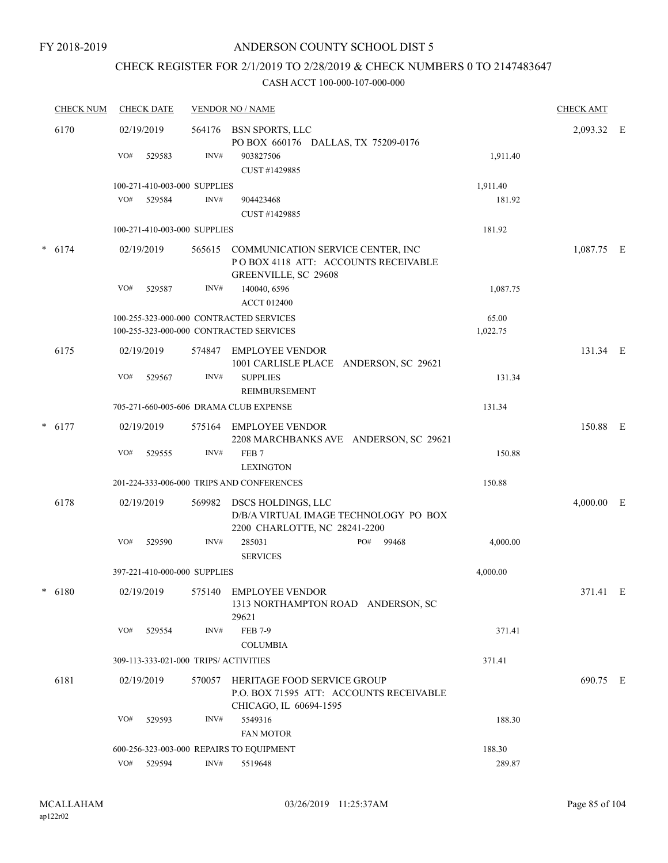### CHECK REGISTER FOR 2/1/2019 TO 2/28/2019 & CHECK NUMBERS 0 TO 2147483647

|      | <b>CHECK NUM</b> |     | <b>CHECK DATE</b> |                                       | <b>VENDOR NO / NAME</b>                                                                                  |          | <b>CHECK AMT</b> |  |
|------|------------------|-----|-------------------|---------------------------------------|----------------------------------------------------------------------------------------------------------|----------|------------------|--|
| 6170 |                  |     | 02/19/2019        |                                       | 564176 BSN SPORTS, LLC<br>PO BOX 660176 DALLAS, TX 75209-0176                                            |          | 2,093.32 E       |  |
|      |                  | VO# | 529583            | INV#                                  | 903827506<br>CUST #1429885                                                                               | 1,911.40 |                  |  |
|      |                  |     |                   | 100-271-410-003-000 SUPPLIES          |                                                                                                          | 1,911.40 |                  |  |
|      |                  | VO# | 529584            | INV#                                  | 904423468<br>CUST #1429885                                                                               | 181.92   |                  |  |
|      |                  |     |                   | 100-271-410-003-000 SUPPLIES          |                                                                                                          | 181.92   |                  |  |
|      | $* 6174$         |     | 02/19/2019        |                                       | 565615 COMMUNICATION SERVICE CENTER, INC<br>PO BOX 4118 ATT: ACCOUNTS RECEIVABLE<br>GREENVILLE, SC 29608 |          | 1,087.75 E       |  |
|      |                  | VO# | 529587            | INV#                                  | 140040, 6596<br><b>ACCT 012400</b>                                                                       | 1,087.75 |                  |  |
|      |                  |     |                   |                                       | 100-255-323-000-000 CONTRACTED SERVICES                                                                  | 65.00    |                  |  |
|      |                  |     |                   |                                       | 100-255-323-000-000 CONTRACTED SERVICES                                                                  | 1,022.75 |                  |  |
|      | 6175             |     | 02/19/2019        | 574847                                | <b>EMPLOYEE VENDOR</b><br>1001 CARLISLE PLACE ANDERSON, SC 29621                                         |          | 131.34 E         |  |
|      |                  | VO# | 529567            | INV#                                  | <b>SUPPLIES</b><br>REIMBURSEMENT                                                                         | 131.34   |                  |  |
|      |                  |     |                   |                                       | 705-271-660-005-606 DRAMA CLUB EXPENSE                                                                   | 131.34   |                  |  |
|      | $* 6177$         |     | 02/19/2019        | 575164                                | EMPLOYEE VENDOR<br>2208 MARCHBANKS AVE ANDERSON, SC 29621                                                |          | 150.88 E         |  |
|      |                  | VO# | 529555            | INV#                                  | FEB <sub>7</sub><br><b>LEXINGTON</b>                                                                     | 150.88   |                  |  |
|      |                  |     |                   |                                       | 201-224-333-006-000 TRIPS AND CONFERENCES                                                                | 150.88   |                  |  |
|      | 6178             |     | 02/19/2019        | 569982                                | DSCS HOLDINGS, LLC<br>D/B/A VIRTUAL IMAGE TECHNOLOGY PO BOX                                              |          | $4,000.00$ E     |  |
|      |                  | VO# | 529590            | INV#                                  | 2200 CHARLOTTE, NC 28241-2200<br>285031<br>PO#<br>99468<br><b>SERVICES</b>                               | 4,000.00 |                  |  |
|      |                  |     |                   | 397-221-410-000-000 SUPPLIES          |                                                                                                          | 4,000.00 |                  |  |
| *    | 6180             |     | 02/19/2019        |                                       | 575140 EMPLOYEE VENDOR<br>1313 NORTHAMPTON ROAD ANDERSON, SC<br>29621                                    |          | 371.41 E         |  |
|      |                  | VO# | 529554            | INV#                                  | FEB 7-9<br><b>COLUMBIA</b>                                                                               | 371.41   |                  |  |
|      |                  |     |                   | 309-113-333-021-000 TRIPS/ ACTIVITIES |                                                                                                          | 371.41   |                  |  |
|      | 6181             |     | 02/19/2019        | 570057                                | HERITAGE FOOD SERVICE GROUP<br>P.O. BOX 71595 ATT: ACCOUNTS RECEIVABLE<br>CHICAGO, IL 60694-1595         |          | 690.75 E         |  |
|      |                  | VO# | 529593            | INV#                                  | 5549316<br><b>FAN MOTOR</b>                                                                              | 188.30   |                  |  |
|      |                  |     |                   |                                       | 600-256-323-003-000 REPAIRS TO EQUIPMENT                                                                 | 188.30   |                  |  |
|      |                  |     | VO# 529594        | INV#                                  | 5519648                                                                                                  | 289.87   |                  |  |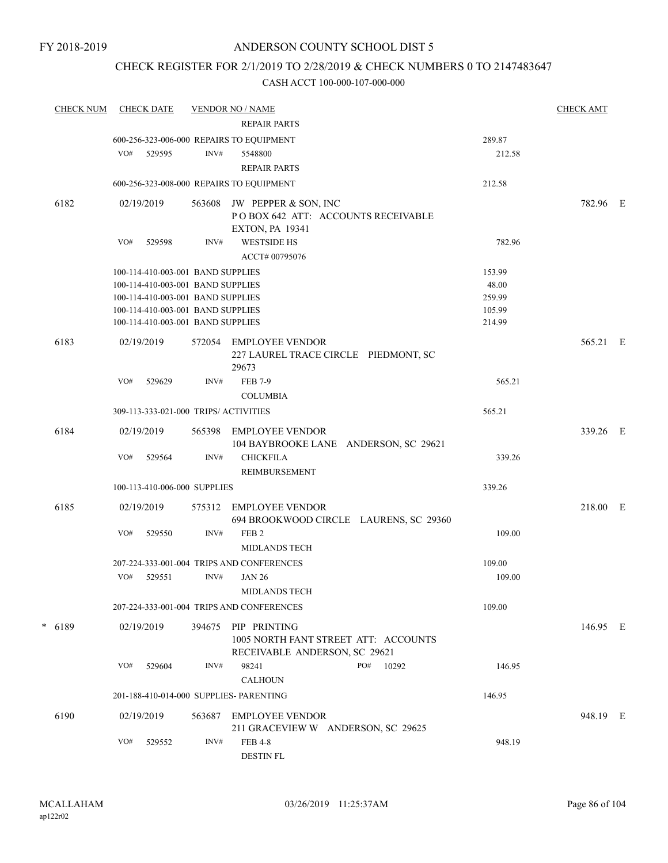### CHECK REGISTER FOR 2/1/2019 TO 2/28/2019 & CHECK NUMBERS 0 TO 2147483647

| <b>CHECK NUM</b> | <b>CHECK DATE</b>                                                      |        | <b>VENDOR NO / NAME</b>                                                                      |                  | <b>CHECK AMT</b> |  |
|------------------|------------------------------------------------------------------------|--------|----------------------------------------------------------------------------------------------|------------------|------------------|--|
|                  |                                                                        |        | <b>REPAIR PARTS</b>                                                                          |                  |                  |  |
|                  | 600-256-323-006-000 REPAIRS TO EQUIPMENT                               |        |                                                                                              | 289.87           |                  |  |
|                  | VO#<br>529595                                                          | INV#   | 5548800                                                                                      | 212.58           |                  |  |
|                  |                                                                        |        | <b>REPAIR PARTS</b>                                                                          |                  |                  |  |
|                  | 600-256-323-008-000 REPAIRS TO EQUIPMENT                               |        |                                                                                              | 212.58           |                  |  |
| 6182             | 02/19/2019                                                             | 563608 | JW PEPPER & SON, INC<br>POBOX 642 ATT: ACCOUNTS RECEIVABLE<br><b>EXTON, PA 19341</b>         |                  | 782.96 E         |  |
|                  | VO#<br>529598                                                          | INV#   | <b>WESTSIDE HS</b><br>ACCT# 00795076                                                         | 782.96           |                  |  |
|                  | 100-114-410-003-001 BAND SUPPLIES                                      |        |                                                                                              | 153.99           |                  |  |
|                  | 100-114-410-003-001 BAND SUPPLIES                                      |        |                                                                                              | 48.00            |                  |  |
|                  | 100-114-410-003-001 BAND SUPPLIES<br>100-114-410-003-001 BAND SUPPLIES |        |                                                                                              | 259.99<br>105.99 |                  |  |
|                  | 100-114-410-003-001 BAND SUPPLIES                                      |        |                                                                                              | 214.99           |                  |  |
| 6183             | 02/19/2019                                                             |        | 572054 EMPLOYEE VENDOR<br>227 LAUREL TRACE CIRCLE PIEDMONT, SC<br>29673                      |                  | 565.21 E         |  |
|                  | VO#<br>529629                                                          | INV#   | <b>FEB 7-9</b>                                                                               | 565.21           |                  |  |
|                  |                                                                        |        | <b>COLUMBIA</b>                                                                              |                  |                  |  |
|                  | 309-113-333-021-000 TRIPS/ ACTIVITIES                                  |        |                                                                                              | 565.21           |                  |  |
| 6184             | 02/19/2019                                                             | 565398 | EMPLOYEE VENDOR<br>104 BAYBROOKE LANE ANDERSON, SC 29621                                     |                  | 339.26 E         |  |
|                  | VO#<br>529564                                                          | INV#   | <b>CHICKFILA</b><br>REIMBURSEMENT                                                            | 339.26           |                  |  |
|                  | 100-113-410-006-000 SUPPLIES                                           |        |                                                                                              | 339.26           |                  |  |
| 6185             | 02/19/2019                                                             | 575312 | EMPLOYEE VENDOR<br>694 BROOKWOOD CIRCLE LAURENS, SC 29360                                    |                  | 218.00 E         |  |
|                  | VO#<br>529550                                                          | INV#   | FEB <sub>2</sub><br><b>MIDLANDS TECH</b>                                                     | 109.00           |                  |  |
|                  |                                                                        |        | 207-224-333-001-004 TRIPS AND CONFERENCES                                                    | 109.00           |                  |  |
|                  | VO#<br>529551                                                          | INV#   | <b>JAN 26</b><br>MIDLANDS TECH                                                               | 109.00           |                  |  |
|                  |                                                                        |        | 207-224-333-001-004 TRIPS AND CONFERENCES                                                    | 109.00           |                  |  |
| $* 6189$         | 02/19/2019                                                             |        | 394675 PIP PRINTING<br>1005 NORTH FANT STREET ATT: ACCOUNTS<br>RECEIVABLE ANDERSON, SC 29621 |                  | 146.95 E         |  |
|                  | VO#<br>529604                                                          | INV#   | 98241<br>PO#<br>10292<br><b>CALHOUN</b>                                                      | 146.95           |                  |  |
|                  | 201-188-410-014-000 SUPPLIES- PARENTING                                |        |                                                                                              | 146.95           |                  |  |
| 6190             | 02/19/2019                                                             | 563687 | <b>EMPLOYEE VENDOR</b><br>211 GRACEVIEW W ANDERSON, SC 29625                                 |                  | 948.19 E         |  |
|                  | VO#<br>529552                                                          | INV#   | <b>FEB 4-8</b><br>DESTIN FL                                                                  | 948.19           |                  |  |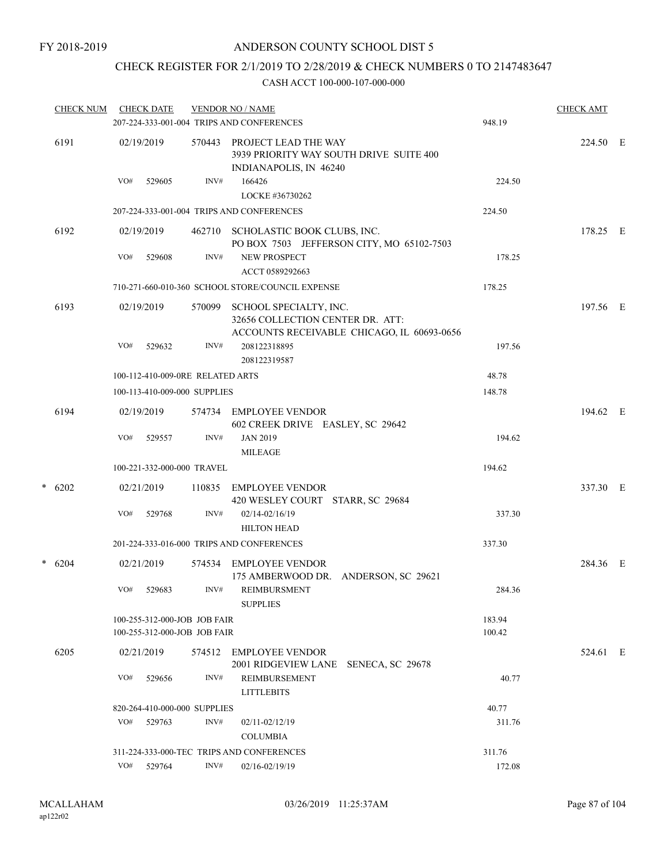### CHECK REGISTER FOR 2/1/2019 TO 2/28/2019 & CHECK NUMBERS 0 TO 2147483647

|   | <b>CHECK NUM</b> | <b>CHECK DATE</b> |                                                              |                | <b>VENDOR NO / NAME</b><br>207-224-333-001-004 TRIPS AND CONFERENCES                                     | 948.19           | <b>CHECK AMT</b> |  |
|---|------------------|-------------------|--------------------------------------------------------------|----------------|----------------------------------------------------------------------------------------------------------|------------------|------------------|--|
|   | 6191             | 02/19/2019        |                                                              | 570443         | PROJECT LEAD THE WAY<br>3939 PRIORITY WAY SOUTH DRIVE SUITE 400<br>INDIANAPOLIS, IN 46240                |                  | 224.50 E         |  |
|   |                  | VO#               | 529605                                                       | INV#           | 166426<br>LOCKE #36730262                                                                                | 224.50           |                  |  |
|   |                  |                   |                                                              |                | 207-224-333-001-004 TRIPS AND CONFERENCES                                                                | 224.50           |                  |  |
|   | 6192             | 02/19/2019        |                                                              |                | 462710 SCHOLASTIC BOOK CLUBS, INC.<br>PO BOX 7503 JEFFERSON CITY, MO 65102-7503                          |                  | 178.25 E         |  |
|   |                  | VO#               | 529608                                                       | INV#           | <b>NEW PROSPECT</b><br>ACCT 0589292663                                                                   | 178.25           |                  |  |
|   |                  |                   |                                                              |                | 710-271-660-010-360 SCHOOL STORE/COUNCIL EXPENSE                                                         | 178.25           |                  |  |
|   | 6193             | 02/19/2019        |                                                              | 570099         | SCHOOL SPECIALTY, INC.<br>32656 COLLECTION CENTER DR. ATT:<br>ACCOUNTS RECEIVABLE CHICAGO, IL 60693-0656 |                  | 197.56 E         |  |
|   |                  | VO#               | 529632                                                       | INV#           | 208122318895<br>208122319587                                                                             | 197.56           |                  |  |
|   |                  |                   | 100-112-410-009-0RE RELATED ARTS                             |                |                                                                                                          | 48.78            |                  |  |
|   |                  |                   | 100-113-410-009-000 SUPPLIES                                 |                |                                                                                                          | 148.78           |                  |  |
|   | 6194             | 02/19/2019        |                                                              |                | 574734 EMPLOYEE VENDOR<br>602 CREEK DRIVE EASLEY, SC 29642                                               |                  | 194.62 E         |  |
|   |                  | VO#               | 529557                                                       | INV#           | <b>JAN 2019</b>                                                                                          | 194.62           |                  |  |
|   |                  |                   | 100-221-332-000-000 TRAVEL                                   |                | <b>MILEAGE</b>                                                                                           | 194.62           |                  |  |
| * |                  |                   |                                                              |                |                                                                                                          |                  |                  |  |
|   | 6202             | 02/21/2019<br>VO# | 529768                                                       | 110835<br>INV# | <b>EMPLOYEE VENDOR</b><br>420 WESLEY COURT STARR, SC 29684<br>02/14-02/16/19                             | 337.30           | 337.30 E         |  |
|   |                  |                   |                                                              |                | <b>HILTON HEAD</b>                                                                                       |                  |                  |  |
|   |                  |                   |                                                              |                | 201-224-333-016-000 TRIPS AND CONFERENCES                                                                | 337.30           |                  |  |
| * | 6204             | 02/21/2019        |                                                              |                | 574534 EMPLOYEE VENDOR<br>175 AMBERWOOD DR. ANDERSON, SC 29621                                           |                  | 284.36 E         |  |
|   |                  | VO#               | 529683                                                       | INV#           | REIMBURSMENT<br><b>SUPPLIES</b>                                                                          | 284.36           |                  |  |
|   |                  |                   | 100-255-312-000-JOB JOB FAIR<br>100-255-312-000-JOB JOB FAIR |                |                                                                                                          | 183.94<br>100.42 |                  |  |
|   | 6205             | 02/21/2019        |                                                              | 574512         | EMPLOYEE VENDOR<br>2001 RIDGEVIEW LANE<br>SENECA, SC 29678                                               |                  | 524.61 E         |  |
|   |                  | VO#               | 529656                                                       | INV#           | <b>REIMBURSEMENT</b><br><b>LITTLEBITS</b>                                                                | 40.77            |                  |  |
|   |                  |                   | 820-264-410-000-000 SUPPLIES                                 |                |                                                                                                          | 40.77            |                  |  |
|   |                  | VO#               | 529763                                                       | INV#           | 02/11-02/12/19<br><b>COLUMBIA</b>                                                                        | 311.76           |                  |  |
|   |                  |                   |                                                              |                | 311-224-333-000-TEC TRIPS AND CONFERENCES                                                                | 311.76           |                  |  |
|   |                  | VO#               | 529764                                                       | INV#           | 02/16-02/19/19                                                                                           | 172.08           |                  |  |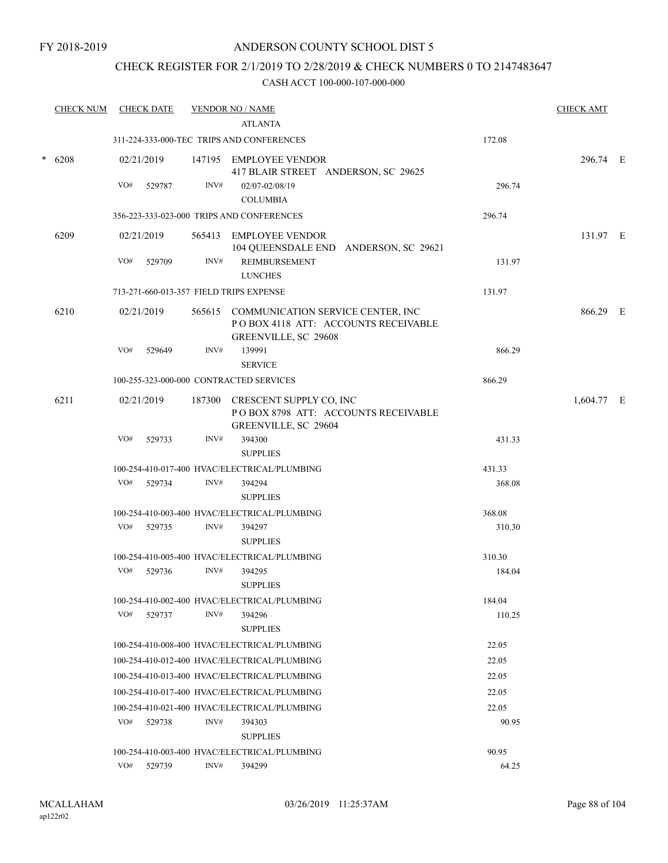### CHECK REGISTER FOR 2/1/2019 TO 2/28/2019 & CHECK NUMBERS 0 TO 2147483647

|        | <b>CHECK NUM</b> |     | <b>CHECK DATE</b> |      | <b>VENDOR NO / NAME</b>                                                                                 |        | <b>CHECK AMT</b> |  |
|--------|------------------|-----|-------------------|------|---------------------------------------------------------------------------------------------------------|--------|------------------|--|
|        |                  |     |                   |      | <b>ATLANTA</b>                                                                                          |        |                  |  |
|        |                  |     |                   |      | 311-224-333-000-TEC TRIPS AND CONFERENCES                                                               | 172.08 |                  |  |
| $\ast$ | 6208             |     | 02/21/2019        |      | 147195 EMPLOYEE VENDOR<br>417 BLAIR STREET ANDERSON, SC 29625                                           |        | 296.74 E         |  |
|        |                  | VO# | 529787            | INV# | 02/07-02/08/19<br><b>COLUMBIA</b>                                                                       | 296.74 |                  |  |
|        |                  |     |                   |      | 356-223-333-023-000 TRIPS AND CONFERENCES                                                               | 296.74 |                  |  |
|        | 6209             |     | 02/21/2019        |      | 565413 EMPLOYEE VENDOR<br>104 QUEENSDALE END ANDERSON, SC 29621                                         |        | 131.97 E         |  |
|        |                  | VO# | 529709            | INV# | <b>REIMBURSEMENT</b><br><b>LUNCHES</b>                                                                  | 131.97 |                  |  |
|        |                  |     |                   |      | 713-271-660-013-357 FIELD TRIPS EXPENSE                                                                 | 131.97 |                  |  |
|        | 6210             |     | 02/21/2019        |      | 565615 COMMUNICATION SERVICE CENTER, INC<br>POBOX 4118 ATT: ACCOUNTS RECEIVABLE<br>GREENVILLE, SC 29608 |        | 866.29 E         |  |
|        |                  | VO# | 529649            | INV# | 139991<br><b>SERVICE</b>                                                                                | 866.29 |                  |  |
|        |                  |     |                   |      | 100-255-323-000-000 CONTRACTED SERVICES                                                                 | 866.29 |                  |  |
|        | 6211             |     | 02/21/2019        |      | 187300 CRESCENT SUPPLY CO, INC<br>POBOX 8798 ATT: ACCOUNTS RECEIVABLE<br>GREENVILLE, SC 29604           |        | 1,604.77 E       |  |
|        |                  | VO# | 529733            | INV# | 394300<br><b>SUPPLIES</b>                                                                               | 431.33 |                  |  |
|        |                  |     |                   |      | 100-254-410-017-400 HVAC/ELECTRICAL/PLUMBING                                                            | 431.33 |                  |  |
|        |                  | VO# | 529734            | INV# | 394294<br><b>SUPPLIES</b>                                                                               | 368.08 |                  |  |
|        |                  |     |                   |      | 100-254-410-003-400 HVAC/ELECTRICAL/PLUMBING                                                            | 368.08 |                  |  |
|        |                  |     | VO# 529735        | INV# | 394297<br><b>SUPPLIES</b>                                                                               | 310.30 |                  |  |
|        |                  |     |                   |      | 100-254-410-005-400 HVAC/ELECTRICAL/PLUMBING                                                            | 310.30 |                  |  |
|        |                  | VO# | 529736            | INV# | 394295<br><b>SUPPLIES</b>                                                                               | 184.04 |                  |  |
|        |                  |     |                   |      | 100-254-410-002-400 HVAC/ELECTRICAL/PLUMBING                                                            | 184.04 |                  |  |
|        |                  | VO# | 529737            | INV# | 394296<br><b>SUPPLIES</b>                                                                               | 110.25 |                  |  |
|        |                  |     |                   |      | 100-254-410-008-400 HVAC/ELECTRICAL/PLUMBING                                                            | 22.05  |                  |  |
|        |                  |     |                   |      | 100-254-410-012-400 HVAC/ELECTRICAL/PLUMBING                                                            | 22.05  |                  |  |
|        |                  |     |                   |      | 100-254-410-013-400 HVAC/ELECTRICAL/PLUMBING                                                            | 22.05  |                  |  |
|        |                  |     |                   |      | 100-254-410-017-400 HVAC/ELECTRICAL/PLUMBING                                                            | 22.05  |                  |  |
|        |                  |     |                   |      | 100-254-410-021-400 HVAC/ELECTRICAL/PLUMBING                                                            | 22.05  |                  |  |
|        |                  | VO# | 529738            | INV# | 394303<br><b>SUPPLIES</b>                                                                               | 90.95  |                  |  |
|        |                  |     |                   |      | 100-254-410-003-400 HVAC/ELECTRICAL/PLUMBING                                                            | 90.95  |                  |  |
|        |                  |     | VO# 529739        | INV# | 394299                                                                                                  | 64.25  |                  |  |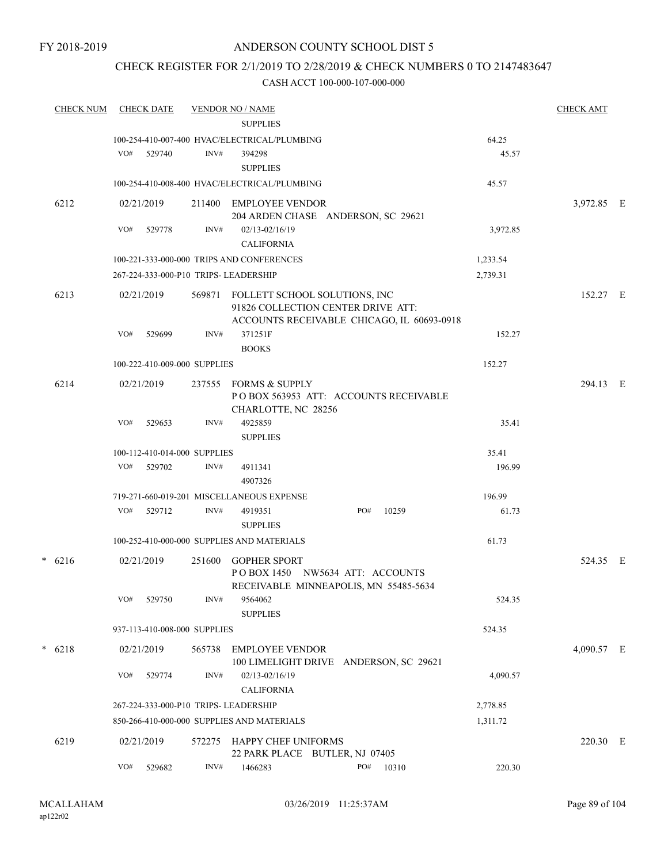### CHECK REGISTER FOR 2/1/2019 TO 2/28/2019 & CHECK NUMBERS 0 TO 2147483647

| <b>CHECK NUM</b> |     | <b>CHECK DATE</b>            |        | <b>VENDOR NO / NAME</b><br><b>SUPPLIES</b>                                                                               |     |       |          | <b>CHECK AMT</b> |  |
|------------------|-----|------------------------------|--------|--------------------------------------------------------------------------------------------------------------------------|-----|-------|----------|------------------|--|
|                  |     |                              |        | 100-254-410-007-400 HVAC/ELECTRICAL/PLUMBING                                                                             |     |       | 64.25    |                  |  |
|                  |     | $VO#$ 529740                 | INV#   | 394298                                                                                                                   |     |       | 45.57    |                  |  |
|                  |     |                              |        | <b>SUPPLIES</b>                                                                                                          |     |       |          |                  |  |
|                  |     |                              |        | 100-254-410-008-400 HVAC/ELECTRICAL/PLUMBING                                                                             |     |       | 45.57    |                  |  |
| 6212             |     | 02/21/2019                   |        | 211400 EMPLOYEE VENDOR<br>204 ARDEN CHASE ANDERSON, SC 29621                                                             |     |       |          | 3,972.85 E       |  |
|                  | VO# | 529778                       | INV#   | $02/13 - 02/16/19$<br><b>CALIFORNIA</b>                                                                                  |     |       | 3,972.85 |                  |  |
|                  |     |                              |        | 100-221-333-000-000 TRIPS AND CONFERENCES                                                                                |     |       | 1,233.54 |                  |  |
|                  |     |                              |        | 267-224-333-000-P10 TRIPS- LEADERSHIP                                                                                    |     |       | 2,739.31 |                  |  |
| 6213             |     | 02/21/2019                   |        | 569871 FOLLETT SCHOOL SOLUTIONS, INC<br>91826 COLLECTION CENTER DRIVE ATT:<br>ACCOUNTS RECEIVABLE CHICAGO, IL 60693-0918 |     |       |          | 152.27 E         |  |
|                  | VO# | 529699                       | INV#   | 371251F<br><b>BOOKS</b>                                                                                                  |     |       | 152.27   |                  |  |
|                  |     | 100-222-410-009-000 SUPPLIES |        |                                                                                                                          |     |       | 152.27   |                  |  |
| 6214             |     | 02/21/2019                   |        | 237555 FORMS & SUPPLY<br>POBOX 563953 ATT: ACCOUNTS RECEIVABLE<br>CHARLOTTE, NC 28256                                    |     |       |          | 294.13 E         |  |
|                  | VO# | 529653                       | INV#   | 4925859<br><b>SUPPLIES</b>                                                                                               |     |       | 35.41    |                  |  |
|                  |     | 100-112-410-014-000 SUPPLIES |        |                                                                                                                          |     |       | 35.41    |                  |  |
|                  | VO# | 529702                       | INV#   | 4911341<br>4907326                                                                                                       |     |       | 196.99   |                  |  |
|                  |     |                              |        | 719-271-660-019-201 MISCELLANEOUS EXPENSE                                                                                |     |       | 196.99   |                  |  |
|                  | VO# | 529712                       | INV#   | 4919351<br><b>SUPPLIES</b>                                                                                               | PO# | 10259 | 61.73    |                  |  |
|                  |     |                              |        | 100-252-410-000-000 SUPPLIES AND MATERIALS                                                                               |     |       | 61.73    |                  |  |
| $*$ 6216         |     | 02/21/2019                   | 251600 | <b>GOPHER SPORT</b><br>POBOX 1450 NW5634 ATT: ACCOUNTS                                                                   |     |       |          | 524.35 E         |  |
|                  | VO# | 529750                       | INV#   | RECEIVABLE MINNEAPOLIS, MN 55485-5634<br>9564062                                                                         |     |       | 524.35   |                  |  |
|                  |     | 937-113-410-008-000 SUPPLIES |        | <b>SUPPLIES</b>                                                                                                          |     |       | 524.35   |                  |  |
|                  |     |                              |        |                                                                                                                          |     |       |          |                  |  |
| $* 6218$         |     | 02/21/2019                   | 565738 | <b>EMPLOYEE VENDOR</b><br>100 LIMELIGHT DRIVE ANDERSON, SC 29621                                                         |     |       |          | 4,090.57 E       |  |
|                  | VO# | 529774                       | INV#   | 02/13-02/16/19<br><b>CALIFORNIA</b>                                                                                      |     |       | 4,090.57 |                  |  |
|                  |     |                              |        | 267-224-333-000-P10 TRIPS- LEADERSHIP                                                                                    |     |       | 2,778.85 |                  |  |
|                  |     |                              |        | 850-266-410-000-000 SUPPLIES AND MATERIALS                                                                               |     |       | 1,311.72 |                  |  |
| 6219             |     | 02/21/2019                   | 572275 | HAPPY CHEF UNIFORMS<br>22 PARK PLACE BUTLER, NJ 07405                                                                    |     |       |          | 220.30 E         |  |
|                  | VO# | 529682                       | INV#   | 1466283                                                                                                                  | PO# | 10310 | 220.30   |                  |  |
|                  |     |                              |        |                                                                                                                          |     |       |          |                  |  |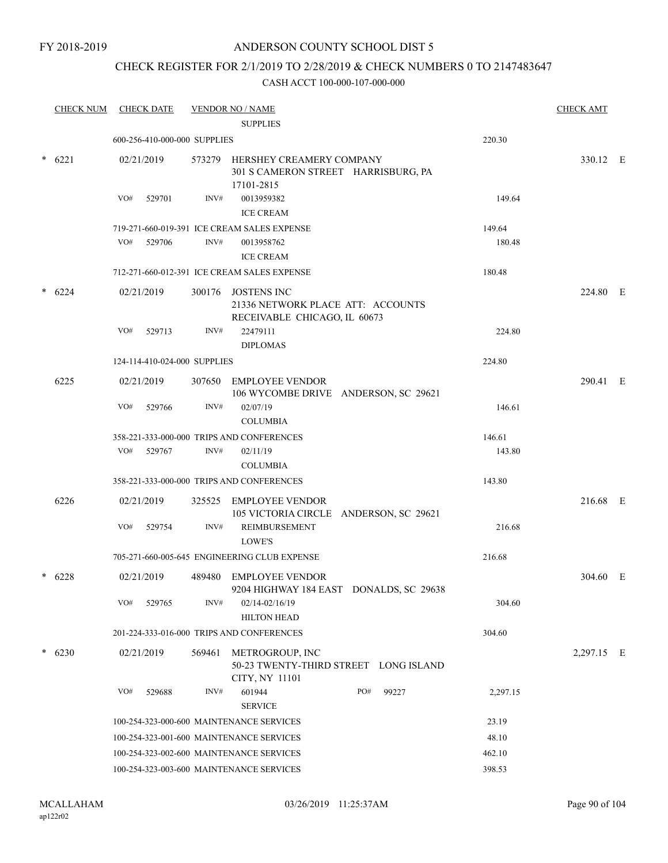#### FY 2018-2019

### ANDERSON COUNTY SCHOOL DIST 5

### CHECK REGISTER FOR 2/1/2019 TO 2/28/2019 & CHECK NUMBERS 0 TO 2147483647

| <b>CHECK NUM</b> | <b>CHECK DATE</b>                        |        | <b>VENDOR NO / NAME</b>                                                                 |          | <b>CHECK AMT</b> |  |
|------------------|------------------------------------------|--------|-----------------------------------------------------------------------------------------|----------|------------------|--|
|                  |                                          |        | <b>SUPPLIES</b>                                                                         |          |                  |  |
|                  | 600-256-410-000-000 SUPPLIES             |        |                                                                                         | 220.30   |                  |  |
| $* 6221$         | 02/21/2019                               |        | 573279 HERSHEY CREAMERY COMPANY<br>301 S CAMERON STREET HARRISBURG, PA<br>17101-2815    |          | 330.12 E         |  |
|                  | VO#<br>529701                            | INV#   | 0013959382<br><b>ICE CREAM</b>                                                          | 149.64   |                  |  |
|                  |                                          |        | 719-271-660-019-391 ICE CREAM SALES EXPENSE                                             | 149.64   |                  |  |
|                  | VO#<br>529706                            | INV#   | 0013958762                                                                              | 180.48   |                  |  |
|                  |                                          |        | <b>ICE CREAM</b>                                                                        |          |                  |  |
|                  |                                          |        | 712-271-660-012-391 ICE CREAM SALES EXPENSE                                             | 180.48   |                  |  |
| $* 6224$         | 02/21/2019                               |        | 300176 JOSTENS INC<br>21336 NETWORK PLACE ATT: ACCOUNTS<br>RECEIVABLE CHICAGO, IL 60673 |          | 224.80 E         |  |
|                  | VO#<br>529713                            | INV#   | 22479111<br><b>DIPLOMAS</b>                                                             | 224.80   |                  |  |
|                  | 124-114-410-024-000 SUPPLIES             |        |                                                                                         | 224.80   |                  |  |
| 6225             | 02/21/2019                               |        | 307650 EMPLOYEE VENDOR<br>106 WYCOMBE DRIVE ANDERSON, SC 29621                          |          | 290.41 E         |  |
|                  | VO#<br>529766                            | INV#   | 02/07/19<br><b>COLUMBIA</b>                                                             | 146.61   |                  |  |
|                  |                                          |        | 358-221-333-000-000 TRIPS AND CONFERENCES                                               | 146.61   |                  |  |
|                  | VO#<br>529767                            | INV#   | 02/11/19                                                                                | 143.80   |                  |  |
|                  |                                          |        | <b>COLUMBIA</b>                                                                         |          |                  |  |
|                  |                                          |        | 358-221-333-000-000 TRIPS AND CONFERENCES                                               | 143.80   |                  |  |
| 6226             | 02/21/2019                               | 325525 | <b>EMPLOYEE VENDOR</b><br>105 VICTORIA CIRCLE ANDERSON, SC 29621                        |          | 216.68 E         |  |
|                  | VO#<br>529754                            | INV#   | <b>REIMBURSEMENT</b><br>LOWE'S                                                          | 216.68   |                  |  |
|                  |                                          |        | 705-271-660-005-645 ENGINEERING CLUB EXPENSE                                            | 216.68   |                  |  |
| $* 6228$         | 02/21/2019                               | 489480 | <b>EMPLOYEE VENDOR</b><br>9204 HIGHWAY 184 EAST DONALDS, SC 29638                       |          | 304.60 E         |  |
|                  | VO#<br>529765                            | INV#   | 02/14-02/16/19<br><b>HILTON HEAD</b>                                                    | 304.60   |                  |  |
|                  |                                          |        | 201-224-333-016-000 TRIPS AND CONFERENCES                                               | 304.60   |                  |  |
| 6230             | 02/21/2019                               | 569461 | METROGROUP, INC<br>50-23 TWENTY-THIRD STREET LONG ISLAND<br>CITY, NY 11101              |          | 2,297.15 E       |  |
|                  | VO#<br>529688                            | INV#   | 601944<br>PO#<br>99227<br><b>SERVICE</b>                                                | 2,297.15 |                  |  |
|                  | 100-254-323-000-600 MAINTENANCE SERVICES |        |                                                                                         | 23.19    |                  |  |
|                  | 100-254-323-001-600 MAINTENANCE SERVICES |        |                                                                                         | 48.10    |                  |  |
|                  | 100-254-323-002-600 MAINTENANCE SERVICES |        |                                                                                         | 462.10   |                  |  |
|                  | 100-254-323-003-600 MAINTENANCE SERVICES |        |                                                                                         | 398.53   |                  |  |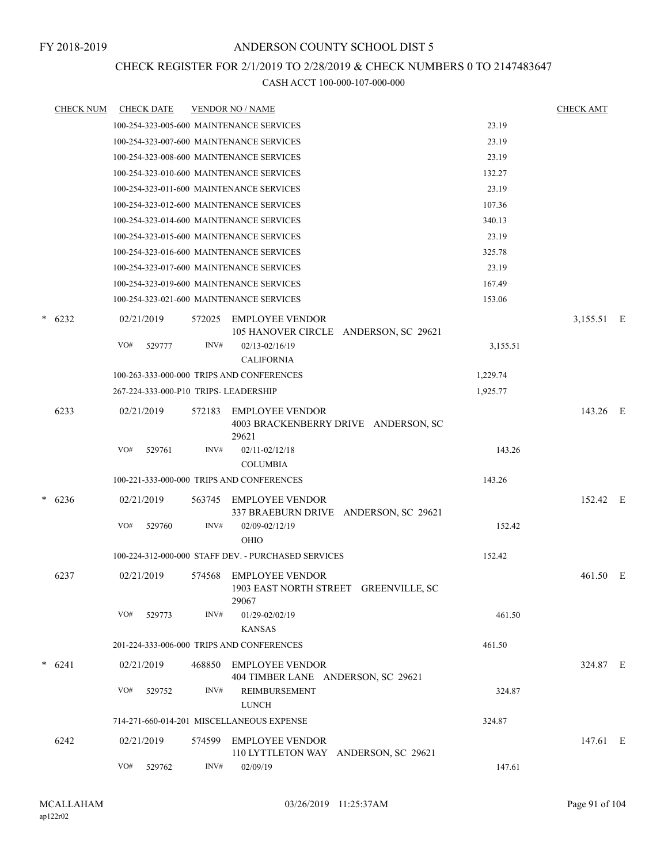### CHECK REGISTER FOR 2/1/2019 TO 2/28/2019 & CHECK NUMBERS 0 TO 2147483647

|        | <b>CHECK NUM</b> |            | <b>CHECK DATE</b>                     |        | <b>VENDOR NO / NAME</b>                                                  |          | <b>CHECK AMT</b> |  |
|--------|------------------|------------|---------------------------------------|--------|--------------------------------------------------------------------------|----------|------------------|--|
|        |                  |            |                                       |        | 100-254-323-005-600 MAINTENANCE SERVICES                                 | 23.19    |                  |  |
|        |                  |            |                                       |        | 100-254-323-007-600 MAINTENANCE SERVICES                                 | 23.19    |                  |  |
|        |                  |            |                                       |        | 100-254-323-008-600 MAINTENANCE SERVICES                                 | 23.19    |                  |  |
|        |                  |            |                                       |        | 100-254-323-010-600 MAINTENANCE SERVICES                                 | 132.27   |                  |  |
|        |                  |            |                                       |        | 100-254-323-011-600 MAINTENANCE SERVICES                                 | 23.19    |                  |  |
|        |                  |            |                                       |        | 100-254-323-012-600 MAINTENANCE SERVICES                                 | 107.36   |                  |  |
|        |                  |            |                                       |        | 100-254-323-014-600 MAINTENANCE SERVICES                                 | 340.13   |                  |  |
|        |                  |            |                                       |        | 100-254-323-015-600 MAINTENANCE SERVICES                                 | 23.19    |                  |  |
|        |                  |            |                                       |        | 100-254-323-016-600 MAINTENANCE SERVICES                                 | 325.78   |                  |  |
|        |                  |            |                                       |        | 100-254-323-017-600 MAINTENANCE SERVICES                                 | 23.19    |                  |  |
|        |                  |            |                                       |        | 100-254-323-019-600 MAINTENANCE SERVICES                                 | 167.49   |                  |  |
|        |                  |            |                                       |        | 100-254-323-021-600 MAINTENANCE SERVICES                                 | 153.06   |                  |  |
|        | $* 6232$         | 02/21/2019 |                                       | 572025 | EMPLOYEE VENDOR                                                          |          | 3,155.51 E       |  |
|        |                  |            |                                       |        | 105 HANOVER CIRCLE ANDERSON, SC 29621                                    |          |                  |  |
|        |                  | VO#        | 529777                                | INV#   | $02/13 - 02/16/19$                                                       | 3,155.51 |                  |  |
|        |                  |            |                                       |        | <b>CALIFORNIA</b>                                                        |          |                  |  |
|        |                  |            |                                       |        | 100-263-333-000-000 TRIPS AND CONFERENCES                                | 1,229.74 |                  |  |
|        |                  |            | 267-224-333-000-P10 TRIPS- LEADERSHIP |        |                                                                          | 1,925.77 |                  |  |
|        | 6233             | 02/21/2019 |                                       | 572183 | <b>EMPLOYEE VENDOR</b><br>4003 BRACKENBERRY DRIVE ANDERSON, SC<br>29621  |          | 143.26 E         |  |
|        |                  | VO#        | 529761                                | INV#   | 02/11-02/12/18<br><b>COLUMBIA</b>                                        | 143.26   |                  |  |
|        |                  |            |                                       |        | 100-221-333-000-000 TRIPS AND CONFERENCES                                | 143.26   |                  |  |
| $\ast$ | 6236             | 02/21/2019 |                                       | 563745 | EMPLOYEE VENDOR<br>337 BRAEBURN DRIVE ANDERSON, SC 29621                 |          | 152.42 E         |  |
|        |                  | VO#        | 529760                                | INV#   | 02/09-02/12/19<br><b>OHIO</b>                                            | 152.42   |                  |  |
|        |                  |            |                                       |        | 100-224-312-000-000 STAFF DEV. - PURCHASED SERVICES                      | 152.42   |                  |  |
|        | 6237             | 02/21/2019 |                                       | 574568 | <b>EMPLOYEE VENDOR</b><br>1903 EAST NORTH STREET GREENVILLE, SC<br>29067 |          | 461.50 E         |  |
|        |                  | VO#        | 529773                                | INV#   | 01/29-02/02/19<br><b>KANSAS</b>                                          | 461.50   |                  |  |
|        |                  |            |                                       |        | 201-224-333-006-000 TRIPS AND CONFERENCES                                | 461.50   |                  |  |
|        | $* 6241$         | 02/21/2019 |                                       | 468850 | <b>EMPLOYEE VENDOR</b><br>404 TIMBER LANE ANDERSON, SC 29621             |          | 324.87 E         |  |
|        |                  | VO#        | 529752                                | INV#   | REIMBURSEMENT<br><b>LUNCH</b>                                            | 324.87   |                  |  |
|        |                  |            |                                       |        | 714-271-660-014-201 MISCELLANEOUS EXPENSE                                | 324.87   |                  |  |
|        | 6242             | 02/21/2019 |                                       | 574599 | <b>EMPLOYEE VENDOR</b><br>110 LYTTLETON WAY ANDERSON, SC 29621           |          | 147.61 E         |  |
|        |                  | VO#        | 529762                                | INV#   | 02/09/19                                                                 | 147.61   |                  |  |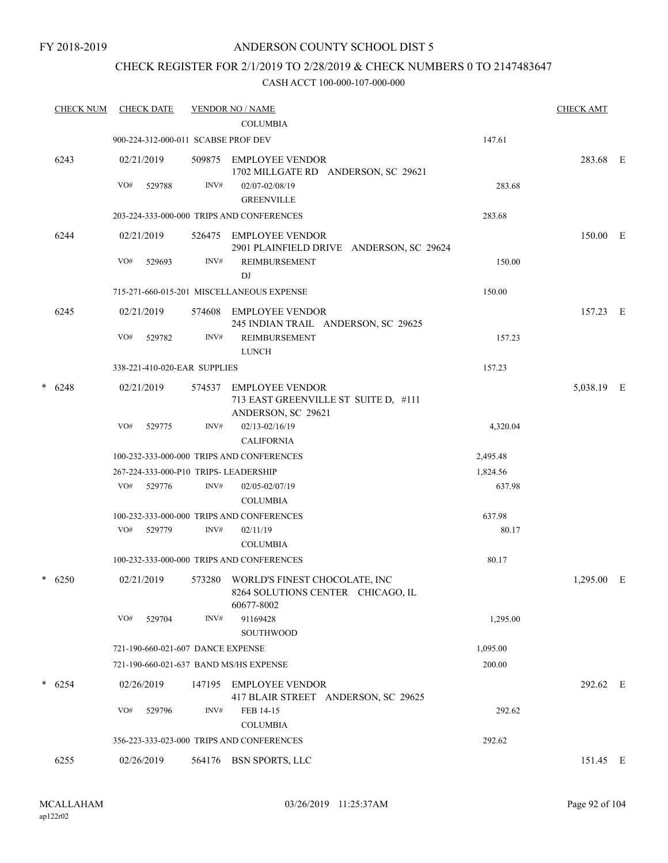### CHECK REGISTER FOR 2/1/2019 TO 2/28/2019 & CHECK NUMBERS 0 TO 2147483647

| <b>CHECK NUM</b> |     | <b>CHECK DATE</b> |                                     | <b>VENDOR NO / NAME</b>                                                                 |          | <b>CHECK AMT</b> |     |
|------------------|-----|-------------------|-------------------------------------|-----------------------------------------------------------------------------------------|----------|------------------|-----|
|                  |     |                   |                                     | <b>COLUMBIA</b>                                                                         |          |                  |     |
|                  |     |                   | 900-224-312-000-011 SCABSE PROF DEV |                                                                                         | 147.61   |                  |     |
| 6243             |     | 02/21/2019        |                                     | 509875 EMPLOYEE VENDOR<br>1702 MILLGATE RD ANDERSON, SC 29621                           |          | 283.68 E         |     |
|                  | VO# | 529788            | INV#                                | 02/07-02/08/19<br><b>GREENVILLE</b>                                                     | 283.68   |                  |     |
|                  |     |                   |                                     | 203-224-333-000-000 TRIPS AND CONFERENCES                                               | 283.68   |                  |     |
| 6244             |     | 02/21/2019        |                                     | 526475 EMPLOYEE VENDOR<br>2901 PLAINFIELD DRIVE ANDERSON, SC 29624                      |          | 150.00 E         |     |
|                  | VO# | 529693            | INV#                                | REIMBURSEMENT<br>DJ                                                                     | 150.00   |                  |     |
|                  |     |                   |                                     | 715-271-660-015-201 MISCELLANEOUS EXPENSE                                               | 150.00   |                  |     |
| 6245             |     | 02/21/2019        | 574608                              | EMPLOYEE VENDOR<br>245 INDIAN TRAIL ANDERSON, SC 29625                                  |          | 157.23 E         |     |
|                  | VO# | 529782            | INV#                                | REIMBURSEMENT<br><b>LUNCH</b>                                                           | 157.23   |                  |     |
|                  |     |                   | 338-221-410-020-EAR SUPPLIES        |                                                                                         | 157.23   |                  |     |
| $*$ 6248         |     | 02/21/2019        | 574537                              | <b>EMPLOYEE VENDOR</b><br>713 EAST GREENVILLE ST SUITE D, #111<br>ANDERSON, SC 29621    |          | 5,038.19 E       |     |
|                  | VO# | 529775            | INV#                                | $02/13 - 02/16/19$<br><b>CALIFORNIA</b>                                                 | 4,320.04 |                  |     |
|                  |     |                   |                                     | 100-232-333-000-000 TRIPS AND CONFERENCES                                               | 2,495.48 |                  |     |
|                  |     |                   |                                     | 267-224-333-000-P10 TRIPS- LEADERSHIP                                                   | 1,824.56 |                  |     |
|                  |     | VO# 529776        | INV#                                | 02/05-02/07/19<br><b>COLUMBIA</b>                                                       | 637.98   |                  |     |
|                  |     |                   |                                     | 100-232-333-000-000 TRIPS AND CONFERENCES                                               | 637.98   |                  |     |
|                  | VO# | 529779            | INV#                                | 02/11/19<br><b>COLUMBIA</b>                                                             | 80.17    |                  |     |
|                  |     |                   |                                     | 100-232-333-000-000 TRIPS AND CONFERENCES                                               | 80.17    |                  |     |
| $* 6250$         |     | 02/21/2019        |                                     | 573280 WORLD'S FINEST CHOCOLATE, INC<br>8264 SOLUTIONS CENTER CHICAGO, IL<br>60677-8002 |          | 1,295.00         | – E |
|                  | VO# | 529704            | INV#                                | 91169428<br><b>SOUTHWOOD</b>                                                            | 1,295.00 |                  |     |
|                  |     |                   | 721-190-660-021-607 DANCE EXPENSE   |                                                                                         | 1,095.00 |                  |     |
|                  |     |                   |                                     | 721-190-660-021-637 BAND MS/HS EXPENSE                                                  | 200.00   |                  |     |
| $* 6254$         |     | 02/26/2019        | 147195                              | EMPLOYEE VENDOR<br>417 BLAIR STREET ANDERSON, SC 29625                                  |          | 292.62 E         |     |
|                  | VO# | 529796            | INV#                                | FEB 14-15<br><b>COLUMBIA</b>                                                            | 292.62   |                  |     |
|                  |     |                   |                                     | 356-223-333-023-000 TRIPS AND CONFERENCES                                               | 292.62   |                  |     |
| 6255             |     | 02/26/2019        |                                     | 564176 BSN SPORTS, LLC                                                                  |          | 151.45 E         |     |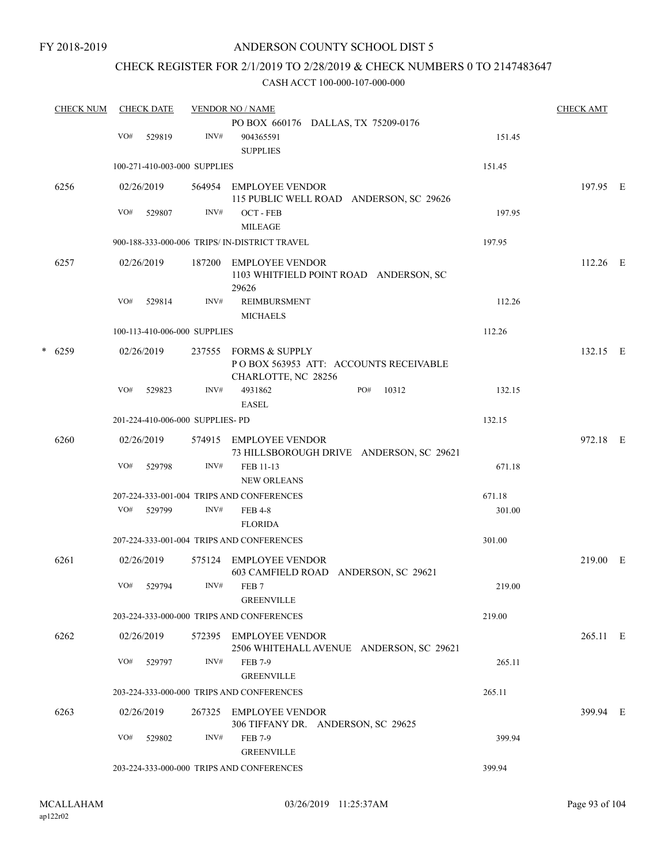FY 2018-2019

### ANDERSON COUNTY SCHOOL DIST 5

### CHECK REGISTER FOR 2/1/2019 TO 2/28/2019 & CHECK NUMBERS 0 TO 2147483647

|   | <b>CHECK NUM</b> | <b>CHECK DATE</b> |                                  |        | <b>VENDOR NO / NAME</b>                                                        |        |            |  |  |
|---|------------------|-------------------|----------------------------------|--------|--------------------------------------------------------------------------------|--------|------------|--|--|
|   |                  |                   |                                  |        | PO BOX 660176 DALLAS, TX 75209-0176                                            |        |            |  |  |
|   |                  | VO#               | 529819                           | INV#   | 904365591<br><b>SUPPLIES</b>                                                   | 151.45 |            |  |  |
|   |                  |                   | 100-271-410-003-000 SUPPLIES     |        |                                                                                | 151.45 |            |  |  |
|   | 6256             |                   | 02/26/2019                       |        | 564954 EMPLOYEE VENDOR<br>115 PUBLIC WELL ROAD ANDERSON, SC 29626              |        | 197.95 E   |  |  |
|   |                  | VO#               | 529807                           | INV#   | OCT - FEB<br><b>MILEAGE</b>                                                    | 197.95 |            |  |  |
|   |                  |                   |                                  |        | 900-188-333-000-006 TRIPS/ IN-DISTRICT TRAVEL                                  | 197.95 |            |  |  |
|   | 6257             |                   | 02/26/2019                       | 187200 | EMPLOYEE VENDOR<br>1103 WHITFIELD POINT ROAD ANDERSON, SC<br>29626             |        | $112.26$ E |  |  |
|   |                  | VO#               | 529814                           | INV#   | <b>REIMBURSMENT</b><br><b>MICHAELS</b>                                         | 112.26 |            |  |  |
|   |                  |                   | 100-113-410-006-000 SUPPLIES     |        |                                                                                | 112.26 |            |  |  |
| * | 6259             | 02/26/2019        |                                  | 237555 | FORMS & SUPPLY<br>POBOX 563953 ATT: ACCOUNTS RECEIVABLE<br>CHARLOTTE, NC 28256 |        | 132.15 E   |  |  |
|   |                  | VO#               | 529823                           | INV#   | 4931862<br>PO#<br>10312<br><b>EASEL</b>                                        | 132.15 |            |  |  |
|   |                  |                   | 201-224-410-006-000 SUPPLIES- PD |        |                                                                                | 132.15 |            |  |  |
|   | 6260             | 02/26/2019        |                                  |        | 574915 EMPLOYEE VENDOR<br>73 HILLSBOROUGH DRIVE ANDERSON, SC 29621             |        | 972.18 E   |  |  |
|   |                  | VO#               | 529798                           | INV#   | FEB 11-13<br><b>NEW ORLEANS</b>                                                | 671.18 |            |  |  |
|   |                  |                   |                                  |        | 207-224-333-001-004 TRIPS AND CONFERENCES                                      | 671.18 |            |  |  |
|   |                  | VO#               | 529799                           | INV#   | <b>FEB 4-8</b><br><b>FLORIDA</b>                                               | 301.00 |            |  |  |
|   |                  |                   |                                  |        | 207-224-333-001-004 TRIPS AND CONFERENCES                                      | 301.00 |            |  |  |
|   | 6261             |                   | 02/26/2019                       |        | 575124 EMPLOYEE VENDOR<br>603 CAMFIELD ROAD ANDERSON, SC 29621                 |        | 219.00 E   |  |  |
|   |                  | VO#               | 529794                           | INV#   | FEB <sub>7</sub><br><b>GREENVILLE</b>                                          | 219.00 |            |  |  |
|   |                  |                   |                                  |        | 203-224-333-000-000 TRIPS AND CONFERENCES                                      | 219.00 |            |  |  |
|   | 6262             |                   | 02/26/2019                       |        | 572395 EMPLOYEE VENDOR<br>2506 WHITEHALL AVENUE ANDERSON, SC 29621             |        | 265.11 E   |  |  |
|   |                  | VO#               | 529797                           | INV#   | <b>FEB 7-9</b><br><b>GREENVILLE</b>                                            | 265.11 |            |  |  |
|   |                  |                   |                                  |        | 203-224-333-000-000 TRIPS AND CONFERENCES                                      | 265.11 |            |  |  |
|   | 6263             |                   | 02/26/2019                       |        | 267325 EMPLOYEE VENDOR<br>306 TIFFANY DR. ANDERSON, SC 29625                   |        | 399.94 E   |  |  |
|   |                  | VO#               | 529802                           | INV#   | <b>FEB 7-9</b><br><b>GREENVILLE</b>                                            | 399.94 |            |  |  |
|   |                  |                   |                                  |        | 203-224-333-000-000 TRIPS AND CONFERENCES                                      | 399.94 |            |  |  |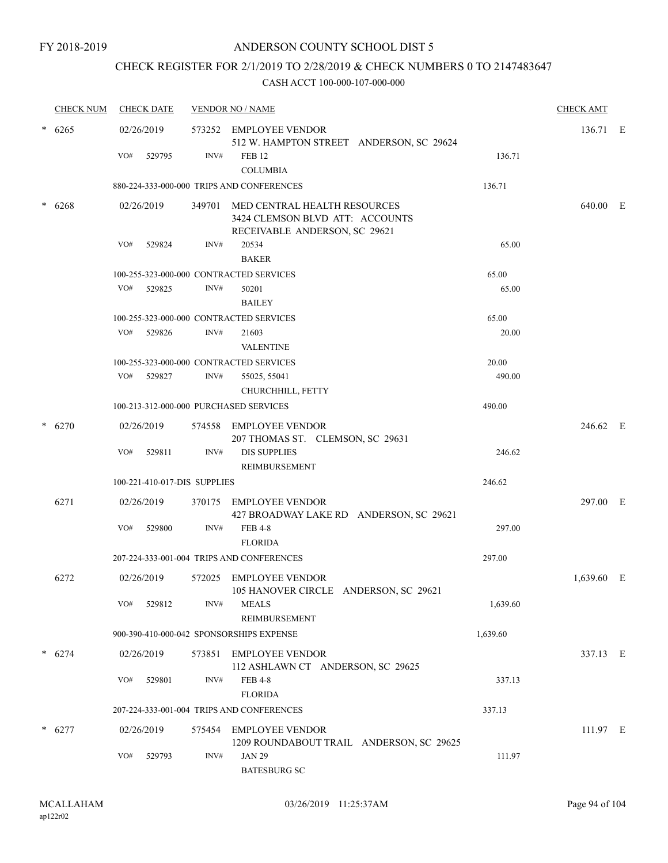### CHECK REGISTER FOR 2/1/2019 TO 2/28/2019 & CHECK NUMBERS 0 TO 2147483647

| <b>CHECK NUM</b> |     | <b>CHECK DATE</b>            |      | <b>VENDOR NO / NAME</b>                                                                                 |          | <b>CHECK AMT</b> |  |
|------------------|-----|------------------------------|------|---------------------------------------------------------------------------------------------------------|----------|------------------|--|
| 6265             |     | 02/26/2019                   |      | 573252 EMPLOYEE VENDOR<br>512 W. HAMPTON STREET ANDERSON, SC 29624                                      |          | 136.71 E         |  |
|                  | VO# | 529795                       | INV# | FEB <sub>12</sub><br><b>COLUMBIA</b>                                                                    | 136.71   |                  |  |
|                  |     |                              |      | 880-224-333-000-000 TRIPS AND CONFERENCES                                                               | 136.71   |                  |  |
| 6268             |     | 02/26/2019                   |      | 349701 MED CENTRAL HEALTH RESOURCES<br>3424 CLEMSON BLVD ATT: ACCOUNTS<br>RECEIVABLE ANDERSON, SC 29621 |          | 640.00 E         |  |
|                  | VO# | 529824                       | INV# | 20534<br><b>BAKER</b>                                                                                   | 65.00    |                  |  |
|                  |     |                              |      | 100-255-323-000-000 CONTRACTED SERVICES                                                                 | 65.00    |                  |  |
|                  | VO# | 529825                       | INV# | 50201<br><b>BAILEY</b>                                                                                  | 65.00    |                  |  |
|                  |     |                              |      | 100-255-323-000-000 CONTRACTED SERVICES                                                                 | 65.00    |                  |  |
|                  | VO# | 529826                       | INV# | 21603<br><b>VALENTINE</b>                                                                               | 20.00    |                  |  |
|                  |     |                              |      | 100-255-323-000-000 CONTRACTED SERVICES                                                                 | 20.00    |                  |  |
|                  | VO# | 529827                       | INV# | 55025, 55041<br>CHURCHHILL, FETTY                                                                       | 490.00   |                  |  |
|                  |     |                              |      | 100-213-312-000-000 PURCHASED SERVICES                                                                  | 490.00   |                  |  |
| 6270             |     | 02/26/2019                   |      | 574558 EMPLOYEE VENDOR<br>207 THOMAS ST. CLEMSON, SC 29631                                              |          | 246.62 E         |  |
|                  | VO# | 529811                       | INV# | <b>DIS SUPPLIES</b><br>REIMBURSEMENT                                                                    | 246.62   |                  |  |
|                  |     | 100-221-410-017-DIS SUPPLIES |      |                                                                                                         | 246.62   |                  |  |
| 6271             |     | 02/26/2019                   |      | 370175 EMPLOYEE VENDOR<br>427 BROADWAY LAKE RD ANDERSON, SC 29621                                       |          | 297.00 E         |  |
|                  | VO# | 529800                       | INV# | <b>FEB 4-8</b><br><b>FLORIDA</b>                                                                        | 297.00   |                  |  |
|                  |     |                              |      | 207-224-333-001-004 TRIPS AND CONFERENCES                                                               | 297.00   |                  |  |
| 6272             |     | 02/26/2019                   |      | 572025 EMPLOYEE VENDOR<br>105 HANOVER CIRCLE ANDERSON, SC 29621                                         |          | 1,639.60 E       |  |
|                  | VO# | 529812                       | INV# | <b>MEALS</b><br><b>REIMBURSEMENT</b>                                                                    | 1,639.60 |                  |  |
|                  |     |                              |      | 900-390-410-000-042 SPONSORSHIPS EXPENSE                                                                | 1,639.60 |                  |  |
| $* 6274$         |     | 02/26/2019                   |      | 573851 EMPLOYEE VENDOR<br>112 ASHLAWN CT ANDERSON, SC 29625                                             |          | 337.13 E         |  |
|                  | VO# | 529801                       | INV# | <b>FEB 4-8</b><br><b>FLORIDA</b>                                                                        | 337.13   |                  |  |
|                  |     |                              |      | 207-224-333-001-004 TRIPS AND CONFERENCES                                                               | 337.13   |                  |  |
| 6277             |     | 02/26/2019                   |      | 575454 EMPLOYEE VENDOR<br>1209 ROUNDABOUT TRAIL ANDERSON, SC 29625                                      |          | 111.97 E         |  |
|                  | VO# | 529793                       | INV# | <b>JAN 29</b><br><b>BATESBURG SC</b>                                                                    | 111.97   |                  |  |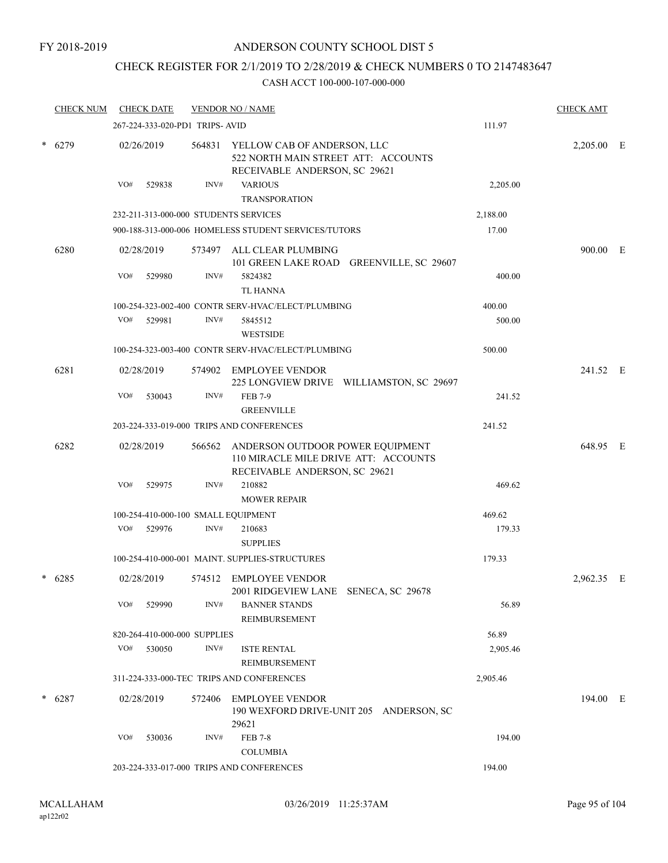### CHECK REGISTER FOR 2/1/2019 TO 2/28/2019 & CHECK NUMBERS 0 TO 2147483647

| <b>CHECK NUM</b> |     | <b>CHECK DATE</b> |                                 | <b>VENDOR NO / NAME</b>                                                                                   |          | <b>CHECK AMT</b> |  |
|------------------|-----|-------------------|---------------------------------|-----------------------------------------------------------------------------------------------------------|----------|------------------|--|
|                  |     |                   | 267-224-333-020-PD1 TRIPS- AVID |                                                                                                           | 111.97   |                  |  |
| $* 6279$         |     | 02/26/2019        | 564831                          | YELLOW CAB OF ANDERSON, LLC<br>522 NORTH MAIN STREET ATT: ACCOUNTS<br>RECEIVABLE ANDERSON, SC 29621       |          | 2,205.00 E       |  |
|                  | VO# | 529838            | INV#                            | <b>VARIOUS</b><br><b>TRANSPORATION</b>                                                                    | 2,205.00 |                  |  |
|                  |     |                   |                                 | 232-211-313-000-000 STUDENTS SERVICES                                                                     | 2,188.00 |                  |  |
|                  |     |                   |                                 | 900-188-313-000-006 HOMELESS STUDENT SERVICES/TUTORS                                                      | 17.00    |                  |  |
| 6280             |     | 02/28/2019        | 573497                          | ALL CLEAR PLUMBING<br>101 GREEN LAKE ROAD GREENVILLE, SC 29607                                            |          | 900.00 E         |  |
|                  | VO# | 529980            | INV#                            | 5824382<br><b>TL HANNA</b>                                                                                | 400.00   |                  |  |
|                  |     |                   |                                 | 100-254-323-002-400 CONTR SERV-HVAC/ELECT/PLUMBING                                                        | 400.00   |                  |  |
|                  | VO# | 529981            | INV#                            | 5845512<br><b>WESTSIDE</b>                                                                                | 500.00   |                  |  |
|                  |     |                   |                                 | 100-254-323-003-400 CONTR SERV-HVAC/ELECT/PLUMBING                                                        | 500.00   |                  |  |
| 6281             |     | 02/28/2019        | 574902                          | <b>EMPLOYEE VENDOR</b><br>225 LONGVIEW DRIVE WILLIAMSTON, SC 29697                                        |          | 241.52 E         |  |
|                  | VO# | 530043            | INV#                            | <b>FEB 7-9</b><br><b>GREENVILLE</b>                                                                       | 241.52   |                  |  |
|                  |     |                   |                                 | 203-224-333-019-000 TRIPS AND CONFERENCES                                                                 | 241.52   |                  |  |
| 6282             |     | 02/28/2019        | 566562                          | ANDERSON OUTDOOR POWER EQUIPMENT<br>110 MIRACLE MILE DRIVE ATT: ACCOUNTS<br>RECEIVABLE ANDERSON, SC 29621 |          | 648.95 E         |  |
|                  | VO# | 529975            | INV#                            | 210882<br><b>MOWER REPAIR</b>                                                                             | 469.62   |                  |  |
|                  |     |                   |                                 | 100-254-410-000-100 SMALL EQUIPMENT                                                                       | 469.62   |                  |  |
|                  | VO# | 529976            | INV#                            | 210683<br><b>SUPPLIES</b>                                                                                 | 179.33   |                  |  |
|                  |     |                   |                                 | 100-254-410-000-001 MAINT. SUPPLIES-STRUCTURES                                                            | 179.33   |                  |  |
| $* 6285$         |     | 02/28/2019        |                                 | 574512 EMPLOYEE VENDOR<br>2001 RIDGEVIEW LANE SENECA, SC 29678                                            |          | 2,962.35 E       |  |
|                  | VO# | 529990            | INV#                            | <b>BANNER STANDS</b><br>REIMBURSEMENT                                                                     | 56.89    |                  |  |
|                  |     |                   | 820-264-410-000-000 SUPPLIES    |                                                                                                           | 56.89    |                  |  |
|                  | VO# | 530050            | INV#                            | <b>ISTE RENTAL</b><br><b>REIMBURSEMENT</b>                                                                | 2,905.46 |                  |  |
|                  |     |                   |                                 | 311-224-333-000-TEC TRIPS AND CONFERENCES                                                                 | 2,905.46 |                  |  |
| $* 6287$         |     | 02/28/2019        | 572406                          | EMPLOYEE VENDOR<br>190 WEXFORD DRIVE-UNIT 205 ANDERSON, SC<br>29621                                       |          | 194.00 E         |  |
|                  | VO# | 530036            | INV#                            | <b>FEB 7-8</b><br><b>COLUMBIA</b>                                                                         | 194.00   |                  |  |
|                  |     |                   |                                 | 203-224-333-017-000 TRIPS AND CONFERENCES                                                                 | 194.00   |                  |  |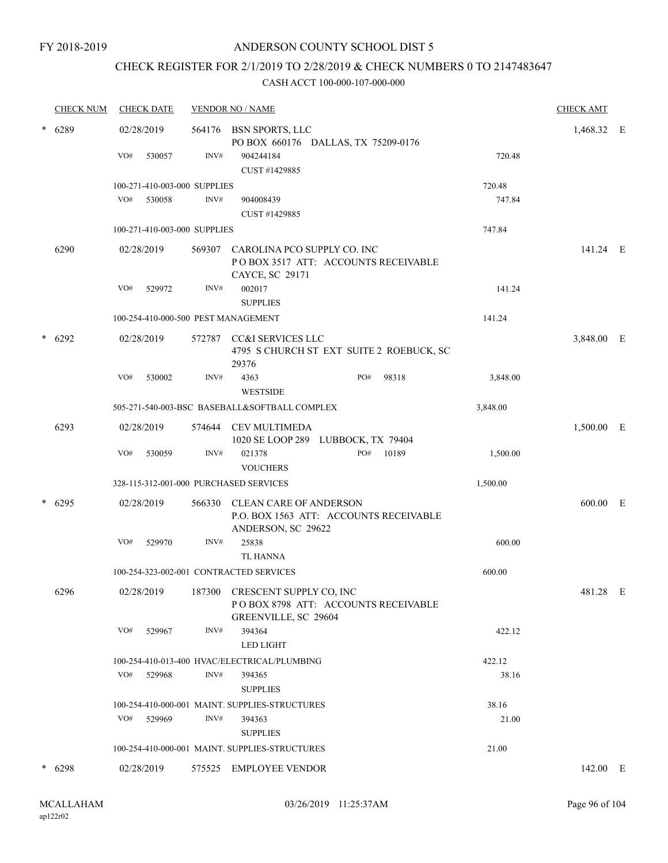### CHECK REGISTER FOR 2/1/2019 TO 2/28/2019 & CHECK NUMBERS 0 TO 2147483647

|        | <b>CHECK NUM</b> |     | <b>CHECK DATE</b>            |      | <b>VENDOR NO / NAME</b>                                                                       |     |           |          | <b>CHECK AMT</b> |  |
|--------|------------------|-----|------------------------------|------|-----------------------------------------------------------------------------------------------|-----|-----------|----------|------------------|--|
| $\ast$ | 6289             |     | 02/28/2019                   |      | 564176 BSN SPORTS, LLC<br>PO BOX 660176 DALLAS, TX 75209-0176                                 |     |           |          | 1,468.32 E       |  |
|        |                  | VO# | 530057                       | INV# | 904244184<br>CUST #1429885                                                                    |     |           | 720.48   |                  |  |
|        |                  |     | 100-271-410-003-000 SUPPLIES |      |                                                                                               |     |           | 720.48   |                  |  |
|        |                  | VO# | 530058                       | INV# | 904008439<br>CUST #1429885                                                                    |     |           | 747.84   |                  |  |
|        |                  |     | 100-271-410-003-000 SUPPLIES |      |                                                                                               |     |           | 747.84   |                  |  |
|        | 6290             |     | 02/28/2019                   |      | 569307 CAROLINA PCO SUPPLY CO. INC<br>PO BOX 3517 ATT: ACCOUNTS RECEIVABLE<br>CAYCE, SC 29171 |     |           |          | 141.24 E         |  |
|        |                  | VO# | 529972                       | INV# | 002017<br><b>SUPPLIES</b>                                                                     |     |           | 141.24   |                  |  |
|        |                  |     |                              |      | 100-254-410-000-500 PEST MANAGEMENT                                                           |     |           | 141.24   |                  |  |
| $\ast$ | 6292             |     | 02/28/2019                   |      | 572787 CC&I SERVICES LLC<br>4795 S CHURCH ST EXT SUITE 2 ROEBUCK, SC<br>29376                 |     |           |          | 3,848.00 E       |  |
|        |                  | VO# | 530002                       | INV# | 4363                                                                                          | PO# | 98318     | 3,848.00 |                  |  |
|        |                  |     |                              |      | <b>WESTSIDE</b>                                                                               |     |           |          |                  |  |
|        |                  |     |                              |      | 505-271-540-003-BSC BASEBALL&SOFTBALL COMPLEX                                                 |     |           | 3,848.00 |                  |  |
|        | 6293             |     | 02/28/2019                   |      | 574644 CEV MULTIMEDA<br>1020 SE LOOP 289 LUBBOCK, TX 79404                                    |     |           |          | 1,500.00 E       |  |
|        |                  | VO# | 530059                       | INV# | 021378<br><b>VOUCHERS</b>                                                                     |     | PO# 10189 | 1,500.00 |                  |  |
|        |                  |     |                              |      | 328-115-312-001-000 PURCHASED SERVICES                                                        |     |           | 1,500.00 |                  |  |
| *      | 6295             |     | 02/28/2019                   |      | 566330 CLEAN CARE OF ANDERSON<br>P.O. BOX 1563 ATT: ACCOUNTS RECEIVABLE<br>ANDERSON, SC 29622 |     |           |          | 600.00 E         |  |
|        |                  | VO# | 529970                       | INV# | 25838<br><b>TL HANNA</b>                                                                      |     |           | 600.00   |                  |  |
|        |                  |     |                              |      | 100-254-323-002-001 CONTRACTED SERVICES                                                       |     |           | 600.00   |                  |  |
|        | 6296             |     | 02/28/2019                   |      | 187300 CRESCENT SUPPLY CO, INC<br>POBOX 8798 ATT: ACCOUNTS RECEIVABLE<br>GREENVILLE, SC 29604 |     |           |          | 481.28 E         |  |
|        |                  | VO# | 529967                       | INV# | 394364<br><b>LED LIGHT</b>                                                                    |     |           | 422.12   |                  |  |
|        |                  |     |                              |      | 100-254-410-013-400 HVAC/ELECTRICAL/PLUMBING                                                  |     |           | 422.12   |                  |  |
|        |                  | VO# | 529968                       | INV# | 394365<br><b>SUPPLIES</b>                                                                     |     |           | 38.16    |                  |  |
|        |                  |     |                              |      | 100-254-410-000-001 MAINT. SUPPLIES-STRUCTURES                                                |     |           | 38.16    |                  |  |
|        |                  |     | VO# 529969                   | INV# | 394363<br><b>SUPPLIES</b>                                                                     |     |           | 21.00    |                  |  |
|        |                  |     |                              |      | 100-254-410-000-001 MAINT. SUPPLIES-STRUCTURES                                                |     |           | 21.00    |                  |  |
|        | $* 6298$         |     | 02/28/2019                   |      | 575525 EMPLOYEE VENDOR                                                                        |     |           |          | 142.00 E         |  |
|        |                  |     |                              |      |                                                                                               |     |           |          |                  |  |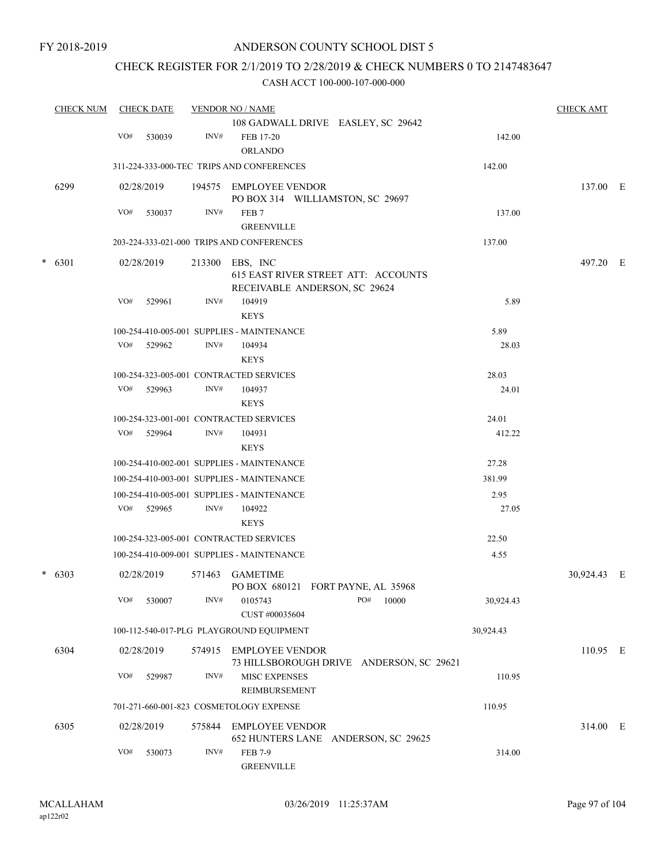### CHECK REGISTER FOR 2/1/2019 TO 2/28/2019 & CHECK NUMBERS 0 TO 2147483647

| <b>CHECK NUM</b> |     | <b>CHECK DATE</b> |        | <b>VENDOR NO / NAME</b>                    |                                          |           | <b>CHECK AMT</b> |  |
|------------------|-----|-------------------|--------|--------------------------------------------|------------------------------------------|-----------|------------------|--|
|                  |     |                   |        |                                            | 108 GADWALL DRIVE EASLEY, SC 29642       |           |                  |  |
|                  | VO# | 530039            | INV#   | FEB 17-20<br><b>ORLANDO</b>                |                                          | 142.00    |                  |  |
|                  |     |                   |        | 311-224-333-000-TEC TRIPS AND CONFERENCES  |                                          | 142.00    |                  |  |
| 6299             |     | 02/28/2019        |        | 194575 EMPLOYEE VENDOR                     | PO BOX 314 WILLIAMSTON, SC 29697         |           | 137.00 E         |  |
|                  | VO# | 530037            | INV#   | FEB <sub>7</sub>                           |                                          | 137.00    |                  |  |
|                  |     |                   |        | <b>GREENVILLE</b>                          |                                          |           |                  |  |
|                  |     |                   |        | 203-224-333-021-000 TRIPS AND CONFERENCES  |                                          | 137.00    |                  |  |
| $* 6301$         |     | 02/28/2019        | 213300 | EBS, INC                                   |                                          |           | 497.20 E         |  |
|                  |     |                   |        |                                            | 615 EAST RIVER STREET ATT: ACCOUNTS      |           |                  |  |
|                  | VO# | 529961            | INV#   | RECEIVABLE ANDERSON, SC 29624<br>104919    |                                          | 5.89      |                  |  |
|                  |     |                   |        | <b>KEYS</b>                                |                                          |           |                  |  |
|                  |     |                   |        | 100-254-410-005-001 SUPPLIES - MAINTENANCE |                                          | 5.89      |                  |  |
|                  |     | VO# 529962        | INV#   | 104934                                     |                                          | 28.03     |                  |  |
|                  |     |                   |        | <b>KEYS</b>                                |                                          |           |                  |  |
|                  |     |                   |        | 100-254-323-005-001 CONTRACTED SERVICES    |                                          | 28.03     |                  |  |
|                  | VO# | 529963            | INV#   | 104937                                     |                                          | 24.01     |                  |  |
|                  |     |                   |        | <b>KEYS</b>                                |                                          |           |                  |  |
|                  |     |                   |        | 100-254-323-001-001 CONTRACTED SERVICES    |                                          | 24.01     |                  |  |
|                  | VO# | 529964            | INV#   | 104931                                     |                                          | 412.22    |                  |  |
|                  |     |                   |        | <b>KEYS</b>                                |                                          |           |                  |  |
|                  |     |                   |        | 100-254-410-002-001 SUPPLIES - MAINTENANCE |                                          | 27.28     |                  |  |
|                  |     |                   |        | 100-254-410-003-001 SUPPLIES - MAINTENANCE |                                          | 381.99    |                  |  |
|                  |     |                   |        | 100-254-410-005-001 SUPPLIES - MAINTENANCE |                                          | 2.95      |                  |  |
|                  | VO# | 529965            | INV#   | 104922<br><b>KEYS</b>                      |                                          | 27.05     |                  |  |
|                  |     |                   |        | 100-254-323-005-001 CONTRACTED SERVICES    |                                          | 22.50     |                  |  |
|                  |     |                   |        | 100-254-410-009-001 SUPPLIES - MAINTENANCE |                                          | 4.55      |                  |  |
| $* 6303$         |     | 02/28/2019        | 571463 | <b>GAMETIME</b>                            | PO BOX 680121 FORT PAYNE, AL 35968       |           | 30,924.43 E      |  |
|                  | VO# | 530007            | INV#   | 0105743<br>CUST #00035604                  | PO#<br>10000                             | 30,924.43 |                  |  |
|                  |     |                   |        | 100-112-540-017-PLG PLAYGROUND EQUIPMENT   |                                          | 30,924.43 |                  |  |
| 6304             |     | 02/28/2019        |        | 574915 EMPLOYEE VENDOR                     | 73 HILLSBOROUGH DRIVE ANDERSON, SC 29621 |           | 110.95 E         |  |
|                  | VO# | 529987            | INV#   | <b>MISC EXPENSES</b><br>REIMBURSEMENT      |                                          | 110.95    |                  |  |
|                  |     |                   |        | 701-271-660-001-823 COSMETOLOGY EXPENSE    |                                          | 110.95    |                  |  |
|                  |     |                   |        |                                            |                                          |           |                  |  |
| 6305             |     | 02/28/2019        | 575844 | <b>EMPLOYEE VENDOR</b>                     | 652 HUNTERS LANE ANDERSON, SC 29625      |           | 314.00 E         |  |
|                  | VO# | 530073            | INV#   | <b>FEB 7-9</b><br><b>GREENVILLE</b>        |                                          | 314.00    |                  |  |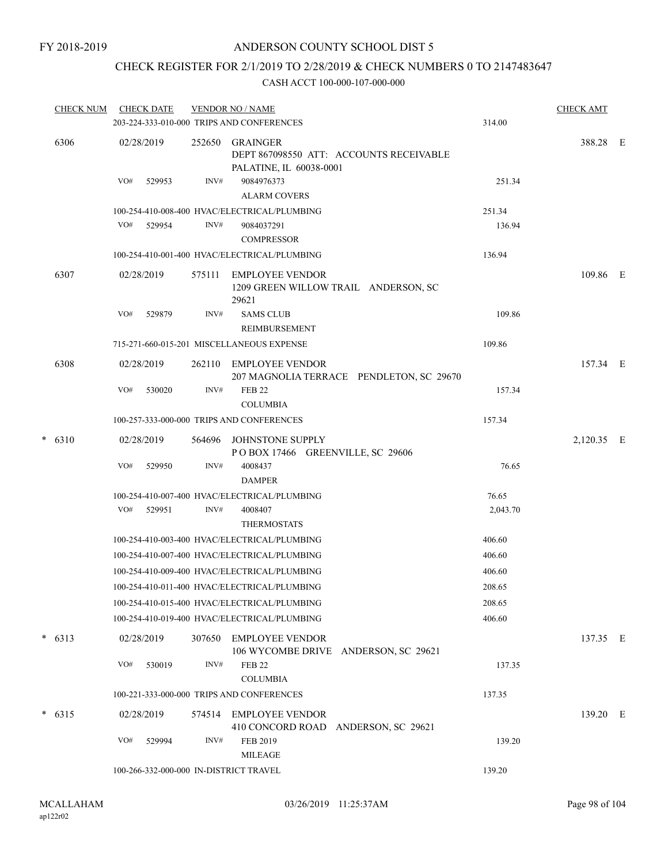### CHECK REGISTER FOR 2/1/2019 TO 2/28/2019 & CHECK NUMBERS 0 TO 2147483647

| <b>CHECK NUM</b> |     |            |                                                                                                                                         |                                   |                                                                                                                                                                                                                                                                                                                                                                                                                                                                                                                                                                                                                                                                                                                                                                                                                                                                                                         | 314.00                                                                                                                                                                                                                                         | <b>CHECK AMT</b>                               |                        |
|------------------|-----|------------|-----------------------------------------------------------------------------------------------------------------------------------------|-----------------------------------|---------------------------------------------------------------------------------------------------------------------------------------------------------------------------------------------------------------------------------------------------------------------------------------------------------------------------------------------------------------------------------------------------------------------------------------------------------------------------------------------------------------------------------------------------------------------------------------------------------------------------------------------------------------------------------------------------------------------------------------------------------------------------------------------------------------------------------------------------------------------------------------------------------|------------------------------------------------------------------------------------------------------------------------------------------------------------------------------------------------------------------------------------------------|------------------------------------------------|------------------------|
|                  |     |            | 252650                                                                                                                                  | PALATINE, IL 60038-0001           |                                                                                                                                                                                                                                                                                                                                                                                                                                                                                                                                                                                                                                                                                                                                                                                                                                                                                                         |                                                                                                                                                                                                                                                | 388.28 E                                       |                        |
|                  | VO# | 529953     | INV#                                                                                                                                    | 9084976373<br><b>ALARM COVERS</b> |                                                                                                                                                                                                                                                                                                                                                                                                                                                                                                                                                                                                                                                                                                                                                                                                                                                                                                         | 251.34                                                                                                                                                                                                                                         |                                                |                        |
|                  |     |            |                                                                                                                                         |                                   |                                                                                                                                                                                                                                                                                                                                                                                                                                                                                                                                                                                                                                                                                                                                                                                                                                                                                                         | 251.34                                                                                                                                                                                                                                         |                                                |                        |
|                  |     |            | INV#                                                                                                                                    | 9084037291                        |                                                                                                                                                                                                                                                                                                                                                                                                                                                                                                                                                                                                                                                                                                                                                                                                                                                                                                         | 136.94                                                                                                                                                                                                                                         |                                                |                        |
|                  |     |            |                                                                                                                                         |                                   |                                                                                                                                                                                                                                                                                                                                                                                                                                                                                                                                                                                                                                                                                                                                                                                                                                                                                                         |                                                                                                                                                                                                                                                |                                                |                        |
|                  |     |            | 575111                                                                                                                                  | 29621                             |                                                                                                                                                                                                                                                                                                                                                                                                                                                                                                                                                                                                                                                                                                                                                                                                                                                                                                         |                                                                                                                                                                                                                                                | 109.86 E                                       |                        |
|                  | VO# | 529879     | INV#                                                                                                                                    | <b>SAMS CLUB</b>                  |                                                                                                                                                                                                                                                                                                                                                                                                                                                                                                                                                                                                                                                                                                                                                                                                                                                                                                         | 109.86                                                                                                                                                                                                                                         |                                                |                        |
|                  |     |            |                                                                                                                                         | REIMBURSEMENT                     |                                                                                                                                                                                                                                                                                                                                                                                                                                                                                                                                                                                                                                                                                                                                                                                                                                                                                                         |                                                                                                                                                                                                                                                |                                                |                        |
|                  |     |            |                                                                                                                                         |                                   |                                                                                                                                                                                                                                                                                                                                                                                                                                                                                                                                                                                                                                                                                                                                                                                                                                                                                                         | 109.86                                                                                                                                                                                                                                         |                                                |                        |
|                  |     |            | 262110                                                                                                                                  |                                   |                                                                                                                                                                                                                                                                                                                                                                                                                                                                                                                                                                                                                                                                                                                                                                                                                                                                                                         |                                                                                                                                                                                                                                                | 157.34 E                                       |                        |
|                  | VO# | 530020     | INV#                                                                                                                                    | <b>FEB 22</b>                     |                                                                                                                                                                                                                                                                                                                                                                                                                                                                                                                                                                                                                                                                                                                                                                                                                                                                                                         | 157.34                                                                                                                                                                                                                                         |                                                |                        |
|                  |     |            |                                                                                                                                         |                                   |                                                                                                                                                                                                                                                                                                                                                                                                                                                                                                                                                                                                                                                                                                                                                                                                                                                                                                         |                                                                                                                                                                                                                                                |                                                |                        |
|                  |     |            |                                                                                                                                         |                                   |                                                                                                                                                                                                                                                                                                                                                                                                                                                                                                                                                                                                                                                                                                                                                                                                                                                                                                         |                                                                                                                                                                                                                                                |                                                |                        |
|                  |     |            |                                                                                                                                         |                                   |                                                                                                                                                                                                                                                                                                                                                                                                                                                                                                                                                                                                                                                                                                                                                                                                                                                                                                         |                                                                                                                                                                                                                                                |                                                |                        |
|                  |     |            |                                                                                                                                         |                                   |                                                                                                                                                                                                                                                                                                                                                                                                                                                                                                                                                                                                                                                                                                                                                                                                                                                                                                         |                                                                                                                                                                                                                                                |                                                |                        |
|                  |     |            |                                                                                                                                         |                                   |                                                                                                                                                                                                                                                                                                                                                                                                                                                                                                                                                                                                                                                                                                                                                                                                                                                                                                         |                                                                                                                                                                                                                                                |                                                |                        |
|                  |     |            |                                                                                                                                         |                                   |                                                                                                                                                                                                                                                                                                                                                                                                                                                                                                                                                                                                                                                                                                                                                                                                                                                                                                         |                                                                                                                                                                                                                                                |                                                |                        |
|                  |     |            |                                                                                                                                         | <b>THERMOSTATS</b>                |                                                                                                                                                                                                                                                                                                                                                                                                                                                                                                                                                                                                                                                                                                                                                                                                                                                                                                         |                                                                                                                                                                                                                                                |                                                |                        |
|                  |     |            |                                                                                                                                         |                                   |                                                                                                                                                                                                                                                                                                                                                                                                                                                                                                                                                                                                                                                                                                                                                                                                                                                                                                         | 406.60                                                                                                                                                                                                                                         |                                                |                        |
|                  |     |            |                                                                                                                                         |                                   |                                                                                                                                                                                                                                                                                                                                                                                                                                                                                                                                                                                                                                                                                                                                                                                                                                                                                                         | 406.60                                                                                                                                                                                                                                         |                                                |                        |
|                  |     |            |                                                                                                                                         |                                   |                                                                                                                                                                                                                                                                                                                                                                                                                                                                                                                                                                                                                                                                                                                                                                                                                                                                                                         | 406.60                                                                                                                                                                                                                                         |                                                |                        |
|                  |     |            |                                                                                                                                         |                                   |                                                                                                                                                                                                                                                                                                                                                                                                                                                                                                                                                                                                                                                                                                                                                                                                                                                                                                         | 208.65                                                                                                                                                                                                                                         |                                                |                        |
|                  |     |            |                                                                                                                                         |                                   |                                                                                                                                                                                                                                                                                                                                                                                                                                                                                                                                                                                                                                                                                                                                                                                                                                                                                                         | 208.65                                                                                                                                                                                                                                         |                                                |                        |
|                  |     |            |                                                                                                                                         |                                   |                                                                                                                                                                                                                                                                                                                                                                                                                                                                                                                                                                                                                                                                                                                                                                                                                                                                                                         | 406.60                                                                                                                                                                                                                                         |                                                |                        |
|                  |     |            |                                                                                                                                         |                                   |                                                                                                                                                                                                                                                                                                                                                                                                                                                                                                                                                                                                                                                                                                                                                                                                                                                                                                         |                                                                                                                                                                                                                                                | 137.35 E                                       |                        |
|                  | VO# | 530019     | INV#                                                                                                                                    | <b>FEB 22</b><br><b>COLUMBIA</b>  |                                                                                                                                                                                                                                                                                                                                                                                                                                                                                                                                                                                                                                                                                                                                                                                                                                                                                                         | 137.35                                                                                                                                                                                                                                         |                                                |                        |
|                  |     |            |                                                                                                                                         |                                   |                                                                                                                                                                                                                                                                                                                                                                                                                                                                                                                                                                                                                                                                                                                                                                                                                                                                                                         | 137.35                                                                                                                                                                                                                                         |                                                |                        |
|                  |     |            |                                                                                                                                         |                                   |                                                                                                                                                                                                                                                                                                                                                                                                                                                                                                                                                                                                                                                                                                                                                                                                                                                                                                         |                                                                                                                                                                                                                                                |                                                |                        |
|                  |     |            |                                                                                                                                         |                                   |                                                                                                                                                                                                                                                                                                                                                                                                                                                                                                                                                                                                                                                                                                                                                                                                                                                                                                         |                                                                                                                                                                                                                                                |                                                |                        |
|                  | VO# | 529994     | INV#                                                                                                                                    | FEB 2019<br><b>MILEAGE</b>        |                                                                                                                                                                                                                                                                                                                                                                                                                                                                                                                                                                                                                                                                                                                                                                                                                                                                                                         | 139.20                                                                                                                                                                                                                                         |                                                |                        |
|                  |     |            |                                                                                                                                         |                                   |                                                                                                                                                                                                                                                                                                                                                                                                                                                                                                                                                                                                                                                                                                                                                                                                                                                                                                         | 139.20                                                                                                                                                                                                                                         |                                                |                        |
|                  |     | VO#<br>VO# | <b>CHECK DATE</b><br>02/28/2019<br>VO# 529954<br>02/28/2019<br>02/28/2019<br>02/28/2019<br>529950<br>529951<br>02/28/2019<br>02/28/2019 | 564696<br>INV#<br>INV#<br>574514  | <b>VENDOR NO / NAME</b><br>203-224-333-010-000 TRIPS AND CONFERENCES<br>GRAINGER<br>100-254-410-008-400 HVAC/ELECTRICAL/PLUMBING<br><b>COMPRESSOR</b><br>100-254-410-001-400 HVAC/ELECTRICAL/PLUMBING<br>EMPLOYEE VENDOR<br>715-271-660-015-201 MISCELLANEOUS EXPENSE<br>EMPLOYEE VENDOR<br><b>COLUMBIA</b><br>100-257-333-000-000 TRIPS AND CONFERENCES<br>JOHNSTONE SUPPLY<br>4008437<br><b>DAMPER</b><br>100-254-410-007-400 HVAC/ELECTRICAL/PLUMBING<br>4008407<br>100-254-410-003-400 HVAC/ELECTRICAL/PLUMBING<br>100-254-410-007-400 HVAC/ELECTRICAL/PLUMBING<br>100-254-410-009-400 HVAC/ELECTRICAL/PLUMBING<br>100-254-410-011-400 HVAC/ELECTRICAL/PLUMBING<br>100-254-410-015-400 HVAC/ELECTRICAL/PLUMBING<br>100-254-410-019-400 HVAC/ELECTRICAL/PLUMBING<br>307650 EMPLOYEE VENDOR<br>100-221-333-000-000 TRIPS AND CONFERENCES<br>EMPLOYEE VENDOR<br>100-266-332-000-000 IN-DISTRICT TRAVEL | DEPT 867098550 ATT: ACCOUNTS RECEIVABLE<br>1209 GREEN WILLOW TRAIL ANDERSON, SC<br>207 MAGNOLIA TERRACE PENDLETON, SC 29670<br>POBOX 17466 GREENVILLE, SC 29606<br>106 WYCOMBE DRIVE ANDERSON, SC 29621<br>410 CONCORD ROAD ANDERSON, SC 29621 | 136.94<br>157.34<br>76.65<br>76.65<br>2,043.70 | 2,120.35 E<br>139.20 E |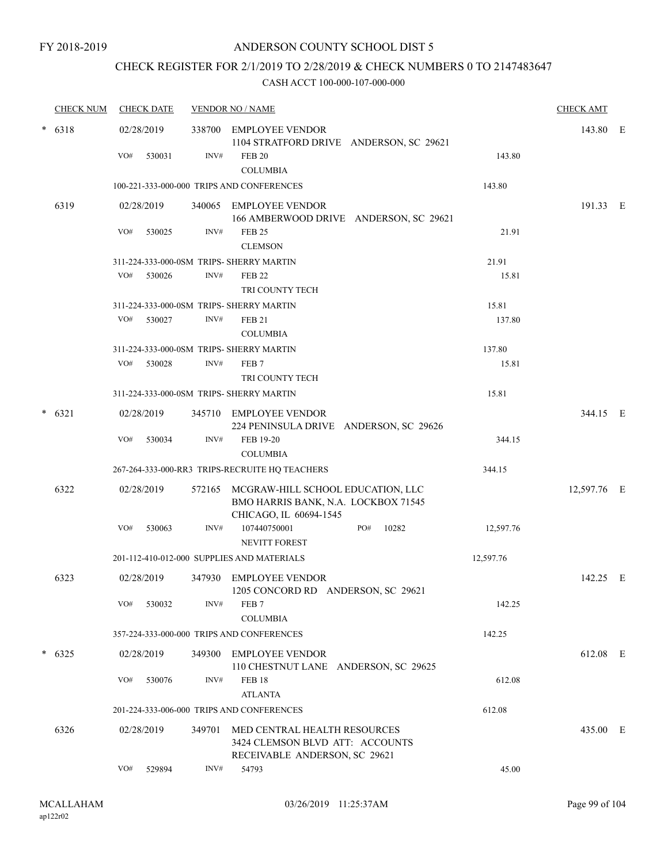### CHECK REGISTER FOR 2/1/2019 TO 2/28/2019 & CHECK NUMBERS 0 TO 2147483647

|        | <b>CHECK NUM</b> |            | <b>CHECK DATE</b> |        | <b>VENDOR NO / NAME</b>                                                                            |           | <b>CHECK AMT</b> |  |
|--------|------------------|------------|-------------------|--------|----------------------------------------------------------------------------------------------------|-----------|------------------|--|
|        | $* 6318$         | 02/28/2019 |                   |        | 338700 EMPLOYEE VENDOR<br>1104 STRATFORD DRIVE ANDERSON, SC 29621                                  |           | 143.80 E         |  |
|        |                  | VO#        | 530031            | INV#   | <b>FEB 20</b><br><b>COLUMBIA</b>                                                                   | 143.80    |                  |  |
|        |                  |            |                   |        | 100-221-333-000-000 TRIPS AND CONFERENCES                                                          | 143.80    |                  |  |
|        | 6319             | 02/28/2019 |                   |        | 340065 EMPLOYEE VENDOR<br>166 AMBERWOOD DRIVE ANDERSON, SC 29621                                   |           | 191.33 E         |  |
|        |                  | VO#        | 530025            | INV#   | <b>FEB 25</b><br><b>CLEMSON</b>                                                                    | 21.91     |                  |  |
|        |                  |            |                   |        | 311-224-333-000-0SM TRIPS- SHERRY MARTIN                                                           | 21.91     |                  |  |
|        |                  | VO#        | 530026            | INV#   | <b>FEB 22</b><br>TRI COUNTY TECH                                                                   | 15.81     |                  |  |
|        |                  |            |                   |        | 311-224-333-000-0SM TRIPS- SHERRY MARTIN                                                           | 15.81     |                  |  |
|        |                  | VO#        | 530027            | INV#   | <b>FEB 21</b><br><b>COLUMBIA</b>                                                                   | 137.80    |                  |  |
|        |                  |            |                   |        | 311-224-333-000-0SM TRIPS- SHERRY MARTIN                                                           | 137.80    |                  |  |
|        |                  | VO#        | 530028            | INV#   | FEB <sub>7</sub><br>TRI COUNTY TECH                                                                | 15.81     |                  |  |
|        |                  |            |                   |        | 311-224-333-000-0SM TRIPS- SHERRY MARTIN                                                           | 15.81     |                  |  |
| $\ast$ | 6321             | 02/28/2019 |                   |        | 345710 EMPLOYEE VENDOR<br>224 PENINSULA DRIVE ANDERSON, SC 29626                                   |           | 344.15 E         |  |
|        |                  | VO#        | 530034            | INV#   | FEB 19-20<br><b>COLUMBIA</b>                                                                       | 344.15    |                  |  |
|        |                  |            |                   |        | 267-264-333-000-RR3 TRIPS-RECRUITE HQ TEACHERS                                                     | 344.15    |                  |  |
|        | 6322             | 02/28/2019 |                   | 572165 | MCGRAW-HILL SCHOOL EDUCATION, LLC<br>BMO HARRIS BANK, N.A. LOCKBOX 71545<br>CHICAGO, IL 60694-1545 |           | 12,597.76 E      |  |
|        |                  | VO#        | 530063            | INV#   | PO#<br>107440750001<br>10282<br><b>NEVITT FOREST</b>                                               | 12,597.76 |                  |  |
|        |                  |            |                   |        | 201-112-410-012-000 SUPPLIES AND MATERIALS                                                         | 12,597.76 |                  |  |
|        | 6323             |            | 02/28/2019        |        | 347930 EMPLOYEE VENDOR<br>1205 CONCORD RD ANDERSON, SC 29621                                       |           | 142.25 E         |  |
|        |                  | VO#        | 530032            | INV#   | FEB 7<br><b>COLUMBIA</b>                                                                           | 142.25    |                  |  |
|        |                  |            |                   |        | 357-224-333-000-000 TRIPS AND CONFERENCES                                                          | 142.25    |                  |  |
| $\ast$ | 6325             |            | 02/28/2019        |        | 349300 EMPLOYEE VENDOR<br>110 CHESTNUT LANE ANDERSON, SC 29625                                     |           | 612.08 E         |  |
|        |                  | VO#        | 530076            | INV#   | <b>FEB 18</b><br><b>ATLANTA</b>                                                                    | 612.08    |                  |  |
|        |                  |            |                   |        | 201-224-333-006-000 TRIPS AND CONFERENCES                                                          | 612.08    |                  |  |
|        | 6326             |            | 02/28/2019        | 349701 | MED CENTRAL HEALTH RESOURCES<br>3424 CLEMSON BLVD ATT: ACCOUNTS<br>RECEIVABLE ANDERSON, SC 29621   |           | 435.00 E         |  |
|        |                  | VO#        | 529894            | INV#   | 54793                                                                                              | 45.00     |                  |  |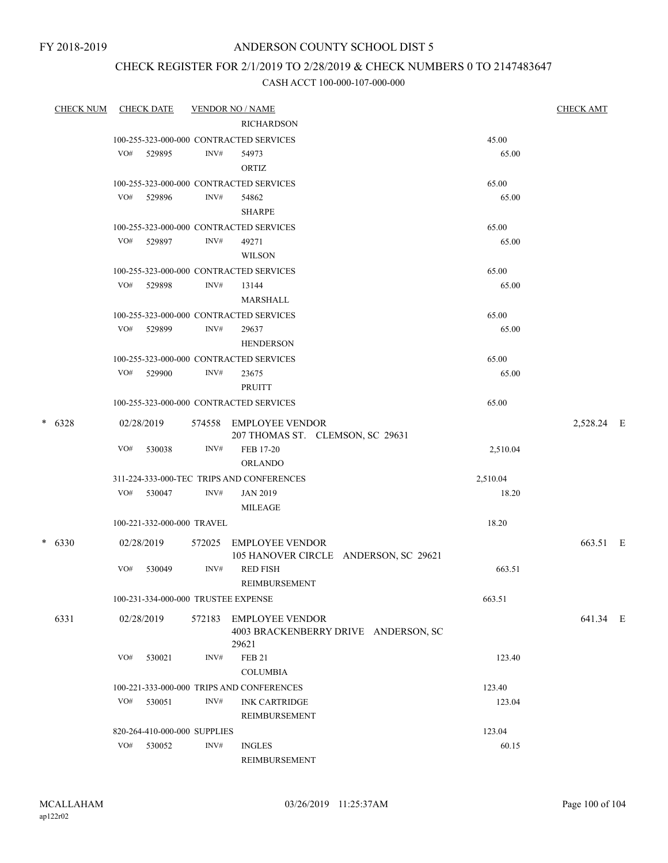FY 2018-2019

### ANDERSON COUNTY SCHOOL DIST 5

### CHECK REGISTER FOR 2/1/2019 TO 2/28/2019 & CHECK NUMBERS 0 TO 2147483647

| <b>CHECK NUM</b> |     | <b>CHECK DATE</b>                   |                | <b>VENDOR NO / NAME</b>                                        |                | <b>CHECK AMT</b> |  |
|------------------|-----|-------------------------------------|----------------|----------------------------------------------------------------|----------------|------------------|--|
|                  |     |                                     |                | <b>RICHARDSON</b>                                              |                |                  |  |
|                  |     |                                     |                | 100-255-323-000-000 CONTRACTED SERVICES                        | 45.00          |                  |  |
|                  | VO# | 529895                              | INV#           | 54973                                                          | 65.00          |                  |  |
|                  |     |                                     |                | ORTIZ                                                          |                |                  |  |
|                  |     |                                     |                | 100-255-323-000-000 CONTRACTED SERVICES                        | 65.00          |                  |  |
|                  |     | VO# 529896                          | INV#           | 54862                                                          | 65.00          |                  |  |
|                  |     |                                     |                | <b>SHARPE</b>                                                  |                |                  |  |
|                  |     |                                     |                | 100-255-323-000-000 CONTRACTED SERVICES                        | 65.00          |                  |  |
|                  |     | VO# 529897                          | INV#           | 49271                                                          | 65.00          |                  |  |
|                  |     |                                     |                | <b>WILSON</b>                                                  |                |                  |  |
|                  |     |                                     |                | 100-255-323-000-000 CONTRACTED SERVICES                        | 65.00          |                  |  |
|                  | VO# | 529898                              | INV#           | 13144                                                          | 65.00          |                  |  |
|                  |     |                                     |                | MARSHALL                                                       |                |                  |  |
|                  |     | VO# 529899                          | INV#           | 100-255-323-000-000 CONTRACTED SERVICES<br>29637               | 65.00<br>65.00 |                  |  |
|                  |     |                                     |                | <b>HENDERSON</b>                                               |                |                  |  |
|                  |     |                                     |                | 100-255-323-000-000 CONTRACTED SERVICES                        | 65.00          |                  |  |
|                  | VO# | 529900                              | INV#           | 23675                                                          | 65.00          |                  |  |
|                  |     |                                     |                | PRUITT                                                         |                |                  |  |
|                  |     |                                     |                | 100-255-323-000-000 CONTRACTED SERVICES                        | 65.00          |                  |  |
| $* 6328$         |     | 02/28/2019                          |                | 574558 EMPLOYEE VENDOR                                         |                | 2,528.24 E       |  |
|                  |     |                                     |                | 207 THOMAS ST. CLEMSON, SC 29631                               |                |                  |  |
|                  | VO# | 530038                              | INV#           | FEB 17-20                                                      | 2,510.04       |                  |  |
|                  |     |                                     |                | <b>ORLANDO</b>                                                 |                |                  |  |
|                  |     |                                     |                | 311-224-333-000-TEC TRIPS AND CONFERENCES                      | 2,510.04       |                  |  |
|                  | VO# | 530047                              | INV#           | <b>JAN 2019</b>                                                | 18.20          |                  |  |
|                  |     |                                     |                | <b>MILEAGE</b>                                                 |                |                  |  |
|                  |     | 100-221-332-000-000 TRAVEL          |                |                                                                | 18.20          |                  |  |
| $* 6330$         |     | 02/28/2019                          | 572025         | <b>EMPLOYEE VENDOR</b>                                         |                | 663.51 E         |  |
|                  |     |                                     |                | 105 HANOVER CIRCLE ANDERSON, SC 29621                          |                |                  |  |
|                  | VO# | 530049                              | INV#           | <b>RED FISH</b><br>REIMBURSEMENT                               | 663.51         |                  |  |
|                  |     | 100-231-334-000-000 TRUSTEE EXPENSE |                |                                                                | 663.51         |                  |  |
|                  |     |                                     |                |                                                                |                |                  |  |
| 6331             |     | 02/28/2019                          | 572183         | <b>EMPLOYEE VENDOR</b><br>4003 BRACKENBERRY DRIVE ANDERSON, SC |                | 641.34 E         |  |
|                  |     |                                     |                | 29621                                                          |                |                  |  |
|                  | VO# | 530021                              | INV#           | <b>FEB 21</b>                                                  | 123.40         |                  |  |
|                  |     |                                     |                | <b>COLUMBIA</b>                                                |                |                  |  |
|                  |     |                                     |                | 100-221-333-000-000 TRIPS AND CONFERENCES                      | 123.40         |                  |  |
|                  | VO# | 530051                              | INV#           | <b>INK CARTRIDGE</b>                                           | 123.04         |                  |  |
|                  |     |                                     |                | REIMBURSEMENT                                                  |                |                  |  |
|                  |     | 820-264-410-000-000 SUPPLIES        |                |                                                                | 123.04         |                  |  |
|                  | VO# | 530052                              | $\text{INV}\#$ | <b>INGLES</b>                                                  | 60.15          |                  |  |
|                  |     |                                     |                | REIMBURSEMENT                                                  |                |                  |  |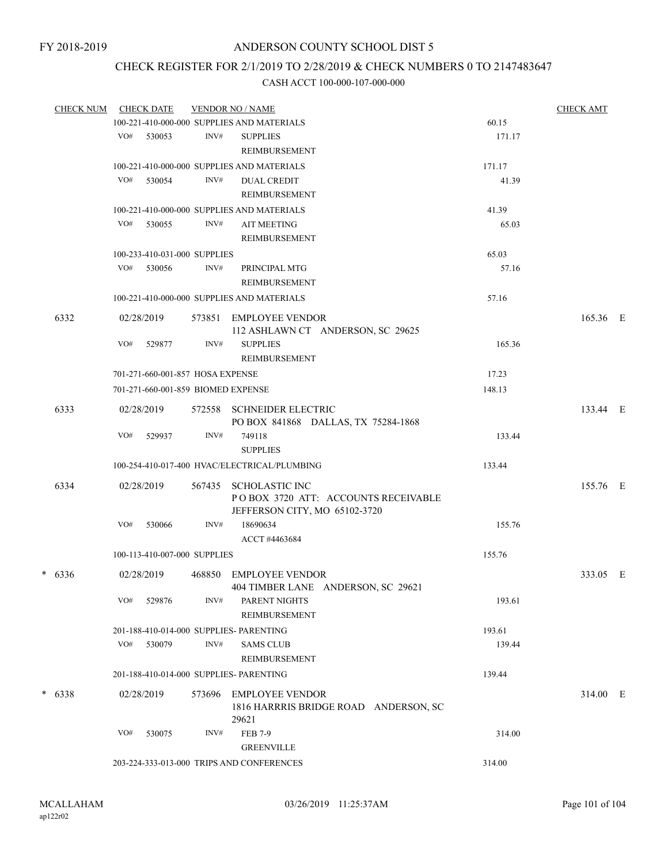# CHECK REGISTER FOR 2/1/2019 TO 2/28/2019 & CHECK NUMBERS 0 TO 2147483647

| <b>CHECK NUM</b> |            | <b>CHECK DATE</b>                  |                                         | <b>VENDOR NO / NAME</b>                                          |        | <b>CHECK AMT</b> |  |
|------------------|------------|------------------------------------|-----------------------------------------|------------------------------------------------------------------|--------|------------------|--|
|                  |            |                                    |                                         | 100-221-410-000-000 SUPPLIES AND MATERIALS                       | 60.15  |                  |  |
|                  | VO#        | 530053                             | INV#                                    | <b>SUPPLIES</b>                                                  | 171.17 |                  |  |
|                  |            |                                    |                                         | REIMBURSEMENT                                                    |        |                  |  |
|                  |            |                                    |                                         | 100-221-410-000-000 SUPPLIES AND MATERIALS                       | 171.17 |                  |  |
|                  | VO#        | 530054                             | INV#                                    | <b>DUAL CREDIT</b>                                               | 41.39  |                  |  |
|                  |            |                                    |                                         | REIMBURSEMENT                                                    |        |                  |  |
|                  |            |                                    |                                         | 100-221-410-000-000 SUPPLIES AND MATERIALS                       | 41.39  |                  |  |
|                  | VO#        | 530055                             | INV#                                    | <b>AIT MEETING</b>                                               | 65.03  |                  |  |
|                  |            |                                    |                                         | <b>REIMBURSEMENT</b>                                             |        |                  |  |
|                  |            | 100-233-410-031-000 SUPPLIES       |                                         |                                                                  | 65.03  |                  |  |
|                  |            | VO# 530056                         | INV#                                    | PRINCIPAL MTG                                                    | 57.16  |                  |  |
|                  |            |                                    |                                         |                                                                  |        |                  |  |
|                  |            |                                    |                                         | REIMBURSEMENT                                                    |        |                  |  |
|                  |            |                                    |                                         | 100-221-410-000-000 SUPPLIES AND MATERIALS                       | 57.16  |                  |  |
| 6332             | 02/28/2019 |                                    |                                         | 573851 EMPLOYEE VENDOR                                           |        | 165.36 E         |  |
|                  |            |                                    |                                         | 112 ASHLAWN CT ANDERSON, SC 29625                                |        |                  |  |
|                  | VO#        | 529877                             | INV#                                    | <b>SUPPLIES</b>                                                  | 165.36 |                  |  |
|                  |            |                                    |                                         | REIMBURSEMENT                                                    |        |                  |  |
|                  |            | 701-271-660-001-857 HOSA EXPENSE   |                                         |                                                                  | 17.23  |                  |  |
|                  |            | 701-271-660-001-859 BIOMED EXPENSE |                                         | 148.13                                                           |        |                  |  |
|                  |            |                                    |                                         |                                                                  |        |                  |  |
| 6333             | 02/28/2019 |                                    |                                         | 572558 SCHNEIDER ELECTRIC<br>PO BOX 841868 DALLAS, TX 75284-1868 |        | 133.44 E         |  |
|                  | VO#        | 529937                             | INV#                                    | 749118                                                           | 133.44 |                  |  |
|                  |            |                                    |                                         | <b>SUPPLIES</b>                                                  |        |                  |  |
|                  |            |                                    |                                         | 100-254-410-017-400 HVAC/ELECTRICAL/PLUMBING                     | 133.44 |                  |  |
|                  |            |                                    |                                         |                                                                  |        |                  |  |
| 6334             | 02/28/2019 |                                    | 567435                                  | <b>SCHOLASTIC INC</b>                                            |        | 155.76 E         |  |
|                  |            |                                    |                                         | POBOX 3720 ATT: ACCOUNTS RECEIVABLE                              |        |                  |  |
|                  |            |                                    |                                         | JEFFERSON CITY, MO 65102-3720                                    |        |                  |  |
|                  | VO#        | 530066                             | INV#                                    | 18690634                                                         | 155.76 |                  |  |
|                  |            |                                    |                                         | ACCT #4463684                                                    |        |                  |  |
|                  |            | 100-113-410-007-000 SUPPLIES       |                                         |                                                                  | 155.76 |                  |  |
| $* 6336$         | 02/28/2019 |                                    | 468850                                  | <b>EMPLOYEE VENDOR</b>                                           |        | 333.05 E         |  |
|                  |            |                                    |                                         | 404 TIMBER LANE ANDERSON, SC 29621                               |        |                  |  |
|                  | VO#        | 529876                             | INV#                                    | PARENT NIGHTS                                                    | 193.61 |                  |  |
|                  |            |                                    |                                         | <b>REIMBURSEMENT</b>                                             |        |                  |  |
|                  |            |                                    |                                         | 201-188-410-014-000 SUPPLIES- PARENTING                          | 193.61 |                  |  |
|                  | VO#        | 530079                             | INV#                                    | SAMS CLUB                                                        | 139.44 |                  |  |
|                  |            |                                    |                                         | REIMBURSEMENT                                                    |        |                  |  |
|                  |            |                                    | 201-188-410-014-000 SUPPLIES- PARENTING |                                                                  | 139.44 |                  |  |
|                  |            |                                    |                                         |                                                                  |        |                  |  |
| $* 6338$         | 02/28/2019 |                                    | 573696                                  | EMPLOYEE VENDOR                                                  |        | 314.00 E         |  |
|                  |            |                                    |                                         | 1816 HARRRIS BRIDGE ROAD ANDERSON, SC                            |        |                  |  |
|                  |            |                                    |                                         | 29621                                                            |        |                  |  |
|                  | VO#        | 530075                             | INV#                                    | <b>FEB 7-9</b>                                                   | 314.00 |                  |  |
|                  |            |                                    |                                         | <b>GREENVILLE</b>                                                |        |                  |  |
|                  |            |                                    |                                         | 203-224-333-013-000 TRIPS AND CONFERENCES                        | 314.00 |                  |  |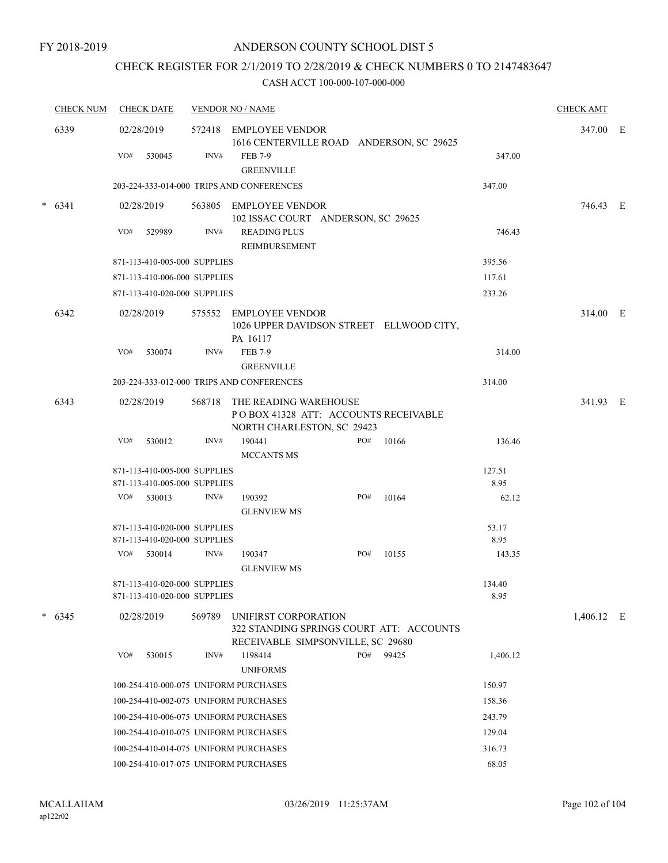### CHECK REGISTER FOR 2/1/2019 TO 2/28/2019 & CHECK NUMBERS 0 TO 2147483647

| <b>CHECK NUM</b> |          | <b>CHECK DATE</b> |                                                              | <b>VENDOR NO / NAME</b> | <b>CHECK AMT</b>                                                                                      |          |       |                |              |  |
|------------------|----------|-------------------|--------------------------------------------------------------|-------------------------|-------------------------------------------------------------------------------------------------------|----------|-------|----------------|--------------|--|
| 6339             |          | 02/28/2019        |                                                              | 572418 EMPLOYEE VENDOR  | 1616 CENTERVILLE ROAD ANDERSON, SC 29625                                                              | 347.00 E |       |                |              |  |
|                  |          | VO#               | 530045                                                       | INV#                    | FEB 7-9<br><b>GREENVILLE</b>                                                                          |          |       | 347.00         |              |  |
|                  |          |                   |                                                              |                         | 203-224-333-014-000 TRIPS AND CONFERENCES                                                             |          |       | 347.00         |              |  |
|                  | $* 6341$ |                   | 02/28/2019                                                   |                         | 563805 EMPLOYEE VENDOR<br>102 ISSAC COURT ANDERSON, SC 29625                                          |          |       |                | 746.43 E     |  |
|                  |          | VO#               | 529989                                                       | INV#                    | <b>READING PLUS</b><br>REIMBURSEMENT                                                                  |          |       | 746.43         |              |  |
|                  |          |                   | 871-113-410-005-000 SUPPLIES                                 |                         |                                                                                                       |          |       | 395.56         |              |  |
|                  |          |                   | 871-113-410-006-000 SUPPLIES                                 |                         |                                                                                                       |          |       | 117.61         |              |  |
|                  |          |                   | 871-113-410-020-000 SUPPLIES                                 |                         |                                                                                                       |          |       | 233.26         |              |  |
|                  | 6342     |                   | 02/28/2019                                                   |                         | 575552 EMPLOYEE VENDOR<br>1026 UPPER DAVIDSON STREET ELLWOOD CITY,<br>PA 16117                        |          |       |                | 314.00 E     |  |
|                  |          | VO#               | 530074                                                       | INV#                    | <b>FEB 7-9</b><br><b>GREENVILLE</b>                                                                   |          |       | 314.00         |              |  |
|                  |          |                   |                                                              |                         | 203-224-333-012-000 TRIPS AND CONFERENCES                                                             |          |       | 314.00         |              |  |
|                  | 6343     |                   | 02/28/2019                                                   | 568718                  | THE READING WAREHOUSE<br>PO BOX 41328 ATT: ACCOUNTS RECEIVABLE<br>NORTH CHARLESTON, SC 29423          |          |       |                | 341.93 E     |  |
|                  |          | VO#               | 530012                                                       | INV#                    | 190441<br><b>MCCANTS MS</b>                                                                           | PO#      | 10166 | 136.46         |              |  |
|                  |          |                   | 871-113-410-005-000 SUPPLIES                                 |                         |                                                                                                       |          |       | 127.51         |              |  |
|                  |          |                   | 871-113-410-005-000 SUPPLIES                                 |                         |                                                                                                       |          |       | 8.95           |              |  |
|                  |          |                   | VO# 530013                                                   | INV#                    | 190392<br><b>GLENVIEW MS</b>                                                                          | PO#      | 10164 | 62.12          |              |  |
|                  |          |                   | 871-113-410-020-000 SUPPLIES                                 |                         |                                                                                                       |          |       | 53.17          |              |  |
|                  |          |                   | 871-113-410-020-000 SUPPLIES                                 |                         |                                                                                                       |          |       | 8.95           |              |  |
|                  |          |                   | VO# 530014                                                   | INV#                    | 190347<br><b>GLENVIEW MS</b>                                                                          | PO#      | 10155 | 143.35         |              |  |
|                  |          |                   | 871-113-410-020-000 SUPPLIES<br>871-113-410-020-000 SUPPLIES |                         |                                                                                                       |          |       | 134.40<br>8.95 |              |  |
|                  | $* 6345$ |                   | 02/28/2019                                                   | 569789                  | UNIFIRST CORPORATION<br>322 STANDING SPRINGS COURT ATT: ACCOUNTS<br>RECEIVABLE SIMPSONVILLE, SC 29680 |          |       |                | $1,406.12$ E |  |
|                  |          | VO#               | 530015                                                       | INV#                    | 1198414<br><b>UNIFORMS</b>                                                                            | PO#      | 99425 | 1,406.12       |              |  |
|                  |          |                   |                                                              |                         | 100-254-410-000-075 UNIFORM PURCHASES                                                                 |          |       | 150.97         |              |  |
|                  |          |                   |                                                              |                         | 100-254-410-002-075 UNIFORM PURCHASES                                                                 |          |       | 158.36         |              |  |
|                  |          |                   |                                                              |                         | 100-254-410-006-075 UNIFORM PURCHASES                                                                 |          |       | 243.79         |              |  |
|                  |          |                   |                                                              |                         | 100-254-410-010-075 UNIFORM PURCHASES                                                                 |          |       | 129.04         |              |  |
|                  |          |                   |                                                              |                         | 100-254-410-014-075 UNIFORM PURCHASES                                                                 |          |       | 316.73         |              |  |
|                  |          |                   |                                                              |                         | 100-254-410-017-075 UNIFORM PURCHASES                                                                 |          |       | 68.05          |              |  |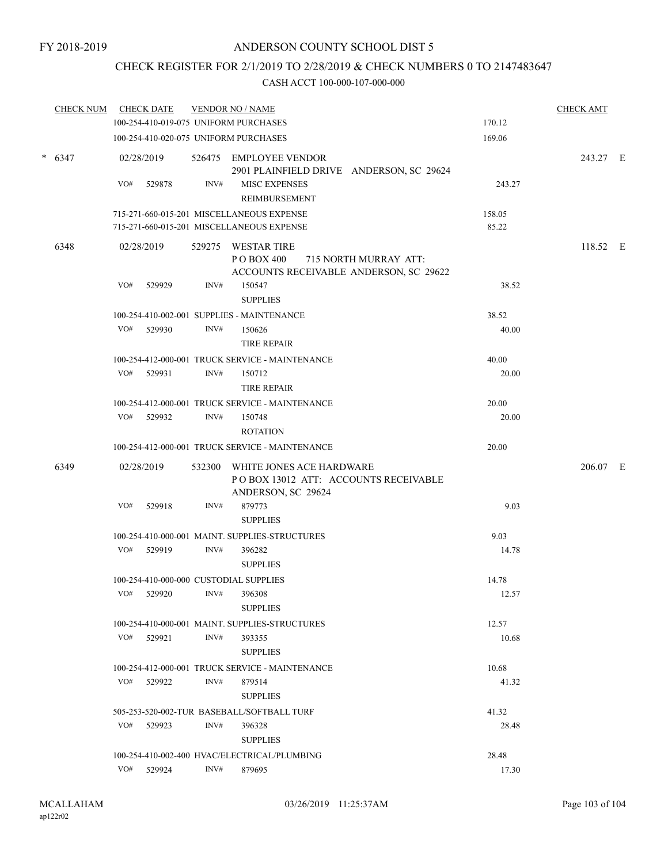### CHECK REGISTER FOR 2/1/2019 TO 2/28/2019 & CHECK NUMBERS 0 TO 2147483647

| <b>CHECK NUM</b> |     | <b>CHECK DATE</b>                               |       | <b>VENDOR NO / NAME</b>                                                                              |                 | <b>CHECK AMT</b> |  |
|------------------|-----|-------------------------------------------------|-------|------------------------------------------------------------------------------------------------------|-----------------|------------------|--|
|                  |     |                                                 |       | 100-254-410-019-075 UNIFORM PURCHASES                                                                | 170.12          |                  |  |
|                  |     |                                                 |       | 100-254-410-020-075 UNIFORM PURCHASES                                                                | 169.06          |                  |  |
| $* 6347$         |     | 02/28/2019                                      |       | 526475 EMPLOYEE VENDOR<br>2901 PLAINFIELD DRIVE ANDERSON, SC 29624                                   |                 | 243.27 E         |  |
|                  | VO# | 529878                                          | INV#  | MISC EXPENSES<br>REIMBURSEMENT                                                                       | 243.27          |                  |  |
|                  |     |                                                 |       | 715-271-660-015-201 MISCELLANEOUS EXPENSE<br>715-271-660-015-201 MISCELLANEOUS EXPENSE               | 158.05<br>85.22 |                  |  |
| 6348             |     | 02/28/2019                                      |       | 529275 WESTAR TIRE<br>P O BOX 400<br>715 NORTH MURRAY ATT:<br>ACCOUNTS RECEIVABLE ANDERSON, SC 29622 |                 | 118.52 E         |  |
|                  | VO# | 529929                                          | INV#  | 150547<br><b>SUPPLIES</b>                                                                            | 38.52           |                  |  |
|                  |     |                                                 |       | 100-254-410-002-001 SUPPLIES - MAINTENANCE                                                           | 38.52           |                  |  |
|                  |     | VO# 529930                                      | INV#  | 150626<br><b>TIRE REPAIR</b>                                                                         | 40.00           |                  |  |
|                  |     |                                                 |       | 100-254-412-000-001 TRUCK SERVICE - MAINTENANCE                                                      | 40.00           |                  |  |
|                  | VO# | 529931                                          | INV#  | 150712<br>TIRE REPAIR                                                                                | 20.00           |                  |  |
|                  |     |                                                 |       | 100-254-412-000-001 TRUCK SERVICE - MAINTENANCE                                                      | 20.00           |                  |  |
|                  | VO# | 529932                                          | INV#  | 150748<br><b>ROTATION</b>                                                                            | 20.00           |                  |  |
|                  |     | 100-254-412-000-001 TRUCK SERVICE - MAINTENANCE | 20.00 |                                                                                                      |                 |                  |  |
| 6349             |     | 02/28/2019                                      |       | 532300 WHITE JONES ACE HARDWARE<br>POBOX 13012 ATT: ACCOUNTS RECEIVABLE<br>ANDERSON, SC 29624        |                 | 206.07 E         |  |
|                  | VO# | 529918                                          | INV#  | 879773<br><b>SUPPLIES</b>                                                                            | 9.03            |                  |  |
|                  |     |                                                 |       | 100-254-410-000-001 MAINT. SUPPLIES-STRUCTURES                                                       | 9.03            |                  |  |
|                  |     | VO# 529919                                      | INV#  | 396282<br><b>SUPPLIES</b>                                                                            | 14.78           |                  |  |
|                  |     |                                                 |       | 100-254-410-000-000 CUSTODIAL SUPPLIES                                                               | 14.78           |                  |  |
|                  | VO# | 529920                                          | INV#  | 396308<br><b>SUPPLIES</b>                                                                            | 12.57           |                  |  |
|                  |     |                                                 |       | 100-254-410-000-001 MAINT. SUPPLIES-STRUCTURES                                                       | 12.57           |                  |  |
|                  |     | VO# 529921                                      | INV#  | 393355<br><b>SUPPLIES</b>                                                                            | 10.68           |                  |  |
|                  |     |                                                 |       | 100-254-412-000-001 TRUCK SERVICE - MAINTENANCE                                                      | 10.68           |                  |  |
|                  | VO# | 529922                                          | INV#  | 879514<br><b>SUPPLIES</b>                                                                            | 41.32           |                  |  |
|                  |     |                                                 |       | 505-253-520-002-TUR BASEBALL/SOFTBALL TURF                                                           | 41.32           |                  |  |
|                  | VO# | 529923                                          | INV#  | 396328<br><b>SUPPLIES</b>                                                                            | 28.48           |                  |  |
|                  |     |                                                 |       | 100-254-410-002-400 HVAC/ELECTRICAL/PLUMBING                                                         | 28.48           |                  |  |
|                  |     | VO# 529924                                      | INV#  | 879695                                                                                               | 17.30           |                  |  |